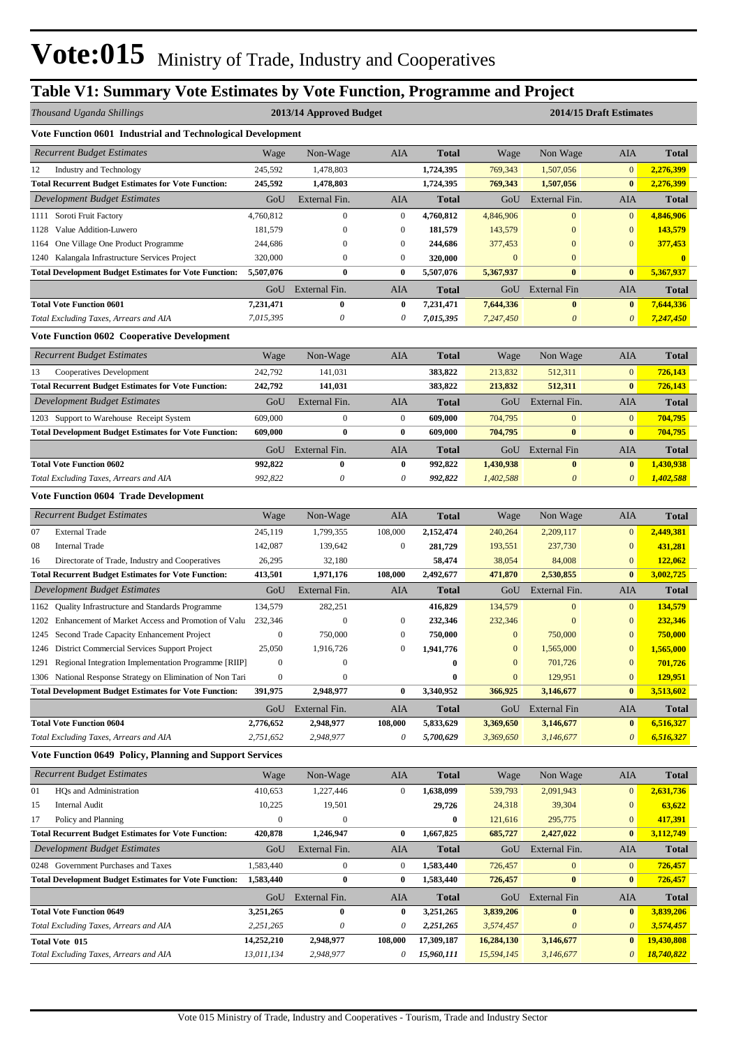# **Table V1: Summary Vote Estimates by Vote Function, Programme and Project**

| Thousand Uganda Shillings<br>2013/14 Approved Budget |                                                                           |                        |                               |                  |                        |                        |                           | 2014/15 Draft Estimates  |                        |  |
|------------------------------------------------------|---------------------------------------------------------------------------|------------------------|-------------------------------|------------------|------------------------|------------------------|---------------------------|--------------------------|------------------------|--|
|                                                      | Vote Function 0601 Industrial and Technological Development               |                        |                               |                  |                        |                        |                           |                          |                        |  |
|                                                      | <b>Recurrent Budget Estimates</b>                                         | Wage                   | Non-Wage                      | AIA              | <b>Total</b>           | Wage                   | Non Wage                  | AIA                      | <b>Total</b>           |  |
| 12                                                   | Industry and Technology                                                   | 245,592                | 1,478,803                     |                  | 1,724,395              | 769,343                | 1,507,056                 | $\mathbf{0}$             | 2,276,399              |  |
|                                                      | <b>Total Recurrent Budget Estimates for Vote Function:</b>                | 245,592                | 1,478,803                     |                  | 1,724,395              | 769,343                | 1,507,056                 | $\bf{0}$                 | 2,276,399              |  |
|                                                      | Development Budget Estimates                                              | GoU                    | External Fin.                 | AIA              | <b>Total</b>           | GoU                    | External Fin.             | AIA                      | Total                  |  |
|                                                      | 1111 Soroti Fruit Factory                                                 | 4,760,812              | $\boldsymbol{0}$              | $\boldsymbol{0}$ | 4,760,812              | 4,846,906              | $\overline{0}$            | $\mathbf{0}$             | 4,846,906              |  |
| 1128                                                 | Value Addition-Luwero                                                     | 181,579                | $\boldsymbol{0}$              | $\mathbf{0}$     | 181,579                | 143,579                | $\bf{0}$                  | $\mathbf{0}$             | 143,579                |  |
| 1164                                                 | One Village One Product Programme                                         | 244,686                | $\boldsymbol{0}$              | $\boldsymbol{0}$ | 244,686                | 377,453                | $\Omega$                  | $\boldsymbol{0}$         | 377,453                |  |
| 1240                                                 | Kalangala Infrastructure Services Project                                 | 320,000                | $\boldsymbol{0}$              | $\boldsymbol{0}$ | 320,000                | $\boldsymbol{0}$       | $\mathbf{0}$              |                          | $\bf{0}$               |  |
|                                                      | <b>Total Development Budget Estimates for Vote Function:</b>              | 5,507,076              | $\bf{0}$                      | $\boldsymbol{0}$ | 5,507,076              | 5,367,937              | $\bf{0}$                  | $\bf{0}$                 | 5,367,937              |  |
|                                                      |                                                                           | GoU                    | External Fin.                 | AIA              | <b>Total</b>           | GoU                    | External Fin              | AIA                      | Total                  |  |
|                                                      | <b>Total Vote Function 0601</b>                                           | 7,231,471              | $\bf{0}$                      | $\bf{0}$         | 7,231,471              | 7,644,336              | $\bf{0}$                  | $\bf{0}$                 | 7,644,336              |  |
|                                                      | Total Excluding Taxes, Arrears and AIA                                    | 7,015,395              | $\boldsymbol{\theta}$         | $\theta$         | 7,015,395              | 7,247,450              | $\boldsymbol{\mathit{0}}$ | $\boldsymbol{\theta}$    | 7,247,450              |  |
|                                                      | <b>Vote Function 0602 Cooperative Development</b>                         |                        |                               |                  |                        |                        |                           |                          |                        |  |
|                                                      | <b>Recurrent Budget Estimates</b>                                         | Wage                   | Non-Wage                      | AIA              | <b>Total</b>           | Wage                   | Non Wage                  | AIA                      | <b>Total</b>           |  |
| 13                                                   | Cooperatives Development                                                  | 242,792                | 141,031                       |                  | 383,822                | 213,832                | 512,311                   | $\mathbf{0}$             | 726,143                |  |
|                                                      | <b>Total Recurrent Budget Estimates for Vote Function:</b>                | 242,792                | 141,031                       |                  | 383,822                | 213,832                | 512,311                   | $\bf{0}$                 | 726,143                |  |
|                                                      | <b>Development Budget Estimates</b>                                       | GoU                    | External Fin.                 | AIA              | <b>Total</b>           | GoU                    | External Fin.             | AIA                      | Total                  |  |
|                                                      | 1203 Support to Warehouse Receipt System                                  | 609,000                | $\mathbf{0}$                  | $\mathbf{0}$     | 609,000                | 704,795                | $\mathbf{0}$              | $\mathbf{0}$             | 704.795                |  |
|                                                      | <b>Total Development Budget Estimates for Vote Function:</b>              | 609,000                | $\bf{0}$                      | $\bf{0}$         | 609,000                | 704,795                | $\bf{0}$                  | $\bf{0}$                 | 704,795                |  |
|                                                      |                                                                           | GoU                    | External Fin.                 | AIA              | <b>Total</b>           | GoU                    | External Fin              | AIA                      | Total                  |  |
|                                                      | <b>Total Vote Function 0602</b>                                           | 992,822                | 0                             | $\bf{0}$         | 992,822                | 1,430,938              | $\bf{0}$                  | $\bf{0}$                 | 1,430,938              |  |
|                                                      | Total Excluding Taxes, Arrears and AIA                                    | 992,822                | $\boldsymbol{\theta}$         | 0                | 992,822                | 1,402,588              | $\boldsymbol{\theta}$     | $\theta$                 | 1,402,588              |  |
|                                                      | <b>Vote Function 0604 Trade Development</b>                               |                        |                               |                  |                        |                        |                           |                          |                        |  |
|                                                      | <b>Recurrent Budget Estimates</b>                                         | Wage                   | Non-Wage                      | AIA              | <b>Total</b>           | Wage                   | Non Wage                  | AIA                      | Total                  |  |
| 07                                                   | <b>External Trade</b>                                                     | 245,119                | 1,799,355                     | 108,000          | 2,152,474              | 240,264                | 2,209,117                 | $\mathbf{0}$             | 2,449,381              |  |
| 08                                                   | <b>Internal Trade</b>                                                     | 142,087                | 139,642                       | $\mathbf{0}$     | 281,729                | 193,551                | 237,730                   | $\bf{0}$                 | 431,281                |  |
| 16                                                   | Directorate of Trade, Industry and Cooperatives                           | 26,295                 | 32,180                        |                  | 58,474                 | 38,054                 | 84,008                    | $\boldsymbol{0}$         | 122,062                |  |
|                                                      | <b>Total Recurrent Budget Estimates for Vote Function:</b>                | 413,501                | 1,971,176                     | 108,000          | 2,492,677              | 471,870                | 2,530,855                 | $\bf{0}$                 | 3,002,725              |  |
|                                                      | <b>Development Budget Estimates</b>                                       | GoU                    | External Fin.                 | AIA              | <b>Total</b>           | GoU                    | External Fin.             | AIA                      | <b>Total</b>           |  |
| 1162                                                 | Quality Infrastructure and Standards Programme                            | 134,579                | 282,251                       |                  | 416,829                | 134,579                | $\mathbf{0}$              | $\mathbf{0}$             | 134,579                |  |
| 1202                                                 | Enhancement of Market Access and Promotion of Valu                        | 232,346                | $\boldsymbol{0}$              | $\mathbf{0}$     | 232,346                | 232,346                | $\boldsymbol{0}$          | $\mathbf{0}$             | 232,346                |  |
|                                                      | 1245 Second Trade Capacity Enhancement Project                            | $\boldsymbol{0}$       | 750,000                       | $\boldsymbol{0}$ | 750,000                | $\mathbf{0}$           | 750,000                   | $\overline{0}$           | 750,000                |  |
|                                                      | 1246 District Commercial Services Support Project                         | 25,050                 | 1,916,726                     | $\mathbf{0}$     | 1,941,776              | $\boldsymbol{0}$       | 1,565,000                 | $\mathbf{0}$             | 1,565,000              |  |
|                                                      | 1291 Regional Integration Implementation Programme [RIIP]                 | $\boldsymbol{0}$       |                               |                  | $\bf{0}$               | $\boldsymbol{0}$       | 701,726                   | $\boldsymbol{0}$         | 701,726                |  |
|                                                      | 1306 National Response Strategy on Elimination of Non Tari                | $\boldsymbol{0}$       | $\boldsymbol{0}$<br>2,948,977 | $\bf{0}$         | $\bf{0}$<br>3,340,952  | $\mathbf{0}$           | 129,951                   | $\mathbf{0}$<br>$\bf{0}$ | 129,951                |  |
|                                                      | <b>Total Development Budget Estimates for Vote Function:</b>              | 391,975                |                               |                  |                        | 366,925                | 3,146,677                 |                          | 3,513,602              |  |
|                                                      |                                                                           | GoU                    | External Fin.                 | AIA              | <b>Total</b>           | GoU                    | <b>External Fin</b>       | AIA                      | Total                  |  |
|                                                      | <b>Total Vote Function 0604</b><br>Total Excluding Taxes, Arrears and AIA | 2,776,652<br>2,751,652 | 2,948,977<br>2,948,977        | 108,000<br>0     | 5,833,629<br>5,700,629 | 3,369,650<br>3,369,650 | 3,146,677<br>3,146,677    | $\bf{0}$<br>$\theta$     | 6,516,327<br>6,516,327 |  |
|                                                      | <b>Vote Function 0649 Policy, Planning and Support Services</b>           |                        |                               |                  |                        |                        |                           |                          |                        |  |
|                                                      | <b>Recurrent Budget Estimates</b>                                         | Wage                   | Non-Wage                      | AIA              | <b>Total</b>           | Wage                   | Non Wage                  | AIA                      | Total                  |  |
| 01                                                   | HQs and Administration                                                    | 410,653                | 1,227,446                     | $\boldsymbol{0}$ | 1,638,099              | 539,793                | 2,091,943                 | $\bf{0}$                 | 2,631,736              |  |
| 15                                                   | <b>Internal Audit</b>                                                     | 10,225                 | 19,501                        |                  | 29,726                 | 24,318                 | 39,304                    | $\bf{0}$                 | 63,622                 |  |
| 17                                                   | Policy and Planning                                                       | $\boldsymbol{0}$       | $\boldsymbol{0}$              |                  | $\bf{0}$               | 121,616                | 295,775                   | $\mathbf{0}$             | 417,391                |  |
|                                                      | <b>Total Recurrent Budget Estimates for Vote Function:</b>                | 420,878                | 1,246,947                     | $\bf{0}$         | 1,667,825              | 685,727                | 2,427,022                 | $\bf{0}$                 | 3,112,749              |  |
|                                                      | Development Budget Estimates                                              | GoU                    | External Fin.                 | AIA              | <b>Total</b>           | GoU                    | External Fin.             | AIA                      | Total                  |  |
|                                                      | 0248 Government Purchases and Taxes                                       | 1,583,440              | $\boldsymbol{0}$              | $\boldsymbol{0}$ | 1,583,440              | 726,457                | $\mathbf{0}$              | $\mathbf{0}$             | 726,457                |  |
|                                                      | <b>Total Development Budget Estimates for Vote Function:</b>              | 1,583,440              | $\bf{0}$                      | $\bf{0}$         | 1,583,440              | 726,457                | $\bf{0}$                  | $\bf{0}$                 | 726,457                |  |
|                                                      |                                                                           | GoU                    | External Fin.                 | AIA              | <b>Total</b>           | GoU                    | External Fin              | AIA                      | Total                  |  |
|                                                      | <b>Total Vote Function 0649</b>                                           | 3,251,265              | 0                             | $\bf{0}$         | 3,251,265              | 3,839,206              | $\bf{0}$                  | $\bf{0}$                 | 3,839,206              |  |
|                                                      | Total Excluding Taxes, Arrears and AIA                                    | 2,251,265              | 0                             | 0                | 2,251,265              | 3,574,457              | $\boldsymbol{\mathit{0}}$ | 0                        | 3,574,457              |  |
|                                                      | Total Vote 015                                                            | 14,252,210             | 2,948,977                     | 108,000          | 17,309,187             | 16,284,130             | 3,146,677                 | $\bf{0}$                 | 19,430,808             |  |
|                                                      | Total Excluding Taxes, Arrears and AIA                                    | 13,011,134             | 2,948,977                     | 0                | 15,960,111             | 15,594,145             | 3,146,677                 | $\boldsymbol{\theta}$    | 18,740,822             |  |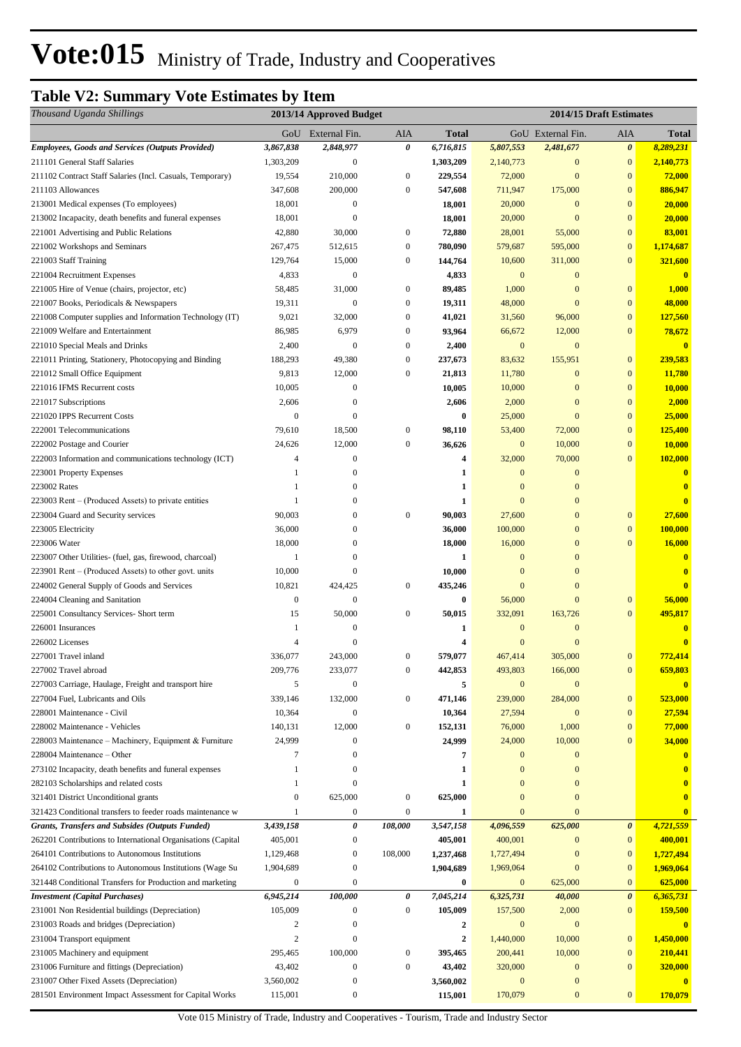# **Table V2: Summary Vote Estimates by Item**

| Thousand Uganda Shillings                                                                 | 2013/14 Approved Budget |                         |                  |                   |                              |                                  | 2014/15 Draft Estimates      |                          |  |
|-------------------------------------------------------------------------------------------|-------------------------|-------------------------|------------------|-------------------|------------------------------|----------------------------------|------------------------------|--------------------------|--|
|                                                                                           |                         | GoU External Fin.       | AIA              | <b>Total</b>      |                              | GoU External Fin.                | AIA                          | <b>Total</b>             |  |
| <b>Employees, Goods and Services (Outputs Provided)</b>                                   | 3,867,838               | 2,848,977               | 0                | 6,716,815         | 5,807,553                    | 2,481,677                        | $\boldsymbol{\theta}$        | 8,289,231                |  |
| 211101 General Staff Salaries                                                             | 1,303,209               | $\boldsymbol{0}$        |                  | 1,303,209         | 2,140,773                    | $\bf{0}$                         | $\mathbf{0}$                 | 2,140,773                |  |
| 211102 Contract Staff Salaries (Incl. Casuals, Temporary)                                 | 19,554                  | 210,000                 | $\mathbf{0}$     | 229,554           | 72,000                       | $\mathbf{0}$                     | $\boldsymbol{0}$             | 72,000                   |  |
| 211103 Allowances                                                                         | 347,608                 | 200,000                 | $\mathbf{0}$     | 547,608           | 711,947                      | 175,000                          | $\boldsymbol{0}$             | 886,947                  |  |
| 213001 Medical expenses (To employees)                                                    | 18,001                  | $\boldsymbol{0}$        |                  | 18,001            | 20,000                       | $\mathbf{0}$                     | $\boldsymbol{0}$             | 20,000                   |  |
| 213002 Incapacity, death benefits and funeral expenses                                    | 18,001                  | $\boldsymbol{0}$        |                  | 18,001            | 20,000                       | $\mathbf{0}$                     | $\boldsymbol{0}$             | 20,000                   |  |
| 221001 Advertising and Public Relations                                                   | 42,880                  | 30,000                  | $\boldsymbol{0}$ | 72,880            | 28,001                       | 55,000                           | $\mathbf{0}$                 | 83,001                   |  |
| 221002 Workshops and Seminars                                                             | 267,475                 | 512,615                 | $\bf{0}$         | 780,090           | 579,687                      | 595,000                          | $\bf{0}$                     | 1,174,687                |  |
| 221003 Staff Training                                                                     | 129,764                 | 15,000                  | $\boldsymbol{0}$ | 144,764           | 10,600                       | 311,000                          | $\overline{0}$               | 321,600                  |  |
| 221004 Recruitment Expenses                                                               | 4,833                   | $\mathbf{0}$            |                  | 4,833             | $\mathbf{0}$                 | $\mathbf{0}$                     |                              | $\mathbf{0}$             |  |
| 221005 Hire of Venue (chairs, projector, etc)                                             | 58,485                  | 31,000                  | $\boldsymbol{0}$ | 89,485            | 1,000                        | $\boldsymbol{0}$                 | $\mathbf{0}$                 | 1,000                    |  |
| 221007 Books, Periodicals & Newspapers                                                    | 19,311                  | $\mathbf{0}$            | $\mathbf{0}$     | 19,311            | 48,000                       | $\mathbf{0}$                     | $\boldsymbol{0}$             | 48,000                   |  |
| 221008 Computer supplies and Information Technology (IT)                                  | 9,021                   | 32,000                  | $\boldsymbol{0}$ | 41,021            | 31,560                       | 96,000                           | $\boldsymbol{0}$             | 127,560                  |  |
| 221009 Welfare and Entertainment                                                          | 86,985                  | 6,979                   | $\mathbf{0}$     | 93,964            | 66,672                       | 12,000                           | $\boldsymbol{0}$             | 78,672                   |  |
| 221010 Special Meals and Drinks                                                           | 2,400                   | $\mathbf{0}$            | $\mathbf{0}$     | 2,400             | $\boldsymbol{0}$             | $\mathbf{0}$                     |                              | $\bf{0}$                 |  |
| 221011 Printing, Stationery, Photocopying and Binding                                     | 188,293                 | 49,380                  | $\boldsymbol{0}$ | 237,673           | 83,632                       | 155,951                          | $\boldsymbol{0}$             | 239,583                  |  |
| 221012 Small Office Equipment                                                             | 9,813                   | 12,000                  | $\boldsymbol{0}$ | 21,813            | 11,780                       | $\boldsymbol{0}$                 | $\boldsymbol{0}$             | 11,780                   |  |
| 221016 IFMS Recurrent costs                                                               | 10,005                  | $\boldsymbol{0}$        |                  | 10,005            | 10,000                       | $\boldsymbol{0}$                 | $\boldsymbol{0}$             | 10,000                   |  |
| 221017 Subscriptions                                                                      | 2,606                   | $\mathbf{0}$            |                  | 2,606             | 2,000                        | $\boldsymbol{0}$                 | $\boldsymbol{0}$             | 2,000                    |  |
| 221020 IPPS Recurrent Costs                                                               | 0                       | $\mathbf{0}$            |                  | 0                 | 25,000                       | $\mathbf{0}$                     | $\boldsymbol{0}$             | 25,000                   |  |
| 222001 Telecommunications                                                                 | 79,610                  | 18,500                  | $\boldsymbol{0}$ | 98,110            | 53,400                       | 72,000                           | $\boldsymbol{0}$             | 125,400                  |  |
| 222002 Postage and Courier                                                                | 24,626                  | 12,000                  | $\mathbf{0}$     | 36,626            | $\mathbf{0}$                 | 10,000                           | $\boldsymbol{0}$             | 10,000                   |  |
| 222003 Information and communications technology (ICT)                                    | 4                       | $\mathbf{0}$            |                  | 4                 | 32,000                       | 70,000                           | $\boldsymbol{0}$             | 102,000                  |  |
| 223001 Property Expenses                                                                  | 1                       | $\boldsymbol{0}$<br>0   |                  | 1                 | $\mathbf{0}$<br>$\mathbf{0}$ | $\mathbf{0}$                     |                              | $\bf{0}$                 |  |
| 223002 Rates                                                                              | 1<br>1                  | 0                       |                  | 1<br>$\mathbf{1}$ | $\mathbf{0}$                 | $\boldsymbol{0}$<br>$\mathbf{0}$ |                              | $\bf{0}$<br>$\mathbf{0}$ |  |
| 223003 Rent – (Produced Assets) to private entities<br>223004 Guard and Security services | 90,003                  | $\Omega$                | $\boldsymbol{0}$ | 90,003            | 27,600                       | $\mathbf{0}$                     | $\boldsymbol{0}$             | 27,600                   |  |
| 223005 Electricity                                                                        | 36,000                  | $\theta$                |                  | 36,000            | 100,000                      | $\boldsymbol{0}$                 | $\mathbf{0}$                 | 100,000                  |  |
| 223006 Water                                                                              | 18,000                  | $\Omega$                |                  | 18,000            | 16,000                       | $\boldsymbol{0}$                 | $\overline{0}$               | 16,000                   |  |
| 223007 Other Utilities- (fuel, gas, firewood, charcoal)                                   | 1                       | $\Omega$                |                  | 1                 | $\mathbf{0}$                 | $\boldsymbol{0}$                 |                              | $\bf{0}$                 |  |
| 223901 Rent – (Produced Assets) to other govt. units                                      | 10,000                  | $\boldsymbol{0}$        |                  | 10,000            | $\mathbf{0}$                 | $\mathbf{0}$                     |                              | $\mathbf{0}$             |  |
| 224002 General Supply of Goods and Services                                               | 10,821                  | 424,425                 | $\boldsymbol{0}$ | 435,246           | $\mathbf{0}$                 | $\mathbf{0}$                     |                              | $\mathbf{0}$             |  |
| 224004 Cleaning and Sanitation                                                            | $\boldsymbol{0}$        | $\mathbf{0}$            |                  | $\bf{0}$          | 56,000                       | $\mathbf{0}$                     | $\bf{0}$                     | 56,000                   |  |
| 225001 Consultancy Services- Short term                                                   | 15                      | 50,000                  | $\bf{0}$         | 50,015            | 332,091                      | 163,726                          | $\boldsymbol{0}$             | 495,817                  |  |
| 226001 Insurances                                                                         | 1                       | $\mathbf{0}$            |                  | 1                 | $\mathbf{0}$                 | $\boldsymbol{0}$                 |                              | $\bf{0}$                 |  |
| 226002 Licenses                                                                           | 4                       | $\theta$                |                  | 4                 | $\mathbf{0}$                 | $\mathbf{0}$                     |                              | $\mathbf{0}$             |  |
| 227001 Travel inland                                                                      | 336,077                 | 243,000                 | $\boldsymbol{0}$ | 579,077           | 467,414                      | 305,000                          | $\bf{0}$                     | 772,414                  |  |
| 227002 Travel abroad                                                                      | 209,776                 | 233,077                 | $\mathbf{0}$     | 442,853           | 493,803                      | 166,000                          | $\mathbf{0}$                 | 659,803                  |  |
| 227003 Carriage, Haulage, Freight and transport hire                                      | 5                       | $\mathbf{0}$            |                  | 5                 | $\boldsymbol{0}$             | $\mathbf{0}$                     |                              | $\mathbf{0}$             |  |
| 227004 Fuel, Lubricants and Oils                                                          | 339,146                 | 132,000                 | $\boldsymbol{0}$ | 471,146           | 239,000                      | 284,000                          | $\mathbf{0}$                 | 523,000                  |  |
| 228001 Maintenance - Civil                                                                | 10,364                  | $\mathbf{0}$            |                  | 10,364            | 27,594                       | $\mathbf{0}$                     | $\mathbf{0}$                 | 27,594                   |  |
| 228002 Maintenance - Vehicles                                                             | 140,131                 | 12,000                  | $\boldsymbol{0}$ | 152,131           | 76,000                       | 1,000                            | $\mathbf{0}$                 | 77,000                   |  |
| 228003 Maintenance – Machinery, Equipment & Furniture                                     | 24,999                  | $\boldsymbol{0}$        |                  | 24,999            | 24,000                       | 10,000                           | $\mathbf{0}$                 | 34,000                   |  |
| 228004 Maintenance – Other                                                                | 7                       | $\mathbf{0}$            |                  | 7                 | $\mathbf{0}$                 | $\bf{0}$                         |                              | $\bf{0}$                 |  |
| 273102 Incapacity, death benefits and funeral expenses                                    | 1                       | $\mathbf{0}$            |                  | $\mathbf{1}$      | $\mathbf{0}$                 | $\mathbf{0}$                     |                              |                          |  |
| 282103 Scholarships and related costs                                                     | 1                       | $\theta$                |                  | 1                 | $\mathbf{0}$                 | $\mathbf{0}$                     |                              | $\bf{0}$                 |  |
| 321401 District Unconditional grants                                                      | $\boldsymbol{0}$        | 625,000                 | $\boldsymbol{0}$ | 625,000           | $\mathbf{0}$                 | $\boldsymbol{0}$                 |                              | $\bf{0}$                 |  |
| 321423 Conditional transfers to feeder roads maintenance w                                | 1                       | $\boldsymbol{0}$        | $\boldsymbol{0}$ | 1                 | $\mathbf{0}$                 | $\mathbf{0}$                     |                              | $\bf{0}$                 |  |
| Grants, Transfers and Subsides (Outputs Funded)                                           | 3,439,158               | 0                       | 108,000          | 3,547,158         | 4,096,559                    | 625,000                          | 0                            | 4,721,559                |  |
| 262201 Contributions to International Organisations (Capital                              | 405,001                 | $\boldsymbol{0}$        |                  | 405,001           | 400,001                      | $\mathbf{0}$                     | $\mathbf{0}$                 | 400,001                  |  |
| 264101 Contributions to Autonomous Institutions                                           | 1,129,468               | $\boldsymbol{0}$        | 108,000          | 1,237,468         | 1,727,494                    | $\bf{0}$                         | $\boldsymbol{0}$             | 1,727,494                |  |
| 264102 Contributions to Autonomous Institutions (Wage Su                                  | 1,904,689               | $\mathbf{0}$            |                  | 1,904,689         | 1,969,064                    | $\mathbf{0}$                     | $\mathbf{0}$                 | 1,969,064                |  |
| 321448 Conditional Transfers for Production and marketing                                 | $\boldsymbol{0}$        | $\mathbf{0}$            |                  | 0                 | $\mathbf{0}$                 | 625,000                          | $\mathbf{0}$                 | 625,000                  |  |
| <b>Investment</b> (Capital Purchases)                                                     | 6,945,214               | 100,000                 | $\pmb{\theta}$   | 7,045,214         | 6,325,731                    | 40,000                           | $\boldsymbol{\theta}$        | 6,365,731                |  |
| 231001 Non Residential buildings (Depreciation)                                           | 105,009                 | $\mathbf{0}$            | $\bf{0}$         | 105,009           | 157,500                      | 2,000                            | $\mathbf{0}$                 | 159,500                  |  |
| 231003 Roads and bridges (Depreciation)                                                   | 2                       | $\overline{0}$          |                  | $\boldsymbol{2}$  | $\boldsymbol{0}$             | $\bf{0}$                         |                              | $\mathbf{0}$             |  |
| 231004 Transport equipment                                                                | 2<br>295,465            | $\mathbf{0}$<br>100,000 | $\boldsymbol{0}$ | $\boldsymbol{2}$  | 1,440,000                    | 10,000<br>10,000                 | $\mathbf{0}$<br>$\mathbf{0}$ | 1,450,000                |  |
| 231005 Machinery and equipment<br>231006 Furniture and fittings (Depreciation)            | 43,402                  | $\boldsymbol{0}$        | $\mathbf{0}$     | 395,465<br>43,402 | 200,441<br>320,000           | $\mathbf{0}$                     | $\overline{0}$               | 210,441<br>320,000       |  |
| 231007 Other Fixed Assets (Depreciation)                                                  | 3,560,002               | $\mathbf{0}$            |                  | 3,560,002         | $\boldsymbol{0}$             | $\mathbf{0}$                     |                              | $\mathbf{0}$             |  |
| 281501 Environment Impact Assessment for Capital Works                                    | 115,001                 | $\mathbf{0}$            |                  | 115,001           | 170,079                      | $\bf{0}$                         | $\mathbf{0}$                 | 170,079                  |  |
|                                                                                           |                         |                         |                  |                   |                              |                                  |                              |                          |  |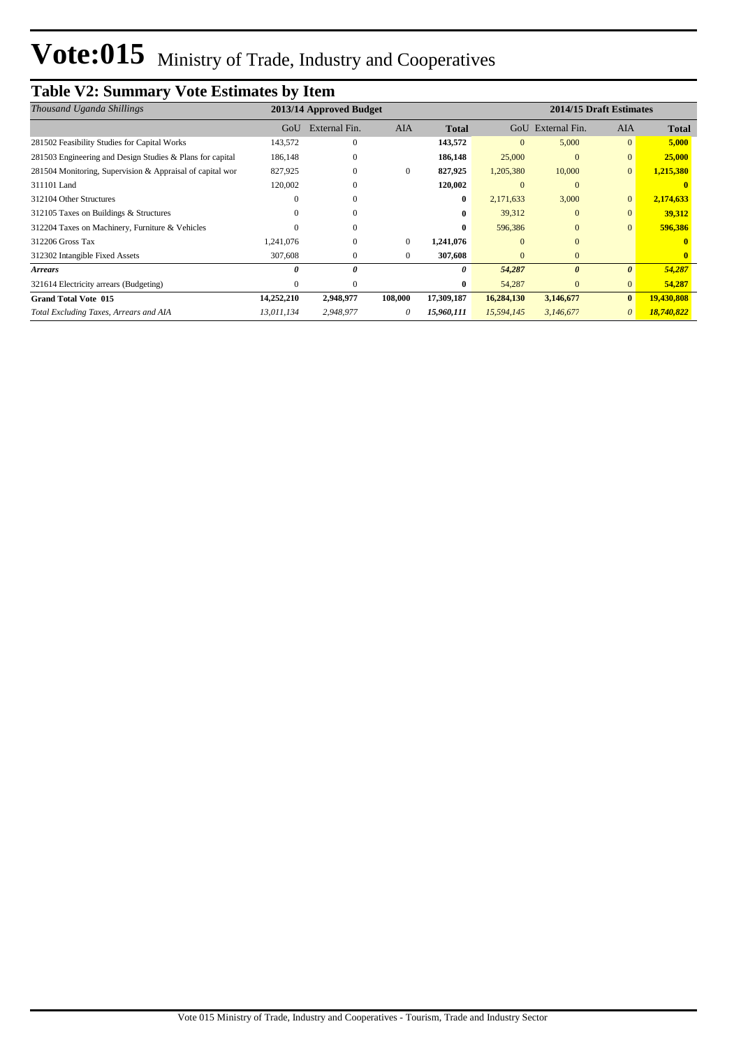# **Table V2: Summary Vote Estimates by Item**

| 2013/14 Approved Budget<br>Thousand Uganda Shillings      |            |               |              |              |              |                       | 2014/15 Draft Estimates |              |
|-----------------------------------------------------------|------------|---------------|--------------|--------------|--------------|-----------------------|-------------------------|--------------|
|                                                           | GoU        | External Fin. | <b>AIA</b>   | <b>Total</b> |              | GoU External Fin.     | <b>AIA</b>              | <b>Total</b> |
| 281502 Feasibility Studies for Capital Works              | 143,572    | $\mathbf{0}$  |              | 143,572      | $\mathbf{0}$ | 5,000                 | $\mathbf{0}$            | 5,000        |
| 281503 Engineering and Design Studies & Plans for capital | 186,148    | 0             |              | 186,148      | 25,000       | $\mathbf{0}$          | $\mathbf{0}$            | 25,000       |
| 281504 Monitoring, Supervision & Appraisal of capital wor | 827,925    | $\mathbf{0}$  | $\mathbf{0}$ | 827,925      | 1,205,380    | 10,000                | $\mathbf{0}$            | 1,215,380    |
| 311101 Land                                               | 120,002    | $\Omega$      |              | 120,002      | $\Omega$     | $\Omega$              |                         |              |
| 312104 Other Structures                                   |            | $\Omega$      |              | $\bf{0}$     | 2,171,633    | 3,000                 | $\mathbf{0}$            | 2,174,633    |
| 312105 Taxes on Buildings & Structures                    |            | $\Omega$      |              | $\bf{0}$     | 39,312       | $\Omega$              | $\Omega$                | 39,312       |
| 312204 Taxes on Machinery, Furniture & Vehicles           |            | 0             |              | $\mathbf{0}$ | 596,386      | $\Omega$              | $\mathbf{0}$            | 596,386      |
| 312206 Gross Tax                                          | 1.241.076  | $\mathbf{0}$  | $\mathbf{0}$ | 1,241,076    | $\Omega$     | $\Omega$              |                         |              |
| 312302 Intangible Fixed Assets                            | 307,608    | $\mathbf{0}$  | $\mathbf{0}$ | 307,608      | $\Omega$     | $\Omega$              |                         |              |
| <b>Arrears</b>                                            |            | 0             |              | 0            | 54,287       | $\boldsymbol{\theta}$ | $\boldsymbol{\theta}$   | 54,287       |
| 321614 Electricity arrears (Budgeting)                    |            | $\Omega$      |              | $\bf{0}$     | 54,287       | $\Omega$              | $\mathbf{0}$            | 54,287       |
| <b>Grand Total Vote 015</b>                               | 14,252,210 | 2,948,977     | 108,000      | 17,309,187   | 16,284,130   | 3,146,677             | $\bf{0}$                | 19,430,808   |
| Total Excluding Taxes, Arrears and AIA                    | 13,011,134 | 2,948,977     | 0            | 15,960,111   | 15,594,145   | 3,146,677             | 0                       | 18,740,822   |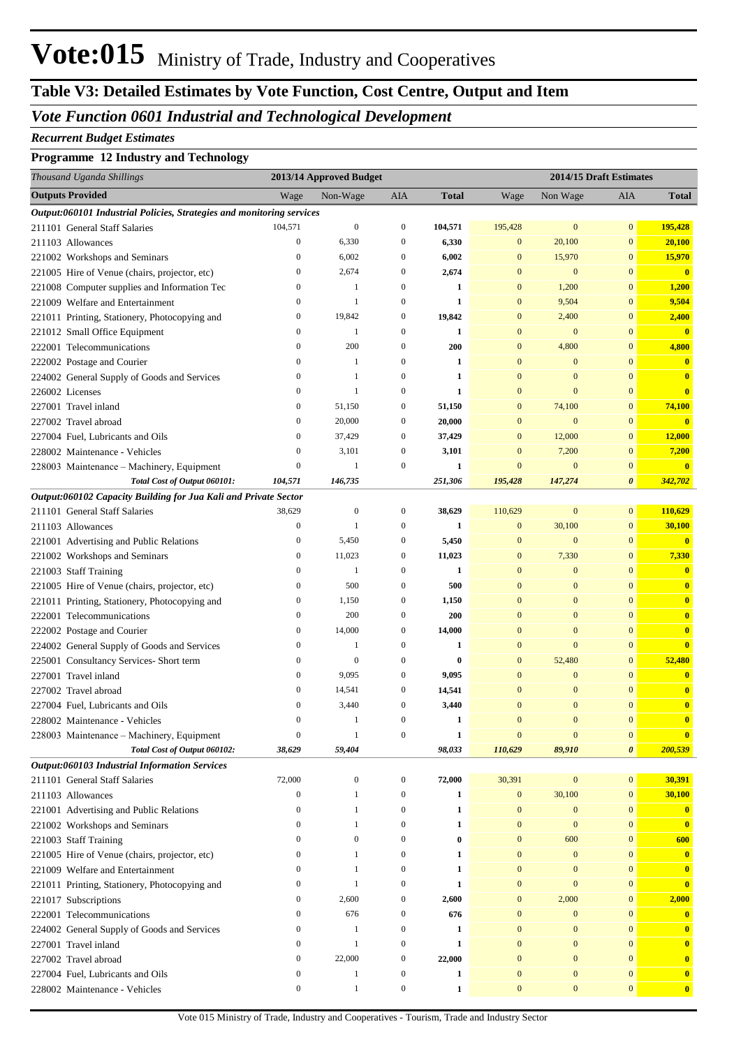# **Table V3: Detailed Estimates by Vote Function, Cost Centre, Output and Item**

### *Vote Function 0601 Industrial and Technological Development*

#### *Recurrent Budget Estimates*

#### **Programme 12 Industry and Technology**

| Thousand Uganda Shillings                                             |                              | 2013/14 Approved Budget |                       |              |                                  | 2014/15 Draft Estimates          |                                  |              |
|-----------------------------------------------------------------------|------------------------------|-------------------------|-----------------------|--------------|----------------------------------|----------------------------------|----------------------------------|--------------|
| <b>Outputs Provided</b>                                               | Wage                         | Non-Wage                | AIA                   | Total        | Wage                             | Non Wage                         | AIA                              | <b>Total</b> |
| Output:060101 Industrial Policies, Strategies and monitoring services |                              |                         |                       |              |                                  |                                  |                                  |              |
| 211101 General Staff Salaries                                         | 104,571                      | $\boldsymbol{0}$        | 0                     | 104,571      | 195,428                          | $\mathbf{0}$                     | $\mathbf{0}$                     | 195,428      |
| 211103 Allowances                                                     | $\boldsymbol{0}$             | 6,330                   | $\boldsymbol{0}$      | 6,330        | $\boldsymbol{0}$                 | 20,100                           | $\mathbf{0}$                     | 20,100       |
| 221002 Workshops and Seminars                                         | $\boldsymbol{0}$             | 6,002                   | $\boldsymbol{0}$      | 6,002        | $\boldsymbol{0}$                 | 15,970                           | $\bf{0}$                         | 15,970       |
| 221005 Hire of Venue (chairs, projector, etc)                         | $\boldsymbol{0}$             | 2,674                   | 0                     | 2,674        | $\mathbf{0}$                     | $\mathbf{0}$                     | $\mathbf{0}$                     | $\bf{0}$     |
| 221008 Computer supplies and Information Tec                          | $\boldsymbol{0}$             | 1                       | $\boldsymbol{0}$      | 1            | $\boldsymbol{0}$                 | 1,200                            | $\mathbf{0}$                     | 1,200        |
| 221009 Welfare and Entertainment                                      | 0                            | 1                       | 0                     | 1            | $\boldsymbol{0}$                 | 9,504                            | $\boldsymbol{0}$                 | 9,504        |
| 221011 Printing, Stationery, Photocopying and                         | 0                            | 19,842                  | 0                     | 19,842       | $\boldsymbol{0}$                 | 2,400                            | $\bf{0}$                         | 2,400        |
| 221012 Small Office Equipment                                         | 0                            | $\mathbf{1}$            | $\boldsymbol{0}$      | 1            | $\mathbf{0}$                     | $\mathbf{0}$                     | $\mathbf{0}$                     | $\bf{0}$     |
| 222001 Telecommunications                                             | $\boldsymbol{0}$             | 200                     | $\boldsymbol{0}$      | 200          | $\boldsymbol{0}$                 | 4,800                            | $\mathbf{0}$                     | 4,800        |
| 222002 Postage and Courier                                            | $\boldsymbol{0}$             | -1                      | $\boldsymbol{0}$      | 1            | $\mathbf{0}$                     | $\boldsymbol{0}$                 | $\mathbf{0}$                     | $\bf{0}$     |
| 224002 General Supply of Goods and Services                           | $\boldsymbol{0}$             | 1                       | $\boldsymbol{0}$      | 1            | $\mathbf{0}$                     | $\mathbf{0}$                     | $\overline{0}$                   | $\bf{0}$     |
| 226002 Licenses                                                       | $\boldsymbol{0}$             | $\mathbf{1}$            | $\boldsymbol{0}$      | 1            | $\mathbf{0}$                     | $\overline{0}$                   | $\overline{0}$                   | $\bf{0}$     |
| 227001 Travel inland                                                  | 0                            | 51,150                  | 0                     | 51,150       | $\boldsymbol{0}$                 | 74,100                           | $\overline{0}$                   | 74,100       |
| 227002 Travel abroad                                                  | 0                            | 20,000                  | 0                     | 20,000       | $\mathbf{0}$                     | $\mathbf{0}$                     | $\mathbf{0}$                     | $\bf{0}$     |
| 227004 Fuel, Lubricants and Oils                                      | 0                            | 37,429                  | $\boldsymbol{0}$      | 37,429       | $\mathbf{0}$                     | 12,000                           | $\boldsymbol{0}$                 | 12,000       |
| 228002 Maintenance - Vehicles                                         | $\boldsymbol{0}$             | 3,101                   | 0                     | 3,101        | $\boldsymbol{0}$                 | 7,200                            | $\bf{0}$                         | 7,200        |
| 228003 Maintenance – Machinery, Equipment                             | $\boldsymbol{0}$             | $\mathbf{1}$            | $\boldsymbol{0}$      | 1            | $\mathbf{0}$                     | $\mathbf{0}$                     | $\mathbf{0}$                     | $\bf{0}$     |
| Total Cost of Output 060101:                                          | 104,571                      | 146,735                 |                       | 251,306      | 195,428                          | 147,274                          | 0                                | 342,702      |
| Output:060102 Capacity Building for Jua Kali and Private Sector       |                              |                         |                       |              |                                  |                                  |                                  |              |
| 211101 General Staff Salaries                                         | 38,629                       | $\mathbf{0}$            | 0                     | 38,629       | 110,629                          | $\mathbf{0}$                     | $\boldsymbol{0}$                 | 110,629      |
| 211103 Allowances                                                     | $\boldsymbol{0}$             | $\mathbf{1}$            | $\boldsymbol{0}$      | 1            | $\boldsymbol{0}$                 | 30,100                           | $\mathbf{0}$                     | 30,100       |
| 221001 Advertising and Public Relations                               | $\boldsymbol{0}$             | 5,450                   | 0                     | 5,450        | $\boldsymbol{0}$                 | $\mathbf{0}$                     | $\mathbf{0}$                     | $\bf{0}$     |
| 221002 Workshops and Seminars                                         | $\boldsymbol{0}$             | 11,023                  | 0                     | 11,023       | $\boldsymbol{0}$                 | 7,330                            | $\bf{0}$                         | 7,330        |
| 221003 Staff Training                                                 | $\boldsymbol{0}$             | 1                       | $\boldsymbol{0}$      | 1            | $\mathbf{0}$                     | $\boldsymbol{0}$                 | $\overline{0}$                   | $\bf{0}$     |
| 221005 Hire of Venue (chairs, projector, etc)                         | 0                            | 500                     | $\boldsymbol{0}$      | 500          | $\mathbf{0}$                     | $\boldsymbol{0}$                 | $\mathbf{0}$                     | $\bf{0}$     |
| 221011 Printing, Stationery, Photocopying and                         | 0                            | 1,150                   | 0                     | 1,150        | $\mathbf{0}$                     | $\mathbf{0}$                     | $\overline{0}$                   | $\bf{0}$     |
| 222001 Telecommunications                                             | 0                            | 200                     | $\boldsymbol{0}$      | 200          | $\mathbf{0}$                     | $\boldsymbol{0}$                 | $\overline{0}$                   | $\bf{0}$     |
| 222002 Postage and Courier                                            | 0                            | 14,000                  | 0                     | 14,000       | $\mathbf{0}$                     | $\boldsymbol{0}$                 | $\overline{0}$                   | $\bf{0}$     |
| 224002 General Supply of Goods and Services                           | 0                            | 1                       | $\boldsymbol{0}$      | 1            | $\mathbf{0}$                     | $\overline{0}$                   | $\mathbf{0}$                     | $\bf{0}$     |
| 225001 Consultancy Services- Short term                               | 0                            | $\mathbf{0}$            | $\boldsymbol{0}$      | $\bf{0}$     | $\boldsymbol{0}$                 | 52,480                           | $\mathbf{0}$                     | 52,480       |
| 227001 Travel inland                                                  | $\mathbf{0}$                 | 9,095                   | $\boldsymbol{0}$      | 9,095        | $\mathbf{0}$                     | $\boldsymbol{0}$                 | $\mathbf{0}$                     | $\bf{0}$     |
| 227002 Travel abroad                                                  | 0                            | 14,541                  | $\boldsymbol{0}$      | 14,541       | $\mathbf{0}$                     | $\mathbf{0}$                     | $\mathbf{0}$                     | $\bf{0}$     |
| 227004 Fuel, Lubricants and Oils                                      | 0                            | 3,440                   | 0                     | 3,440        | $\mathbf{0}$                     | $\boldsymbol{0}$                 | $\overline{0}$                   | $\bf{0}$     |
| 228002 Maintenance - Vehicles                                         | $\mathbf{0}$                 | 1                       | $\mathbf{0}$          | 1            | $\overline{0}$                   | $\Omega$                         | $\overline{0}$                   | $\bf{0}$     |
| 228003 Maintenance - Machinery, Equipment                             | $\boldsymbol{0}$             | 1                       | $\boldsymbol{0}$      | $\mathbf{1}$ | $\boldsymbol{0}$                 | $\boldsymbol{0}$                 | $\bf{0}$                         | $\bf{0}$     |
| Total Cost of Output 060102:                                          | 38,629                       | 59,404                  |                       | 98,033       | 110,629                          | 89,910                           | 0                                | 200,539      |
| Output:060103 Industrial Information Services                         |                              |                         |                       |              |                                  |                                  |                                  |              |
| 211101 General Staff Salaries                                         | 72,000                       | $\boldsymbol{0}$        | $\boldsymbol{0}$      | 72,000       | 30,391                           | $\bf{0}$                         | $\mathbf{0}$                     | 30,391       |
| 211103 Allowances                                                     | $\boldsymbol{0}$             | 1                       | $\boldsymbol{0}$      | $\mathbf{1}$ | $\boldsymbol{0}$                 | 30,100                           | $\boldsymbol{0}$                 | 30,100       |
| 221001 Advertising and Public Relations                               | $\mathbf{0}$                 | 1<br>1                  | 0                     | $\mathbf{1}$ | $\boldsymbol{0}$                 | $\bf{0}$                         | $\boldsymbol{0}$                 | $\bf{0}$     |
| 221002 Workshops and Seminars                                         | $\mathbf{0}$                 | $\mathbf{0}$            | 0                     | 1            | $\mathbf{0}$                     | $\bf{0}$                         | $\boldsymbol{0}$                 | $\mathbf{0}$ |
| 221003 Staff Training                                                 | 0                            | 1                       | 0                     | 0            | $\boldsymbol{0}$                 | 600                              | $\boldsymbol{0}$                 | 600          |
| 221005 Hire of Venue (chairs, projector, etc)                         | $\mathbf{0}$<br>$\mathbf{0}$ | 1                       | 0                     | 1            | $\mathbf{0}$<br>$\mathbf{0}$     | $\bf{0}$                         | $\mathbf{0}$                     | $\mathbf{0}$ |
| 221009 Welfare and Entertainment                                      |                              |                         | 0                     | 1            |                                  | $\mathbf{0}$                     | $\boldsymbol{0}$                 | $\bf{0}$     |
| 221011 Printing, Stationery, Photocopying and                         | $\mathbf{0}$<br>0            | 1<br>2,600              | 0<br>0                | 1            | $\mathbf{0}$                     | $\mathbf{0}$                     | $\boldsymbol{0}$                 | $\bf{0}$     |
| 221017 Subscriptions                                                  |                              | 676                     |                       | 2,600        | $\boldsymbol{0}$                 | 2,000                            | $\boldsymbol{0}$                 | 2,000        |
| 222001 Telecommunications                                             | $\boldsymbol{0}$             |                         | 0                     | 676          | $\boldsymbol{0}$<br>$\mathbf{0}$ | $\bf{0}$                         | $\boldsymbol{0}$<br>$\mathbf{0}$ | $\bf{0}$     |
| 224002 General Supply of Goods and Services                           | 0<br>0                       | 1<br>$\mathbf{1}$       | 0<br>$\boldsymbol{0}$ | 1            | $\mathbf{0}$                     | $\boldsymbol{0}$<br>$\mathbf{0}$ | $\mathbf{0}$                     | $\bf{0}$     |
| 227001 Travel inland                                                  |                              |                         |                       | 1            | $\mathbf{0}$                     | $\mathbf{0}$                     | $\mathbf{0}$                     | $\bf{0}$     |
| 227002 Travel abroad                                                  | 0<br>$\boldsymbol{0}$        | 22,000<br>1             | 0                     | 22,000       | $\mathbf{0}$                     | $\boldsymbol{0}$                 | $\mathbf{0}$                     | $\bf{0}$     |
| 227004 Fuel, Lubricants and Oils                                      | $\boldsymbol{0}$             | $\mathbf{1}$            | 0<br>$\boldsymbol{0}$ | $\mathbf{1}$ | $\boldsymbol{0}$                 | $\boldsymbol{0}$                 | $\boldsymbol{0}$                 | $\bf{0}$     |
| 228002 Maintenance - Vehicles                                         |                              |                         |                       | $\mathbf{1}$ |                                  |                                  |                                  | $\bf{0}$     |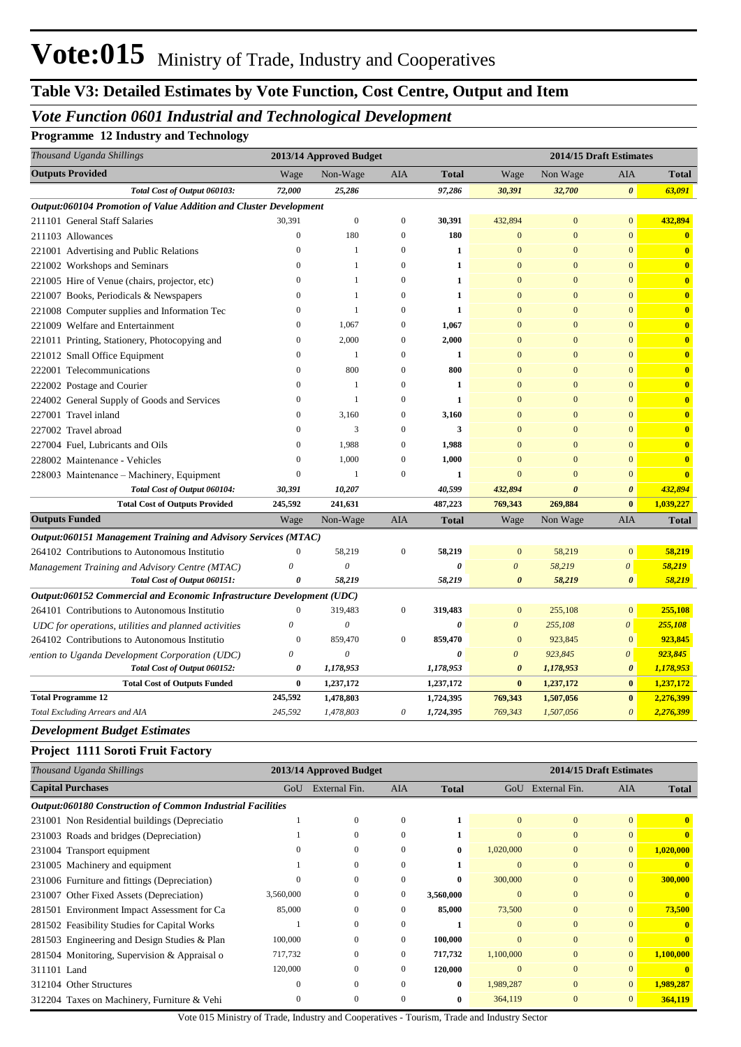## **Table V3: Detailed Estimates by Vote Function, Cost Centre, Output and Item**

## *Vote Function 0601 Industrial and Technological Development*

**Programme 12 Industry and Technology**

| Thousand Uganda Shillings                                              |                       | 2013/14 Approved Budget   |                       |              | 2014/15 Draft Estimates |                         |                       |                         |  |
|------------------------------------------------------------------------|-----------------------|---------------------------|-----------------------|--------------|-------------------------|-------------------------|-----------------------|-------------------------|--|
| <b>Outputs Provided</b>                                                | Wage                  | Non-Wage                  | AIA                   | <b>Total</b> | Wage                    | Non Wage                | AIA                   | <b>Total</b>            |  |
| Total Cost of Output 060103:                                           | 72,000                | 25,286                    |                       | 97,286       | 30,391                  | 32,700                  | $\boldsymbol{\theta}$ | 63,091                  |  |
| Output:060104 Promotion of Value Addition and Cluster Development      |                       |                           |                       |              |                         |                         |                       |                         |  |
| 211101 General Staff Salaries                                          | 30,391                | $\boldsymbol{0}$          | $\mathbf{0}$          | 30,391       | 432,894                 | $\mathbf{0}$            | $\mathbf{0}$          | 432,894                 |  |
| 211103 Allowances                                                      | $\bf{0}$              | 180                       | $\mathbf{0}$          | 180          | $\bf{0}$                | $\mathbf{0}$            | $\mathbf{0}$          | $\mathbf{0}$            |  |
| 221001 Advertising and Public Relations                                | $\mathbf{0}$          | 1                         | $\mathbf{0}$          | $\mathbf{1}$ | $\mathbf{0}$            | $\mathbf{0}$            | $\mathbf{0}$          | $\mathbf{0}$            |  |
| 221002 Workshops and Seminars                                          | $\mathbf{0}$          | $\mathbf{1}$              | $\mathbf{0}$          | $\mathbf{1}$ | $\mathbf{0}$            | $\mathbf{0}$            | $\mathbf{0}$          | $\mathbf{0}$            |  |
| 221005 Hire of Venue (chairs, projector, etc)                          | $\mathbf{0}$          | $\mathbf{1}$              | $\mathbf{0}$          | $\mathbf{1}$ | $\mathbf{0}$            | $\overline{0}$          | $\overline{0}$        | $\mathbf{0}$            |  |
| 221007 Books, Periodicals & Newspapers                                 | $\mathbf{0}$          | $\mathbf{1}$              | $\mathbf{0}$          | $\mathbf{1}$ | $\mathbf{0}$            | $\Omega$                | $\mathbf{0}$          | $\mathbf{0}$            |  |
| 221008 Computer supplies and Information Tec                           | $\mathbf{0}$          | $\mathbf{1}$              | $\boldsymbol{0}$      | $\mathbf{1}$ | $\mathbf{0}$            | $\overline{0}$          | $\mathbf{0}$          | $\overline{\mathbf{0}}$ |  |
| 221009 Welfare and Entertainment                                       | $\mathbf{0}$          | 1,067                     | $\boldsymbol{0}$      | 1,067        | $\mathbf{0}$            | $\Omega$                | $\overline{0}$        | $\mathbf{0}$            |  |
| 221011 Printing, Stationery, Photocopying and                          | $\mathbf{0}$          | 2,000                     | $\boldsymbol{0}$      | 2,000        | $\mathbf{0}$            | $\Omega$                | $\overline{0}$        | $\mathbf{0}$            |  |
| 221012 Small Office Equipment                                          | $\mathbf{0}$          | $\mathbf{1}$              | $\boldsymbol{0}$      | $\mathbf{1}$ | $\mathbf{0}$            | $\Omega$                | $\mathbf{0}$          | $\mathbf{0}$            |  |
| 222001 Telecommunications                                              | $\mathbf{0}$          | 800                       | $\boldsymbol{0}$      | 800          | $\mathbf{0}$            | $\Omega$                | $\mathbf{0}$          | $\overline{\mathbf{0}}$ |  |
| 222002 Postage and Courier                                             | $\mathbf{0}$          | 1                         | $\boldsymbol{0}$      | $\mathbf{1}$ | $\mathbf{0}$            | $\Omega$                | $\overline{0}$        | $\mathbf{0}$            |  |
| 224002 General Supply of Goods and Services                            | $\mathbf{0}$          | $\mathbf{1}$              | $\mathbf{0}$          | $\mathbf{1}$ | $\mathbf{0}$            | $\Omega$                | $\mathbf{0}$          | $\mathbf{0}$            |  |
| 227001 Travel inland                                                   | $\mathbf{0}$          | 3,160                     | $\mathbf{0}$          | 3,160        | $\mathbf{0}$            | $\Omega$                | $\mathbf{0}$          | $\mathbf{0}$            |  |
| 227002 Travel abroad                                                   | $\mathbf{0}$          | 3                         | $\mathbf{0}$          | 3            | $\mathbf{0}$            | $\Omega$                | $\overline{0}$        | $\mathbf{0}$            |  |
| 227004 Fuel, Lubricants and Oils                                       | $\mathbf{0}$          | 1,988                     | $\boldsymbol{0}$      | 1,988        | $\Omega$                | $\Omega$                | $\mathbf{0}$          | $\mathbf{0}$            |  |
| 228002 Maintenance - Vehicles                                          | $\mathbf{0}$          | 1,000                     | $\mathbf{0}$          | 1,000        | $\Omega$                | $\Omega$                | $\mathbf{0}$          | $\mathbf{0}$            |  |
| 228003 Maintenance - Machinery, Equipment                              | $\boldsymbol{0}$      | 1                         | $\mathbf{0}$          | 1            | $\overline{0}$          | $\Omega$                | $\mathbf{0}$          | $\mathbf{0}$            |  |
| Total Cost of Output 060104:                                           | 30,391                | 10,207                    |                       | 40,599       | 432,894                 | $\theta$                | $\boldsymbol{\theta}$ | 432,894                 |  |
| <b>Total Cost of Outputs Provided</b>                                  | 245,592               | 241,631                   |                       | 487,223      | 769,343                 | 269,884                 | $\bf{0}$              | 1,039,227               |  |
| <b>Outputs Funded</b>                                                  | Wage                  | Non-Wage                  | AIA                   | <b>Total</b> | Wage                    | Non Wage                | AIA                   | <b>Total</b>            |  |
| Output:060151 Management Training and Advisory Services (MTAC)         |                       |                           |                       |              |                         |                         |                       |                         |  |
| 264102 Contributions to Autonomous Institutio                          | $\boldsymbol{0}$      | 58,219                    | $\boldsymbol{0}$      | 58,219       | $\mathbf{0}$            | 58,219                  | $\mathbf{0}$          | 58,219                  |  |
| Management Training and Advisory Centre (MTAC)                         | $\boldsymbol{\theta}$ | $\theta$                  |                       | 0            | $\boldsymbol{\theta}$   | 58,219                  | 0                     | 58,219                  |  |
| Total Cost of Output 060151:                                           | 0                     | 58,219                    |                       | 58,219       | $\boldsymbol{\theta}$   | 58,219                  | $\boldsymbol{\theta}$ | 58,219                  |  |
| Output:060152 Commercial and Economic Infrastructure Development (UDC) |                       |                           |                       |              |                         |                         |                       |                         |  |
| 264101 Contributions to Autonomous Institutio                          | $\mathbf{0}$          | 319,483                   | $\boldsymbol{0}$      | 319,483      | $\mathbf{0}$            | 255,108                 | $\mathbf{0}$          | 255,108                 |  |
| UDC for operations, utilities and planned activities                   | $\theta$              | $\boldsymbol{\mathit{0}}$ |                       | $\theta$     | $\boldsymbol{\theta}$   | 255,108                 | 0                     | 255,108                 |  |
| 264102 Contributions to Autonomous Institutio                          | $\boldsymbol{0}$      | 859,470                   | $\mathbf{0}$          | 859,470      | $\mathbf{0}$            | 923,845                 | $\mathbf{0}$          | 923,845                 |  |
| vention to Uganda Development Corporation (UDC)                        | 0                     | $\theta$                  |                       | 0            | 0                       | 923,845                 | 0                     | 923,845                 |  |
| Total Cost of Output 060152:                                           | 0                     | 1,178,953                 |                       | 1,178,953    | $\boldsymbol{\theta}$   | 1,178,953               | $\boldsymbol{\theta}$ | 1,178,953               |  |
| <b>Total Cost of Outputs Funded</b>                                    | $\bf{0}$              | 1,237,172                 |                       | 1,237,172    | $\bf{0}$                | 1,237,172               | $\bf{0}$              | 1,237,172               |  |
| <b>Total Programme 12</b>                                              | 245,592               | 1,478,803                 |                       | 1,724,395    | 769,343                 | 1,507,056               | $\bf{0}$              | 2,276,399               |  |
| Total Excluding Arrears and AIA                                        | 245,592               | 1,478,803                 | $\boldsymbol{\theta}$ | 1,724,395    | 769,343                 | 1,507,056               | $\boldsymbol{\theta}$ | 2,276,399               |  |
| <b>Development Budget Estimates</b>                                    |                       |                           |                       |              |                         |                         |                       |                         |  |
| Project 1111 Soroti Fruit Factory                                      |                       |                           |                       |              |                         |                         |                       |                         |  |
| Thousand Uganda Shillings                                              |                       | 2013/14 Approved Budget   |                       |              |                         | 2014/15 Draft Estimates |                       |                         |  |
| <b>Capital Purchases</b>                                               |                       | GoU External Fin.         | AIA                   | <b>Total</b> |                         | GoU External Fin.       | AIA                   | <b>Total</b>            |  |
| Output:060180 Construction of Common Industrial Facilities             |                       |                           |                       |              |                         |                         |                       |                         |  |
| 231001 Non Residential buildings (Depreciatio                          |                       | $\boldsymbol{0}$          | $\boldsymbol{0}$      | 1            | $\bf{0}$                | $\mathbf{0}$            | $\bf{0}$              | $\mathbf{0}$            |  |
|                                                                        |                       |                           |                       |              |                         |                         |                       |                         |  |
| 231003 Roads and bridges (Depreciation)                                | 1                     | $\boldsymbol{0}$          | $\boldsymbol{0}$      | $\mathbf{1}$ | $\mathbf{0}$            | $\mathbf{0}$            | $\mathbf{0}$          | $\mathbf{0}$            |  |

231005 Machinery and equipment 1 0 0 **1** 0 0 0 **0** 231006 Furniture and fittings (Depreciation) 0 0 0 **0** 300,000 0 0 **300,000** 231007 Other Fixed Assets (Depreciation) 3,560,000 0 0 **3,560,000** 0 0 0 **0** 281501 Environment Impact Assessment for Ca 85,000 0 0 **85,000** 73,500 0 0 **73,500** 281502 Feasibility Studies for Capital Works 1 0 0 **1** 0 0 0 **0** 281503 Engineering and Design Studies & Plan 100,000 0 0 **100,000** 0 0 0 **0** 281504 Monitoring, Supervision & Appraisal o 717,732 0 0 **717,732** 1,100,000 0 0 **1,100,000** 311101 Land 120,000 0 0 **120,000** 0 0 0 **0** 312104 Other Structures 0 0 0 **0** 1,989,287 0 0 **1,989,287**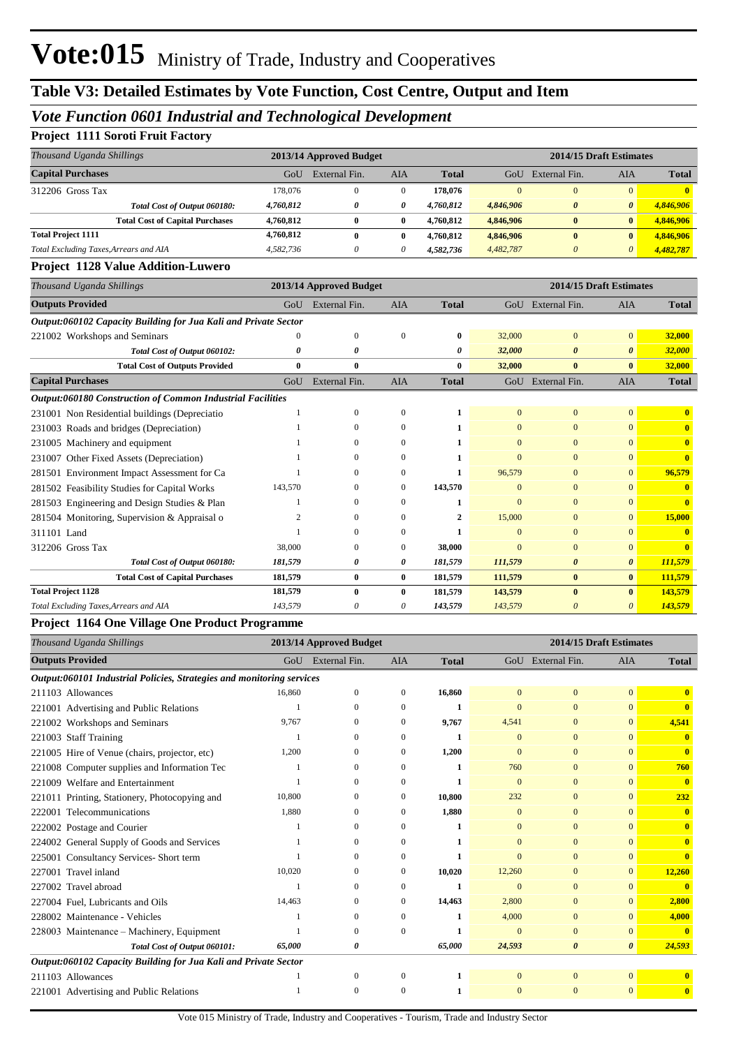### *Vote Function 0601 Industrial and Technological Development*

#### **Project 1111 Soroti Fruit Factory**

| Thousand Uganda Shillings              |                                        |           | 2013/14 Approved Budget |          |              |           | 2014/15 Draft Estimates |              |              |  |
|----------------------------------------|----------------------------------------|-----------|-------------------------|----------|--------------|-----------|-------------------------|--------------|--------------|--|
| <b>Capital Purchases</b>               |                                        | GoU       | External Fin.           | AIA      | <b>Total</b> | GoU       | External Fin.           | AIA          | <b>Total</b> |  |
| 312206 Gross Tax                       |                                        | 178,076   | O                       | 0        | 178,076      | $\Omega$  | $\overline{0}$          | $\Omega$     | $\mathbf{0}$ |  |
|                                        | Total Cost of Output 060180:           | 4,760,812 | 0                       | 0        | 4.760.812    | 4,846,906 | <sub>0</sub>            | $\theta$     | 4.846.906    |  |
|                                        | <b>Total Cost of Capital Purchases</b> | 4.760.812 | 0                       | $\bf{0}$ | 4.760.812    | 4,846,906 | $\bf{0}$                | $\mathbf{0}$ | 4,846,906    |  |
| <b>Total Project 1111</b>              |                                        | 4,760,812 | 0                       | 0        | 4.760.812    | 4,846,906 | $\bf{0}$                |              | 4,846,906    |  |
| Total Excluding Taxes, Arrears and AIA |                                        | 4.582.736 | U                       | 0        | 4,582,736    | 4.482.787 |                         | 0            | 4,482,787    |  |

#### **Project 1128 Value Addition-Luwero**

| Thousand Uganda Shillings                                         |          | 2013/14 Approved Budget |              |              | 2014/15 Draft Estimates |                       |                       |              |  |
|-------------------------------------------------------------------|----------|-------------------------|--------------|--------------|-------------------------|-----------------------|-----------------------|--------------|--|
| <b>Outputs Provided</b>                                           | GoU      | External Fin.           | <b>AIA</b>   | <b>Total</b> |                         | GoU External Fin.     | AIA                   | <b>Total</b> |  |
| Output:060102 Capacity Building for Jua Kali and Private Sector   |          |                         |              |              |                         |                       |                       |              |  |
| 221002 Workshops and Seminars                                     | $\theta$ | $\Omega$                | $\Omega$     | $\bf{0}$     | 32,000                  | $\mathbf{0}$          | $\mathbf{0}$          | 32,000       |  |
| Total Cost of Output 060102:                                      | 0        | 0                       |              | 0            | 32,000                  | $\boldsymbol{\theta}$ | $\theta$              | 32,000       |  |
| <b>Total Cost of Outputs Provided</b>                             | $\bf{0}$ | $\bf{0}$                |              | $\bf{0}$     | 32,000                  | $\bf{0}$              | $\mathbf{0}$          | 32,000       |  |
| <b>Capital Purchases</b>                                          | GoU      | External Fin.           | <b>AIA</b>   | <b>Total</b> |                         | GoU External Fin.     | <b>AIA</b>            | <b>Total</b> |  |
| <b>Output:060180 Construction of Common Industrial Facilities</b> |          |                         |              |              |                         |                       |                       |              |  |
| 231001 Non Residential buildings (Depreciatio                     |          | $\Omega$                | $\mathbf{0}$ | 1            | $\mathbf{0}$            | $\mathbf{0}$          | $\mathbf{0}$          | $\mathbf{0}$ |  |
| 231003 Roads and bridges (Depreciation)                           |          | $\Omega$                | $\Omega$     | 1            | $\Omega$                | $\Omega$              | $\Omega$              | $\mathbf{0}$ |  |
| 231005 Machinery and equipment                                    |          |                         | 0            |              | $\Omega$                | $\Omega$              | $\Omega$              | $\mathbf{0}$ |  |
| 231007 Other Fixed Assets (Depreciation)                          |          | $\Omega$                | $\Omega$     |              | $\Omega$                | $\Omega$              | $\Omega$              | $\mathbf{0}$ |  |
| 281501 Environment Impact Assessment for Ca                       |          | $\Omega$                | 0            | 1            | 96,579                  | $\Omega$              | $\Omega$              | 96,579       |  |
| 281502 Feasibility Studies for Capital Works                      | 143,570  | $\Omega$                | $\Omega$     | 143,570      | $\Omega$                | $\Omega$              | $\Omega$              |              |  |
| 281503 Engineering and Design Studies & Plan                      |          | $\Omega$                | 0            | 1            | $\Omega$                | $\mathbf{0}$          | $\Omega$              | $\mathbf{0}$ |  |
| 281504 Monitoring, Supervision & Appraisal o                      |          | $\Omega$                | $\Omega$     |              | 15,000                  | $\Omega$              | $\mathbf{0}$          | 15,000       |  |
| 311101 Land                                                       |          | $\Omega$                |              |              | $\Omega$                | $\Omega$              | $\Omega$              | $\mathbf{0}$ |  |
| 312206 Gross Tax                                                  | 38,000   | $\Omega$                | 0            | 38,000       | $\Omega$                | $\Omega$              | $\Omega$              | $\mathbf{0}$ |  |
| Total Cost of Output 060180:                                      | 181,579  | 0                       | 0            | 181,579      | 111,579                 | $\boldsymbol{\theta}$ | $\boldsymbol{\theta}$ | 111,579      |  |
| <b>Total Cost of Capital Purchases</b>                            | 181,579  | $\bf{0}$                | $\bf{0}$     | 181,579      | 111,579                 | $\bf{0}$              | $\bf{0}$              | 111,579      |  |
| <b>Total Project 1128</b>                                         | 181,579  | $\mathbf{0}$            | $\bf{0}$     | 181,579      | 143,579                 | $\mathbf{0}$          | $\mathbf{0}$          | 143,579      |  |
| Total Excluding Taxes, Arrears and AIA                            | 143,579  | 0                       | 0            | 143,579      | 143,579                 | $\theta$              | 0                     | 143,579      |  |

#### **Project 1164 One Village One Product Programme**

| Thousand Uganda Shillings                                             | 2013/14 Approved Budget |                   |          |              | 2014/15 Draft Estimates |                       |                       |                         |  |
|-----------------------------------------------------------------------|-------------------------|-------------------|----------|--------------|-------------------------|-----------------------|-----------------------|-------------------------|--|
| <b>Outputs Provided</b>                                               |                         | GoU External Fin. | AIA      | <b>Total</b> |                         | GoU External Fin.     | <b>AIA</b>            | <b>Total</b>            |  |
| Output:060101 Industrial Policies, Strategies and monitoring services |                         |                   |          |              |                         |                       |                       |                         |  |
| 211103 Allowances                                                     | 16,860                  | $\Omega$          | 0        | 16,860       | $\mathbf{0}$            | $\overline{0}$        | $\mathbf{0}$          | $\mathbf{0}$            |  |
| 221001 Advertising and Public Relations                               |                         | $\Omega$          | $\Omega$ | 1            | $\Omega$                | $\mathbf{0}$          | $\mathbf{0}$          | $\mathbf{0}$            |  |
| 221002 Workshops and Seminars                                         | 9.767                   | $\Omega$          | 0        | 9,767        | 4,541                   | $\Omega$              | $\overline{0}$        | 4,541                   |  |
| 221003 Staff Training                                                 |                         | $\Omega$          | $\Omega$ | 1            | $\Omega$                | $\Omega$              | $\Omega$              | $\mathbf{0}$            |  |
| 221005 Hire of Venue (chairs, projector, etc)                         | 1,200                   | $\Omega$          | 0        | 1,200        | $\Omega$                | $\mathbf{0}$          | $\mathbf{0}$          | $\overline{\mathbf{0}}$ |  |
| 221008 Computer supplies and Information Tec                          |                         | $\Omega$          | 0        | 1            | 760                     | $\mathbf{0}$          | $\Omega$              | 760                     |  |
| 221009 Welfare and Entertainment                                      |                         | $\Omega$          |          |              | $\Omega$                | $\Omega$              | $\Omega$              | $\mathbf{0}$            |  |
| 221011 Printing, Stationery, Photocopying and                         | 10,800                  | $\Omega$          | 0        | 10,800       | 232                     | $\Omega$              | $\Omega$              | 232                     |  |
| 222001 Telecommunications                                             | 1,880                   | $\Omega$          | $\Omega$ | 1,880        | $\Omega$                | $\Omega$              | $\Omega$              | $\mathbf{0}$            |  |
| 222002 Postage and Courier                                            |                         | $\Omega$          |          | 1            | $\Omega$                | $\Omega$              | $\Omega$              | $\mathbf{0}$            |  |
| 224002 General Supply of Goods and Services                           |                         | $\Omega$          |          |              | $\Omega$                | $\Omega$              | $\Omega$              | $\mathbf{0}$            |  |
| 225001 Consultancy Services- Short term                               |                         | $\Omega$          |          |              | $\Omega$                | $\Omega$              | $\Omega$              | $\mathbf{0}$            |  |
| 227001 Travel inland                                                  | 10,020                  | $\Omega$          | 0        | 10,020       | 12,260                  | $\Omega$              | $\Omega$              | 12,260                  |  |
| 227002 Travel abroad                                                  |                         | $\Omega$          | 0        | 1            | $\Omega$                | $\Omega$              | $\Omega$              | $\mathbf{0}$            |  |
| 227004 Fuel, Lubricants and Oils                                      | 14,463                  | $\Omega$          | 0        | 14,463       | 2,800                   | $\Omega$              | $\Omega$              | 2,800                   |  |
| 228002 Maintenance - Vehicles                                         |                         | $\Omega$          |          |              | 4,000                   | $\Omega$              | $\Omega$              | 4,000                   |  |
| 228003 Maintenance – Machinery, Equipment                             |                         |                   | $\Omega$ |              | $\Omega$                | $\Omega$              | $\Omega$              |                         |  |
| Total Cost of Output 060101:                                          | 65,000                  | 0                 |          | 65,000       | 24,593                  | $\boldsymbol{\theta}$ | $\boldsymbol{\theta}$ | 24,593                  |  |
| Output:060102 Capacity Building for Jua Kali and Private Sector       |                         |                   |          |              |                         |                       |                       |                         |  |
| 211103 Allowances                                                     |                         |                   |          |              | $\mathbf{0}$            | $\mathbf{0}$          | $\Omega$              | $\bf{0}$                |  |
| 221001 Advertising and Public Relations                               |                         | $\Omega$          | $\Omega$ | 1            |                         | $\mathbf{0}$          | $\mathbf{0}$          | $\bf{0}$                |  |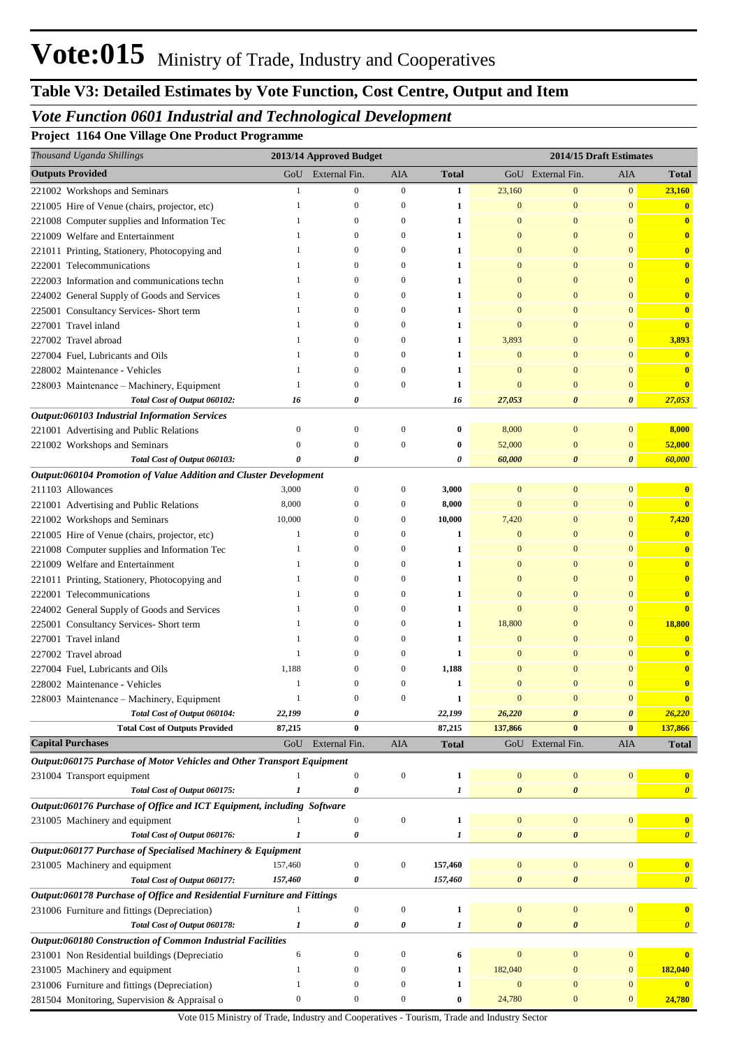# **Table V3: Detailed Estimates by Vote Function, Cost Centre, Output and Item**

## *Vote Function 0601 Industrial and Technological Development*

**Project 1164 One Village One Product Programme**

| Thousand Uganda Shillings                                               |                           | 2013/14 Approved Budget |                  |                  | 2014/15 Draft Estimates |                       |                  |                         |
|-------------------------------------------------------------------------|---------------------------|-------------------------|------------------|------------------|-------------------------|-----------------------|------------------|-------------------------|
| <b>Outputs Provided</b>                                                 | GoU                       | External Fin.           | AIA              | <b>Total</b>     |                         | GoU External Fin.     | AIA              | Total                   |
| 221002 Workshops and Seminars                                           | $\mathbf{1}$              | $\mathbf{0}$            | $\boldsymbol{0}$ | 1                | 23,160                  | $\mathbf{0}$          | $\boldsymbol{0}$ | 23,160                  |
| 221005 Hire of Venue (chairs, projector, etc)                           | $\mathbf{1}$              | $\mathbf{0}$            | $\boldsymbol{0}$ | 1                | 0                       | $\mathbf{0}$          | $\boldsymbol{0}$ | $\bf{0}$                |
| 221008 Computer supplies and Information Tec                            | -1                        | $\mathbf{0}$            | $\boldsymbol{0}$ | 1                | 0                       | $\mathbf{0}$          | $\bf{0}$         | $\overline{\mathbf{0}}$ |
| 221009 Welfare and Entertainment                                        | -1                        | $\mathbf{0}$            | $\boldsymbol{0}$ | 1                | $\bf{0}$                | $\mathbf{0}$          | $\bf{0}$         | $\overline{\mathbf{0}}$ |
| 221011 Printing, Stationery, Photocopying and                           | -1                        | $\mathbf{0}$            | $\boldsymbol{0}$ | 1                | 0                       | $\mathbf{0}$          | $\bf{0}$         | $\overline{\mathbf{0}}$ |
| 222001 Telecommunications                                               | -1                        | $\mathbf{0}$            | 0                | 1                | 0                       | $\mathbf{0}$          | $\mathbf{0}$     | $\overline{\mathbf{0}}$ |
| 222003 Information and communications techn                             | -1                        | $\mathbf{0}$            | $\boldsymbol{0}$ | 1                | 0                       | $\mathbf{0}$          | $\mathbf{0}$     | $\overline{\mathbf{0}}$ |
| 224002 General Supply of Goods and Services                             | 1                         | $\mathbf{0}$            | $\boldsymbol{0}$ | 1                | 0                       | $\mathbf{0}$          | $\bf{0}$         | $\overline{\mathbf{0}}$ |
| 225001 Consultancy Services- Short term                                 | -1                        | $\mathbf{0}$            | $\boldsymbol{0}$ | 1                | 0                       | $\mathbf{0}$          | $\bf{0}$         | $\overline{\mathbf{0}}$ |
| 227001 Travel inland                                                    | -1                        | $\mathbf{0}$            | 0                | 1                | $\bf{0}$                | $\mathbf{0}$          | $\mathbf{0}$     | $\overline{\mathbf{0}}$ |
| 227002 Travel abroad                                                    | -1                        | $\mathbf{0}$            | $\boldsymbol{0}$ | 1                | 3,893                   | $\mathbf{0}$          | $\mathbf{0}$     | 3,893                   |
| 227004 Fuel, Lubricants and Oils                                        | 1                         | $\mathbf{0}$            | 0                | 1                | $\bf{0}$                | $\mathbf{0}$          | $\bf{0}$         | $\bf{0}$                |
| 228002 Maintenance - Vehicles                                           | 1                         | $\mathbf{0}$            | 0                | 1                | $\bf{0}$                | $\mathbf{0}$          | $\bf{0}$         | $\bf{0}$                |
| 228003 Maintenance - Machinery, Equipment                               | -1                        | $\mathbf{0}$            | $\boldsymbol{0}$ | 1                | 0                       | $\mathbf{0}$          | $\mathbf{0}$     | $\overline{\mathbf{0}}$ |
| Total Cost of Output 060102:                                            | 16                        | 0                       |                  | 16               | 27,053                  | $\boldsymbol{\theta}$ | 0                | 27,053                  |
| Output:060103 Industrial Information Services                           |                           |                         |                  |                  |                         |                       |                  |                         |
| 221001 Advertising and Public Relations                                 | $\bf{0}$                  | $\mathbf{0}$            | $\boldsymbol{0}$ | $\bf{0}$         | 8,000                   | $\mathbf{0}$          | $\mathbf{0}$     | 8,000                   |
| 221002 Workshops and Seminars                                           | $\Omega$                  | $\mathbf{0}$            | $\boldsymbol{0}$ | $\bf{0}$         | 52,000                  | $\mathbf{0}$          | $\boldsymbol{0}$ | 52,000                  |
| Total Cost of Output 060103:                                            | 0                         | 0                       |                  | 0                | 60,000                  | $\boldsymbol{\theta}$ | 0                | 60,000                  |
| Output:060104 Promotion of Value Addition and Cluster Development       |                           |                         |                  |                  |                         |                       |                  |                         |
| 211103 Allowances                                                       | 3,000                     | $\mathbf{0}$            | $\boldsymbol{0}$ | 3,000            | $\boldsymbol{0}$        | $\mathbf{0}$          | $\mathbf{0}$     | $\bf{0}$                |
| 221001 Advertising and Public Relations                                 | 8,000                     | $\mathbf{0}$            | $\boldsymbol{0}$ | 8,000            | $\bf{0}$                | $\mathbf{0}$          | $\mathbf{0}$     | $\overline{\mathbf{0}}$ |
| 221002 Workshops and Seminars                                           | 10,000                    | $\mathbf{0}$            | $\boldsymbol{0}$ | 10,000           | 7,420                   | $\mathbf{0}$          | $\bf{0}$         | 7,420                   |
| 221005 Hire of Venue (chairs, projector, etc)                           | 1                         | $\mathbf{0}$            | 0                | 1                | $\bf{0}$                | $\mathbf{0}$          | $\bf{0}$         | $\bf{0}$                |
| 221008 Computer supplies and Information Tec                            | -1                        | $\mathbf{0}$            | $\boldsymbol{0}$ | 1                | $\bf{0}$                | $\mathbf{0}$          | $\bf{0}$         | $\overline{\mathbf{0}}$ |
| 221009 Welfare and Entertainment                                        | 1                         | $\mathbf{0}$            | $\boldsymbol{0}$ | $\mathbf{1}$     | $\bf{0}$                | $\mathbf{0}$          | $\bf{0}$         | $\overline{\mathbf{0}}$ |
| 221011 Printing, Stationery, Photocopying and                           | -1                        | $\mathbf{0}$            | $\boldsymbol{0}$ | 1                | $\bf{0}$                | $\mathbf{0}$          | $\bf{0}$         | $\overline{\mathbf{0}}$ |
| 222001 Telecommunications                                               | -1                        | $\mathbf{0}$            | 0                | 1                | $\bf{0}$                | $\mathbf{0}$          | $\bf{0}$         | $\bf{0}$                |
| 224002 General Supply of Goods and Services                             | 1                         | $\mathbf{0}$            | $\boldsymbol{0}$ | 1                | $\bf{0}$                | $\mathbf{0}$          | $\bf{0}$         | $\overline{\mathbf{0}}$ |
| 225001 Consultancy Services- Short term                                 | 1                         | $\mathbf{0}$            | $\boldsymbol{0}$ | 1                | 18,800                  | $\mathbf{0}$          | $\bf{0}$         | 18,800                  |
| 227001 Travel inland                                                    | -1                        | $\mathbf{0}$            | 0                | 1                | 0                       | $\mathbf{0}$          | $\bf{0}$         | $\bf{0}$                |
| 227002 Travel abroad                                                    | 1                         | $\mathbf{0}$            | 0                | 1                | 0                       | $\mathbf{0}$          | $\bf{0}$         | $\bf{0}$                |
| 227004 Fuel, Lubricants and Oils                                        | 1,188                     | $\mathbf{0}$            | $\boldsymbol{0}$ | 1,188            | 0                       | $\overline{0}$        | $\mathbf{0}$     | $\overline{\mathbf{0}}$ |
| 228002 Maintenance - Vehicles                                           | -1                        | $\mathbf{0}$            | $\mathbf{0}$     | 1                | $\overline{0}$          | $\mathbf{0}$          | $\mathbf{0}$     | $\overline{\mathbf{0}}$ |
| 228003 Maintenance – Machinery, Equipment                               |                           | $\Omega$                | $\Omega$         | 1                | $\Omega$                | $\theta$              | $\overline{0}$   | $\overline{\mathbf{0}}$ |
| Total Cost of Output 060104:                                            | 22,199                    | $\pmb{\theta}$          |                  | 22,199           | 26,220                  | $\boldsymbol{\theta}$ | $\pmb{\theta}$   | 26,220                  |
| <b>Total Cost of Outputs Provided</b>                                   | 87,215                    | $\bf{0}$                |                  | 87,215           | 137,866                 | $\bf{0}$              | $\bf{0}$         | 137,866                 |
| <b>Capital Purchases</b>                                                | GoU                       | External Fin.           | <b>AIA</b>       | <b>Total</b>     |                         | GoU External Fin.     | AIA              | <b>Total</b>            |
| Output:060175 Purchase of Motor Vehicles and Other Transport Equipment  |                           |                         |                  |                  |                         |                       |                  |                         |
| 231004 Transport equipment                                              |                           | $\boldsymbol{0}$        | $\boldsymbol{0}$ | $\mathbf{1}$     | $\boldsymbol{0}$        | $\boldsymbol{0}$      | $\boldsymbol{0}$ | $\bf{0}$                |
| Total Cost of Output 060175:                                            | $\boldsymbol{\mathit{1}}$ | $\pmb{\theta}$          |                  | $\boldsymbol{l}$ | $\pmb{\theta}$          | $\pmb{\theta}$        |                  | $\boldsymbol{\theta}$   |
| Output:060176 Purchase of Office and ICT Equipment, including Software  |                           |                         |                  |                  |                         |                       |                  |                         |
| 231005 Machinery and equipment                                          |                           | $\boldsymbol{0}$        | $\boldsymbol{0}$ | $\mathbf{1}$     | $\boldsymbol{0}$        | $\mathbf{0}$          | $\mathbf{0}$     | $\bf{0}$                |
| Total Cost of Output 060176:                                            | $\boldsymbol{\mathit{1}}$ | 0                       |                  | $\boldsymbol{l}$ | $\pmb{\theta}$          | $\pmb{\theta}$        |                  | $\boldsymbol{\theta}$   |
| Output:060177 Purchase of Specialised Machinery & Equipment             |                           |                         |                  |                  |                         |                       |                  |                         |
| 231005 Machinery and equipment                                          | 157,460                   | $\boldsymbol{0}$        | $\boldsymbol{0}$ | 157,460          | $\boldsymbol{0}$        | $\boldsymbol{0}$      | $\mathbf{0}$     | $\bf{0}$                |
| Total Cost of Output 060177:                                            | 157,460                   | 0                       |                  | 157,460          | $\pmb{\theta}$          | $\pmb{\theta}$        |                  | $\boldsymbol{\theta}$   |
| Output:060178 Purchase of Office and Residential Furniture and Fittings |                           |                         |                  |                  |                         |                       |                  |                         |
| 231006 Furniture and fittings (Depreciation)                            | 1                         | $\boldsymbol{0}$        | $\boldsymbol{0}$ | $\mathbf{1}$     | $\boldsymbol{0}$        | $\boldsymbol{0}$      | $\mathbf{0}$     | $\bf{0}$                |
| Total Cost of Output 060178:                                            | 1                         | 0                       | 0                | $\boldsymbol{l}$ | $\pmb{\theta}$          | $\pmb{\theta}$        |                  | $\boldsymbol{\theta}$   |
| Output:060180 Construction of Common Industrial Facilities              |                           |                         |                  |                  |                         |                       |                  |                         |
| 231001 Non Residential buildings (Depreciatio                           | 6                         | $\mathbf{0}$            | $\boldsymbol{0}$ | 6                | $\boldsymbol{0}$        | $\mathbf{0}$          | $\mathbf{0}$     | $\bf{0}$                |
| 231005 Machinery and equipment                                          | -1                        | $\mathbf{0}$            | $\boldsymbol{0}$ | 1                | 182,040                 | $\mathbf{0}$          | $\mathbf{0}$     | 182,040                 |
| 231006 Furniture and fittings (Depreciation)                            | -1                        | $\mathbf{0}$            | $\boldsymbol{0}$ | 1                | $\mathbf{0}$            | $\mathbf{0}$          | $\mathbf{0}$     | $\mathbf{0}$            |
| 281504 Monitoring, Supervision & Appraisal o                            | $\boldsymbol{0}$          | $\boldsymbol{0}$        | $\boldsymbol{0}$ | $\bf{0}$         | 24,780                  | $\boldsymbol{0}$      | $\mathbf{0}$     | 24,780                  |
|                                                                         |                           |                         |                  |                  |                         |                       |                  |                         |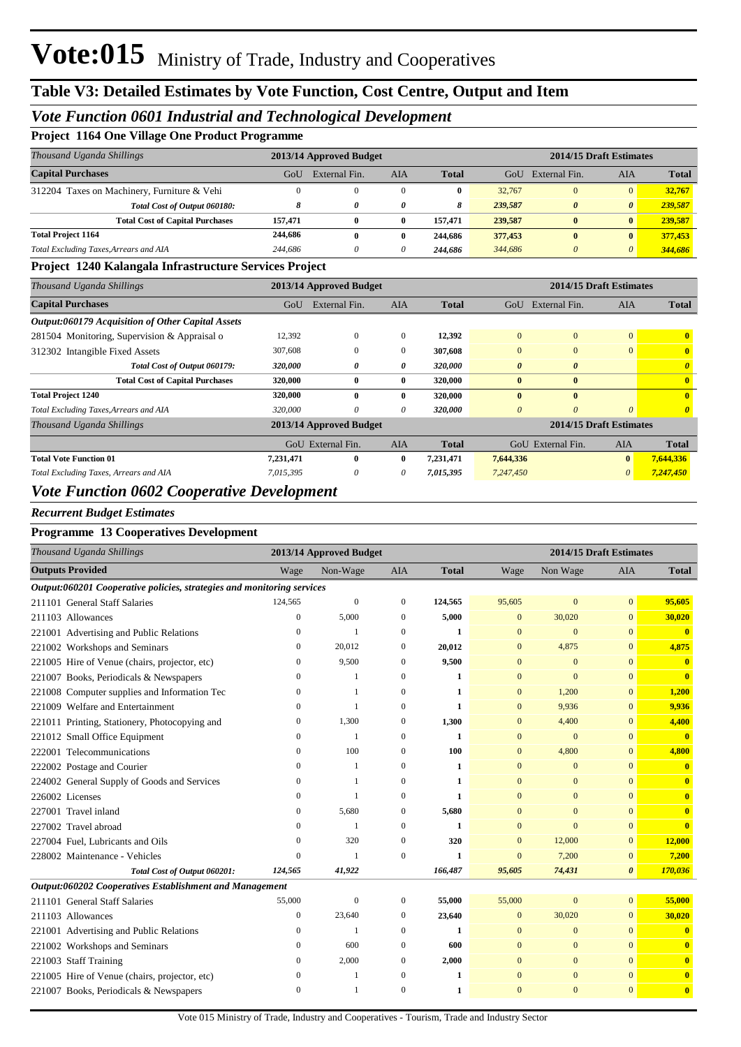### *Vote Function 0601 Industrial and Technological Development*

#### **Project 1164 One Village One Product Programme**

| Thousand Uganda Shillings                   |         | 2013/14 Approved Budget |          |              | 2014/15 Draft Estimates |                       |                       |              |
|---------------------------------------------|---------|-------------------------|----------|--------------|-------------------------|-----------------------|-----------------------|--------------|
| <b>Capital Purchases</b>                    | GoU     | External Fin.           | AIA      | <b>Total</b> | GoU                     | External Fin.         | AIA                   | <b>Total</b> |
| 312204 Taxes on Machinery, Furniture & Vehi |         |                         | $\Omega$ | 0            | 32,767                  | $\Omega$              | $\mathbf{0}$          | 32,767       |
| Total Cost of Output 060180:                |         | 0                       | 0        | 8            | 239,587                 | $\boldsymbol{\theta}$ | $\boldsymbol{\theta}$ | 239,587      |
| <b>Total Cost of Capital Purchases</b>      | 157.471 | 0                       | 0        | 157,471      | 239,587                 | $\mathbf{0}$          | $\mathbf{0}$          | 239.587      |
| <b>Total Project 1164</b>                   | 244,686 | 0                       | 0        | 244,686      | 377,453                 | $\bf{0}$              | $\mathbf{0}$          | 377,453      |
| Total Excluding Taxes, Arrears and AIA      | 244,686 | 0                       | 0        | 244.686      | 344,686                 |                       | $\theta$              | 344.686      |

#### **Project 1240 Kalangala Infrastructure Services Project**

| Thousand Uganda Shillings                                                                                                                                                                                                                                                                                                                                                                                                                                                                  | 2013/14 Approved Budget |                         |              |              | 2014/15 Draft Estimates |                       |                         |                       |
|--------------------------------------------------------------------------------------------------------------------------------------------------------------------------------------------------------------------------------------------------------------------------------------------------------------------------------------------------------------------------------------------------------------------------------------------------------------------------------------------|-------------------------|-------------------------|--------------|--------------|-------------------------|-----------------------|-------------------------|-----------------------|
| <b>Capital Purchases</b>                                                                                                                                                                                                                                                                                                                                                                                                                                                                   | GoU                     | External Fin.           | <b>AIA</b>   | <b>Total</b> | GoU                     | External Fin.         | <b>AIA</b>              | <b>Total</b>          |
| Output:060179 Acquisition of Other Capital Assets                                                                                                                                                                                                                                                                                                                                                                                                                                          |                         |                         |              |              |                         |                       |                         |                       |
| 281504 Monitoring, Supervision & Appraisal o                                                                                                                                                                                                                                                                                                                                                                                                                                               | 12,392                  | $\mathbf{0}$            | $\mathbf{0}$ | 12,392       | $\overline{0}$          | $\overline{0}$        | $\overline{0}$          | $\mathbf{0}$          |
| 312302 Intangible Fixed Assets                                                                                                                                                                                                                                                                                                                                                                                                                                                             | 307,608                 | $\Omega$                | $\Omega$     | 307,608      | $\Omega$                | $\Omega$              | $\Omega$                | $\mathbf{0}$          |
| Total Cost of Output 060179:                                                                                                                                                                                                                                                                                                                                                                                                                                                               | 320,000                 | 0                       | 0            | 320,000      | $\theta$                | $\boldsymbol{\theta}$ |                         | $\theta$              |
| <b>Total Cost of Capital Purchases</b>                                                                                                                                                                                                                                                                                                                                                                                                                                                     | 320,000                 | $\bf{0}$                | $\mathbf{0}$ | 320,000      | $\bf{0}$                | $\bf{0}$              |                         | $\mathbf{0}$          |
| <b>Total Project 1240</b>                                                                                                                                                                                                                                                                                                                                                                                                                                                                  | 320,000                 | $\mathbf{0}$            | $\mathbf{0}$ | 320,000      | $\mathbf{0}$            | $\bf{0}$              |                         | $\mathbf{0}$          |
| Total Excluding Taxes, Arrears and AIA                                                                                                                                                                                                                                                                                                                                                                                                                                                     | 320,000                 | 0                       | 0            | 320,000      | $\theta$                | 0                     | 0                       | $\boldsymbol{\theta}$ |
| Thousand Uganda Shillings                                                                                                                                                                                                                                                                                                                                                                                                                                                                  |                         | 2013/14 Approved Budget |              |              |                         |                       | 2014/15 Draft Estimates |                       |
|                                                                                                                                                                                                                                                                                                                                                                                                                                                                                            |                         | GoU External Fin.       | <b>AIA</b>   | <b>Total</b> | GoU                     | External Fin.         | AIA                     | <b>Total</b>          |
| <b>Total Vote Function 01</b>                                                                                                                                                                                                                                                                                                                                                                                                                                                              | 7,231,471               | $\bf{0}$                | $\mathbf{0}$ | 7,231,471    | 7,644,336               |                       | $\mathbf{0}$            | 7,644,336             |
| Total Excluding Taxes, Arrears and AIA                                                                                                                                                                                                                                                                                                                                                                                                                                                     | 7,015,395               | 0                       | 0            | 7,015,395    | 7,247,450               |                       | 0                       | 7,247,450             |
| $\blacksquare$ $\blacksquare$ $\blacksquare$ $\blacksquare$ $\blacksquare$ $\blacksquare$ $\blacksquare$ $\blacksquare$ $\blacksquare$ $\blacksquare$ $\blacksquare$ $\blacksquare$ $\blacksquare$ $\blacksquare$ $\blacksquare$ $\blacksquare$ $\blacksquare$ $\blacksquare$ $\blacksquare$ $\blacksquare$ $\blacksquare$ $\blacksquare$ $\blacksquare$ $\blacksquare$ $\blacksquare$ $\blacksquare$ $\blacksquare$ $\blacksquare$ $\blacksquare$ $\blacksquare$ $\blacksquare$ $\blacks$ |                         |                         |              |              |                         |                       |                         |                       |

### *Vote Function 0602 Cooperative Development*

#### *Recurrent Budget Estimates*

#### **Programme 13 Cooperatives Development**

|                         | Thousand Uganda Shillings                                              |                | 2013/14 Approved Budget |              |              | 2014/15 Draft Estimates |                |                       |                         |  |
|-------------------------|------------------------------------------------------------------------|----------------|-------------------------|--------------|--------------|-------------------------|----------------|-----------------------|-------------------------|--|
| <b>Outputs Provided</b> |                                                                        | Wage           | Non-Wage                | <b>AIA</b>   | <b>Total</b> | Wage                    | Non Wage       | <b>AIA</b>            | <b>Total</b>            |  |
|                         | Output:060201 Cooperative policies, strategies and monitoring services |                |                         |              |              |                         |                |                       |                         |  |
|                         | 211101 General Staff Salaries                                          | 124,565        | $\boldsymbol{0}$        | 0            | 124,565      | 95,605                  | $\mathbf{0}$   | $\mathbf{0}$          | 95,605                  |  |
|                         | 211103 Allowances                                                      | $\overline{0}$ | 5,000                   | $\mathbf{0}$ | 5,000        | $\overline{0}$          | 30,020         | $\overline{0}$        | 30,020                  |  |
|                         | 221001 Advertising and Public Relations                                | $\theta$       | $\mathbf{1}$            | $\Omega$     | 1            | $\overline{0}$          | $\mathbf{0}$   | $\overline{0}$        | $\mathbf{0}$            |  |
|                         | 221002 Workshops and Seminars                                          | $\mathbf{0}$   | 20,012                  | $\mathbf{0}$ | 20,012       | $\mathbf{0}$            | 4,875          | $\mathbf{0}$          | 4,875                   |  |
|                         | 221005 Hire of Venue (chairs, projector, etc)                          | $\mathbf{0}$   | 9,500                   | $\mathbf{0}$ | 9,500        | $\mathbf{0}$            | $\mathbf{0}$   | $\overline{0}$        | $\mathbf{0}$            |  |
|                         | 221007 Books, Periodicals & Newspapers                                 | $\Omega$       | -1                      | $\Omega$     | 1            | $\mathbf{0}$            | $\overline{0}$ | $\overline{0}$        | $\mathbf{0}$            |  |
|                         | 221008 Computer supplies and Information Tec                           | $\Omega$       | 1                       | $\Omega$     | 1            | $\mathbf{0}$            | 1,200          | $\Omega$              | 1,200                   |  |
|                         | 221009 Welfare and Entertainment                                       | 0              | 1                       | $\mathbf{0}$ | 1            | $\overline{0}$          | 9,936          | $\overline{0}$        | 9,936                   |  |
|                         | 221011 Printing, Stationery, Photocopying and                          | $\mathbf{0}$   | 1,300                   | $\mathbf{0}$ | 1,300        | $\mathbf{0}$            | 4,400          | $\Omega$              | 4,400                   |  |
|                         | 221012 Small Office Equipment                                          | $\Omega$       | 1                       | $\Omega$     | 1            | $\overline{0}$          | $\mathbf{0}$   | $\overline{0}$        | $\mathbf{0}$            |  |
|                         | 222001 Telecommunications                                              | $\Omega$       | 100                     | $\Omega$     | 100          | $\mathbf{0}$            | 4,800          | $\Omega$              | 4,800                   |  |
|                         | 222002 Postage and Courier                                             | 0              |                         | $\mathbf{0}$ | 1            | $\overline{0}$          | $\mathbf{0}$   | $\overline{0}$        | $\overline{\mathbf{0}}$ |  |
|                         | 224002 General Supply of Goods and Services                            | 0              | -1                      | $\Omega$     | 1            | $\mathbf{0}$            | $\mathbf{0}$   | $\Omega$              | $\mathbf{0}$            |  |
| 226002 Licenses         |                                                                        | $\Omega$       |                         | $\Omega$     | 1            | $\Omega$                | $\Omega$       | $\Omega$              | $\mathbf{0}$            |  |
|                         | 227001 Travel inland                                                   | $\Omega$       | 5,680                   | $\mathbf{0}$ | 5,680        | $\overline{0}$          | $\mathbf{0}$   | $\overline{0}$        | $\mathbf{0}$            |  |
|                         | 227002 Travel abroad                                                   | $\overline{0}$ | $\mathbf{1}$            | $\Omega$     | $\mathbf{1}$ | $\overline{0}$          | $\mathbf{0}$   | $\mathbf{0}$          | $\mathbf{0}$            |  |
|                         | 227004 Fuel, Lubricants and Oils                                       | $\mathbf{0}$   | 320                     | $\mathbf{0}$ | 320          | $\mathbf{0}$            | 12,000         | $\mathbf{0}$          | 12,000                  |  |
|                         | 228002 Maintenance - Vehicles                                          | $\mathbf{0}$   | -1                      | $\mathbf{0}$ | 1            | $\mathbf{0}$            | 7,200          | $\mathbf{0}$          | 7,200                   |  |
|                         | Total Cost of Output 060201:                                           | 124,565        | 41,922                  |              | 166,487      | 95,605                  | 74,431         | $\boldsymbol{\theta}$ | 170,036                 |  |
|                         | Output:060202 Cooperatives Establishment and Management                |                |                         |              |              |                         |                |                       |                         |  |
|                         | 211101 General Staff Salaries                                          | 55,000         | $\overline{0}$          | $\mathbf{0}$ | 55,000       | 55,000                  | $\mathbf{0}$   | $\mathbf{0}$          | 55,000                  |  |
|                         | 211103 Allowances                                                      | $\overline{0}$ | 23,640                  | $\mathbf{0}$ | 23,640       | $\overline{0}$          | 30,020         | $\overline{0}$        | 30,020                  |  |
|                         | 221001 Advertising and Public Relations                                | $\mathbf{0}$   | $\mathbf{1}$            | $\mathbf{0}$ | 1            | $\mathbf{0}$            | $\mathbf{0}$   | $\mathbf{0}$          | $\mathbf{0}$            |  |
|                         | 221002 Workshops and Seminars                                          | $\mathbf{0}$   | 600                     | $\mathbf{0}$ | 600          | $\overline{0}$          | $\mathbf{0}$   | $\mathbf{0}$          | $\mathbf{0}$            |  |
|                         | 221003 Staff Training                                                  | 0              | 2,000                   | $\mathbf{0}$ | 2,000        | $\mathbf{0}$            | $\mathbf{0}$   | $\mathbf{0}$          | $\mathbf{0}$            |  |
|                         | 221005 Hire of Venue (chairs, projector, etc)                          | 0              | -1                      | $\Omega$     | 1            | $\mathbf{0}$            | $\mathbf{0}$   | $\mathbf{0}$          | $\overline{\mathbf{0}}$ |  |
|                         | 221007 Books, Periodicals & Newspapers                                 | $\mathbf{0}$   | -1                      | $\Omega$     | 1            | $\mathbf{0}$            | $\mathbf{0}$   | $\overline{0}$        | $\overline{\mathbf{0}}$ |  |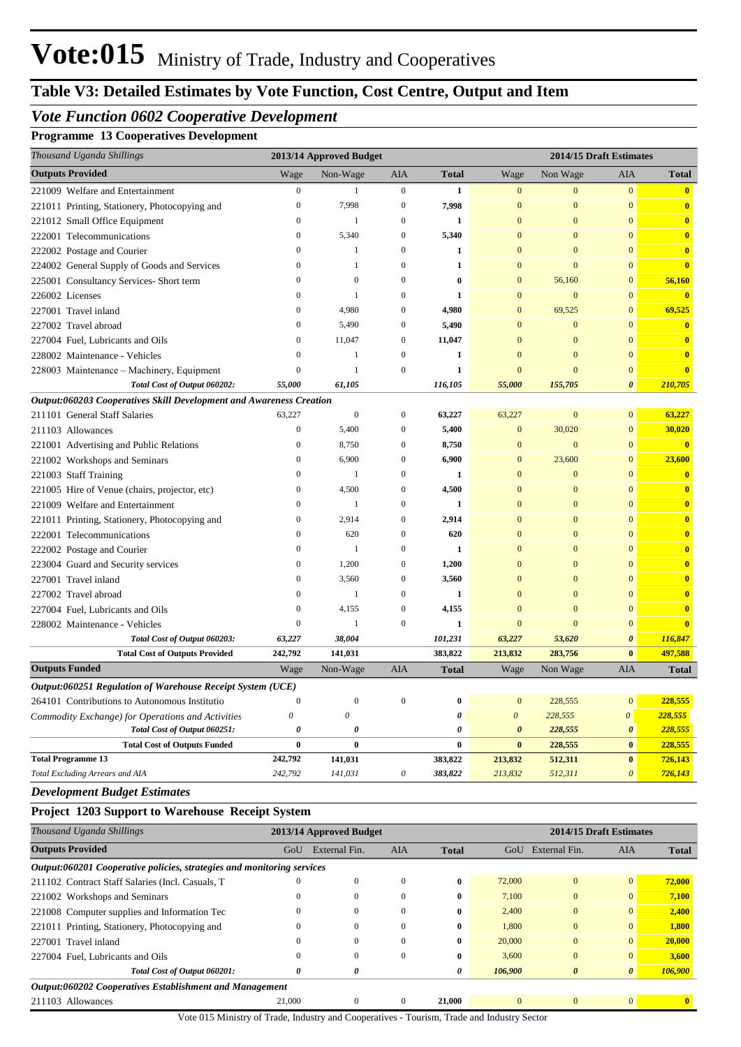# **Table V3: Detailed Estimates by Vote Function, Cost Centre, Output and Item**

## *Vote Function 0602 Cooperative Development*

### **Programme 13 Cooperatives Development**

| Thousand Uganda Shillings                                           |                       | 2013/14 Approved Budget |                  |              |              |                | 2014/15 Draft Estimates |                         |
|---------------------------------------------------------------------|-----------------------|-------------------------|------------------|--------------|--------------|----------------|-------------------------|-------------------------|
| <b>Outputs Provided</b>                                             | Wage                  | Non-Wage                | AIA              | <b>Total</b> | Wage         | Non Wage       | <b>AIA</b>              | <b>Total</b>            |
| 221009 Welfare and Entertainment                                    | $\overline{0}$        | -1                      | $\overline{0}$   | $\mathbf{1}$ | $\mathbf{0}$ | $\mathbf{0}$   | $\mathbf{0}$            | $\overline{\mathbf{0}}$ |
| 221011 Printing, Stationery, Photocopying and                       | $\overline{0}$        | 7,998                   | $\mathbf{0}$     | 7,998        | $\Omega$     | $\overline{0}$ | $\mathbf{0}$            | $\overline{\mathbf{0}}$ |
| 221012 Small Office Equipment                                       | $\overline{0}$        | -1                      | $\boldsymbol{0}$ | $\mathbf{1}$ | $\Omega$     | $\Omega$       | $\mathbf{0}$            | $\mathbf{0}$            |
| 222001 Telecommunications                                           | $\Omega$              | 5,340                   | $\mathbf{0}$     | 5,340        | $\Omega$     | $\Omega$       | $\mathbf{0}$            | $\mathbf{0}$            |
| 222002 Postage and Courier                                          | $\Omega$              | $\overline{1}$          | $\theta$         | $\mathbf{1}$ | $\Omega$     | $\Omega$       | $\mathbf{0}$            | $\bullet$               |
| 224002 General Supply of Goods and Services                         | $\Omega$              | $\mathbf{1}$            | $\theta$         | $\mathbf{1}$ | $\Omega$     | $\Omega$       | $\mathbf{0}$            | $\overline{\mathbf{0}}$ |
| 225001 Consultancy Services- Short term                             | $\Omega$              | $\mathbf{0}$            | $\overline{0}$   | $\theta$     | $\Omega$     | 56,160         | $\mathbf{0}$            | 56,160                  |
| 226002 Licenses                                                     | $\Omega$              | $\overline{1}$          | $\Omega$         | $\mathbf{1}$ | $\Omega$     | $\Omega$       | $\mathbf{0}$            | $\overline{0}$          |
| 227001 Travel inland                                                | $\Omega$              | 4,980                   | $\mathbf{0}$     | 4,980        | $\Omega$     | 69,525         | $\mathbf{0}$            | 69,525                  |
| 227002 Travel abroad                                                | $\Omega$              | 5,490                   | $\theta$         | 5,490        | $\Omega$     | $\Omega$       | $\mathbf{0}$            | $\overline{\mathbf{0}}$ |
| 227004 Fuel, Lubricants and Oils                                    | $\Omega$              | 11,047                  | $\mathbf{0}$     | 11,047       | $\Omega$     | $\Omega$       | $\mathbf{0}$            | $\mathbf{0}$            |
| 228002 Maintenance - Vehicles                                       | $\theta$              | $\overline{1}$          | $\overline{0}$   | $\mathbf{1}$ | $\Omega$     | $\Omega$       | $\mathbf{0}$            | $\bullet$               |
| 228003 Maintenance - Machinery, Equipment                           | $\Omega$              | $\overline{1}$          | $\Omega$         | $\mathbf{1}$ | $\Omega$     | $\Omega$       | $\mathbf{0}$            | $\overline{\mathbf{0}}$ |
| Total Cost of Output 060202:                                        | 55,000                | 61,105                  |                  | 116,105      | 55,000       | 155,705        | $\boldsymbol{\theta}$   | 210,705                 |
| Output:060203 Cooperatives Skill Development and Awareness Creation |                       |                         |                  |              |              |                |                         |                         |
| 211101 General Staff Salaries                                       | 63,227                | $\overline{0}$          | $\mathbf{0}$     | 63,227       | 63,227       | $\mathbf{0}$   | $\mathbf{0}$            | 63,227                  |
| 211103 Allowances                                                   | $\mathbf{0}$          | 5,400                   | $\mathbf{0}$     | 5,400        | $\mathbf{0}$ | 30,020         | $\mathbf{0}$            | 30,020                  |
| 221001 Advertising and Public Relations                             | $\mathbf{0}$          | 8,750                   | $\mathbf{0}$     | 8,750        | $\mathbf{0}$ | $\mathbf{0}$   | $\mathbf{0}$            | $\overline{\mathbf{0}}$ |
| 221002 Workshops and Seminars                                       | $\overline{0}$        | 6,900                   | $\overline{0}$   | 6,900        | $\mathbf{0}$ | 23,600         | $\mathbf{0}$            | 23,600                  |
| 221003 Staff Training                                               | $\overline{0}$        | - 1                     | $\mathbf{0}$     | $\mathbf{1}$ | $\mathbf{0}$ | $\mathbf{0}$   | $\mathbf{0}$            | $\overline{\mathbf{0}}$ |
| 221005 Hire of Venue (chairs, projector, etc)                       | $\Omega$              | 4,500                   | $\theta$         | 4,500        | $\Omega$     | $\Omega$       | $\mathbf{0}$            | $\overline{\mathbf{0}}$ |
| 221009 Welfare and Entertainment                                    | $\Omega$              | $\overline{1}$          | $\Omega$         | $\mathbf{1}$ |              | $\Omega$       | $\Omega$                | $\mathbf{0}$            |
| 221011 Printing, Stationery, Photocopying and                       | $\Omega$              | 2,914                   | $\mathbf{0}$     | 2,914        |              | $\Omega$       | $\mathbf{0}$            | $\mathbf{0}$            |
| 222001 Telecommunications                                           | $\overline{0}$        | 620                     | $\theta$         | 620          | $\Omega$     | $\Omega$       | $\mathbf{0}$            | $\mathbf{0}$            |
| 222002 Postage and Courier                                          | $\Omega$              | $\overline{1}$          | $\mathbf{0}$     | $\mathbf{1}$ |              | $\mathbf{0}$   | $\mathbf{0}$            | $\mathbf{0}$            |
| 223004 Guard and Security services                                  | $\overline{0}$        | 1,200                   | $\mathbf{0}$     | 1,200        | $\Omega$     | $\Omega$       | $\mathbf{0}$            | $\bullet$               |
| 227001 Travel inland                                                | $\Omega$              | 3,560                   | $\mathbf{0}$     | 3,560        | $\Omega$     | $\Omega$       | $\mathbf{0}$            | $\mathbf{0}$            |
| 227002 Travel abroad                                                | $\Omega$              | $\overline{1}$          | $\theta$         | $\mathbf{1}$ | $\Omega$     | $\Omega$       | $\mathbf{0}$            | $\bullet$               |
| 227004 Fuel, Lubricants and Oils                                    | $\Omega$              | 4,155                   | $\overline{0}$   | 4,155        | $\Omega$     | $\Omega$       | $\Omega$                | $\mathbf{0}$            |
| 228002 Maintenance - Vehicles                                       | $\Omega$              | $\overline{1}$          | $\overline{0}$   | $\mathbf{1}$ | $\Omega$     | $\Omega$       | $\mathbf{0}$            | $\mathbf{0}$            |
| Total Cost of Output 060203:                                        | 63,227                | 38,004                  |                  | 101,231      | 63,227       | 53,620         | $\theta$                | 116,847                 |
| <b>Total Cost of Outputs Provided</b>                               | 242,792               | 141,031                 |                  | 383,822      | 213,832      | 283,756        | $\bf{0}$                | 497,588                 |
| <b>Outputs Funded</b>                                               | Wage                  | Non-Wage                | <b>AIA</b>       | <b>Total</b> | Wage         | Non Wage       | <b>AIA</b>              | <b>Total</b>            |
| Output:060251 Regulation of Warehouse Receipt System (UCE)          |                       |                         |                  |              |              |                |                         |                         |
| 264101 Contributions to Autonomous Institutio                       | $\theta$              | $\mathbf{0}$            | $\theta$         | $\bf{0}$     | $\Omega$     | 228,555        | $\mathbf{0}$            | 228,555                 |
| Commodity Exchange) for Operations and Activities                   | $\theta$              | $\Omega$                |                  | $\theta$     | $\pmb{o}$    | 228,555        | $\boldsymbol{\theta}$   | 228,555                 |
| Total Cost of Output 060251:                                        | $\boldsymbol{\theta}$ | $\theta$                |                  | $\theta$     | $\theta$     | 228,555        | $\boldsymbol{\theta}$   | 228,555                 |
| <b>Total Cost of Outputs Funded</b>                                 | $\bf{0}$              | $\bf{0}$                |                  | $\bf{0}$     | $\bf{0}$     | 228,555        | $\bf{0}$                | 228,555                 |
| <b>Total Programme 13</b>                                           | 242,792               | 141,031                 |                  | 383,822      | 213,832      | 512,311        | $\bf{0}$                | 726,143                 |
| Total Excluding Arrears and AIA                                     | 242,792               | 141,031                 | $\theta$         | 383,822      | 213,832      | 512,311        | $\theta$                | 726,143                 |
| $\mathbf{r}$<br>$\mathbf{r}$ i                                      |                       |                         |                  |              |              |                |                         |                         |

*Development Budget Estimates*

#### **Project 1203 Support to Warehouse Receipt System**

| Thousand Uganda Shillings                                              |          | 2013/14 Approved Budget |            |              |         |                       | 2014/15 Draft Estimates |              |
|------------------------------------------------------------------------|----------|-------------------------|------------|--------------|---------|-----------------------|-------------------------|--------------|
| <b>Outputs Provided</b>                                                | GoU      | External Fin.           | <b>AIA</b> | <b>Total</b> | GoU     | External Fin.         | AIA                     | <b>Total</b> |
| Output:060201 Cooperative policies, strategies and monitoring services |          |                         |            |              |         |                       |                         |              |
| 211102 Contract Staff Salaries (Incl. Casuals, T.                      | $\Omega$ | $\Omega$                |            | $\bf{0}$     | 72,000  | $\Omega$              | $\overline{0}$          | 72,000       |
| 221002 Workshops and Seminars                                          | $\Omega$ | $\Omega$                |            | $\bf{0}$     | 7.100   | $\Omega$              | $\overline{0}$          | 7,100        |
| 221008 Computer supplies and Information Tec                           | $\Omega$ | $\Omega$                |            | $\bf{0}$     | 2.400   | $\Omega$              | $\overline{0}$          | 2,400        |
| 221011 Printing, Stationery, Photocopying and                          | $\Omega$ | $\Omega$                |            | $\bf{0}$     | 1.800   | $\Omega$              | $\overline{0}$          | 1,800        |
| 227001 Travel inland                                                   | 0        | $\Omega$                |            | $\bf{0}$     | 20,000  | $\Omega$              | $\overline{0}$          | 20,000       |
| 227004 Fuel, Lubricants and Oils                                       | $\Omega$ | $\Omega$                |            | $\bf{0}$     | 3.600   | $\Omega$              | $\overline{0}$          | 3,600        |
| Total Cost of Output 060201:                                           | 0        | 0                       |            | 0            | 106,900 | $\boldsymbol{\theta}$ | $\theta$                | 106,900      |
| Output:060202 Cooperatives Establishment and Management                |          |                         |            |              |         |                       |                         |              |
| 211103 Allowances                                                      | 21,000   | $\Omega$                |            | 21,000       |         |                       | $\overline{0}$          | $\mathbf{0}$ |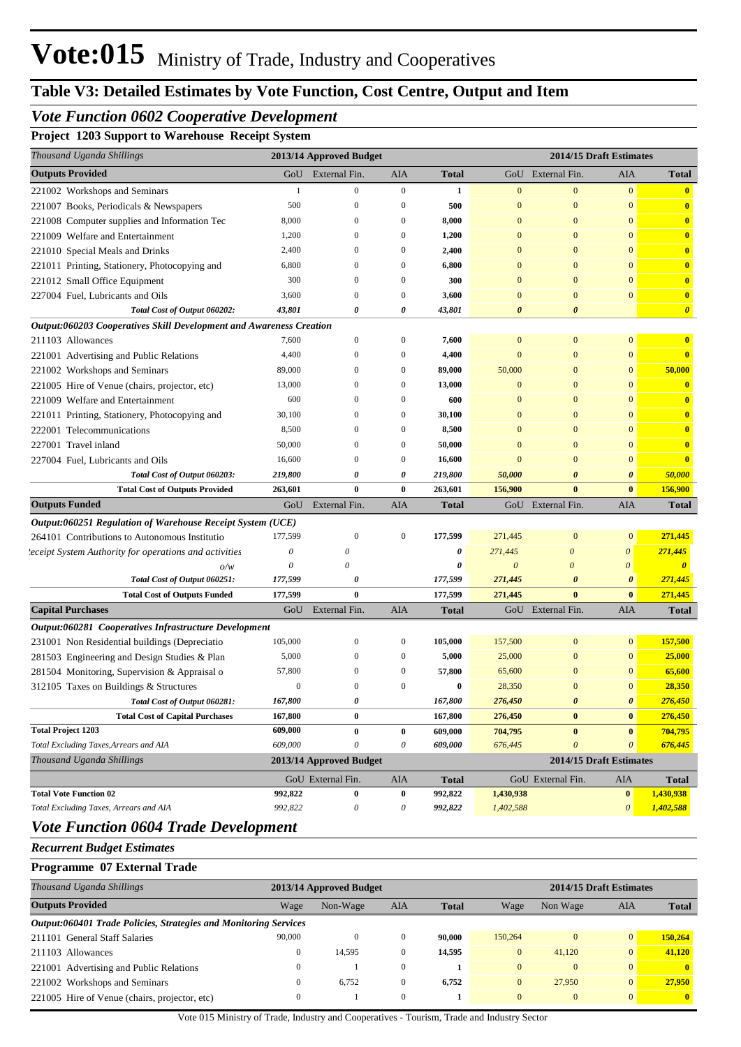## **Table V3: Detailed Estimates by Vote Function, Cost Centre, Output and Item**

## *Vote Function 0602 Cooperative Development*

**Project 1203 Support to Warehouse Receipt System**

| Thousand Uganda Shillings                                           |              | 2013/14 Approved Budget |                |              |                       | 2014/15 Draft Estimates |                       |                         |
|---------------------------------------------------------------------|--------------|-------------------------|----------------|--------------|-----------------------|-------------------------|-----------------------|-------------------------|
| <b>Outputs Provided</b>                                             |              | GoU External Fin.       | AIA            | <b>Total</b> |                       | GoU External Fin.       | AIA                   | <b>Total</b>            |
| 221002 Workshops and Seminars                                       | -1           | $\mathbf{0}$            | $\overline{0}$ | 1            | $\mathbf{0}$          | $\overline{0}$          | $\mathbf{0}$          | $\bullet$               |
| 221007 Books, Periodicals & Newspapers                              | 500          | $\mathbf{0}$            | $\overline{0}$ | 500          | $\Omega$              | $\Omega$                | $\mathbf{0}$          | $\mathbf{0}$            |
| 221008 Computer supplies and Information Tec                        | 8,000        | $\Omega$                | $\Omega$       | 8,000        | $\Omega$              | $\Omega$                | $\overline{0}$        | $\mathbf{0}$            |
| 221009 Welfare and Entertainment                                    | 1,200        | $\Omega$                | $\Omega$       | 1,200        | $\Omega$              | $\Omega$                | $\overline{0}$        | $\mathbf{0}$            |
| 221010 Special Meals and Drinks                                     | 2,400        | $\Omega$                | $\Omega$       | 2,400        | $\Omega$              | $\Omega$                | $\overline{0}$        | $\mathbf{0}$            |
| 221011 Printing, Stationery, Photocopying and                       | 6,800        | $\Omega$                | $\Omega$       | 6,800        | $\Omega$              | $\Omega$                | $\overline{0}$        | $\mathbf{0}$            |
| 221012 Small Office Equipment                                       | 300          | $\Omega$                | $\Omega$       | 300          | $\Omega$              | $\Omega$                | $\overline{0}$        | $\mathbf{0}$            |
| 227004 Fuel, Lubricants and Oils                                    | 3,600        | $\theta$                | $\Omega$       | 3,600        | $\Omega$              | $\Omega$                | $\overline{0}$        | $\mathbf{0}$            |
| Total Cost of Output 060202:                                        | 43,801       | $\theta$                | 0              | 43,801       | $\theta$              | $\boldsymbol{\theta}$   |                       | $\boldsymbol{\theta}$   |
| Output:060203 Cooperatives Skill Development and Awareness Creation |              |                         |                |              |                       |                         |                       |                         |
| 211103 Allowances                                                   | 7,600        | $\Omega$                | $\Omega$       | 7,600        | $\Omega$              | $\Omega$                | $\mathbf{0}$          | $\bf{0}$                |
| 221001 Advertising and Public Relations                             | 4,400        | $\Omega$                | $\Omega$       | 4,400        | $\mathbf{0}$          | $\Omega$                | $\overline{0}$        | $\mathbf{0}$            |
| 221002 Workshops and Seminars                                       | 89,000       | $\Omega$                | $\Omega$       | 89,000       | 50,000                | $\Omega$                | $\overline{0}$        | 50,000                  |
| 221005 Hire of Venue (chairs, projector, etc)                       | 13,000       | $\Omega$                | $\Omega$       | 13,000       | $\Omega$              | $\Omega$                | $\overline{0}$        | $\mathbf{0}$            |
| 221009 Welfare and Entertainment                                    | 600          | $\Omega$                | $\Omega$       | 600          | $\Omega$              | $\Omega$                | $\overline{0}$        | $\mathbf{0}$            |
| 221011 Printing, Stationery, Photocopying and                       | 30,100       | $\Omega$                | $\Omega$       | 30,100       | $\Omega$              | $\Omega$                | $\overline{0}$        | $\bullet$               |
| 222001 Telecommunications                                           | 8,500        | $\Omega$                | $\Omega$       | 8,500        | $\Omega$              | $\Omega$                | $\overline{0}$        | $\overline{\mathbf{0}}$ |
| 227001 Travel inland                                                | 50,000       | $\Omega$                | $\Omega$       | 50,000       | $\Omega$              | $\Omega$                | $\overline{0}$        | $\overline{\mathbf{0}}$ |
| 227004 Fuel, Lubricants and Oils                                    | 16,600       | $\Omega$                | $\overline{0}$ | 16,600       | $\Omega$              | $\Omega$                | $\overline{0}$        | $\mathbf{0}$            |
| Total Cost of Output 060203:                                        | 219,800      | $\theta$                | 0              | 219,800      | 50,000                | $\boldsymbol{\theta}$   | $\boldsymbol{\theta}$ | 50,000                  |
| <b>Total Cost of Outputs Provided</b>                               | 263,601      | $\bf{0}$                | $\bf{0}$       | 263,601      | 156,900               | $\mathbf{0}$            | $\mathbf{0}$          | 156,900                 |
| <b>Outputs Funded</b>                                               |              | GoU External Fin.       | AIA            | <b>Total</b> |                       | GoU External Fin.       | AIA                   | <b>Total</b>            |
| Output:060251 Regulation of Warehouse Receipt System (UCE)          |              |                         |                |              |                       |                         |                       |                         |
| 264101 Contributions to Autonomous Institutio                       | 177,599      | $\Omega$                | $\Omega$       | 177,599      | 271,445               | $\Omega$                | $\mathbf{0}$          | 271,445                 |
| 'eceipt System Authority for operations and activities              | $\theta$     | 0                       |                | 0            | 271,445               | $\theta$                | $\boldsymbol{\theta}$ | 271,445                 |
| o/w                                                                 | $\theta$     | $\theta$                |                | $\theta$     | $\boldsymbol{\theta}$ | $\theta$                | $\theta$              | $\theta$                |
| Total Cost of Output 060251:                                        | 177,599      | $\theta$                |                | 177,599      | 271,445               | $\boldsymbol{\theta}$   | $\boldsymbol{\theta}$ | 271,445                 |
| <b>Total Cost of Outputs Funded</b>                                 | 177,599      | $\mathbf{0}$            |                | 177,599      | 271,445               | $\bf{0}$                | $\bf{0}$              | 271,445                 |
| <b>Capital Purchases</b>                                            |              | GoU External Fin.       | AIA            | <b>Total</b> |                       | GoU External Fin.       | AIA                   | <b>Total</b>            |
| Output:060281 Cooperatives Infrastructure Development               |              |                         |                |              |                       |                         |                       |                         |
| 231001 Non Residential buildings (Depreciatio                       | 105,000      | $\mathbf{0}$            | $\mathbf{0}$   | 105,000      | 157,500               | $\mathbf{0}$            | $\overline{0}$        | 157,500                 |
| 281503 Engineering and Design Studies & Plan                        | 5,000        | $\Omega$                | $\mathbf{0}$   | 5,000        | 25,000                | $\mathbf{0}$            | $\overline{0}$        | 25,000                  |
| 281504 Monitoring, Supervision & Appraisal o                        | 57,800       | $\Omega$                | $\Omega$       | 57,800       | 65,600                | $\Omega$                | $\overline{0}$        | 65,600                  |
| 312105 Taxes on Buildings & Structures                              | $\mathbf{0}$ | $\Omega$                | $\Omega$       | $\bf{0}$     | 28,350                | $\Omega$                | $\Omega$              | 28,350                  |
| Total Cost of Output 060281:                                        | 167,800      |                         |                | 167,800      | 276,450               |                         |                       | 276,450                 |
| <b>Total Cost of Capital Purchases</b>                              | 167,800      | $\mathbf{0}$            |                | 167,800      | 276,450               | $\bf{0}$                | $\vert 0 \vert$       | 276,450                 |
| <b>Total Project 1203</b>                                           | 609,000      | $\bf{0}$                | $\bf{0}$       | 609,000      | 704,795               | $\bf{0}$                | $\mathbf{0}$          | 704,795                 |
| Total Excluding Taxes, Arrears and AIA                              | 609,000      | $\theta$                | $\theta$       | 609,000      | 676,445               | $\boldsymbol{\theta}$   | $\theta$              | 676,445                 |
| Thousand Uganda Shillings                                           |              | 2013/14 Approved Budget |                |              |                       | 2014/15 Draft Estimates |                       |                         |
|                                                                     |              | GoU External Fin.       | AIA            | <b>Total</b> |                       | GoU External Fin.       | AIA                   | <b>Total</b>            |
| <b>Total Vote Function 02</b>                                       | 992,822      | $\bf{0}$                | $\bf{0}$       | 992,822      | 1,430,938             |                         | $\mathbf{0}$          | 1,430,938               |
| Total Excluding Taxes, Arrears and AIA                              | 992,822      | 0                       | 0              | 992,822      | 1,402,588             |                         | $\theta$              | 1,402,588               |
| Vote Franction 0604 Trade Development                               |              |                         |                |              |                       |                         |                       |                         |

#### *Vote Function 0604 Trade Development*

*Recurrent Budget Estimates*

#### **Programme 07 External Trade**

| Thousand Uganda Shillings                                                      |          | 2013/14 Approved Budget |          |              |          |          | 2014/15 Draft Estimates |              |  |
|--------------------------------------------------------------------------------|----------|-------------------------|----------|--------------|----------|----------|-------------------------|--------------|--|
| <b>Outputs Provided</b>                                                        | Wage     | Non-Wage                | AIA      | <b>Total</b> | Wage     | Non Wage | AIA                     | <b>Total</b> |  |
| <i><b>Output:060401 Trade Policies, Strategies and Monitoring Services</b></i> |          |                         |          |              |          |          |                         |              |  |
| 211101 General Staff Salaries                                                  | 90,000   | 0                       | $\Omega$ | 90.000       | 150,264  |          | $\overline{0}$          | 150,264      |  |
| 211103 Allowances                                                              | $\Omega$ | 14.595                  | $\Omega$ | 14.595       | $\Omega$ | 41,120   | $\overline{0}$          | 41,120       |  |
| 221001 Advertising and Public Relations                                        |          |                         | $\Omega$ |              | $\Omega$ | $\Omega$ | $\overline{0}$          | $\mathbf{0}$ |  |
| 221002 Workshops and Seminars                                                  |          | 6.752                   | $\Omega$ | 6.752        | $\Omega$ | 27,950   | $\overline{0}$          | 27,950       |  |
| 221005 Hire of Venue (chairs, projector, etc)                                  |          |                         | $\Omega$ |              | $\Omega$ | $\Omega$ | $\overline{0}$          | $\mathbf{0}$ |  |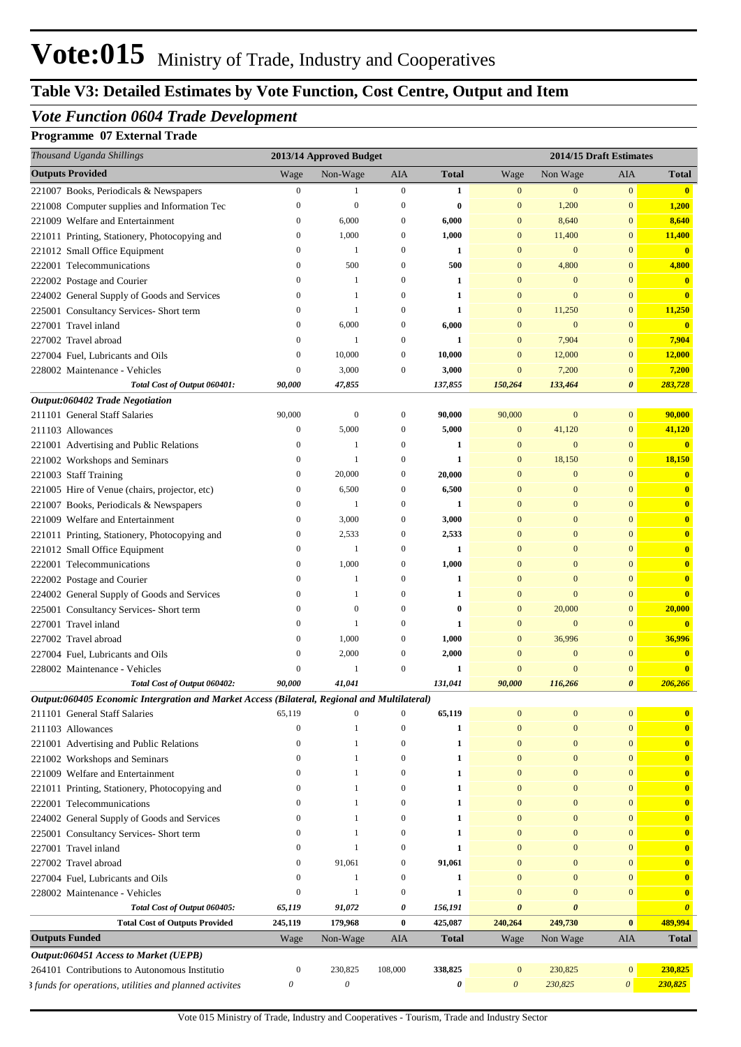# **Table V3: Detailed Estimates by Vote Function, Cost Centre, Output and Item**

## *Vote Function 0604 Trade Development*

# **Programme 07 External Trade**

| Thousand Uganda Shillings                                                                    |                  | 2013/14 Approved Budget   |                  |              |                       |                  | 2014/15 Draft Estimates |              |
|----------------------------------------------------------------------------------------------|------------------|---------------------------|------------------|--------------|-----------------------|------------------|-------------------------|--------------|
| <b>Outputs Provided</b>                                                                      | Wage             | Non-Wage                  | AIA              | <b>Total</b> | Wage                  | Non Wage         | AIA                     | Total        |
| 221007 Books, Periodicals & Newspapers                                                       | $\boldsymbol{0}$ | 1                         | $\mathbf{0}$     | 1            | $\boldsymbol{0}$      | $\mathbf{0}$     | $\mathbf{0}$            | $\bullet$    |
| 221008 Computer supplies and Information Tec                                                 | $\boldsymbol{0}$ | $\mathbf{0}$              | $\boldsymbol{0}$ | $\bf{0}$     | $\mathbf{0}$          | 1,200            | $\mathbf{0}$            | 1,200        |
| 221009 Welfare and Entertainment                                                             | $\mathbf{0}$     | 6,000                     | $\boldsymbol{0}$ | 6,000        | $\mathbf{0}$          | 8,640            | $\bf{0}$                | 8,640        |
| 221011 Printing, Stationery, Photocopying and                                                | $\mathbf{0}$     | 1,000                     | $\mathbf{0}$     | 1,000        | $\mathbf{0}$          | 11,400           | $\bf{0}$                | 11,400       |
| 221012 Small Office Equipment                                                                | $\mathbf{0}$     | 1                         | $\mathbf{0}$     | 1            | $\mathbf{0}$          | $\mathbf{0}$     | $\mathbf{0}$            |              |
| 222001 Telecommunications                                                                    | $\Omega$         | 500                       | $\boldsymbol{0}$ | 500          | $\mathbf{0}$          | 4,800            | $\bf{0}$                | 4,800        |
| 222002 Postage and Courier                                                                   | $\Omega$         | $\mathbf{1}$              | $\mathbf{0}$     | $\mathbf{1}$ | $\mathbf{0}$          | $\mathbf{0}$     | $\mathbf{0}$            |              |
| 224002 General Supply of Goods and Services                                                  | $\mathbf{0}$     | 1                         | $\mathbf{0}$     | 1            | $\mathbf{0}$          | $\theta$         | $\mathbf{0}$            |              |
| 225001 Consultancy Services- Short term                                                      | $\mathbf{0}$     | 1                         | $\mathbf{0}$     | 1            | $\mathbf{0}$          | 11,250           | $\overline{0}$          | 11,250       |
| 227001 Travel inland                                                                         | $\mathbf{0}$     | 6,000                     | $\mathbf{0}$     | 6,000        | $\mathbf{0}$          | $\theta$         | $\mathbf{0}$            |              |
| 227002 Travel abroad                                                                         | $\mathbf{0}$     | 1                         | $\mathbf{0}$     | 1            | $\mathbf{0}$          | 7,904            | $\mathbf{0}$            | 7,904        |
| 227004 Fuel, Lubricants and Oils                                                             | $\mathbf{0}$     | 10,000                    | $\boldsymbol{0}$ | 10,000       | $\mathbf{0}$          | 12,000           | $\mathbf{0}$            | 12,000       |
| 228002 Maintenance - Vehicles                                                                | $\boldsymbol{0}$ | 3,000                     | $\mathbf{0}$     | 3,000        | $\overline{0}$        | 7,200            | $\bf{0}$                | 7,200        |
| Total Cost of Output 060401:                                                                 | 90,000           | 47,855                    |                  | 137,855      | 150,264               | 133,464          | 0                       | 283,728      |
| Output:060402 Trade Negotiation                                                              |                  |                           |                  |              |                       |                  |                         |              |
| 211101 General Staff Salaries                                                                | 90,000           | $\boldsymbol{0}$          | $\mathbf{0}$     | 90,000       | 90,000                | $\boldsymbol{0}$ | $\overline{0}$          | 90,000       |
| 211103 Allowances                                                                            | $\bf{0}$         | 5,000                     | $\boldsymbol{0}$ | 5,000        | $\mathbf{0}$          | 41,120           | $\bf{0}$                | 41,120       |
| 221001 Advertising and Public Relations                                                      | $\mathbf{0}$     | 1                         | $\mathbf{0}$     | 1            | $\mathbf{0}$          | $\mathbf{0}$     | $\mathbf{0}$            |              |
| 221002 Workshops and Seminars                                                                | $\mathbf{0}$     | 1                         | $\boldsymbol{0}$ | 1            | $\mathbf{0}$          | 18,150           | $\mathbf{0}$            | 18,150       |
| 221003 Staff Training                                                                        | $\mathbf{0}$     | 20,000                    | $\boldsymbol{0}$ | 20,000       | $\overline{0}$        | $\mathbf{0}$     | $\mathbf{0}$            |              |
| 221005 Hire of Venue (chairs, projector, etc)                                                | $\mathbf{0}$     | 6,500                     | $\mathbf{0}$     | 6,500        | $\mathbf{0}$          | $\mathbf{0}$     | $\mathbf{0}$            |              |
| 221007 Books, Periodicals & Newspapers                                                       | $\mathbf{0}$     | 1                         | $\boldsymbol{0}$ | 1            | $\mathbf{0}$          | $\mathbf{0}$     | $\mathbf{0}$            |              |
| 221009 Welfare and Entertainment                                                             | $\mathbf{0}$     | 3,000                     | $\boldsymbol{0}$ | 3,000        | $\Omega$              | $\boldsymbol{0}$ | $\mathbf{0}$            |              |
| 221011 Printing, Stationery, Photocopying and                                                | $\mathbf{0}$     | 2,533                     | $\boldsymbol{0}$ | 2,533        | $\mathbf{0}$          | $\overline{0}$   | $\mathbf{0}$            |              |
| 221012 Small Office Equipment                                                                | $\mathbf{0}$     | 1                         | $\boldsymbol{0}$ | 1            | $\mathbf{0}$          | $\overline{0}$   | $\mathbf{0}$            |              |
| 222001 Telecommunications                                                                    | $\mathbf{0}$     | 1,000                     | $\boldsymbol{0}$ | 1,000        | $\mathbf{0}$          | $\theta$         | $\mathbf{0}$            |              |
| 222002 Postage and Courier                                                                   | $\Omega$         | 1                         | $\mathbf{0}$     | 1            | $\mathbf{0}$          | $\theta$         | $\mathbf{0}$            |              |
| 224002 General Supply of Goods and Services                                                  | $\Omega$         | 1                         | $\mathbf{0}$     | 1            | $\mathbf{0}$          | $\theta$         | $\mathbf{0}$            |              |
| 225001 Consultancy Services- Short term                                                      | $\Omega$         | $\theta$                  | $\mathbf{0}$     | $\bf{0}$     | $\mathbf{0}$          | 20,000           | $\bf{0}$                | 20,000       |
| 227001 Travel inland                                                                         | $\Omega$         | 1                         | $\mathbf{0}$     | 1            | $\mathbf{0}$          | $\overline{0}$   | $\mathbf{0}$            |              |
| 227002 Travel abroad                                                                         | $\mathbf{0}$     | 1,000                     | $\boldsymbol{0}$ | 1,000        | $\mathbf{0}$          | 36,996           | $\mathbf{0}$            | 36,996       |
| 227004 Fuel, Lubricants and Oils                                                             | $\mathbf{0}$     | 2,000                     | $\boldsymbol{0}$ | 2,000        | $\overline{0}$        | $\mathbf{0}$     | $\mathbf{0}$            |              |
| 228002 Maintenance - Vehicles                                                                | $\Omega$         |                           | $\mathbf{0}$     | 1            | $\mathbf{0}$          | $\theta$         | $\bf{0}$                |              |
| Total Cost of Output 060402:                                                                 | 90,000           | 41,041                    |                  | 131,041      | 90,000                | 116,266          | 0                       | 206,266      |
| Output:060405 Economic Intergration and Market Access (Bilateral, Regional and Multilateral) |                  |                           |                  |              |                       |                  |                         |              |
| 211101 General Staff Salaries                                                                | 65,119           | $\boldsymbol{0}$          | 0                | 65,119       | $\mathbf{0}$          | $\bf{0}$         | $\overline{0}$          |              |
| 211103 Allowances                                                                            | $\mathbf{0}$     | 1                         | $\boldsymbol{0}$ | 1            | $\mathbf{0}$          | $\boldsymbol{0}$ | $\mathbf{0}$            |              |
| 221001 Advertising and Public Relations                                                      | $\Omega$         | 1                         | $\boldsymbol{0}$ | $\mathbf{1}$ | $\mathbf{0}$          | $\mathbf{0}$     | $\mathbf{0}$            |              |
| 221002 Workshops and Seminars                                                                | $\Omega$         | 1                         | 0                | 1            | $\mathbf{0}$          | $\mathbf{0}$     | $\mathbf{0}$            |              |
| 221009 Welfare and Entertainment                                                             | $\Omega$         | 1                         | $\mathbf{0}$     | 1            | $\mathbf{0}$          | $\boldsymbol{0}$ | $\mathbf{0}$            |              |
| 221011 Printing, Stationery, Photocopying and                                                | $\Omega$         | 1                         | $\mathbf{0}$     | 1            | $\mathbf{0}$          | $\bf{0}$         | $\mathbf{0}$            |              |
|                                                                                              | $\Omega$         | 1                         | $\mathbf{0}$     | 1            | $\mathbf{0}$          | $\bf{0}$         | $\mathbf{0}$            |              |
| 222001 Telecommunications                                                                    | $\Omega$         | 1                         | $\mathbf{0}$     | 1            | $\mathbf{0}$          |                  | $\mathbf{0}$            |              |
| 224002 General Supply of Goods and Services                                                  |                  |                           |                  |              |                       | $\bf{0}$         |                         |              |
| 225001 Consultancy Services- Short term                                                      | $\Omega$         | 1<br>1                    | $\mathbf{0}$     | 1            | $\mathbf{0}$          | $\boldsymbol{0}$ | $\mathbf{0}$            |              |
| 227001 Travel inland                                                                         | $\Omega$         |                           | $\boldsymbol{0}$ | $\mathbf{1}$ | $\mathbf{0}$          | $\bf{0}$         | $\mathbf{0}$            |              |
| 227002 Travel abroad                                                                         | $\mathbf{0}$     | 91,061                    | $\boldsymbol{0}$ | 91,061       | $\mathbf{0}$          | $\boldsymbol{0}$ | $\mathbf{0}$            |              |
| 227004 Fuel, Lubricants and Oils                                                             | $\Omega$         | 1                         | $\boldsymbol{0}$ | 1            | $\mathbf{0}$          | $\boldsymbol{0}$ | $\mathbf{0}$            |              |
| 228002 Maintenance - Vehicles                                                                | $\mathbf{0}$     | 1                         | $\boldsymbol{0}$ | $\mathbf{1}$ | $\mathbf{0}$          | $\boldsymbol{0}$ | $\mathbf{0}$            |              |
| Total Cost of Output 060405:                                                                 | 65,119           | 91,072                    | 0                | 156,191      | 0                     | 0                |                         |              |
| <b>Total Cost of Outputs Provided</b>                                                        | 245,119          | 179,968                   | $\bf{0}$         | 425,087      | 240,264               | 249,730          | $\bf{0}$                | 489,994      |
| <b>Outputs Funded</b>                                                                        | Wage             | Non-Wage                  | AIA              | <b>Total</b> | Wage                  | Non Wage         | AIA                     | <b>Total</b> |
| Output:060451 Access to Market (UEPB)                                                        |                  |                           |                  |              |                       |                  |                         |              |
| 264101 Contributions to Autonomous Institutio                                                | $\boldsymbol{0}$ | 230,825                   | 108,000          | 338,825      | $\mathbf{0}$          | 230,825          | $\mathbf{0}$            | 230,825      |
| 3 funds for operations, utilities and planned activites                                      | 0                | $\boldsymbol{\mathit{0}}$ |                  | 0            | $\boldsymbol{\theta}$ | 230,825          | $\boldsymbol{\theta}$   | 230,825      |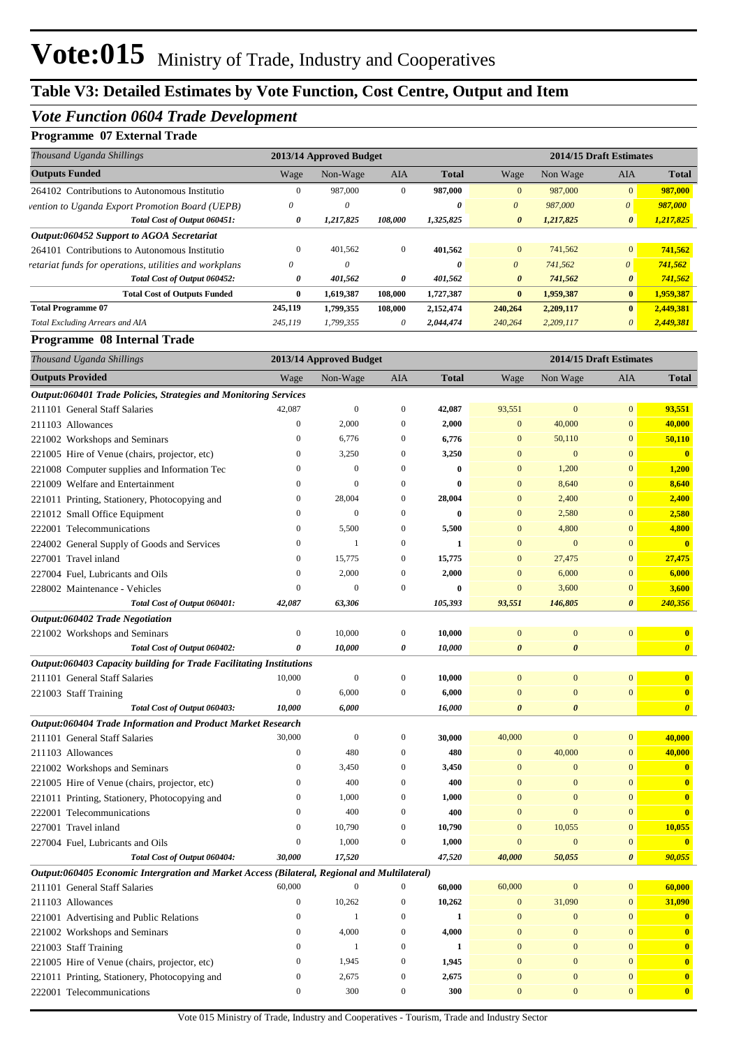## *Vote Function 0604 Trade Development*

# **Programme 07 External Trade**

| Thousand Uganda Shillings                              |              | 2013/14 Approved Budget |              |              |                       |           | 2014/15 Draft Estimates |              |
|--------------------------------------------------------|--------------|-------------------------|--------------|--------------|-----------------------|-----------|-------------------------|--------------|
| <b>Outputs Funded</b>                                  | Wage         | Non-Wage                | <b>AIA</b>   | <b>Total</b> | Wage                  | Non Wage  | <b>AIA</b>              | <b>Total</b> |
| 264102 Contributions to Autonomous Institutio          | $\mathbf{0}$ | 987,000                 | 0            | 987,000      | $\mathbf{0}$          | 987,000   | $\overline{0}$          | 987,000      |
| vention to Uganda Export Promotion Board (UEPB)        | $\theta$     | 0                       |              | 0            | $\theta$              | 987,000   | $\theta$                | 987,000      |
| Total Cost of Output 060451:                           | 0            | 1.217.825               | 108,000      | 1,325,825    | $\boldsymbol{\theta}$ | 1,217,825 | $\boldsymbol{\theta}$   | 1,217,825    |
| Output:060452 Support to AGOA Secretariat              |              |                         |              |              |                       |           |                         |              |
| 264101 Contributions to Autonomous Institutio          | $\mathbf{0}$ | 401,562                 | $\mathbf{0}$ | 401,562      | $\mathbf{0}$          | 741,562   | $\overline{0}$          | 741,562      |
| retariat funds for operations, utilities and workplans | $\theta$     | $\theta$                |              | 0            | $\theta$              | 741,562   | $\boldsymbol{\theta}$   | 741,562      |
| Total Cost of Output 060452:                           | 0            | 401,562                 | 0            | 401,562      | $\boldsymbol{\theta}$ | 741,562   | $\boldsymbol{\theta}$   | 741,562      |
| <b>Total Cost of Outputs Funded</b>                    | $\bf{0}$     | 1.619.387               | 108,000      | 1,727,387    | $\bf{0}$              | 1,959,387 | $\mathbf{0}$            | 1,959,387    |
| <b>Total Programme 07</b>                              | 245,119      | 1,799,355               | 108,000      | 2,152,474    | 240,264               | 2,209,117 | $\mathbf{0}$            | 2,449,381    |
| Total Excluding Arrears and AIA                        | 245,119      | 1,799,355               | 0            | 2,044,474    | 240,264               | 2,209,117 | $\theta$                | 2,449,381    |

#### **Programme 08 Internal Trade**

| Thousand Uganda Shillings                                                                    |                  | 2013/14 Approved Budget |                  |              | 2014/15 Draft Estimates |                       |                       |                         |
|----------------------------------------------------------------------------------------------|------------------|-------------------------|------------------|--------------|-------------------------|-----------------------|-----------------------|-------------------------|
| <b>Outputs Provided</b>                                                                      | Wage             | Non-Wage                | AIA              | <b>Total</b> | Wage                    | Non Wage              | AIA                   | <b>Total</b>            |
| Output:060401 Trade Policies, Strategies and Monitoring Services                             |                  |                         |                  |              |                         |                       |                       |                         |
| 211101 General Staff Salaries                                                                | 42,087           | $\boldsymbol{0}$        | $\mathbf{0}$     | 42,087       | 93,551                  | $\mathbf{0}$          | $\mathbf{0}$          | 93,551                  |
| 211103 Allowances                                                                            | $\boldsymbol{0}$ | 2,000                   | $\boldsymbol{0}$ | 2,000        | $\mathbf{0}$            | 40,000                | $\mathbf{0}$          | 40,000                  |
| 221002 Workshops and Seminars                                                                | $\boldsymbol{0}$ | 6,776                   | $\boldsymbol{0}$ | 6,776        | $\mathbf{0}$            | 50,110                | $\boldsymbol{0}$      | 50,110                  |
| 221005 Hire of Venue (chairs, projector, etc)                                                | $\boldsymbol{0}$ | 3,250                   | $\boldsymbol{0}$ | 3,250        | $\bf{0}$                | $\mathbf{0}$          | $\mathbf{0}$          | $\overline{\mathbf{0}}$ |
| 221008 Computer supplies and Information Tec                                                 | $\boldsymbol{0}$ | $\mathbf{0}$            | $\boldsymbol{0}$ | $\bf{0}$     | $\mathbf{0}$            | 1,200                 | $\mathbf{0}$          | 1,200                   |
| 221009 Welfare and Entertainment                                                             | $\boldsymbol{0}$ | $\mathbf{0}$            | $\boldsymbol{0}$ | $\bf{0}$     | $\mathbf{0}$            | 8,640                 | $\mathbf{0}$          | 8,640                   |
| 221011 Printing, Stationery, Photocopying and                                                | $\boldsymbol{0}$ | 28,004                  | $\boldsymbol{0}$ | 28,004       | $\bf{0}$                | 2,400                 | $\boldsymbol{0}$      | 2,400                   |
| 221012 Small Office Equipment                                                                | $\boldsymbol{0}$ | $\mathbf{0}$            | $\boldsymbol{0}$ | $\bf{0}$     | $\mathbf{0}$            | 2,580                 | $\bf{0}$              | 2,580                   |
| 222001 Telecommunications                                                                    | $\boldsymbol{0}$ | 5,500                   | $\boldsymbol{0}$ | 5,500        | $\bf{0}$                | 4,800                 | $\bf{0}$              | 4,800                   |
| 224002 General Supply of Goods and Services                                                  | $\boldsymbol{0}$ | $\mathbf{1}$            | $\boldsymbol{0}$ | 1            | $\bf{0}$                | $\mathbf{0}$          | $\mathbf{0}$          | $\overline{\mathbf{0}}$ |
| 227001 Travel inland                                                                         | $\boldsymbol{0}$ | 15,775                  | $\boldsymbol{0}$ | 15,775       | $\mathbf{0}$            | 27,475                | $\mathbf{0}$          | 27,475                  |
| 227004 Fuel, Lubricants and Oils                                                             | $\boldsymbol{0}$ | 2,000                   | $\mathbf{0}$     | 2,000        | $\mathbf{0}$            | 6,000                 | $\boldsymbol{0}$      | 6,000                   |
| 228002 Maintenance - Vehicles                                                                | $\boldsymbol{0}$ | $\mathbf{0}$            | $\boldsymbol{0}$ | $\bf{0}$     | $\mathbf{0}$            | 3,600                 | $\boldsymbol{0}$      | 3,600                   |
| Total Cost of Output 060401:                                                                 | 42,087           | 63,306                  |                  | 105,393      | 93,551                  | 146,805               | $\boldsymbol{\theta}$ | 240,356                 |
| Output:060402 Trade Negotiation                                                              |                  |                         |                  |              |                         |                       |                       |                         |
| 221002 Workshops and Seminars                                                                | $\boldsymbol{0}$ | 10,000                  | $\boldsymbol{0}$ | 10,000       | $\boldsymbol{0}$        | $\boldsymbol{0}$      | $\mathbf{0}$          | $\mathbf{0}$            |
| Total Cost of Output 060402:                                                                 | 0                | 10,000                  | 0                | 10,000       | $\pmb{\theta}$          | $\boldsymbol{\theta}$ |                       | $\boldsymbol{\theta}$   |
| Output:060403 Capacity building for Trade Facilitating Institutions                          |                  |                         |                  |              |                         |                       |                       |                         |
| 211101 General Staff Salaries                                                                | 10,000           | $\boldsymbol{0}$        | $\boldsymbol{0}$ | 10,000       | $\bf{0}$                | $\mathbf{0}$          | $\mathbf{0}$          | $\mathbf{0}$            |
| 221003 Staff Training                                                                        | $\boldsymbol{0}$ | 6,000                   | $\boldsymbol{0}$ | 6,000        | $\bf{0}$                | $\mathbf{0}$          | $\mathbf{0}$          | $\mathbf{0}$            |
| Total Cost of Output 060403:                                                                 | 10,000           | 6,000                   |                  | 16,000       | 0                       | $\boldsymbol{\theta}$ |                       | $\boldsymbol{\theta}$   |
| Output:060404 Trade Information and Product Market Research                                  |                  |                         |                  |              |                         |                       |                       |                         |
| 211101 General Staff Salaries                                                                | 30,000           | $\boldsymbol{0}$        | $\boldsymbol{0}$ | 30,000       | 40,000                  | $\boldsymbol{0}$      | $\boldsymbol{0}$      | 40,000                  |
| 211103 Allowances                                                                            | $\boldsymbol{0}$ | 480                     | $\boldsymbol{0}$ | 480          | $\boldsymbol{0}$        | 40,000                | $\boldsymbol{0}$      | 40,000                  |
| 221002 Workshops and Seminars                                                                | $\boldsymbol{0}$ | 3,450                   | 0                | 3,450        | $\mathbf{0}$            | $\boldsymbol{0}$      | $\boldsymbol{0}$      | $\mathbf{0}$            |
| 221005 Hire of Venue (chairs, projector, etc)                                                | $\boldsymbol{0}$ | 400                     | $\boldsymbol{0}$ | 400          | 0                       | $\mathbf{0}$          | $\mathbf{0}$          | $\mathbf{0}$            |
| 221011 Printing, Stationery, Photocopying and                                                | $\boldsymbol{0}$ | 1,000                   | $\boldsymbol{0}$ | 1,000        | $\bf{0}$                | $\mathbf{0}$          | $\mathbf{0}$          | $\overline{\mathbf{0}}$ |
| 222001 Telecommunications                                                                    | $\boldsymbol{0}$ | 400                     | $\boldsymbol{0}$ | 400          | $\mathbf{0}$            | $\overline{0}$        | $\mathbf{0}$          | $\mathbf{0}$            |
| 227001 Travel inland                                                                         | $\boldsymbol{0}$ | 10,790                  | $\boldsymbol{0}$ | 10,790       | $\mathbf{0}$            | 10,055                | $\boldsymbol{0}$      | 10,055                  |
| 227004 Fuel, Lubricants and Oils                                                             | $\boldsymbol{0}$ | 1,000                   | $\boldsymbol{0}$ | 1,000        | $\boldsymbol{0}$        | $\mathbf{0}$          | $\boldsymbol{0}$      | $\overline{\mathbf{0}}$ |
| Total Cost of Output 060404:                                                                 | 30,000           | 17,520                  |                  | 47,520       | 40,000                  | 50,055                | $\boldsymbol{\theta}$ | 90,055                  |
| Output:060405 Economic Intergration and Market Access (Bilateral, Regional and Multilateral) |                  |                         |                  |              |                         |                       |                       |                         |
| 211101 General Staff Salaries                                                                | 60,000           | $\mathbf{0}$            | $\boldsymbol{0}$ | 60,000       | 60,000                  | $\mathbf{0}$          | $\mathbf{0}$          | 60,000                  |
| 211103 Allowances                                                                            | $\mathbf{0}$     | 10,262                  | $\mathbf{0}$     | 10,262       | $\mathbf{0}$            | 31,090                | $\mathbf{0}$          | 31,090                  |
| 221001 Advertising and Public Relations                                                      | $\boldsymbol{0}$ | $\mathbf{1}$            | $\boldsymbol{0}$ | $\mathbf{1}$ | $\mathbf{0}$            | $\boldsymbol{0}$      | $\boldsymbol{0}$      | $\bf{0}$                |
| 221002 Workshops and Seminars                                                                | $\boldsymbol{0}$ | 4,000                   | $\boldsymbol{0}$ | 4,000        | $\boldsymbol{0}$        | $\boldsymbol{0}$      | $\boldsymbol{0}$      | $\mathbf{0}$            |
| 221003 Staff Training                                                                        | $\boldsymbol{0}$ | $\mathbf{1}$            | $\boldsymbol{0}$ | $\mathbf{1}$ | $\boldsymbol{0}$        | $\boldsymbol{0}$      | $\boldsymbol{0}$      | $\mathbf{0}$            |
| 221005 Hire of Venue (chairs, projector, etc)                                                | $\boldsymbol{0}$ | 1,945                   | $\boldsymbol{0}$ | 1,945        | $\boldsymbol{0}$        | $\boldsymbol{0}$      | $\boldsymbol{0}$      | $\mathbf{0}$            |
| 221011 Printing, Stationery, Photocopying and                                                | $\boldsymbol{0}$ | 2,675                   | $\boldsymbol{0}$ | 2,675        | $\mathbf{0}$            | $\boldsymbol{0}$      | $\boldsymbol{0}$      | $\mathbf{0}$            |
| 222001 Telecommunications                                                                    | $\boldsymbol{0}$ | 300                     | $\boldsymbol{0}$ | 300          | $\bf{0}$                | $\boldsymbol{0}$      | $\bf{0}$              | $\bullet$               |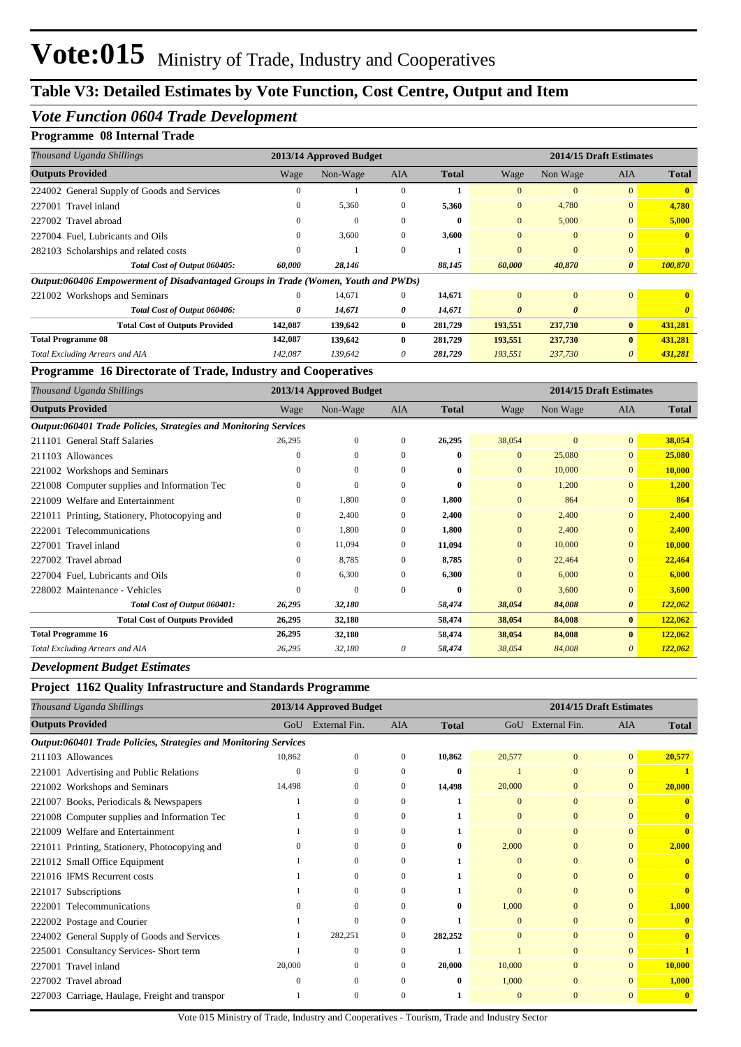### *Vote Function 0604 Trade Development*

#### **Programme 08 Internal Trade**

| Thousand Uganda Shillings                                                          |          | 2013/14 Approved Budget |              |              |                |          | 2014/15 Draft Estimates |              |
|------------------------------------------------------------------------------------|----------|-------------------------|--------------|--------------|----------------|----------|-------------------------|--------------|
| <b>Outputs Provided</b>                                                            | Wage     | Non-Wage                | <b>AIA</b>   | <b>Total</b> | Wage           | Non Wage | <b>AIA</b>              | <b>Total</b> |
| 224002 General Supply of Goods and Services                                        | $\theta$ |                         | $\Omega$     |              | $\Omega$       | $\Omega$ | $\overline{0}$          |              |
| 227001 Travel inland                                                               | 0        | 5,360                   | $\mathbf{0}$ | 5,360        | $\overline{0}$ | 4,780    | $\overline{0}$          | 4,780        |
| 227002 Travel abroad                                                               | 0        | $\mathbf{0}$            | $\Omega$     | $\mathbf{0}$ | $\overline{0}$ | 5,000    | $\overline{0}$          | 5,000        |
| 227004 Fuel, Lubricants and Oils                                                   | $\Omega$ | 3,600                   | $\Omega$     | 3,600        | $\Omega$       | $\Omega$ | $\overline{0}$          | $\mathbf{0}$ |
| 282103 Scholarships and related costs                                              | 0        |                         | $\Omega$     |              | $\Omega$       | $\Omega$ | $\overline{0}$          | $\mathbf{0}$ |
| Total Cost of Output 060405:                                                       | 60,000   | 28,146                  |              | 88,145       | 60,000         | 40,870   | $\boldsymbol{\theta}$   | 100,870      |
| Output:060406 Empowerment of Disadvantaged Groups in Trade (Women, Youth and PWDs) |          |                         |              |              |                |          |                         |              |
| 221002 Workshops and Seminars                                                      | $\theta$ | 14,671                  | $\Omega$     | 14,671       | $\mathbf{0}$   | $\Omega$ | $\overline{0}$          | $\mathbf{0}$ |
| Total Cost of Output 060406:                                                       | 0        | 14,671                  | 0            | 14,671       | $\theta$       | $\theta$ |                         |              |
| <b>Total Cost of Outputs Provided</b>                                              | 142,087  | 139,642                 | $\bf{0}$     | 281,729      | 193,551        | 237,730  | $\mathbf{0}$            | 431,281      |
| <b>Total Programme 08</b>                                                          | 142,087  | 139,642                 | $\mathbf{0}$ | 281,729      | 193,551        | 237,730  | $\bf{0}$                | 431,281      |
| <b>Total Excluding Arrears and AIA</b>                                             | 142,087  | 139,642                 | 0            | 281,729      | 193,551        | 237,730  | $\theta$                | 431,281      |

**Programme 16 Directorate of Trade, Industry and Cooperatives**

| Thousand Uganda Shillings                                        |                  | 2013/14 Approved Budget |              |              |              | 2014/15 Draft Estimates |                       |              |
|------------------------------------------------------------------|------------------|-------------------------|--------------|--------------|--------------|-------------------------|-----------------------|--------------|
| <b>Outputs Provided</b>                                          | Wage             | Non-Wage                | AIA          | <b>Total</b> | Wage         | Non Wage                | <b>AIA</b>            | <b>Total</b> |
| Output:060401 Trade Policies, Strategies and Monitoring Services |                  |                         |              |              |              |                         |                       |              |
| 211101 General Staff Salaries                                    | 26,295           | $\mathbf{0}$            | $\mathbf{0}$ | 26,295       | 38,054       | $\mathbf{0}$            | $\overline{0}$        | 38,054       |
| 211103 Allowances                                                | $\mathbf{0}$     | $\mathbf{0}$            | $\mathbf{0}$ | $\bf{0}$     | $\mathbf{0}$ | 25,080                  | $\overline{0}$        | 25,080       |
| 221002 Workshops and Seminars                                    | $\mathbf{0}$     | $\mathbf{0}$            | $\mathbf{0}$ | $\bf{0}$     | $\mathbf{0}$ | 10,000                  | $\overline{0}$        | 10,000       |
| 221008 Computer supplies and Information Tec                     | $\mathbf{0}$     | $\mathbf{0}$            | $\mathbf{0}$ | $\bf{0}$     | $\mathbf{0}$ | 1,200                   | $\overline{0}$        | 1,200        |
| Welfare and Entertainment<br>221009                              | $\mathbf{0}$     | 1,800                   | $\mathbf{0}$ | 1,800        | $\mathbf{0}$ | 864                     | $\overline{0}$        | 864          |
| 221011 Printing, Stationery, Photocopying and                    | $\mathbf{0}$     | 2,400                   | $\mathbf{0}$ | 2,400        | $\mathbf{0}$ | 2,400                   | $\overline{0}$        | 2,400        |
| 222001 Telecommunications                                        | $\boldsymbol{0}$ | 1,800                   | $\mathbf{0}$ | 1,800        | $\mathbf{0}$ | 2,400                   | $\overline{0}$        | 2,400        |
| 227001 Travel inland                                             | $\mathbf{0}$     | 11,094                  | $\mathbf{0}$ | 11,094       | $\mathbf{0}$ | 10,000                  | $\overline{0}$        | 10,000       |
| 227002 Travel abroad                                             | $\mathbf{0}$     | 8,785                   | $\mathbf{0}$ | 8,785        | $\mathbf{0}$ | 22,464                  | $\overline{0}$        | 22,464       |
| 227004 Fuel, Lubricants and Oils                                 | $\mathbf{0}$     | 6,300                   | $\mathbf{0}$ | 6,300        | $\mathbf{0}$ | 6,000                   | $\overline{0}$        | 6,000        |
| 228002 Maintenance - Vehicles                                    | $\mathbf{0}$     | $\overline{0}$          | $\mathbf{0}$ | $\bf{0}$     | $\mathbf{0}$ | 3,600                   | $\mathbf{0}$          | 3,600        |
| Total Cost of Output 060401:                                     | 26,295           | 32,180                  |              | 58,474       | 38,054       | 84,008                  | $\boldsymbol{\theta}$ | 122,062      |
| <b>Total Cost of Outputs Provided</b>                            | 26,295           | 32,180                  |              | 58,474       | 38,054       | 84,008                  | $\bf{0}$              | 122,062      |
| <b>Total Programme 16</b>                                        | 26,295           | 32,180                  |              | 58,474       | 38,054       | 84,008                  | $\bf{0}$              | 122,062      |
| Total Excluding Arrears and AIA                                  | 26,295           | 32,180                  | 0            | 58,474       | 38,054       | 84,008                  | 0                     | 122,062      |

*Development Budget Estimates*

#### **Project 1162 Quality Infrastructure and Standards Programme**

| Thousand Uganda Shillings                                        |        | 2013/14 Approved Budget |            |              |              | 2014/15 Draft Estimates |                |              |
|------------------------------------------------------------------|--------|-------------------------|------------|--------------|--------------|-------------------------|----------------|--------------|
| <b>Outputs Provided</b>                                          | GoU    | External Fin.           | <b>AIA</b> | <b>Total</b> |              | GoU External Fin.       | <b>AIA</b>     | <b>Total</b> |
| Output:060401 Trade Policies, Strategies and Monitoring Services |        |                         |            |              |              |                         |                |              |
| 211103 Allowances                                                | 10,862 | $\Omega$                | 0          | 10,862       | 20,577       | $\mathbf{0}$            | $\overline{0}$ | 20,577       |
| 221001 Advertising and Public Relations                          |        |                         | 0          |              |              | $\Omega$                | $\Omega$       |              |
| 221002 Workshops and Seminars                                    | 14,498 |                         | 0          | 14,498       | 20,000       | $\mathbf{0}$            | $\Omega$       | 20,000       |
| 221007 Books, Periodicals & Newspapers                           |        | 0                       | 0          |              | $\Omega$     | $\Omega$                | $\Omega$       |              |
| 221008 Computer supplies and Information Tec                     |        | 0                       | 0          |              | $\Omega$     | $\Omega$                | $\Omega$       | $\mathbf{0}$ |
| Welfare and Entertainment<br>221009                              |        |                         | $\Omega$   |              | $\Omega$     | $\mathbf{0}$            | $\Omega$       | $\mathbf{0}$ |
| 221011 Printing, Stationery, Photocopying and                    |        | 0                       | 0          |              | 2,000        | $\Omega$                | $\Omega$       | 2,000        |
| 221012 Small Office Equipment                                    |        |                         | 0          |              | $\mathbf{0}$ | $\Omega$                | $\Omega$       |              |
| 221016 IFMS Recurrent costs                                      |        | 0                       | 0          |              | $\mathbf{0}$ | $\mathbf{0}$            | $\Omega$       | $\mathbf{0}$ |
| 221017 Subscriptions                                             |        | 0                       | 0          |              | $\Omega$     | $\Omega$                | $\Omega$       | $\mathbf{0}$ |
| 222001 Telecommunications                                        |        | 0                       | 0          |              | 1,000        | $\Omega$                | $\Omega$       | 1,000        |
| 222002 Postage and Courier                                       |        | $\Omega$                | $\Omega$   |              | $\Omega$     | $\Omega$                | $\Omega$       | $\mathbf{0}$ |
| 224002 General Supply of Goods and Services                      |        | 282,251                 | 0          | 282,252      | $\Omega$     | $\Omega$                | $\Omega$       | $\mathbf{0}$ |
| 225001 Consultancy Services- Short term                          |        | 0                       | 0          |              |              | $\Omega$                |                |              |
| 227001 Travel inland                                             | 20,000 | 0                       | 0          | 20,000       | 10,000       | $\mathbf{0}$            | $\Omega$       | 10,000       |
| 227002 Travel abroad                                             |        | 0                       |            |              | 1,000        | $\Omega$                | $\Omega$       | 1,000        |
| 227003 Carriage, Haulage, Freight and transpor                   |        | 0                       | 0          |              | $\mathbf{0}$ | $\Omega$                | $\Omega$       | $\mathbf{0}$ |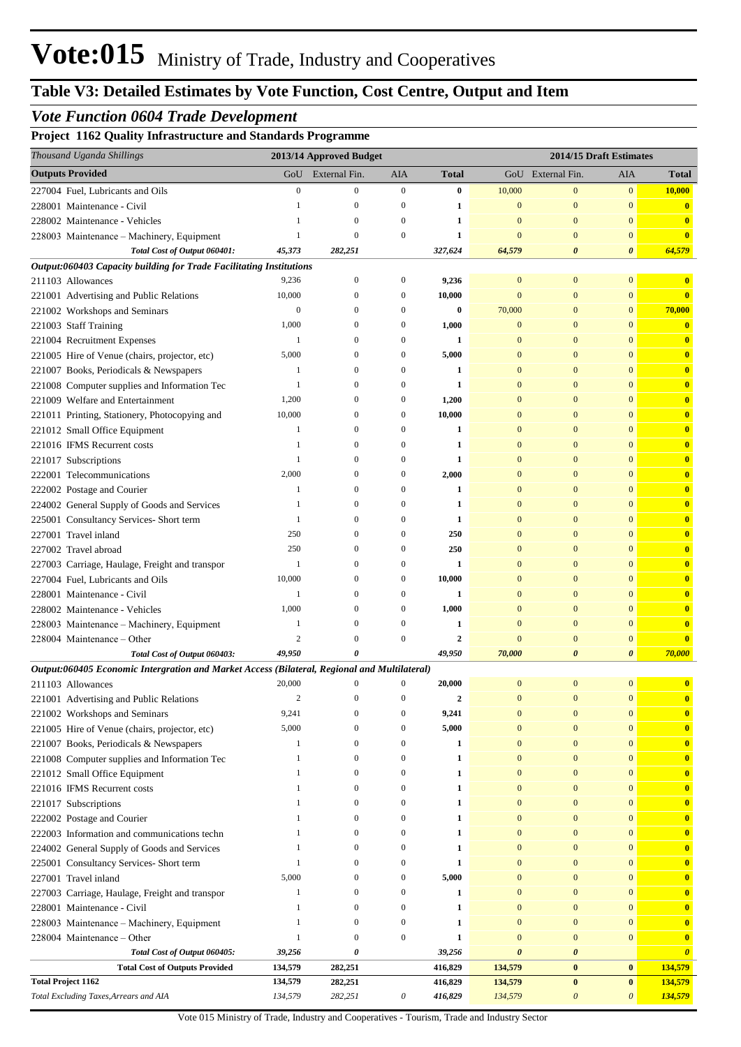## *Vote Function 0604 Trade Development*

#### **Project 1162 Quality Infrastructure and Standards Programme**

| Thousand Uganda Shillings                                                                    |                   | 2013/14 Approved Budget      |                  |              |                              |                              | 2014/15 Draft Estimates      |                              |
|----------------------------------------------------------------------------------------------|-------------------|------------------------------|------------------|--------------|------------------------------|------------------------------|------------------------------|------------------------------|
| <b>Outputs Provided</b>                                                                      | GoU               | External Fin.                | AIA              | <b>Total</b> |                              | GoU External Fin.            | AIA                          | <b>Total</b>                 |
| 227004 Fuel, Lubricants and Oils                                                             | $\boldsymbol{0}$  | $\mathbf{0}$                 | $\boldsymbol{0}$ | 0            | 10,000                       | $\mathbf{0}$                 | $\mathbf{0}$                 | 10,000                       |
| 228001 Maintenance - Civil                                                                   |                   | $\mathbf{0}$                 | 0                | 1            | $\mathbf{0}$                 | $\mathbf{0}$                 | $\overline{0}$               | $\mathbf{0}$                 |
| 228002 Maintenance - Vehicles                                                                | 1                 | $\mathbf{0}$                 | $\boldsymbol{0}$ | 1            | $\mathbf{0}$                 | $\mathbf{0}$                 | $\mathbf{0}$                 | $\overline{\mathbf{0}}$      |
| 228003 Maintenance - Machinery, Equipment                                                    | 1                 | $\mathbf{0}$                 | $\boldsymbol{0}$ | $\mathbf{1}$ | $\mathbf{0}$                 | $\mathbf{0}$                 | $\bf{0}$                     | $\mathbf{0}$                 |
| Total Cost of Output 060401:                                                                 | 45,373            | 282,251                      |                  | 327,624      | 64,579                       | $\boldsymbol{\theta}$        | 0                            | 64,579                       |
| Output:060403 Capacity building for Trade Facilitating Institutions                          |                   |                              |                  |              |                              |                              |                              |                              |
| 211103 Allowances                                                                            | 9,236             | $\boldsymbol{0}$             | 0                | 9,236        | $\mathbf{0}$                 | $\mathbf{0}$                 | $\mathbf{0}$                 | $\mathbf{0}$                 |
| 221001 Advertising and Public Relations                                                      | 10,000            | $\boldsymbol{0}$             | $\boldsymbol{0}$ | 10,000       | $\mathbf{0}$                 | $\mathbf{0}$                 | $\mathbf{0}$                 | $\overline{\mathbf{0}}$      |
| 221002 Workshops and Seminars                                                                | $\boldsymbol{0}$  | $\mathbf{0}$                 | 0                | 0            | 70,000                       | $\mathbf{0}$                 | $\mathbf{0}$                 | 70,000                       |
| 221003 Staff Training                                                                        | 1,000             | $\mathbf{0}$                 | $\boldsymbol{0}$ | 1,000        | $\bf{0}$                     | $\mathbf{0}$                 | $\bf{0}$                     | $\mathbf{0}$                 |
| 221004 Recruitment Expenses                                                                  | 1                 | $\mathbf{0}$                 | 0                | 1            | $\bf{0}$                     | $\mathbf{0}$                 | $\bf{0}$                     | $\mathbf{0}$                 |
| 221005 Hire of Venue (chairs, projector, etc)                                                | 5,000             | $\mathbf{0}$                 | 0                | 5,000        | $\bf{0}$                     | $\mathbf{0}$                 | $\mathbf{0}$                 | $\mathbf{0}$                 |
| 221007 Books, Periodicals & Newspapers                                                       | 1                 | $\mathbf{0}$                 | 0                | 1            | $\bf{0}$                     | $\mathbf{0}$                 | $\mathbf{0}$                 | $\mathbf{0}$                 |
| 221008 Computer supplies and Information Tec                                                 | 1                 | $\mathbf{0}$                 | 0                | 1            | $\mathbf{0}$                 | $\mathbf{0}$                 | $\mathbf{0}$                 | $\mathbf{0}$                 |
| 221009 Welfare and Entertainment                                                             | 1,200             | $\mathbf{0}$                 | 0                | 1,200        | $\Omega$                     | $\mathbf{0}$                 | $\overline{0}$               | $\mathbf{0}$                 |
| 221011 Printing, Stationery, Photocopying and                                                | 10,000            | $\mathbf{0}$                 | 0                | 10,000       | $\bf{0}$                     | $\mathbf{0}$                 | $\mathbf{0}$                 | $\mathbf{0}$                 |
| 221012 Small Office Equipment                                                                | 1                 | $\mathbf{0}$                 | $\mathbf{0}$     | 1            | $\mathbf{0}$                 | $\mathbf{0}$                 | $\mathbf{0}$                 | $\mathbf{0}$                 |
| 221016 IFMS Recurrent costs                                                                  | 1                 | $\mathbf{0}$                 | 0                | 1            | $\mathbf{0}$                 | $\mathbf{0}$                 | $\mathbf{0}$                 | $\mathbf{0}$                 |
| 221017 Subscriptions                                                                         | $\mathbf{1}$      | $\mathbf{0}$                 | 0                | 1            | $\mathbf{0}$                 | $\mathbf{0}$                 | $\mathbf{0}$                 | $\mathbf{0}$                 |
| 222001 Telecommunications                                                                    | 2,000             | $\mathbf{0}$                 | $\boldsymbol{0}$ | 2,000        | $\mathbf{0}$                 | $\mathbf{0}$                 | $\mathbf{0}$                 | $\mathbf{0}$                 |
| 222002 Postage and Courier                                                                   | 1                 | $\mathbf{0}$                 | 0                | 1            | $\bf{0}$                     | $\mathbf{0}$                 | $\mathbf{0}$                 | $\mathbf{0}$                 |
| 224002 General Supply of Goods and Services                                                  | 1<br>$\mathbf{1}$ | $\mathbf{0}$                 | $\mathbf{0}$     | 1            | $\mathbf{0}$                 | $\mathbf{0}$                 | $\mathbf{0}$                 | $\mathbf{0}$                 |
| 225001 Consultancy Services- Short term                                                      | 250               | $\mathbf{0}$<br>$\mathbf{0}$ | 0<br>0           | $\mathbf{1}$ | $\mathbf{0}$<br>$\mathbf{0}$ | $\mathbf{0}$<br>$\mathbf{0}$ | $\mathbf{0}$<br>$\mathbf{0}$ | $\mathbf{0}$                 |
| 227001 Travel inland                                                                         | 250               | $\mathbf{0}$                 | 0                | 250<br>250   | $\Omega$                     | $\mathbf{0}$                 | $\mathbf{0}$                 | $\mathbf{0}$<br>$\mathbf{0}$ |
| 227002 Travel abroad                                                                         | 1                 | $\mathbf{0}$                 | 0                | 1            | $\mathbf{0}$                 | $\mathbf{0}$                 | $\mathbf{0}$                 | $\mathbf{0}$                 |
| 227003 Carriage, Haulage, Freight and transpor<br>227004 Fuel, Lubricants and Oils           | 10,000            | $\mathbf{0}$                 | $\boldsymbol{0}$ | 10,000       | $\bf{0}$                     | $\mathbf{0}$                 | $\mathbf{0}$                 | $\mathbf{0}$                 |
| 228001 Maintenance - Civil                                                                   | 1                 | $\mathbf{0}$                 | 0                | 1            | $\mathbf{0}$                 | $\mathbf{0}$                 | $\overline{0}$               | $\mathbf{0}$                 |
| 228002 Maintenance - Vehicles                                                                | 1,000             | $\mathbf{0}$                 | 0                | 1,000        | $\mathbf{0}$                 | $\mathbf{0}$                 | $\mathbf{0}$                 | $\mathbf{0}$                 |
| 228003 Maintenance - Machinery, Equipment                                                    | 1                 | $\mathbf{0}$                 | $\mathbf{0}$     | 1            | $\bf{0}$                     | $\mathbf{0}$                 | $\mathbf{0}$                 | $\mathbf{0}$                 |
| 228004 Maintenance – Other                                                                   | $\overline{c}$    | $\mathbf{0}$                 | $\mathbf{0}$     | $\mathbf{2}$ | $\bf{0}$                     | $\mathbf{0}$                 | $\bf{0}$                     | $\mathbf{0}$                 |
| Total Cost of Output 060403:                                                                 | 49,950            | 0                            |                  | 49,950       | 70,000                       | $\boldsymbol{\theta}$        | $\boldsymbol{\theta}$        | 70,000                       |
| Output:060405 Economic Intergration and Market Access (Bilateral, Regional and Multilateral) |                   |                              |                  |              |                              |                              |                              |                              |
| 211103 Allowances                                                                            | 20,000            | $\mathbf{0}$                 | $\mathbf{0}$     | 20,000       | $\mathbf{0}$                 | $\mathbf{0}$                 | $\overline{0}$               | $\bf{0}$                     |
| 221001 Advertising and Public Relations                                                      | $\overline{c}$    | $\Omega$                     | $\mathbf{0}$     |              | $\Omega$                     | $\mathbf{0}$                 | $\mathbf{0}$                 |                              |
| 221002 Workshops and Seminars                                                                | 9,241             | $\mathbf{0}$                 | $\boldsymbol{0}$ | 9,241        | $\mathbf{0}$                 | $\bf{0}$                     | $\mathbf{0}$                 | $\mathbf{0}$                 |
| 221005 Hire of Venue (chairs, projector, etc)                                                | 5,000             | $\mathbf{0}$                 | $\boldsymbol{0}$ | 5,000        | $\mathbf{0}$                 | $\mathbf{0}$                 | $\overline{0}$               | $\mathbf{0}$                 |
| 221007 Books, Periodicals & Newspapers                                                       | 1                 | $\overline{0}$               | $\boldsymbol{0}$ | 1            | $\mathbf{0}$                 | $\mathbf{0}$                 | $\mathbf{0}$                 | $\mathbf{0}$                 |
| 221008 Computer supplies and Information Tec                                                 | 1                 | $\mathbf{0}$                 | $\boldsymbol{0}$ | 1            | $\boldsymbol{0}$             | $\boldsymbol{0}$             | $\mathbf{0}$                 | $\mathbf{0}$                 |
| 221012 Small Office Equipment                                                                | $\mathbf{1}$      | $\mathbf{0}$                 | $\boldsymbol{0}$ | 1            | $\boldsymbol{0}$             | $\boldsymbol{0}$             | $\mathbf{0}$                 | $\mathbf{0}$                 |
| 221016 IFMS Recurrent costs                                                                  | $\mathbf{1}$      | $\overline{0}$               | $\boldsymbol{0}$ | 1            | $\mathbf{0}$                 | $\mathbf{0}$                 | $\mathbf{0}$                 | $\mathbf{0}$                 |
| 221017 Subscriptions                                                                         | $\mathbf{1}$      | $\overline{0}$               | $\boldsymbol{0}$ | 1            | $\mathbf{0}$                 | $\mathbf{0}$                 | $\mathbf{0}$                 | $\mathbf{0}$                 |
| 222002 Postage and Courier                                                                   | 1                 | $\mathbf{0}$                 | $\boldsymbol{0}$ | 1            | $\mathbf{0}$                 | $\mathbf{0}$                 | $\mathbf{0}$                 | $\mathbf{0}$                 |
| 222003 Information and communications techn                                                  | 1                 | $\mathbf{0}$                 | $\boldsymbol{0}$ | 1            | $\boldsymbol{0}$             | $\boldsymbol{0}$             | $\mathbf{0}$                 | $\mathbf{0}$                 |
| 224002 General Supply of Goods and Services                                                  | 1                 | $\overline{0}$               | $\boldsymbol{0}$ | 1            | $\bf{0}$                     | $\mathbf{0}$                 | $\mathbf{0}$                 | $\mathbf{0}$                 |
| 225001 Consultancy Services- Short term                                                      | $\mathbf{1}$      | $\mathbf{0}$                 | $\boldsymbol{0}$ | 1            | $\mathbf{0}$                 | $\mathbf{0}$                 | $\mathbf{0}$                 | $\mathbf{0}$                 |
| 227001 Travel inland                                                                         | 5,000             | $\mathbf{0}$                 | $\boldsymbol{0}$ | 5,000        | $\bf{0}$                     | $\mathbf{0}$                 | $\mathbf{0}$                 | $\overline{\mathbf{0}}$      |
| 227003 Carriage, Haulage, Freight and transpor                                               | 1                 | $\mathbf{0}$                 | $\boldsymbol{0}$ | 1            | $\mathbf{0}$                 | $\boldsymbol{0}$             | $\overline{0}$               | $\mathbf{0}$                 |
| 228001 Maintenance - Civil                                                                   | $\mathbf{1}$      | $\mathbf{0}$                 | $\boldsymbol{0}$ | 1            | $\mathbf{0}$                 | $\boldsymbol{0}$             | $\mathbf{0}$                 | $\mathbf{0}$                 |
| 228003 Maintenance - Machinery, Equipment                                                    | 1                 | $\mathbf{0}$                 | $\boldsymbol{0}$ | 1            | $\mathbf{0}$                 | $\boldsymbol{0}$             | $\mathbf{0}$                 | $\mathbf{0}$                 |
| 228004 Maintenance – Other                                                                   | $\mathbf{1}$      | $\overline{0}$               | $\boldsymbol{0}$ | 1            | $\mathbf{0}$                 | $\boldsymbol{0}$             | $\mathbf{0}$                 | $\overline{\mathbf{0}}$      |
| Total Cost of Output 060405:                                                                 | 39,256            | 0                            |                  | 39,256       | $\boldsymbol{\theta}$        | $\boldsymbol{\theta}$        |                              | $\boldsymbol{\theta}$        |
| <b>Total Cost of Outputs Provided</b>                                                        | 134,579           | 282,251                      |                  | 416,829      | 134,579                      | $\boldsymbol{0}$             | $\bf{0}$                     | 134,579                      |
| <b>Total Project 1162</b>                                                                    | 134,579           | 282,251                      |                  | 416,829      | 134,579                      | $\boldsymbol{0}$             | $\bf{0}$                     | 134,579                      |
| Total Excluding Taxes, Arrears and AIA                                                       | 134,579           | 282,251                      | 0                | 416,829      | 134,579                      | $\boldsymbol{\mathit{0}}$    | $\boldsymbol{\theta}$        | 134,579                      |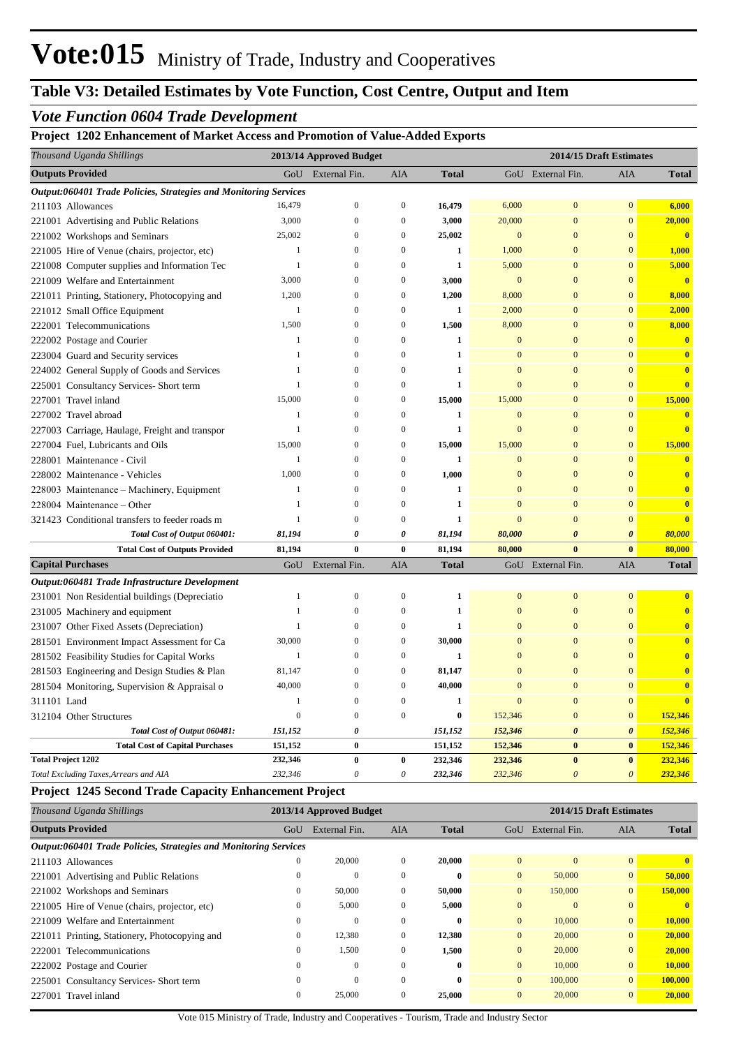# **Table V3: Detailed Estimates by Vote Function, Cost Centre, Output and Item**

## *Vote Function 0604 Trade Development*

**Project 1202 Enhancement of Market Access and Promotion of Value-Added Exports**

| Thousand Uganda Shillings                                        |                | 2013/14 Approved Budget |                           |              |                | 2014/15 Draft Estimates |                       |                         |  |
|------------------------------------------------------------------|----------------|-------------------------|---------------------------|--------------|----------------|-------------------------|-----------------------|-------------------------|--|
| <b>Outputs Provided</b>                                          | GoU            | External Fin.           | <b>AIA</b>                | <b>Total</b> |                | GoU External Fin.       | AIA                   | <b>Total</b>            |  |
| Output:060401 Trade Policies, Strategies and Monitoring Services |                |                         |                           |              |                |                         |                       |                         |  |
| 211103 Allowances                                                | 16,479         | $\boldsymbol{0}$        | $\boldsymbol{0}$          | 16,479       | 6,000          | $\bf{0}$                | $\mathbf{0}$          | 6,000                   |  |
| 221001 Advertising and Public Relations                          | 3,000          | $\boldsymbol{0}$        | $\mathbf{0}$              | 3,000        | 20,000         | $\mathbf{0}$            | $\mathbf{0}$          | 20,000                  |  |
| 221002 Workshops and Seminars                                    | 25,002         | $\mathbf{0}$            | $\overline{0}$            | 25,002       | $\overline{0}$ | $\overline{0}$          | $\overline{0}$        | $\overline{\mathbf{0}}$ |  |
| 221005 Hire of Venue (chairs, projector, etc)                    | $\mathbf{1}$   | $\mathbf{0}$            | $\boldsymbol{0}$          | $\mathbf{1}$ | 1,000          | $\boldsymbol{0}$        | $\mathbf{0}$          | 1,000                   |  |
| 221008 Computer supplies and Information Tec                     | 1              | $\overline{0}$          | $\mathbf{0}$              | $\mathbf{1}$ | 5,000          | $\mathbf{0}$            | $\overline{0}$        | 5,000                   |  |
| 221009 Welfare and Entertainment                                 | 3,000          | $\overline{0}$          | $\mathbf{0}$              | 3,000        | $\mathbf{0}$   | $\mathbf{0}$            | $\overline{0}$        | $\mathbf{0}$            |  |
| 221011 Printing, Stationery, Photocopying and                    | 1,200          | $\Omega$                | $\boldsymbol{0}$          | 1,200        | 8,000          | $\overline{0}$          | $\overline{0}$        | 8,000                   |  |
| 221012 Small Office Equipment                                    | 1              | $\mathbf{0}$            | $\boldsymbol{0}$          | $\mathbf{1}$ | 2,000          | $\mathbf{0}$            | $\Omega$              | 2,000                   |  |
| 222001 Telecommunications                                        | 1,500          | $\overline{0}$          | $\mathbf{0}$              | 1,500        | 8,000          | $\overline{0}$          | $\overline{0}$        | 8,000                   |  |
| 222002 Postage and Courier                                       | 1              | $\overline{0}$          | $\boldsymbol{0}$          | $\mathbf{1}$ | $\mathbf{0}$   | $\boldsymbol{0}$        | $\mathbf{0}$          | $\bf{0}$                |  |
| 223004 Guard and Security services                               | 1              | $\theta$                | $\overline{0}$            | $\mathbf{1}$ | $\overline{0}$ | $\overline{0}$          | $\Omega$              | $\bf{0}$                |  |
| 224002 General Supply of Goods and Services                      | 1              | $\Omega$                | $\mathbf{0}$              | 1            | $\Omega$       | $\overline{0}$          | $\theta$              | $\bf{0}$                |  |
| 225001 Consultancy Services- Short term                          | 1              | $\overline{0}$          | $\boldsymbol{0}$          | 1            | $\overline{0}$ | $\Omega$                | $\mathbf{0}$          | $\overline{\mathbf{0}}$ |  |
| 227001 Travel inland                                             | 15,000         | $\overline{0}$          | $\boldsymbol{0}$          | 15,000       | 15,000         | $\boldsymbol{0}$        | $\mathbf{0}$          | 15,000                  |  |
| 227002 Travel abroad                                             | 1              | $\theta$                | $\overline{0}$            | 1            | $\overline{0}$ | $\overline{0}$          | $\overline{0}$        | $\overline{\mathbf{0}}$ |  |
| 227003 Carriage, Haulage, Freight and transpor                   | 1              | $\overline{0}$          | $\mathbf{0}$              | $\mathbf{1}$ | $\overline{0}$ | $\overline{0}$          | $\overline{0}$        | $\mathbf{0}$            |  |
| 227004 Fuel, Lubricants and Oils                                 | 15,000         | $\theta$                | 0                         | 15,000       | 15,000         | $\overline{0}$          | $\mathbf{0}$          | 15,000                  |  |
| 228001 Maintenance - Civil                                       | 1              | $\Omega$                | $\mathbf{0}$              | $\mathbf{1}$ | $\overline{0}$ | $\overline{0}$          | $\mathbf{0}$          | $\bf{0}$                |  |
| 228002 Maintenance - Vehicles                                    | 1,000          | $\theta$                | $\overline{0}$            | 1,000        | $\overline{0}$ | $\overline{0}$          | $\overline{0}$        | $\bf{0}$                |  |
| 228003 Maintenance - Machinery, Equipment                        | 1              | $\overline{0}$          | $\mathbf{0}$              | $\mathbf{1}$ | $\overline{0}$ | $\overline{0}$          | $\overline{0}$        | $\mathbf{0}$            |  |
| 228004 Maintenance – Other                                       | $\mathbf{1}$   | $\overline{0}$          | $\overline{0}$            | 1            | $\mathbf{0}$   | $\overline{0}$          | $\overline{0}$        | $\bf{0}$                |  |
| 321423 Conditional transfers to feeder roads m                   | 1              | $\mathbf{0}$            | $\boldsymbol{0}$          | 1            | $\mathbf{0}$   | $\mathbf{0}$            | $\mathbf{0}$          | $\mathbf{0}$            |  |
| Total Cost of Output 060401:                                     | 81,194         | 0                       | $\boldsymbol{\theta}$     | 81,194       | 80,000         | $\boldsymbol{\theta}$   | $\boldsymbol{\theta}$ | 80,000                  |  |
| <b>Total Cost of Outputs Provided</b>                            | 81,194         | $\bf{0}$                | $\bf{0}$                  | 81,194       | 80,000         | $\bf{0}$                | $\bf{0}$              | 80,000                  |  |
| <b>Capital Purchases</b>                                         | GoU            | External Fin.           | AIA                       | <b>Total</b> |                | GoU External Fin.       | AIA                   | <b>Total</b>            |  |
| Output:060481 Trade Infrastructure Development                   |                |                         |                           |              |                |                         |                       |                         |  |
| 231001 Non Residential buildings (Depreciatio                    | 1              | $\boldsymbol{0}$        | $\mathbf{0}$              | 1            | $\mathbf{0}$   | $\bf{0}$                | $\overline{0}$        | $\overline{\mathbf{0}}$ |  |
| 231005 Machinery and equipment                                   | 1              | $\mathbf{0}$            | $\mathbf{0}$              | $\mathbf{1}$ | $\mathbf{0}$   | $\mathbf{0}$            | $\mathbf{0}$          | $\bf{0}$                |  |
| 231007 Other Fixed Assets (Depreciation)                         | 1              | $\overline{0}$          | $\boldsymbol{0}$          | $\mathbf{1}$ | $\overline{0}$ | $\overline{0}$          | $\overline{0}$        | $\bf{0}$                |  |
| 281501 Environment Impact Assessment for Ca                      | 30,000         | $\overline{0}$          | $\boldsymbol{0}$          | 30,000       | $\overline{0}$ | $\boldsymbol{0}$        | $\mathbf{0}$          | $\mathbf{0}$            |  |
| 281502 Feasibility Studies for Capital Works                     | 1              | $\theta$                | $\overline{0}$            | $\mathbf{1}$ | $\overline{0}$ | $\overline{0}$          | $\mathbf{0}$          | $\overline{\mathbf{0}}$ |  |
| 281503 Engineering and Design Studies & Plan                     | 81,147         | $\overline{0}$          | $\overline{0}$            | 81,147       | $\Omega$       | $\overline{0}$          | $\Omega$              | $\bf{0}$                |  |
| 281504 Monitoring, Supervision & Appraisal o                     | 40,000         | $\overline{0}$          | $\mathbf{0}$              | 40,000       | $\overline{0}$ | $\Omega$                | $\mathbf{0}$          | $\bf{0}$                |  |
| 311101 Land                                                      | 1              | $\boldsymbol{0}$        | $\boldsymbol{0}$          | $\mathbf{1}$ | $\overline{0}$ | $\boldsymbol{0}$        | $\mathbf{0}$          | $\mathbf{0}$            |  |
| 312104 Other Structures                                          | $\overline{0}$ | $\overline{0}$          | $\overline{0}$            | $\bf{0}$     | 152,346        | $\overline{0}$          | $\mathbf{0}$          | 152,346                 |  |
| Total Cost of Output 060481:                                     | 151,152        | $\boldsymbol{\theta}$   |                           | 151,152      | 152,346        | $\boldsymbol{\theta}$   | $\boldsymbol{\theta}$ | 152,346                 |  |
| <b>Total Cost of Capital Purchases</b>                           | 151,152        | $\bf{0}$                |                           | 151,152      | 152,346        | $\bf{0}$                | $\bf{0}$              | 152,346                 |  |
| <b>Total Project 1202</b>                                        | 232,346        | $\bf{0}$                | $\bf{0}$                  | 232,346      | 232,346        | $\bf{0}$                | $\bf{0}$              | 232,346                 |  |
| Total Excluding Taxes, Arrears and AIA                           | 232,346        | $\boldsymbol{\theta}$   | $\boldsymbol{\mathit{0}}$ | 232,346      | 232,346        | $\boldsymbol{\theta}$   | $\boldsymbol{\theta}$ | 232,346                 |  |

#### **Project 1245 Second Trade Capacity Enhancement Project**

| Thousand Uganda Shillings                                        | 2013/14 Approved Budget |               |            |              |                |               | 2014/15 Draft Estimates |              |
|------------------------------------------------------------------|-------------------------|---------------|------------|--------------|----------------|---------------|-------------------------|--------------|
| <b>Outputs Provided</b>                                          | GoU                     | External Fin. | <b>AIA</b> | <b>Total</b> | GoU            | External Fin. | <b>AIA</b>              | <b>Total</b> |
| Output:060401 Trade Policies, Strategies and Monitoring Services |                         |               |            |              |                |               |                         |              |
| 211103 Allowances                                                | 0                       | 20,000        |            | 20,000       | $\Omega$       | $\mathbf{0}$  | $\overline{0}$          | $\mathbf{0}$ |
| 221001 Advertising and Public Relations                          |                         | $\Omega$      |            | $\bf{0}$     | $\overline{0}$ | 50,000        | $\overline{0}$          | 50,000       |
| 221002 Workshops and Seminars                                    |                         | 50,000        |            | 50,000       | $\overline{0}$ | 150,000       | $\overline{0}$          | 150,000      |
| 221005 Hire of Venue (chairs, projector, etc)                    |                         | 5,000         |            | 5,000        | $\Omega$       | $\Omega$      | $\Omega$                | $\mathbf{0}$ |
| 221009 Welfare and Entertainment                                 |                         | $\mathbf{0}$  |            | $\bf{0}$     | $\Omega$       | 10,000        | $\overline{0}$          | 10,000       |
| 221011 Printing, Stationery, Photocopying and                    |                         | 12,380        |            | 12,380       | $\overline{0}$ | 20,000        | $\overline{0}$          | 20,000       |
| 222001 Telecommunications                                        |                         | 1,500         |            | 1,500        | $\overline{0}$ | 20,000        | $\overline{0}$          | 20,000       |
| 222002 Postage and Courier                                       |                         | $\Omega$      |            | $\bf{0}$     | $\Omega$       | 10,000        | $\overline{0}$          | 10,000       |
| 225001 Consultancy Services-Short term                           |                         | $\Omega$      |            | $\bf{0}$     | $\Omega$       | 100,000       | $\overline{0}$          | 100,000      |
| 227001 Travel inland                                             |                         | 25,000        |            | 25,000       |                | 20,000        | $\Omega$                | 20,000       |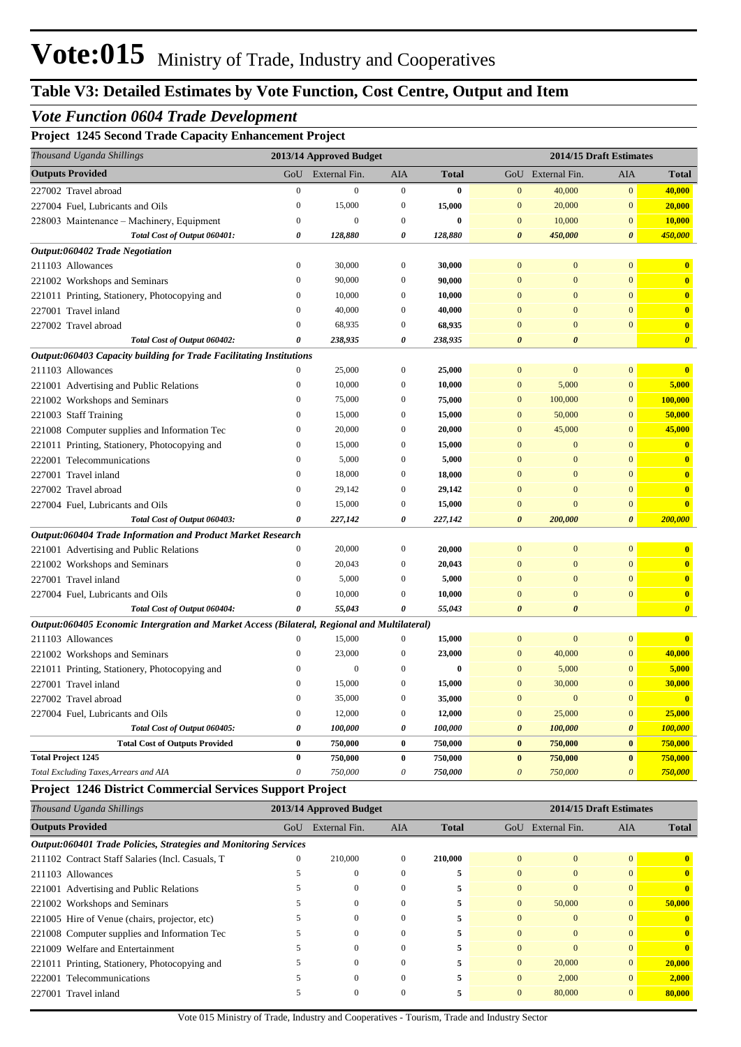## *Vote Function 0604 Trade Development*

#### **Project 1245 Second Trade Capacity Enhancement Project**

| 2013/14 Approved Budget<br>2014/15 Draft Estimates<br><b>Outputs Provided</b><br>External Fin.<br>GoU<br><b>AIA</b><br><b>Total</b><br>GoU External Fin.<br>AIA<br><b>Total</b><br>$\mathbf{0}$<br>$\overline{0}$<br>$\overline{0}$<br>$\overline{0}$<br>40,000<br>$\overline{0}$<br>227002 Travel abroad<br>$\bf{0}$<br>40,000<br>$\mathbf{0}$<br>15,000<br>$\boldsymbol{0}$<br>15,000<br>$\boldsymbol{0}$<br>20,000<br>$\mathbf{0}$<br>20,000<br>227004 Fuel, Lubricants and Oils<br>$\boldsymbol{0}$<br>$\boldsymbol{0}$<br>$\mathbf{0}$<br>$\mathbf{0}$<br>10,000<br>$\boldsymbol{0}$<br>10,000<br>$\bf{0}$<br>228003 Maintenance – Machinery, Equipment<br>Total Cost of Output 060401:<br>128,880<br>128,880<br>$\boldsymbol{\theta}$<br>450,000<br>$\boldsymbol{\theta}$<br>450,000<br>0<br>0<br>Output:060402 Trade Negotiation<br>$\overline{0}$<br>30,000<br>$\overline{0}$<br>30,000<br>$\overline{0}$<br>$\boldsymbol{0}$<br>$\overline{0}$<br>$\bf{0}$<br>211103 Allowances<br>$\mathbf{0}$<br>$\mathbf{0}$<br>90,000<br>$\mathbf{0}$<br>90,000<br>$\boldsymbol{0}$<br>$\bf{0}$<br>221002 Workshops and Seminars<br>$\Omega$<br>$\mathbf{0}$<br>$\mathbf{0}$<br>$\overline{0}$<br>10,000<br>$\Omega$<br>10,000<br>$\Omega$<br>$\Omega$<br>221011 Printing, Stationery, Photocopying and<br>$\mathbf{0}$<br>$\mathbf{0}$<br>$\theta$<br>40,000<br>$\overline{0}$<br>40,000<br>$\Omega$<br>$\overline{0}$<br>227001 Travel inland<br>$\bf{0}$<br>68,935<br>$\mathbf{0}$<br>$\overline{0}$<br>227002 Travel abroad<br>$\theta$<br>$\overline{0}$<br>68,935<br>$\Omega$<br>Total Cost of Output 060402:<br>238,935<br>238,935<br>$\boldsymbol{\theta}$<br>$\boldsymbol{\theta}$<br>$\theta$<br>0<br>$\boldsymbol{\theta}$<br>Output:060403 Capacity building for Trade Facilitating Institutions<br>$\overline{0}$<br>$\boldsymbol{0}$<br>25,000<br>$\boldsymbol{0}$<br>25,000<br>$\mathbf{0}$<br>$\mathbf{0}$<br>$\mathbf{0}$<br>211103 Allowances<br>$\overline{0}$<br>$\mathbf{0}$<br>5,000<br>221001 Advertising and Public Relations<br>10,000<br>$\mathbf{0}$<br>10,000<br>$\mathbf{0}$<br>5,000<br>221002 Workshops and Seminars<br>$\overline{0}$<br>75,000<br>$\overline{0}$<br>75,000<br>$\overline{0}$<br>100,000<br>$\mathbf{0}$<br>100,000<br>$\theta$<br>$\overline{0}$<br>15,000<br>$\overline{0}$<br>$\overline{0}$<br>50,000<br>221003 Staff Training<br>15,000<br>50,000<br>$\theta$<br>20,000<br>$\overline{0}$<br>20,000<br>$\overline{0}$<br>45,000<br>$\overline{0}$<br>45,000<br>221008 Computer supplies and Information Tec<br>221011 Printing, Stationery, Photocopying and<br>$\theta$<br>15,000<br>$\overline{0}$<br>15,000<br>$\overline{0}$<br>$\overline{0}$<br>$\overline{0}$<br>$\overline{\mathbf{0}}$<br>5,000<br>5,000<br>$\bf{0}$<br>$\mathbf{0}$<br>$\mathbf{0}$<br>$\overline{0}$<br>$\mathbf{0}$<br>$\mathbf{0}$<br>222001 Telecommunications<br>$\mathbf{0}$<br>18,000<br>$\mathbf{0}$<br>18,000<br>$\mathbf{0}$<br>$\overline{0}$<br>$\mathbf{0}$<br>227001 Travel inland<br>$\Omega$<br>$\overline{\mathbf{0}}$<br>$\mathbf{0}$<br>29,142<br>$\overline{0}$<br>29,142<br>$\mathbf{0}$<br>$\overline{0}$<br>$\overline{0}$<br>227002 Travel abroad<br>$\overline{0}$<br>15,000<br>$\mathbf{0}$<br>$\mathbf{0}$<br>$\overline{0}$<br>$\overline{\mathbf{0}}$<br>15,000<br>$\overline{0}$<br>227004 Fuel, Lubricants and Oils<br>$\boldsymbol{\theta}$<br>227,142<br>0<br>227,142<br>$\boldsymbol{\theta}$<br>200,000<br>$\boldsymbol{\theta}$<br>200,000<br>Total Cost of Output 060403:<br>Output:060404 Trade Information and Product Market Research<br>$\mathbf{0}$<br>$\overline{0}$<br>$\boldsymbol{0}$<br>20,000<br>$\boldsymbol{0}$<br>20,000<br>$\mathbf{0}$<br>$\mathbf{0}$<br>221001 Advertising and Public Relations<br>20,043<br>$\boldsymbol{0}$<br>$\boldsymbol{0}$<br>$\boldsymbol{0}$<br>20,043<br>$\mathbf{0}$<br>$\mathbf{0}$<br>$\mathbf{0}$<br>221002 Workshops and Seminars<br>$\overline{0}$<br>5,000<br>5,000<br>$\mathbf{0}$<br>$\mathbf{0}$<br>$\mathbf{0}$<br>$\Omega$<br>$\mathbf{0}$<br>227001 Travel inland<br>$\overline{0}$<br>10,000<br>$\mathbf{0}$<br>$\overline{0}$<br>$\mathbf{0}$<br>$\overline{0}$<br>10,000<br>$\Omega$<br>227004 Fuel, Lubricants and Oils<br>55,043<br>55,043<br>$\boldsymbol{\theta}$<br>Total Cost of Output 060404:<br>0<br>$\theta$<br>$\boldsymbol{\theta}$<br>$\boldsymbol{\theta}$<br>Output:060405 Economic Intergration and Market Access (Bilateral, Regional and Multilateral)<br>$\boldsymbol{0}$<br>15,000<br>$\boldsymbol{0}$<br>15,000<br>$\mathbf{0}$<br>$\bf{0}$<br>$\bf{0}$<br>$\mathbf{0}$<br>211103 Allowances<br>$\mathbf{0}$<br>23,000<br>$\boldsymbol{0}$<br>23,000<br>$\mathbf{0}$<br>40,000<br>$\mathbf{0}$<br>40,000<br>221002 Workshops and Seminars<br>$\boldsymbol{0}$<br>5,000<br>$\overline{0}$<br>5,000<br>221011 Printing, Stationery, Photocopying and<br>$\theta$<br>$\overline{0}$<br>$\bf{0}$<br>$\overline{0}$<br>15,000<br>15,000<br>30,000<br><b>30,000</b><br>227001 Travel inland<br>$\boldsymbol{0}$<br>$\boldsymbol{0}$<br>$\boldsymbol{0}$<br>$\mathbf{0}$<br>$\overline{\mathbf{0}}$<br>227002 Travel abroad<br>$\theta$<br>35,000<br>$\Omega$<br>35,000<br>$\mathbf{0}$<br>$\boldsymbol{0}$<br>$\mathbf{0}$<br>25,000<br>$\mathbf{0}$<br>12,000<br>$\mathbf{0}$<br>12,000<br>$\mathbf{0}$<br>25,000<br>$\mathbf{0}$<br>227004 Fuel, Lubricants and Oils<br>0<br>100,000<br>Total Cost of Output 060405:<br>100,000<br>0<br>100,000<br>$\boldsymbol{\theta}$<br>100,000<br>$\boldsymbol{\theta}$<br>$\bf{0}$<br>$\bf{0}$<br>$\bf{0}$<br>750,000<br>750,000<br><b>Total Cost of Outputs Provided</b><br>750,000<br>750,000<br>$\bf{0}$<br><b>Total Project 1245</b><br>$\bf{0}$<br>750,000<br>$\bf{0}$<br>750,000<br>$\bf{0}$<br>750,000<br>$\bf{0}$<br>750,000<br>$\theta$<br>750,000<br>$\theta$<br>750,000<br>$\theta$<br>750,000<br>$\overline{\mathbf{0}}$<br>750,000<br>Total Excluding Taxes, Arrears and AIA | Thousand Uganda Shillings |  |  |  |  |
|-------------------------------------------------------------------------------------------------------------------------------------------------------------------------------------------------------------------------------------------------------------------------------------------------------------------------------------------------------------------------------------------------------------------------------------------------------------------------------------------------------------------------------------------------------------------------------------------------------------------------------------------------------------------------------------------------------------------------------------------------------------------------------------------------------------------------------------------------------------------------------------------------------------------------------------------------------------------------------------------------------------------------------------------------------------------------------------------------------------------------------------------------------------------------------------------------------------------------------------------------------------------------------------------------------------------------------------------------------------------------------------------------------------------------------------------------------------------------------------------------------------------------------------------------------------------------------------------------------------------------------------------------------------------------------------------------------------------------------------------------------------------------------------------------------------------------------------------------------------------------------------------------------------------------------------------------------------------------------------------------------------------------------------------------------------------------------------------------------------------------------------------------------------------------------------------------------------------------------------------------------------------------------------------------------------------------------------------------------------------------------------------------------------------------------------------------------------------------------------------------------------------------------------------------------------------------------------------------------------------------------------------------------------------------------------------------------------------------------------------------------------------------------------------------------------------------------------------------------------------------------------------------------------------------------------------------------------------------------------------------------------------------------------------------------------------------------------------------------------------------------------------------------------------------------------------------------------------------------------------------------------------------------------------------------------------------------------------------------------------------------------------------------------------------------------------------------------------------------------------------------------------------------------------------------------------------------------------------------------------------------------------------------------------------------------------------------------------------------------------------------------------------------------------------------------------------------------------------------------------------------------------------------------------------------------------------------------------------------------------------------------------------------------------------------------------------------------------------------------------------------------------------------------------------------------------------------------------------------------------------------------------------------------------------------------------------------------------------------------------------------------------------------------------------------------------------------------------------------------------------------------------------------------------------------------------------------------------------------------------------------------------------------------------------------------------------------------------------------------------------------------------------------------------------------------------------------------------------------------------------------------------------------------------------------------------------------------------------------------------------------------------------------------------------------------------------------------------------------------------------------------------------------------------------------------------------------------------------------------------------------------------------------------------------------------------------------------------------------------------------------------------------------------------------------------------------------------------------------------------------------------------------------------------------------------------------------------------------------------------------------------------------------------------------------------------------------------------------------------------------------------------------------------------------------------------------------------------------------------------------------------------------------------------------------------------------------------------------------|---------------------------|--|--|--|--|
|                                                                                                                                                                                                                                                                                                                                                                                                                                                                                                                                                                                                                                                                                                                                                                                                                                                                                                                                                                                                                                                                                                                                                                                                                                                                                                                                                                                                                                                                                                                                                                                                                                                                                                                                                                                                                                                                                                                                                                                                                                                                                                                                                                                                                                                                                                                                                                                                                                                                                                                                                                                                                                                                                                                                                                                                                                                                                                                                                                                                                                                                                                                                                                                                                                                                                                                                                                                                                                                                                                                                                                                                                                                                                                                                                                                                                                                                                                                                                                                                                                                                                                                                                                                                                                                                                                                                                                                                                                                                                                                                                                                                                                                                                                                                                                                                                                                                                                                                                                                                                                                                                                                                                                                                                                                                                                                                                                                                                                                                                                                                                                                                                                                                                                                                                                                                                                                                                                                                                                               |                           |  |  |  |  |
|                                                                                                                                                                                                                                                                                                                                                                                                                                                                                                                                                                                                                                                                                                                                                                                                                                                                                                                                                                                                                                                                                                                                                                                                                                                                                                                                                                                                                                                                                                                                                                                                                                                                                                                                                                                                                                                                                                                                                                                                                                                                                                                                                                                                                                                                                                                                                                                                                                                                                                                                                                                                                                                                                                                                                                                                                                                                                                                                                                                                                                                                                                                                                                                                                                                                                                                                                                                                                                                                                                                                                                                                                                                                                                                                                                                                                                                                                                                                                                                                                                                                                                                                                                                                                                                                                                                                                                                                                                                                                                                                                                                                                                                                                                                                                                                                                                                                                                                                                                                                                                                                                                                                                                                                                                                                                                                                                                                                                                                                                                                                                                                                                                                                                                                                                                                                                                                                                                                                                                               |                           |  |  |  |  |
|                                                                                                                                                                                                                                                                                                                                                                                                                                                                                                                                                                                                                                                                                                                                                                                                                                                                                                                                                                                                                                                                                                                                                                                                                                                                                                                                                                                                                                                                                                                                                                                                                                                                                                                                                                                                                                                                                                                                                                                                                                                                                                                                                                                                                                                                                                                                                                                                                                                                                                                                                                                                                                                                                                                                                                                                                                                                                                                                                                                                                                                                                                                                                                                                                                                                                                                                                                                                                                                                                                                                                                                                                                                                                                                                                                                                                                                                                                                                                                                                                                                                                                                                                                                                                                                                                                                                                                                                                                                                                                                                                                                                                                                                                                                                                                                                                                                                                                                                                                                                                                                                                                                                                                                                                                                                                                                                                                                                                                                                                                                                                                                                                                                                                                                                                                                                                                                                                                                                                                               |                           |  |  |  |  |
|                                                                                                                                                                                                                                                                                                                                                                                                                                                                                                                                                                                                                                                                                                                                                                                                                                                                                                                                                                                                                                                                                                                                                                                                                                                                                                                                                                                                                                                                                                                                                                                                                                                                                                                                                                                                                                                                                                                                                                                                                                                                                                                                                                                                                                                                                                                                                                                                                                                                                                                                                                                                                                                                                                                                                                                                                                                                                                                                                                                                                                                                                                                                                                                                                                                                                                                                                                                                                                                                                                                                                                                                                                                                                                                                                                                                                                                                                                                                                                                                                                                                                                                                                                                                                                                                                                                                                                                                                                                                                                                                                                                                                                                                                                                                                                                                                                                                                                                                                                                                                                                                                                                                                                                                                                                                                                                                                                                                                                                                                                                                                                                                                                                                                                                                                                                                                                                                                                                                                                               |                           |  |  |  |  |
|                                                                                                                                                                                                                                                                                                                                                                                                                                                                                                                                                                                                                                                                                                                                                                                                                                                                                                                                                                                                                                                                                                                                                                                                                                                                                                                                                                                                                                                                                                                                                                                                                                                                                                                                                                                                                                                                                                                                                                                                                                                                                                                                                                                                                                                                                                                                                                                                                                                                                                                                                                                                                                                                                                                                                                                                                                                                                                                                                                                                                                                                                                                                                                                                                                                                                                                                                                                                                                                                                                                                                                                                                                                                                                                                                                                                                                                                                                                                                                                                                                                                                                                                                                                                                                                                                                                                                                                                                                                                                                                                                                                                                                                                                                                                                                                                                                                                                                                                                                                                                                                                                                                                                                                                                                                                                                                                                                                                                                                                                                                                                                                                                                                                                                                                                                                                                                                                                                                                                                               |                           |  |  |  |  |
|                                                                                                                                                                                                                                                                                                                                                                                                                                                                                                                                                                                                                                                                                                                                                                                                                                                                                                                                                                                                                                                                                                                                                                                                                                                                                                                                                                                                                                                                                                                                                                                                                                                                                                                                                                                                                                                                                                                                                                                                                                                                                                                                                                                                                                                                                                                                                                                                                                                                                                                                                                                                                                                                                                                                                                                                                                                                                                                                                                                                                                                                                                                                                                                                                                                                                                                                                                                                                                                                                                                                                                                                                                                                                                                                                                                                                                                                                                                                                                                                                                                                                                                                                                                                                                                                                                                                                                                                                                                                                                                                                                                                                                                                                                                                                                                                                                                                                                                                                                                                                                                                                                                                                                                                                                                                                                                                                                                                                                                                                                                                                                                                                                                                                                                                                                                                                                                                                                                                                                               |                           |  |  |  |  |
|                                                                                                                                                                                                                                                                                                                                                                                                                                                                                                                                                                                                                                                                                                                                                                                                                                                                                                                                                                                                                                                                                                                                                                                                                                                                                                                                                                                                                                                                                                                                                                                                                                                                                                                                                                                                                                                                                                                                                                                                                                                                                                                                                                                                                                                                                                                                                                                                                                                                                                                                                                                                                                                                                                                                                                                                                                                                                                                                                                                                                                                                                                                                                                                                                                                                                                                                                                                                                                                                                                                                                                                                                                                                                                                                                                                                                                                                                                                                                                                                                                                                                                                                                                                                                                                                                                                                                                                                                                                                                                                                                                                                                                                                                                                                                                                                                                                                                                                                                                                                                                                                                                                                                                                                                                                                                                                                                                                                                                                                                                                                                                                                                                                                                                                                                                                                                                                                                                                                                                               |                           |  |  |  |  |
|                                                                                                                                                                                                                                                                                                                                                                                                                                                                                                                                                                                                                                                                                                                                                                                                                                                                                                                                                                                                                                                                                                                                                                                                                                                                                                                                                                                                                                                                                                                                                                                                                                                                                                                                                                                                                                                                                                                                                                                                                                                                                                                                                                                                                                                                                                                                                                                                                                                                                                                                                                                                                                                                                                                                                                                                                                                                                                                                                                                                                                                                                                                                                                                                                                                                                                                                                                                                                                                                                                                                                                                                                                                                                                                                                                                                                                                                                                                                                                                                                                                                                                                                                                                                                                                                                                                                                                                                                                                                                                                                                                                                                                                                                                                                                                                                                                                                                                                                                                                                                                                                                                                                                                                                                                                                                                                                                                                                                                                                                                                                                                                                                                                                                                                                                                                                                                                                                                                                                                               |                           |  |  |  |  |
|                                                                                                                                                                                                                                                                                                                                                                                                                                                                                                                                                                                                                                                                                                                                                                                                                                                                                                                                                                                                                                                                                                                                                                                                                                                                                                                                                                                                                                                                                                                                                                                                                                                                                                                                                                                                                                                                                                                                                                                                                                                                                                                                                                                                                                                                                                                                                                                                                                                                                                                                                                                                                                                                                                                                                                                                                                                                                                                                                                                                                                                                                                                                                                                                                                                                                                                                                                                                                                                                                                                                                                                                                                                                                                                                                                                                                                                                                                                                                                                                                                                                                                                                                                                                                                                                                                                                                                                                                                                                                                                                                                                                                                                                                                                                                                                                                                                                                                                                                                                                                                                                                                                                                                                                                                                                                                                                                                                                                                                                                                                                                                                                                                                                                                                                                                                                                                                                                                                                                                               |                           |  |  |  |  |
|                                                                                                                                                                                                                                                                                                                                                                                                                                                                                                                                                                                                                                                                                                                                                                                                                                                                                                                                                                                                                                                                                                                                                                                                                                                                                                                                                                                                                                                                                                                                                                                                                                                                                                                                                                                                                                                                                                                                                                                                                                                                                                                                                                                                                                                                                                                                                                                                                                                                                                                                                                                                                                                                                                                                                                                                                                                                                                                                                                                                                                                                                                                                                                                                                                                                                                                                                                                                                                                                                                                                                                                                                                                                                                                                                                                                                                                                                                                                                                                                                                                                                                                                                                                                                                                                                                                                                                                                                                                                                                                                                                                                                                                                                                                                                                                                                                                                                                                                                                                                                                                                                                                                                                                                                                                                                                                                                                                                                                                                                                                                                                                                                                                                                                                                                                                                                                                                                                                                                                               |                           |  |  |  |  |
|                                                                                                                                                                                                                                                                                                                                                                                                                                                                                                                                                                                                                                                                                                                                                                                                                                                                                                                                                                                                                                                                                                                                                                                                                                                                                                                                                                                                                                                                                                                                                                                                                                                                                                                                                                                                                                                                                                                                                                                                                                                                                                                                                                                                                                                                                                                                                                                                                                                                                                                                                                                                                                                                                                                                                                                                                                                                                                                                                                                                                                                                                                                                                                                                                                                                                                                                                                                                                                                                                                                                                                                                                                                                                                                                                                                                                                                                                                                                                                                                                                                                                                                                                                                                                                                                                                                                                                                                                                                                                                                                                                                                                                                                                                                                                                                                                                                                                                                                                                                                                                                                                                                                                                                                                                                                                                                                                                                                                                                                                                                                                                                                                                                                                                                                                                                                                                                                                                                                                                               |                           |  |  |  |  |
|                                                                                                                                                                                                                                                                                                                                                                                                                                                                                                                                                                                                                                                                                                                                                                                                                                                                                                                                                                                                                                                                                                                                                                                                                                                                                                                                                                                                                                                                                                                                                                                                                                                                                                                                                                                                                                                                                                                                                                                                                                                                                                                                                                                                                                                                                                                                                                                                                                                                                                                                                                                                                                                                                                                                                                                                                                                                                                                                                                                                                                                                                                                                                                                                                                                                                                                                                                                                                                                                                                                                                                                                                                                                                                                                                                                                                                                                                                                                                                                                                                                                                                                                                                                                                                                                                                                                                                                                                                                                                                                                                                                                                                                                                                                                                                                                                                                                                                                                                                                                                                                                                                                                                                                                                                                                                                                                                                                                                                                                                                                                                                                                                                                                                                                                                                                                                                                                                                                                                                               |                           |  |  |  |  |
|                                                                                                                                                                                                                                                                                                                                                                                                                                                                                                                                                                                                                                                                                                                                                                                                                                                                                                                                                                                                                                                                                                                                                                                                                                                                                                                                                                                                                                                                                                                                                                                                                                                                                                                                                                                                                                                                                                                                                                                                                                                                                                                                                                                                                                                                                                                                                                                                                                                                                                                                                                                                                                                                                                                                                                                                                                                                                                                                                                                                                                                                                                                                                                                                                                                                                                                                                                                                                                                                                                                                                                                                                                                                                                                                                                                                                                                                                                                                                                                                                                                                                                                                                                                                                                                                                                                                                                                                                                                                                                                                                                                                                                                                                                                                                                                                                                                                                                                                                                                                                                                                                                                                                                                                                                                                                                                                                                                                                                                                                                                                                                                                                                                                                                                                                                                                                                                                                                                                                                               |                           |  |  |  |  |
|                                                                                                                                                                                                                                                                                                                                                                                                                                                                                                                                                                                                                                                                                                                                                                                                                                                                                                                                                                                                                                                                                                                                                                                                                                                                                                                                                                                                                                                                                                                                                                                                                                                                                                                                                                                                                                                                                                                                                                                                                                                                                                                                                                                                                                                                                                                                                                                                                                                                                                                                                                                                                                                                                                                                                                                                                                                                                                                                                                                                                                                                                                                                                                                                                                                                                                                                                                                                                                                                                                                                                                                                                                                                                                                                                                                                                                                                                                                                                                                                                                                                                                                                                                                                                                                                                                                                                                                                                                                                                                                                                                                                                                                                                                                                                                                                                                                                                                                                                                                                                                                                                                                                                                                                                                                                                                                                                                                                                                                                                                                                                                                                                                                                                                                                                                                                                                                                                                                                                                               |                           |  |  |  |  |
|                                                                                                                                                                                                                                                                                                                                                                                                                                                                                                                                                                                                                                                                                                                                                                                                                                                                                                                                                                                                                                                                                                                                                                                                                                                                                                                                                                                                                                                                                                                                                                                                                                                                                                                                                                                                                                                                                                                                                                                                                                                                                                                                                                                                                                                                                                                                                                                                                                                                                                                                                                                                                                                                                                                                                                                                                                                                                                                                                                                                                                                                                                                                                                                                                                                                                                                                                                                                                                                                                                                                                                                                                                                                                                                                                                                                                                                                                                                                                                                                                                                                                                                                                                                                                                                                                                                                                                                                                                                                                                                                                                                                                                                                                                                                                                                                                                                                                                                                                                                                                                                                                                                                                                                                                                                                                                                                                                                                                                                                                                                                                                                                                                                                                                                                                                                                                                                                                                                                                                               |                           |  |  |  |  |
|                                                                                                                                                                                                                                                                                                                                                                                                                                                                                                                                                                                                                                                                                                                                                                                                                                                                                                                                                                                                                                                                                                                                                                                                                                                                                                                                                                                                                                                                                                                                                                                                                                                                                                                                                                                                                                                                                                                                                                                                                                                                                                                                                                                                                                                                                                                                                                                                                                                                                                                                                                                                                                                                                                                                                                                                                                                                                                                                                                                                                                                                                                                                                                                                                                                                                                                                                                                                                                                                                                                                                                                                                                                                                                                                                                                                                                                                                                                                                                                                                                                                                                                                                                                                                                                                                                                                                                                                                                                                                                                                                                                                                                                                                                                                                                                                                                                                                                                                                                                                                                                                                                                                                                                                                                                                                                                                                                                                                                                                                                                                                                                                                                                                                                                                                                                                                                                                                                                                                                               |                           |  |  |  |  |
|                                                                                                                                                                                                                                                                                                                                                                                                                                                                                                                                                                                                                                                                                                                                                                                                                                                                                                                                                                                                                                                                                                                                                                                                                                                                                                                                                                                                                                                                                                                                                                                                                                                                                                                                                                                                                                                                                                                                                                                                                                                                                                                                                                                                                                                                                                                                                                                                                                                                                                                                                                                                                                                                                                                                                                                                                                                                                                                                                                                                                                                                                                                                                                                                                                                                                                                                                                                                                                                                                                                                                                                                                                                                                                                                                                                                                                                                                                                                                                                                                                                                                                                                                                                                                                                                                                                                                                                                                                                                                                                                                                                                                                                                                                                                                                                                                                                                                                                                                                                                                                                                                                                                                                                                                                                                                                                                                                                                                                                                                                                                                                                                                                                                                                                                                                                                                                                                                                                                                                               |                           |  |  |  |  |
|                                                                                                                                                                                                                                                                                                                                                                                                                                                                                                                                                                                                                                                                                                                                                                                                                                                                                                                                                                                                                                                                                                                                                                                                                                                                                                                                                                                                                                                                                                                                                                                                                                                                                                                                                                                                                                                                                                                                                                                                                                                                                                                                                                                                                                                                                                                                                                                                                                                                                                                                                                                                                                                                                                                                                                                                                                                                                                                                                                                                                                                                                                                                                                                                                                                                                                                                                                                                                                                                                                                                                                                                                                                                                                                                                                                                                                                                                                                                                                                                                                                                                                                                                                                                                                                                                                                                                                                                                                                                                                                                                                                                                                                                                                                                                                                                                                                                                                                                                                                                                                                                                                                                                                                                                                                                                                                                                                                                                                                                                                                                                                                                                                                                                                                                                                                                                                                                                                                                                                               |                           |  |  |  |  |
|                                                                                                                                                                                                                                                                                                                                                                                                                                                                                                                                                                                                                                                                                                                                                                                                                                                                                                                                                                                                                                                                                                                                                                                                                                                                                                                                                                                                                                                                                                                                                                                                                                                                                                                                                                                                                                                                                                                                                                                                                                                                                                                                                                                                                                                                                                                                                                                                                                                                                                                                                                                                                                                                                                                                                                                                                                                                                                                                                                                                                                                                                                                                                                                                                                                                                                                                                                                                                                                                                                                                                                                                                                                                                                                                                                                                                                                                                                                                                                                                                                                                                                                                                                                                                                                                                                                                                                                                                                                                                                                                                                                                                                                                                                                                                                                                                                                                                                                                                                                                                                                                                                                                                                                                                                                                                                                                                                                                                                                                                                                                                                                                                                                                                                                                                                                                                                                                                                                                                                               |                           |  |  |  |  |
|                                                                                                                                                                                                                                                                                                                                                                                                                                                                                                                                                                                                                                                                                                                                                                                                                                                                                                                                                                                                                                                                                                                                                                                                                                                                                                                                                                                                                                                                                                                                                                                                                                                                                                                                                                                                                                                                                                                                                                                                                                                                                                                                                                                                                                                                                                                                                                                                                                                                                                                                                                                                                                                                                                                                                                                                                                                                                                                                                                                                                                                                                                                                                                                                                                                                                                                                                                                                                                                                                                                                                                                                                                                                                                                                                                                                                                                                                                                                                                                                                                                                                                                                                                                                                                                                                                                                                                                                                                                                                                                                                                                                                                                                                                                                                                                                                                                                                                                                                                                                                                                                                                                                                                                                                                                                                                                                                                                                                                                                                                                                                                                                                                                                                                                                                                                                                                                                                                                                                                               |                           |  |  |  |  |
|                                                                                                                                                                                                                                                                                                                                                                                                                                                                                                                                                                                                                                                                                                                                                                                                                                                                                                                                                                                                                                                                                                                                                                                                                                                                                                                                                                                                                                                                                                                                                                                                                                                                                                                                                                                                                                                                                                                                                                                                                                                                                                                                                                                                                                                                                                                                                                                                                                                                                                                                                                                                                                                                                                                                                                                                                                                                                                                                                                                                                                                                                                                                                                                                                                                                                                                                                                                                                                                                                                                                                                                                                                                                                                                                                                                                                                                                                                                                                                                                                                                                                                                                                                                                                                                                                                                                                                                                                                                                                                                                                                                                                                                                                                                                                                                                                                                                                                                                                                                                                                                                                                                                                                                                                                                                                                                                                                                                                                                                                                                                                                                                                                                                                                                                                                                                                                                                                                                                                                               |                           |  |  |  |  |
|                                                                                                                                                                                                                                                                                                                                                                                                                                                                                                                                                                                                                                                                                                                                                                                                                                                                                                                                                                                                                                                                                                                                                                                                                                                                                                                                                                                                                                                                                                                                                                                                                                                                                                                                                                                                                                                                                                                                                                                                                                                                                                                                                                                                                                                                                                                                                                                                                                                                                                                                                                                                                                                                                                                                                                                                                                                                                                                                                                                                                                                                                                                                                                                                                                                                                                                                                                                                                                                                                                                                                                                                                                                                                                                                                                                                                                                                                                                                                                                                                                                                                                                                                                                                                                                                                                                                                                                                                                                                                                                                                                                                                                                                                                                                                                                                                                                                                                                                                                                                                                                                                                                                                                                                                                                                                                                                                                                                                                                                                                                                                                                                                                                                                                                                                                                                                                                                                                                                                                               |                           |  |  |  |  |
|                                                                                                                                                                                                                                                                                                                                                                                                                                                                                                                                                                                                                                                                                                                                                                                                                                                                                                                                                                                                                                                                                                                                                                                                                                                                                                                                                                                                                                                                                                                                                                                                                                                                                                                                                                                                                                                                                                                                                                                                                                                                                                                                                                                                                                                                                                                                                                                                                                                                                                                                                                                                                                                                                                                                                                                                                                                                                                                                                                                                                                                                                                                                                                                                                                                                                                                                                                                                                                                                                                                                                                                                                                                                                                                                                                                                                                                                                                                                                                                                                                                                                                                                                                                                                                                                                                                                                                                                                                                                                                                                                                                                                                                                                                                                                                                                                                                                                                                                                                                                                                                                                                                                                                                                                                                                                                                                                                                                                                                                                                                                                                                                                                                                                                                                                                                                                                                                                                                                                                               |                           |  |  |  |  |
|                                                                                                                                                                                                                                                                                                                                                                                                                                                                                                                                                                                                                                                                                                                                                                                                                                                                                                                                                                                                                                                                                                                                                                                                                                                                                                                                                                                                                                                                                                                                                                                                                                                                                                                                                                                                                                                                                                                                                                                                                                                                                                                                                                                                                                                                                                                                                                                                                                                                                                                                                                                                                                                                                                                                                                                                                                                                                                                                                                                                                                                                                                                                                                                                                                                                                                                                                                                                                                                                                                                                                                                                                                                                                                                                                                                                                                                                                                                                                                                                                                                                                                                                                                                                                                                                                                                                                                                                                                                                                                                                                                                                                                                                                                                                                                                                                                                                                                                                                                                                                                                                                                                                                                                                                                                                                                                                                                                                                                                                                                                                                                                                                                                                                                                                                                                                                                                                                                                                                                               |                           |  |  |  |  |
|                                                                                                                                                                                                                                                                                                                                                                                                                                                                                                                                                                                                                                                                                                                                                                                                                                                                                                                                                                                                                                                                                                                                                                                                                                                                                                                                                                                                                                                                                                                                                                                                                                                                                                                                                                                                                                                                                                                                                                                                                                                                                                                                                                                                                                                                                                                                                                                                                                                                                                                                                                                                                                                                                                                                                                                                                                                                                                                                                                                                                                                                                                                                                                                                                                                                                                                                                                                                                                                                                                                                                                                                                                                                                                                                                                                                                                                                                                                                                                                                                                                                                                                                                                                                                                                                                                                                                                                                                                                                                                                                                                                                                                                                                                                                                                                                                                                                                                                                                                                                                                                                                                                                                                                                                                                                                                                                                                                                                                                                                                                                                                                                                                                                                                                                                                                                                                                                                                                                                                               |                           |  |  |  |  |
|                                                                                                                                                                                                                                                                                                                                                                                                                                                                                                                                                                                                                                                                                                                                                                                                                                                                                                                                                                                                                                                                                                                                                                                                                                                                                                                                                                                                                                                                                                                                                                                                                                                                                                                                                                                                                                                                                                                                                                                                                                                                                                                                                                                                                                                                                                                                                                                                                                                                                                                                                                                                                                                                                                                                                                                                                                                                                                                                                                                                                                                                                                                                                                                                                                                                                                                                                                                                                                                                                                                                                                                                                                                                                                                                                                                                                                                                                                                                                                                                                                                                                                                                                                                                                                                                                                                                                                                                                                                                                                                                                                                                                                                                                                                                                                                                                                                                                                                                                                                                                                                                                                                                                                                                                                                                                                                                                                                                                                                                                                                                                                                                                                                                                                                                                                                                                                                                                                                                                                               |                           |  |  |  |  |
|                                                                                                                                                                                                                                                                                                                                                                                                                                                                                                                                                                                                                                                                                                                                                                                                                                                                                                                                                                                                                                                                                                                                                                                                                                                                                                                                                                                                                                                                                                                                                                                                                                                                                                                                                                                                                                                                                                                                                                                                                                                                                                                                                                                                                                                                                                                                                                                                                                                                                                                                                                                                                                                                                                                                                                                                                                                                                                                                                                                                                                                                                                                                                                                                                                                                                                                                                                                                                                                                                                                                                                                                                                                                                                                                                                                                                                                                                                                                                                                                                                                                                                                                                                                                                                                                                                                                                                                                                                                                                                                                                                                                                                                                                                                                                                                                                                                                                                                                                                                                                                                                                                                                                                                                                                                                                                                                                                                                                                                                                                                                                                                                                                                                                                                                                                                                                                                                                                                                                                               |                           |  |  |  |  |
|                                                                                                                                                                                                                                                                                                                                                                                                                                                                                                                                                                                                                                                                                                                                                                                                                                                                                                                                                                                                                                                                                                                                                                                                                                                                                                                                                                                                                                                                                                                                                                                                                                                                                                                                                                                                                                                                                                                                                                                                                                                                                                                                                                                                                                                                                                                                                                                                                                                                                                                                                                                                                                                                                                                                                                                                                                                                                                                                                                                                                                                                                                                                                                                                                                                                                                                                                                                                                                                                                                                                                                                                                                                                                                                                                                                                                                                                                                                                                                                                                                                                                                                                                                                                                                                                                                                                                                                                                                                                                                                                                                                                                                                                                                                                                                                                                                                                                                                                                                                                                                                                                                                                                                                                                                                                                                                                                                                                                                                                                                                                                                                                                                                                                                                                                                                                                                                                                                                                                                               |                           |  |  |  |  |
|                                                                                                                                                                                                                                                                                                                                                                                                                                                                                                                                                                                                                                                                                                                                                                                                                                                                                                                                                                                                                                                                                                                                                                                                                                                                                                                                                                                                                                                                                                                                                                                                                                                                                                                                                                                                                                                                                                                                                                                                                                                                                                                                                                                                                                                                                                                                                                                                                                                                                                                                                                                                                                                                                                                                                                                                                                                                                                                                                                                                                                                                                                                                                                                                                                                                                                                                                                                                                                                                                                                                                                                                                                                                                                                                                                                                                                                                                                                                                                                                                                                                                                                                                                                                                                                                                                                                                                                                                                                                                                                                                                                                                                                                                                                                                                                                                                                                                                                                                                                                                                                                                                                                                                                                                                                                                                                                                                                                                                                                                                                                                                                                                                                                                                                                                                                                                                                                                                                                                                               |                           |  |  |  |  |
|                                                                                                                                                                                                                                                                                                                                                                                                                                                                                                                                                                                                                                                                                                                                                                                                                                                                                                                                                                                                                                                                                                                                                                                                                                                                                                                                                                                                                                                                                                                                                                                                                                                                                                                                                                                                                                                                                                                                                                                                                                                                                                                                                                                                                                                                                                                                                                                                                                                                                                                                                                                                                                                                                                                                                                                                                                                                                                                                                                                                                                                                                                                                                                                                                                                                                                                                                                                                                                                                                                                                                                                                                                                                                                                                                                                                                                                                                                                                                                                                                                                                                                                                                                                                                                                                                                                                                                                                                                                                                                                                                                                                                                                                                                                                                                                                                                                                                                                                                                                                                                                                                                                                                                                                                                                                                                                                                                                                                                                                                                                                                                                                                                                                                                                                                                                                                                                                                                                                                                               |                           |  |  |  |  |
|                                                                                                                                                                                                                                                                                                                                                                                                                                                                                                                                                                                                                                                                                                                                                                                                                                                                                                                                                                                                                                                                                                                                                                                                                                                                                                                                                                                                                                                                                                                                                                                                                                                                                                                                                                                                                                                                                                                                                                                                                                                                                                                                                                                                                                                                                                                                                                                                                                                                                                                                                                                                                                                                                                                                                                                                                                                                                                                                                                                                                                                                                                                                                                                                                                                                                                                                                                                                                                                                                                                                                                                                                                                                                                                                                                                                                                                                                                                                                                                                                                                                                                                                                                                                                                                                                                                                                                                                                                                                                                                                                                                                                                                                                                                                                                                                                                                                                                                                                                                                                                                                                                                                                                                                                                                                                                                                                                                                                                                                                                                                                                                                                                                                                                                                                                                                                                                                                                                                                                               |                           |  |  |  |  |
|                                                                                                                                                                                                                                                                                                                                                                                                                                                                                                                                                                                                                                                                                                                                                                                                                                                                                                                                                                                                                                                                                                                                                                                                                                                                                                                                                                                                                                                                                                                                                                                                                                                                                                                                                                                                                                                                                                                                                                                                                                                                                                                                                                                                                                                                                                                                                                                                                                                                                                                                                                                                                                                                                                                                                                                                                                                                                                                                                                                                                                                                                                                                                                                                                                                                                                                                                                                                                                                                                                                                                                                                                                                                                                                                                                                                                                                                                                                                                                                                                                                                                                                                                                                                                                                                                                                                                                                                                                                                                                                                                                                                                                                                                                                                                                                                                                                                                                                                                                                                                                                                                                                                                                                                                                                                                                                                                                                                                                                                                                                                                                                                                                                                                                                                                                                                                                                                                                                                                                               |                           |  |  |  |  |
|                                                                                                                                                                                                                                                                                                                                                                                                                                                                                                                                                                                                                                                                                                                                                                                                                                                                                                                                                                                                                                                                                                                                                                                                                                                                                                                                                                                                                                                                                                                                                                                                                                                                                                                                                                                                                                                                                                                                                                                                                                                                                                                                                                                                                                                                                                                                                                                                                                                                                                                                                                                                                                                                                                                                                                                                                                                                                                                                                                                                                                                                                                                                                                                                                                                                                                                                                                                                                                                                                                                                                                                                                                                                                                                                                                                                                                                                                                                                                                                                                                                                                                                                                                                                                                                                                                                                                                                                                                                                                                                                                                                                                                                                                                                                                                                                                                                                                                                                                                                                                                                                                                                                                                                                                                                                                                                                                                                                                                                                                                                                                                                                                                                                                                                                                                                                                                                                                                                                                                               |                           |  |  |  |  |
|                                                                                                                                                                                                                                                                                                                                                                                                                                                                                                                                                                                                                                                                                                                                                                                                                                                                                                                                                                                                                                                                                                                                                                                                                                                                                                                                                                                                                                                                                                                                                                                                                                                                                                                                                                                                                                                                                                                                                                                                                                                                                                                                                                                                                                                                                                                                                                                                                                                                                                                                                                                                                                                                                                                                                                                                                                                                                                                                                                                                                                                                                                                                                                                                                                                                                                                                                                                                                                                                                                                                                                                                                                                                                                                                                                                                                                                                                                                                                                                                                                                                                                                                                                                                                                                                                                                                                                                                                                                                                                                                                                                                                                                                                                                                                                                                                                                                                                                                                                                                                                                                                                                                                                                                                                                                                                                                                                                                                                                                                                                                                                                                                                                                                                                                                                                                                                                                                                                                                                               |                           |  |  |  |  |
|                                                                                                                                                                                                                                                                                                                                                                                                                                                                                                                                                                                                                                                                                                                                                                                                                                                                                                                                                                                                                                                                                                                                                                                                                                                                                                                                                                                                                                                                                                                                                                                                                                                                                                                                                                                                                                                                                                                                                                                                                                                                                                                                                                                                                                                                                                                                                                                                                                                                                                                                                                                                                                                                                                                                                                                                                                                                                                                                                                                                                                                                                                                                                                                                                                                                                                                                                                                                                                                                                                                                                                                                                                                                                                                                                                                                                                                                                                                                                                                                                                                                                                                                                                                                                                                                                                                                                                                                                                                                                                                                                                                                                                                                                                                                                                                                                                                                                                                                                                                                                                                                                                                                                                                                                                                                                                                                                                                                                                                                                                                                                                                                                                                                                                                                                                                                                                                                                                                                                                               |                           |  |  |  |  |
|                                                                                                                                                                                                                                                                                                                                                                                                                                                                                                                                                                                                                                                                                                                                                                                                                                                                                                                                                                                                                                                                                                                                                                                                                                                                                                                                                                                                                                                                                                                                                                                                                                                                                                                                                                                                                                                                                                                                                                                                                                                                                                                                                                                                                                                                                                                                                                                                                                                                                                                                                                                                                                                                                                                                                                                                                                                                                                                                                                                                                                                                                                                                                                                                                                                                                                                                                                                                                                                                                                                                                                                                                                                                                                                                                                                                                                                                                                                                                                                                                                                                                                                                                                                                                                                                                                                                                                                                                                                                                                                                                                                                                                                                                                                                                                                                                                                                                                                                                                                                                                                                                                                                                                                                                                                                                                                                                                                                                                                                                                                                                                                                                                                                                                                                                                                                                                                                                                                                                                               |                           |  |  |  |  |
|                                                                                                                                                                                                                                                                                                                                                                                                                                                                                                                                                                                                                                                                                                                                                                                                                                                                                                                                                                                                                                                                                                                                                                                                                                                                                                                                                                                                                                                                                                                                                                                                                                                                                                                                                                                                                                                                                                                                                                                                                                                                                                                                                                                                                                                                                                                                                                                                                                                                                                                                                                                                                                                                                                                                                                                                                                                                                                                                                                                                                                                                                                                                                                                                                                                                                                                                                                                                                                                                                                                                                                                                                                                                                                                                                                                                                                                                                                                                                                                                                                                                                                                                                                                                                                                                                                                                                                                                                                                                                                                                                                                                                                                                                                                                                                                                                                                                                                                                                                                                                                                                                                                                                                                                                                                                                                                                                                                                                                                                                                                                                                                                                                                                                                                                                                                                                                                                                                                                                                               |                           |  |  |  |  |
|                                                                                                                                                                                                                                                                                                                                                                                                                                                                                                                                                                                                                                                                                                                                                                                                                                                                                                                                                                                                                                                                                                                                                                                                                                                                                                                                                                                                                                                                                                                                                                                                                                                                                                                                                                                                                                                                                                                                                                                                                                                                                                                                                                                                                                                                                                                                                                                                                                                                                                                                                                                                                                                                                                                                                                                                                                                                                                                                                                                                                                                                                                                                                                                                                                                                                                                                                                                                                                                                                                                                                                                                                                                                                                                                                                                                                                                                                                                                                                                                                                                                                                                                                                                                                                                                                                                                                                                                                                                                                                                                                                                                                                                                                                                                                                                                                                                                                                                                                                                                                                                                                                                                                                                                                                                                                                                                                                                                                                                                                                                                                                                                                                                                                                                                                                                                                                                                                                                                                                               |                           |  |  |  |  |
|                                                                                                                                                                                                                                                                                                                                                                                                                                                                                                                                                                                                                                                                                                                                                                                                                                                                                                                                                                                                                                                                                                                                                                                                                                                                                                                                                                                                                                                                                                                                                                                                                                                                                                                                                                                                                                                                                                                                                                                                                                                                                                                                                                                                                                                                                                                                                                                                                                                                                                                                                                                                                                                                                                                                                                                                                                                                                                                                                                                                                                                                                                                                                                                                                                                                                                                                                                                                                                                                                                                                                                                                                                                                                                                                                                                                                                                                                                                                                                                                                                                                                                                                                                                                                                                                                                                                                                                                                                                                                                                                                                                                                                                                                                                                                                                                                                                                                                                                                                                                                                                                                                                                                                                                                                                                                                                                                                                                                                                                                                                                                                                                                                                                                                                                                                                                                                                                                                                                                                               |                           |  |  |  |  |
|                                                                                                                                                                                                                                                                                                                                                                                                                                                                                                                                                                                                                                                                                                                                                                                                                                                                                                                                                                                                                                                                                                                                                                                                                                                                                                                                                                                                                                                                                                                                                                                                                                                                                                                                                                                                                                                                                                                                                                                                                                                                                                                                                                                                                                                                                                                                                                                                                                                                                                                                                                                                                                                                                                                                                                                                                                                                                                                                                                                                                                                                                                                                                                                                                                                                                                                                                                                                                                                                                                                                                                                                                                                                                                                                                                                                                                                                                                                                                                                                                                                                                                                                                                                                                                                                                                                                                                                                                                                                                                                                                                                                                                                                                                                                                                                                                                                                                                                                                                                                                                                                                                                                                                                                                                                                                                                                                                                                                                                                                                                                                                                                                                                                                                                                                                                                                                                                                                                                                                               |                           |  |  |  |  |
|                                                                                                                                                                                                                                                                                                                                                                                                                                                                                                                                                                                                                                                                                                                                                                                                                                                                                                                                                                                                                                                                                                                                                                                                                                                                                                                                                                                                                                                                                                                                                                                                                                                                                                                                                                                                                                                                                                                                                                                                                                                                                                                                                                                                                                                                                                                                                                                                                                                                                                                                                                                                                                                                                                                                                                                                                                                                                                                                                                                                                                                                                                                                                                                                                                                                                                                                                                                                                                                                                                                                                                                                                                                                                                                                                                                                                                                                                                                                                                                                                                                                                                                                                                                                                                                                                                                                                                                                                                                                                                                                                                                                                                                                                                                                                                                                                                                                                                                                                                                                                                                                                                                                                                                                                                                                                                                                                                                                                                                                                                                                                                                                                                                                                                                                                                                                                                                                                                                                                                               |                           |  |  |  |  |
|                                                                                                                                                                                                                                                                                                                                                                                                                                                                                                                                                                                                                                                                                                                                                                                                                                                                                                                                                                                                                                                                                                                                                                                                                                                                                                                                                                                                                                                                                                                                                                                                                                                                                                                                                                                                                                                                                                                                                                                                                                                                                                                                                                                                                                                                                                                                                                                                                                                                                                                                                                                                                                                                                                                                                                                                                                                                                                                                                                                                                                                                                                                                                                                                                                                                                                                                                                                                                                                                                                                                                                                                                                                                                                                                                                                                                                                                                                                                                                                                                                                                                                                                                                                                                                                                                                                                                                                                                                                                                                                                                                                                                                                                                                                                                                                                                                                                                                                                                                                                                                                                                                                                                                                                                                                                                                                                                                                                                                                                                                                                                                                                                                                                                                                                                                                                                                                                                                                                                                               |                           |  |  |  |  |

#### **Project 1246 District Commercial Services Support Project**

| Thousand Uganda Shillings                                        | 2013/14 Approved Budget |               |            |              |                | 2014/15 Draft Estimates |              |              |  |  |  |  |
|------------------------------------------------------------------|-------------------------|---------------|------------|--------------|----------------|-------------------------|--------------|--------------|--|--|--|--|
| <b>Outputs Provided</b>                                          | GoU                     | External Fin. | <b>AIA</b> | <b>Total</b> |                | GoU External Fin.       | <b>AIA</b>   | <b>Total</b> |  |  |  |  |
| Output:060401 Trade Policies, Strategies and Monitoring Services |                         |               |            |              |                |                         |              |              |  |  |  |  |
| 211102 Contract Staff Salaries (Incl. Casuals, T.                | $\Omega$                | 210,000       |            | 210,000      | $\Omega$       | $\Omega$                | $\Omega$     | $\mathbf{0}$ |  |  |  |  |
| 211103 Allowances                                                |                         | $\Omega$      |            |              | $\Omega$       | $\Omega$                | $\Omega$     | $\mathbf{0}$ |  |  |  |  |
| 221001 Advertising and Public Relations                          |                         | $\theta$      |            | ÷.           | $\Omega$       | $\Omega$                | $\Omega$     | $\mathbf{0}$ |  |  |  |  |
| 221002 Workshops and Seminars                                    |                         | $\Omega$      |            |              | $\Omega$       | 50,000                  | $\mathbf{0}$ | 50,000       |  |  |  |  |
| 221005 Hire of Venue (chairs, projector, etc)                    |                         | $\Omega$      |            |              | $\Omega$       | $\mathbf{0}$            | $\Omega$     |              |  |  |  |  |
| 221008 Computer supplies and Information Tec                     |                         | $\Omega$      |            |              | $\Omega$       | $\Omega$                | $\Omega$     |              |  |  |  |  |
| 221009 Welfare and Entertainment                                 |                         | $\Omega$      |            |              | $\Omega$       | $\Omega$                | $\Omega$     | $\mathbf{0}$ |  |  |  |  |
| 221011 Printing, Stationery, Photocopying and                    |                         | $\theta$      | 0          |              | $\Omega$       | 20,000                  | $\mathbf{0}$ | 20,000       |  |  |  |  |
| 222001 Telecommunications                                        |                         | $\Omega$      |            |              | $\overline{0}$ | 2,000                   | $\mathbf{0}$ | 2,000        |  |  |  |  |
| 227001 Travel inland                                             |                         | $\Omega$      |            |              | $\overline{0}$ | 80,000                  | $\mathbf{0}$ | 80,000       |  |  |  |  |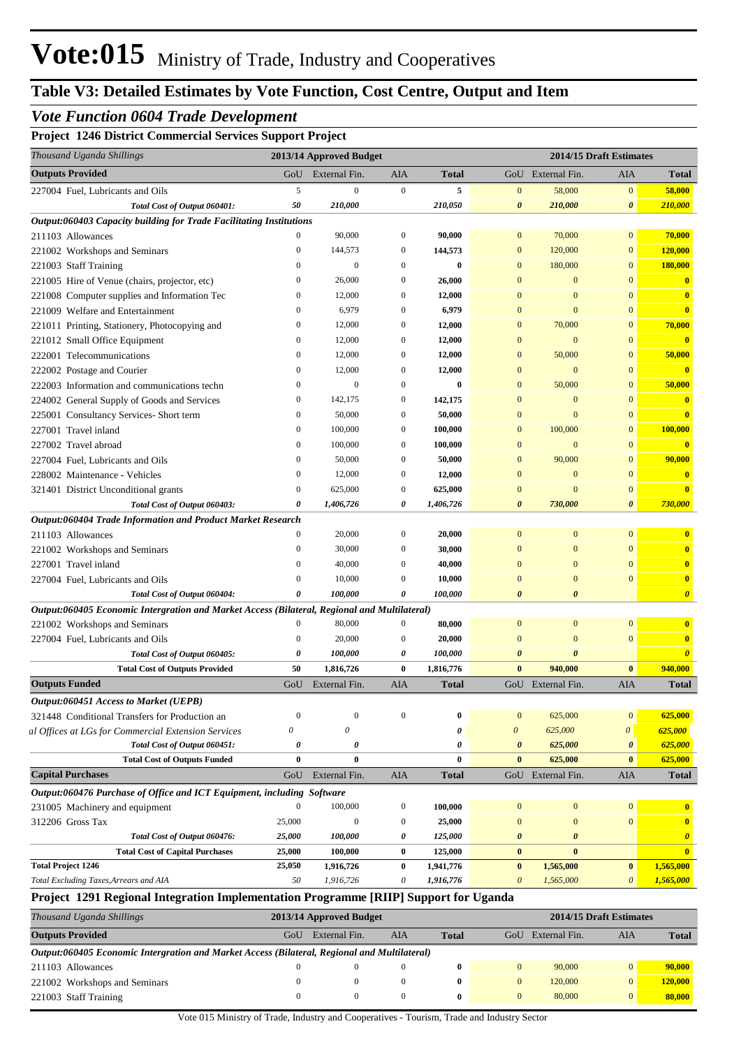### *Vote Function 0604 Trade Development*

### **Project 1246 District Commercial Services Support Project**

| GoU External Fin.<br>GoU External Fin.<br>AIA<br>AIA<br><b>Total</b><br>5<br>$\overline{0}$<br>$\overline{0}$<br>5<br>$\mathbf{0}$<br>58,000<br>$\mathbf{0}$<br>Total Cost of Output 060401:<br>50<br>210,000<br>210,050<br>210,000<br>$\boldsymbol{\theta}$<br>$\boldsymbol{\theta}$<br>Output:060403 Capacity building for Trade Facilitating Institutions<br>90,000<br>$\boldsymbol{0}$<br>90,000<br>$\overline{0}$<br>70,000<br>$\overline{0}$<br>$\Omega$<br>$\mathbf{0}$<br>144,573<br>144,573<br>$\overline{0}$<br>120,000<br>$\overline{0}$<br>$\mathbf{0}$<br>$\boldsymbol{0}$<br>$\theta$<br>$\boldsymbol{0}$<br>$\bf{0}$<br>$\mathbf{0}$<br>180,000<br>$\mathbf{0}$<br>$\overline{0}$<br>$\theta$<br>26,000<br>$\mathbf{0}$<br>26,000<br>$\overline{0}$<br>$\Omega$<br>$\mathbf{0}$<br>12,000<br>$\mathbf{0}$<br>12,000<br>$\overline{0}$<br>$\overline{0}$<br>$\Omega$<br>6,979<br>$\Omega$<br>$\theta$<br>6,979<br>$\mathbf{0}$<br>$\overline{0}$<br>$\overline{0}$<br>70,000<br>12,000<br>$\mathbf{0}$<br>12,000<br>$\mathbf{0}$<br>$\Omega$<br>$\mathbf{0}$<br>$\theta$<br>12,000<br>$\mathbf{0}$<br>12,000<br>$\mathbf{0}$<br>$\mathbf{0}$<br>$\Omega$<br>50,000<br>12,000<br>$\mathbf{0}$<br>12,000<br>$\mathbf{0}$<br>$\Omega$<br>$\mathbf{0}$<br>12,000<br>$\mathbf{0}$<br>12,000<br>$\mathbf{0}$<br>$\bf{0}$<br>$\Omega$<br>$\Omega$<br>50,000<br>$\theta$<br>$\mathbf{0}$<br>$\mathbf{0}$<br>$\bf{0}$<br>$\mathbf{0}$<br>$\Omega$<br>142,175<br>$\boldsymbol{0}$<br>142,175<br>$\mathbf{0}$<br>$\overline{0}$<br>$\Omega$<br>$\Omega$<br>$\mathbf{0}$<br>50,000<br>$\boldsymbol{0}$<br>50,000<br>$\overline{0}$<br>$\overline{0}$<br>$\Omega$<br>100,000<br>100,000<br>$\mathbf{0}$<br>100,000<br>$\overline{0}$<br>$\Omega$<br>$\mathbf{0}$<br>100,000<br>$\boldsymbol{0}$<br>100,000<br>$\mathbf{0}$<br>$\overline{0}$<br>$\overline{0}$<br>$\Omega$<br>90,000<br>50,000<br>$\boldsymbol{0}$<br>50,000<br>$\mathbf{0}$<br>$\Omega$<br>$\Omega$<br>12,000<br>$\mathbf{0}$<br>12,000<br>$\mathbf{0}$<br>$\Omega$<br>$\Omega$<br>$\mathbf{0}$<br>$\overline{0}$<br>625,000<br>$\mathbf{0}$<br>625,000<br>$\overline{0}$<br>$\Omega$<br>$\Omega$<br>1,406,726<br>0<br>1,406,726<br>$\boldsymbol{\theta}$<br>730,000<br>$\boldsymbol{\theta}$<br>Total Cost of Output 060403:<br>$\theta$<br>Output:060404 Trade Information and Product Market Research<br>$\Omega$<br>20,000<br>$\boldsymbol{0}$<br>$\overline{0}$<br>20,000<br>$\mathbf{0}$<br>$\mathbf{0}$<br>30,000<br>$\boldsymbol{0}$<br>$\mathbf{0}$<br>$\overline{0}$<br>$\overline{0}$<br>$\Omega$<br>30,000<br>40,000<br>$\mathbf{0}$<br>$\theta$<br>$\Omega$<br>$\Omega$<br>40,000<br>$\mathbf{0}$<br>10,000<br>$\mathbf{0}$<br>$\Omega$<br>$\overline{0}$<br>$\Omega$<br>$\Omega$<br>10,000<br>Total Cost of Output 060404:<br>$\theta$<br>100,000<br>0<br>100,000<br>$\boldsymbol{\theta}$<br>$\theta$<br>Output:060405 Economic Intergration and Market Access (Bilateral, Regional and Multilateral)<br>80,000<br>$\boldsymbol{0}$<br>$\overline{0}$<br>$\overline{0}$<br>$\Omega$<br>80,000<br>$\mathbf{0}$<br>20,000<br>$\boldsymbol{0}$<br>$\mathbf{0}$<br>$\overline{0}$<br>$\overline{0}$<br>$\Omega$<br>20,000<br>Total Cost of Output 060405:<br>100,000<br>100,000<br>$\theta$<br>0<br>$\boldsymbol{\theta}$<br>$\theta$<br>940,000<br>50<br>1,816,726<br>$\bf{0}$<br>1,816,776<br>$\bf{0}$<br><b>Total Cost of Outputs Provided</b><br>$\mathbf{0}$<br>GoU External Fin.<br>AIA<br>GoU External Fin.<br><b>AIA</b><br><b>Total</b><br>625,000<br>$\overline{0}$<br>$\overline{0}$<br>$\mathbf{0}$<br>$\mathbf{0}$<br>$\mathbf{0}$<br>0<br>$\theta$<br>625,000<br>$\theta$<br>$\theta$<br>0<br>0<br>Total Cost of Output 060451:<br>625,000<br>$\theta$<br>$\boldsymbol{\theta}$<br>$\boldsymbol{\theta}$<br>$\boldsymbol{\theta}$<br>$\boldsymbol{\theta}$<br><b>Total Cost of Outputs Funded</b><br>$\bf{0}$<br>$\bf{0}$<br>$\bf{0}$<br>625,000<br>$\bf{0}$<br>$\bf{0}$<br>External Fin.<br>AIA<br>GoU External Fin.<br>GoU<br><b>Total</b><br>AIA<br>Output:060476 Purchase of Office and ICT Equipment, including Software<br>$\Omega$<br>100,000<br>$\boldsymbol{0}$<br>100,000<br>$\overline{0}$<br>$\Omega$<br>$\Omega$<br>$\mathbf{0}$<br>25,000<br>$\theta$<br>$\boldsymbol{0}$<br>25,000<br>$\Omega$<br>$\Omega$<br>Total Cost of Output 060476:<br>25,000<br>100,000<br>0<br>125,000<br>$\boldsymbol{\theta}$<br>$\boldsymbol{\theta}$<br><b>Total Cost of Capital Purchases</b><br>25,000<br>100,000<br>$\bf{0}$<br>125,000<br>$\bf{0}$<br>$\bf{0}$<br>25,050<br>1,916,726<br>1,941,776<br>$\bf{0}$<br>1,565,000<br>$\bf{0}$<br>$\bf{0}$<br>50<br>1,916,726<br>0<br>1,916,776<br>$\boldsymbol{\theta}$<br>1,565,000<br>$\theta$<br>Project 1291 Regional Integration Implementation Programme [RIIP] Support for Uganda<br>2013/14 Approved Budget<br>2014/15 Draft Estimates<br>GoU External Fin.<br><b>AIA</b><br>AIA<br><b>Total</b><br>GoU External Fin.<br>Output:060405 Economic Intergration and Market Access (Bilateral, Regional and Multilateral)<br>$\theta$<br>$\mathbf{0}$<br>$\boldsymbol{0}$<br>$\bf{0}$<br>$\overline{0}$<br>90,000<br>$\mathbf{0}$<br>$\mathbf{0}$<br>$\boldsymbol{0}$<br>$\mathbf{0}$<br>$\theta$<br>$\bf{0}$<br>120,000<br>$\mathbf{0}$<br>$\mathbf{0}$<br>$\mathbf{0}$<br>$\boldsymbol{0}$<br>$\bf{0}$<br>$\mathbf{0}$<br>$\mathbf{0}$ | Thousand Uganda Shillings                           | 2013/14 Approved Budget |  | 2014/15 Draft Estimates |                         |
|-----------------------------------------------------------------------------------------------------------------------------------------------------------------------------------------------------------------------------------------------------------------------------------------------------------------------------------------------------------------------------------------------------------------------------------------------------------------------------------------------------------------------------------------------------------------------------------------------------------------------------------------------------------------------------------------------------------------------------------------------------------------------------------------------------------------------------------------------------------------------------------------------------------------------------------------------------------------------------------------------------------------------------------------------------------------------------------------------------------------------------------------------------------------------------------------------------------------------------------------------------------------------------------------------------------------------------------------------------------------------------------------------------------------------------------------------------------------------------------------------------------------------------------------------------------------------------------------------------------------------------------------------------------------------------------------------------------------------------------------------------------------------------------------------------------------------------------------------------------------------------------------------------------------------------------------------------------------------------------------------------------------------------------------------------------------------------------------------------------------------------------------------------------------------------------------------------------------------------------------------------------------------------------------------------------------------------------------------------------------------------------------------------------------------------------------------------------------------------------------------------------------------------------------------------------------------------------------------------------------------------------------------------------------------------------------------------------------------------------------------------------------------------------------------------------------------------------------------------------------------------------------------------------------------------------------------------------------------------------------------------------------------------------------------------------------------------------------------------------------------------------------------------------------------------------------------------------------------------------------------------------------------------------------------------------------------------------------------------------------------------------------------------------------------------------------------------------------------------------------------------------------------------------------------------------------------------------------------------------------------------------------------------------------------------------------------------------------------------------------------------------------------------------------------------------------------------------------------------------------------------------------------------------------------------------------------------------------------------------------------------------------------------------------------------------------------------------------------------------------------------------------------------------------------------------------------------------------------------------------------------------------------------------------------------------------------------------------------------------------------------------------------------------------------------------------------------------------------------------------------------------------------------------------------------------------------------------------------------------------------------------------------------------------------------------------------------------------------------------------------------------------------------------------------------------------------------------------------------------------------------------------------------------------------------------------------------------------------------------------------------------------------------------------------------------------------------------------------------------------------------------------------------------------------------------------------------------------------------------------------------------------------------------------------------------------------------------------------------------------------------------|-----------------------------------------------------|-------------------------|--|-------------------------|-------------------------|
|                                                                                                                                                                                                                                                                                                                                                                                                                                                                                                                                                                                                                                                                                                                                                                                                                                                                                                                                                                                                                                                                                                                                                                                                                                                                                                                                                                                                                                                                                                                                                                                                                                                                                                                                                                                                                                                                                                                                                                                                                                                                                                                                                                                                                                                                                                                                                                                                                                                                                                                                                                                                                                                                                                                                                                                                                                                                                                                                                                                                                                                                                                                                                                                                                                                                                                                                                                                                                                                                                                                                                                                                                                                                                                                                                                                                                                                                                                                                                                                                                                                                                                                                                                                                                                                                                                                                                                                                                                                                                                                                                                                                                                                                                                                                                                                                                                                                                                                                                                                                                                                                                                                                                                                                                                                                                                                                                                                   | <b>Outputs Provided</b>                             |                         |  |                         | <b>Total</b>            |
|                                                                                                                                                                                                                                                                                                                                                                                                                                                                                                                                                                                                                                                                                                                                                                                                                                                                                                                                                                                                                                                                                                                                                                                                                                                                                                                                                                                                                                                                                                                                                                                                                                                                                                                                                                                                                                                                                                                                                                                                                                                                                                                                                                                                                                                                                                                                                                                                                                                                                                                                                                                                                                                                                                                                                                                                                                                                                                                                                                                                                                                                                                                                                                                                                                                                                                                                                                                                                                                                                                                                                                                                                                                                                                                                                                                                                                                                                                                                                                                                                                                                                                                                                                                                                                                                                                                                                                                                                                                                                                                                                                                                                                                                                                                                                                                                                                                                                                                                                                                                                                                                                                                                                                                                                                                                                                                                                                                   | 227004 Fuel, Lubricants and Oils                    |                         |  |                         | 58,000                  |
|                                                                                                                                                                                                                                                                                                                                                                                                                                                                                                                                                                                                                                                                                                                                                                                                                                                                                                                                                                                                                                                                                                                                                                                                                                                                                                                                                                                                                                                                                                                                                                                                                                                                                                                                                                                                                                                                                                                                                                                                                                                                                                                                                                                                                                                                                                                                                                                                                                                                                                                                                                                                                                                                                                                                                                                                                                                                                                                                                                                                                                                                                                                                                                                                                                                                                                                                                                                                                                                                                                                                                                                                                                                                                                                                                                                                                                                                                                                                                                                                                                                                                                                                                                                                                                                                                                                                                                                                                                                                                                                                                                                                                                                                                                                                                                                                                                                                                                                                                                                                                                                                                                                                                                                                                                                                                                                                                                                   |                                                     |                         |  |                         | 210,000                 |
|                                                                                                                                                                                                                                                                                                                                                                                                                                                                                                                                                                                                                                                                                                                                                                                                                                                                                                                                                                                                                                                                                                                                                                                                                                                                                                                                                                                                                                                                                                                                                                                                                                                                                                                                                                                                                                                                                                                                                                                                                                                                                                                                                                                                                                                                                                                                                                                                                                                                                                                                                                                                                                                                                                                                                                                                                                                                                                                                                                                                                                                                                                                                                                                                                                                                                                                                                                                                                                                                                                                                                                                                                                                                                                                                                                                                                                                                                                                                                                                                                                                                                                                                                                                                                                                                                                                                                                                                                                                                                                                                                                                                                                                                                                                                                                                                                                                                                                                                                                                                                                                                                                                                                                                                                                                                                                                                                                                   |                                                     |                         |  |                         |                         |
|                                                                                                                                                                                                                                                                                                                                                                                                                                                                                                                                                                                                                                                                                                                                                                                                                                                                                                                                                                                                                                                                                                                                                                                                                                                                                                                                                                                                                                                                                                                                                                                                                                                                                                                                                                                                                                                                                                                                                                                                                                                                                                                                                                                                                                                                                                                                                                                                                                                                                                                                                                                                                                                                                                                                                                                                                                                                                                                                                                                                                                                                                                                                                                                                                                                                                                                                                                                                                                                                                                                                                                                                                                                                                                                                                                                                                                                                                                                                                                                                                                                                                                                                                                                                                                                                                                                                                                                                                                                                                                                                                                                                                                                                                                                                                                                                                                                                                                                                                                                                                                                                                                                                                                                                                                                                                                                                                                                   | 211103 Allowances                                   |                         |  |                         | 70,000                  |
|                                                                                                                                                                                                                                                                                                                                                                                                                                                                                                                                                                                                                                                                                                                                                                                                                                                                                                                                                                                                                                                                                                                                                                                                                                                                                                                                                                                                                                                                                                                                                                                                                                                                                                                                                                                                                                                                                                                                                                                                                                                                                                                                                                                                                                                                                                                                                                                                                                                                                                                                                                                                                                                                                                                                                                                                                                                                                                                                                                                                                                                                                                                                                                                                                                                                                                                                                                                                                                                                                                                                                                                                                                                                                                                                                                                                                                                                                                                                                                                                                                                                                                                                                                                                                                                                                                                                                                                                                                                                                                                                                                                                                                                                                                                                                                                                                                                                                                                                                                                                                                                                                                                                                                                                                                                                                                                                                                                   | 221002 Workshops and Seminars                       |                         |  |                         | 120,000                 |
|                                                                                                                                                                                                                                                                                                                                                                                                                                                                                                                                                                                                                                                                                                                                                                                                                                                                                                                                                                                                                                                                                                                                                                                                                                                                                                                                                                                                                                                                                                                                                                                                                                                                                                                                                                                                                                                                                                                                                                                                                                                                                                                                                                                                                                                                                                                                                                                                                                                                                                                                                                                                                                                                                                                                                                                                                                                                                                                                                                                                                                                                                                                                                                                                                                                                                                                                                                                                                                                                                                                                                                                                                                                                                                                                                                                                                                                                                                                                                                                                                                                                                                                                                                                                                                                                                                                                                                                                                                                                                                                                                                                                                                                                                                                                                                                                                                                                                                                                                                                                                                                                                                                                                                                                                                                                                                                                                                                   | 221003 Staff Training                               |                         |  |                         | 180,000                 |
|                                                                                                                                                                                                                                                                                                                                                                                                                                                                                                                                                                                                                                                                                                                                                                                                                                                                                                                                                                                                                                                                                                                                                                                                                                                                                                                                                                                                                                                                                                                                                                                                                                                                                                                                                                                                                                                                                                                                                                                                                                                                                                                                                                                                                                                                                                                                                                                                                                                                                                                                                                                                                                                                                                                                                                                                                                                                                                                                                                                                                                                                                                                                                                                                                                                                                                                                                                                                                                                                                                                                                                                                                                                                                                                                                                                                                                                                                                                                                                                                                                                                                                                                                                                                                                                                                                                                                                                                                                                                                                                                                                                                                                                                                                                                                                                                                                                                                                                                                                                                                                                                                                                                                                                                                                                                                                                                                                                   | 221005 Hire of Venue (chairs, projector, etc)       |                         |  |                         | $\mathbf{0}$            |
|                                                                                                                                                                                                                                                                                                                                                                                                                                                                                                                                                                                                                                                                                                                                                                                                                                                                                                                                                                                                                                                                                                                                                                                                                                                                                                                                                                                                                                                                                                                                                                                                                                                                                                                                                                                                                                                                                                                                                                                                                                                                                                                                                                                                                                                                                                                                                                                                                                                                                                                                                                                                                                                                                                                                                                                                                                                                                                                                                                                                                                                                                                                                                                                                                                                                                                                                                                                                                                                                                                                                                                                                                                                                                                                                                                                                                                                                                                                                                                                                                                                                                                                                                                                                                                                                                                                                                                                                                                                                                                                                                                                                                                                                                                                                                                                                                                                                                                                                                                                                                                                                                                                                                                                                                                                                                                                                                                                   | 221008 Computer supplies and Information Tec        |                         |  |                         | $\mathbf{0}$            |
|                                                                                                                                                                                                                                                                                                                                                                                                                                                                                                                                                                                                                                                                                                                                                                                                                                                                                                                                                                                                                                                                                                                                                                                                                                                                                                                                                                                                                                                                                                                                                                                                                                                                                                                                                                                                                                                                                                                                                                                                                                                                                                                                                                                                                                                                                                                                                                                                                                                                                                                                                                                                                                                                                                                                                                                                                                                                                                                                                                                                                                                                                                                                                                                                                                                                                                                                                                                                                                                                                                                                                                                                                                                                                                                                                                                                                                                                                                                                                                                                                                                                                                                                                                                                                                                                                                                                                                                                                                                                                                                                                                                                                                                                                                                                                                                                                                                                                                                                                                                                                                                                                                                                                                                                                                                                                                                                                                                   | 221009 Welfare and Entertainment                    |                         |  |                         | $\overline{\mathbf{0}}$ |
|                                                                                                                                                                                                                                                                                                                                                                                                                                                                                                                                                                                                                                                                                                                                                                                                                                                                                                                                                                                                                                                                                                                                                                                                                                                                                                                                                                                                                                                                                                                                                                                                                                                                                                                                                                                                                                                                                                                                                                                                                                                                                                                                                                                                                                                                                                                                                                                                                                                                                                                                                                                                                                                                                                                                                                                                                                                                                                                                                                                                                                                                                                                                                                                                                                                                                                                                                                                                                                                                                                                                                                                                                                                                                                                                                                                                                                                                                                                                                                                                                                                                                                                                                                                                                                                                                                                                                                                                                                                                                                                                                                                                                                                                                                                                                                                                                                                                                                                                                                                                                                                                                                                                                                                                                                                                                                                                                                                   | 221011 Printing, Stationery, Photocopying and       |                         |  |                         | 70,000                  |
|                                                                                                                                                                                                                                                                                                                                                                                                                                                                                                                                                                                                                                                                                                                                                                                                                                                                                                                                                                                                                                                                                                                                                                                                                                                                                                                                                                                                                                                                                                                                                                                                                                                                                                                                                                                                                                                                                                                                                                                                                                                                                                                                                                                                                                                                                                                                                                                                                                                                                                                                                                                                                                                                                                                                                                                                                                                                                                                                                                                                                                                                                                                                                                                                                                                                                                                                                                                                                                                                                                                                                                                                                                                                                                                                                                                                                                                                                                                                                                                                                                                                                                                                                                                                                                                                                                                                                                                                                                                                                                                                                                                                                                                                                                                                                                                                                                                                                                                                                                                                                                                                                                                                                                                                                                                                                                                                                                                   | 221012 Small Office Equipment                       |                         |  |                         | $\overline{\mathbf{0}}$ |
|                                                                                                                                                                                                                                                                                                                                                                                                                                                                                                                                                                                                                                                                                                                                                                                                                                                                                                                                                                                                                                                                                                                                                                                                                                                                                                                                                                                                                                                                                                                                                                                                                                                                                                                                                                                                                                                                                                                                                                                                                                                                                                                                                                                                                                                                                                                                                                                                                                                                                                                                                                                                                                                                                                                                                                                                                                                                                                                                                                                                                                                                                                                                                                                                                                                                                                                                                                                                                                                                                                                                                                                                                                                                                                                                                                                                                                                                                                                                                                                                                                                                                                                                                                                                                                                                                                                                                                                                                                                                                                                                                                                                                                                                                                                                                                                                                                                                                                                                                                                                                                                                                                                                                                                                                                                                                                                                                                                   | 222001 Telecommunications                           |                         |  |                         | 50,000                  |
|                                                                                                                                                                                                                                                                                                                                                                                                                                                                                                                                                                                                                                                                                                                                                                                                                                                                                                                                                                                                                                                                                                                                                                                                                                                                                                                                                                                                                                                                                                                                                                                                                                                                                                                                                                                                                                                                                                                                                                                                                                                                                                                                                                                                                                                                                                                                                                                                                                                                                                                                                                                                                                                                                                                                                                                                                                                                                                                                                                                                                                                                                                                                                                                                                                                                                                                                                                                                                                                                                                                                                                                                                                                                                                                                                                                                                                                                                                                                                                                                                                                                                                                                                                                                                                                                                                                                                                                                                                                                                                                                                                                                                                                                                                                                                                                                                                                                                                                                                                                                                                                                                                                                                                                                                                                                                                                                                                                   | 222002 Postage and Courier                          |                         |  |                         | $\overline{\mathbf{0}}$ |
|                                                                                                                                                                                                                                                                                                                                                                                                                                                                                                                                                                                                                                                                                                                                                                                                                                                                                                                                                                                                                                                                                                                                                                                                                                                                                                                                                                                                                                                                                                                                                                                                                                                                                                                                                                                                                                                                                                                                                                                                                                                                                                                                                                                                                                                                                                                                                                                                                                                                                                                                                                                                                                                                                                                                                                                                                                                                                                                                                                                                                                                                                                                                                                                                                                                                                                                                                                                                                                                                                                                                                                                                                                                                                                                                                                                                                                                                                                                                                                                                                                                                                                                                                                                                                                                                                                                                                                                                                                                                                                                                                                                                                                                                                                                                                                                                                                                                                                                                                                                                                                                                                                                                                                                                                                                                                                                                                                                   | 222003 Information and communications techn         |                         |  |                         | 50,000                  |
|                                                                                                                                                                                                                                                                                                                                                                                                                                                                                                                                                                                                                                                                                                                                                                                                                                                                                                                                                                                                                                                                                                                                                                                                                                                                                                                                                                                                                                                                                                                                                                                                                                                                                                                                                                                                                                                                                                                                                                                                                                                                                                                                                                                                                                                                                                                                                                                                                                                                                                                                                                                                                                                                                                                                                                                                                                                                                                                                                                                                                                                                                                                                                                                                                                                                                                                                                                                                                                                                                                                                                                                                                                                                                                                                                                                                                                                                                                                                                                                                                                                                                                                                                                                                                                                                                                                                                                                                                                                                                                                                                                                                                                                                                                                                                                                                                                                                                                                                                                                                                                                                                                                                                                                                                                                                                                                                                                                   | 224002 General Supply of Goods and Services         |                         |  |                         | $\overline{\mathbf{0}}$ |
|                                                                                                                                                                                                                                                                                                                                                                                                                                                                                                                                                                                                                                                                                                                                                                                                                                                                                                                                                                                                                                                                                                                                                                                                                                                                                                                                                                                                                                                                                                                                                                                                                                                                                                                                                                                                                                                                                                                                                                                                                                                                                                                                                                                                                                                                                                                                                                                                                                                                                                                                                                                                                                                                                                                                                                                                                                                                                                                                                                                                                                                                                                                                                                                                                                                                                                                                                                                                                                                                                                                                                                                                                                                                                                                                                                                                                                                                                                                                                                                                                                                                                                                                                                                                                                                                                                                                                                                                                                                                                                                                                                                                                                                                                                                                                                                                                                                                                                                                                                                                                                                                                                                                                                                                                                                                                                                                                                                   | 225001 Consultancy Services- Short term             |                         |  |                         | $\mathbf{0}$            |
|                                                                                                                                                                                                                                                                                                                                                                                                                                                                                                                                                                                                                                                                                                                                                                                                                                                                                                                                                                                                                                                                                                                                                                                                                                                                                                                                                                                                                                                                                                                                                                                                                                                                                                                                                                                                                                                                                                                                                                                                                                                                                                                                                                                                                                                                                                                                                                                                                                                                                                                                                                                                                                                                                                                                                                                                                                                                                                                                                                                                                                                                                                                                                                                                                                                                                                                                                                                                                                                                                                                                                                                                                                                                                                                                                                                                                                                                                                                                                                                                                                                                                                                                                                                                                                                                                                                                                                                                                                                                                                                                                                                                                                                                                                                                                                                                                                                                                                                                                                                                                                                                                                                                                                                                                                                                                                                                                                                   | 227001 Travel inland                                |                         |  |                         | 100,000                 |
|                                                                                                                                                                                                                                                                                                                                                                                                                                                                                                                                                                                                                                                                                                                                                                                                                                                                                                                                                                                                                                                                                                                                                                                                                                                                                                                                                                                                                                                                                                                                                                                                                                                                                                                                                                                                                                                                                                                                                                                                                                                                                                                                                                                                                                                                                                                                                                                                                                                                                                                                                                                                                                                                                                                                                                                                                                                                                                                                                                                                                                                                                                                                                                                                                                                                                                                                                                                                                                                                                                                                                                                                                                                                                                                                                                                                                                                                                                                                                                                                                                                                                                                                                                                                                                                                                                                                                                                                                                                                                                                                                                                                                                                                                                                                                                                                                                                                                                                                                                                                                                                                                                                                                                                                                                                                                                                                                                                   | 227002 Travel abroad                                |                         |  |                         | $\overline{\mathbf{0}}$ |
|                                                                                                                                                                                                                                                                                                                                                                                                                                                                                                                                                                                                                                                                                                                                                                                                                                                                                                                                                                                                                                                                                                                                                                                                                                                                                                                                                                                                                                                                                                                                                                                                                                                                                                                                                                                                                                                                                                                                                                                                                                                                                                                                                                                                                                                                                                                                                                                                                                                                                                                                                                                                                                                                                                                                                                                                                                                                                                                                                                                                                                                                                                                                                                                                                                                                                                                                                                                                                                                                                                                                                                                                                                                                                                                                                                                                                                                                                                                                                                                                                                                                                                                                                                                                                                                                                                                                                                                                                                                                                                                                                                                                                                                                                                                                                                                                                                                                                                                                                                                                                                                                                                                                                                                                                                                                                                                                                                                   | 227004 Fuel, Lubricants and Oils                    |                         |  |                         | 90,000                  |
|                                                                                                                                                                                                                                                                                                                                                                                                                                                                                                                                                                                                                                                                                                                                                                                                                                                                                                                                                                                                                                                                                                                                                                                                                                                                                                                                                                                                                                                                                                                                                                                                                                                                                                                                                                                                                                                                                                                                                                                                                                                                                                                                                                                                                                                                                                                                                                                                                                                                                                                                                                                                                                                                                                                                                                                                                                                                                                                                                                                                                                                                                                                                                                                                                                                                                                                                                                                                                                                                                                                                                                                                                                                                                                                                                                                                                                                                                                                                                                                                                                                                                                                                                                                                                                                                                                                                                                                                                                                                                                                                                                                                                                                                                                                                                                                                                                                                                                                                                                                                                                                                                                                                                                                                                                                                                                                                                                                   | 228002 Maintenance - Vehicles                       |                         |  |                         | $\overline{\mathbf{0}}$ |
|                                                                                                                                                                                                                                                                                                                                                                                                                                                                                                                                                                                                                                                                                                                                                                                                                                                                                                                                                                                                                                                                                                                                                                                                                                                                                                                                                                                                                                                                                                                                                                                                                                                                                                                                                                                                                                                                                                                                                                                                                                                                                                                                                                                                                                                                                                                                                                                                                                                                                                                                                                                                                                                                                                                                                                                                                                                                                                                                                                                                                                                                                                                                                                                                                                                                                                                                                                                                                                                                                                                                                                                                                                                                                                                                                                                                                                                                                                                                                                                                                                                                                                                                                                                                                                                                                                                                                                                                                                                                                                                                                                                                                                                                                                                                                                                                                                                                                                                                                                                                                                                                                                                                                                                                                                                                                                                                                                                   | 321401 District Unconditional grants                |                         |  |                         | $\mathbf{0}$            |
|                                                                                                                                                                                                                                                                                                                                                                                                                                                                                                                                                                                                                                                                                                                                                                                                                                                                                                                                                                                                                                                                                                                                                                                                                                                                                                                                                                                                                                                                                                                                                                                                                                                                                                                                                                                                                                                                                                                                                                                                                                                                                                                                                                                                                                                                                                                                                                                                                                                                                                                                                                                                                                                                                                                                                                                                                                                                                                                                                                                                                                                                                                                                                                                                                                                                                                                                                                                                                                                                                                                                                                                                                                                                                                                                                                                                                                                                                                                                                                                                                                                                                                                                                                                                                                                                                                                                                                                                                                                                                                                                                                                                                                                                                                                                                                                                                                                                                                                                                                                                                                                                                                                                                                                                                                                                                                                                                                                   |                                                     |                         |  |                         | 730,000                 |
|                                                                                                                                                                                                                                                                                                                                                                                                                                                                                                                                                                                                                                                                                                                                                                                                                                                                                                                                                                                                                                                                                                                                                                                                                                                                                                                                                                                                                                                                                                                                                                                                                                                                                                                                                                                                                                                                                                                                                                                                                                                                                                                                                                                                                                                                                                                                                                                                                                                                                                                                                                                                                                                                                                                                                                                                                                                                                                                                                                                                                                                                                                                                                                                                                                                                                                                                                                                                                                                                                                                                                                                                                                                                                                                                                                                                                                                                                                                                                                                                                                                                                                                                                                                                                                                                                                                                                                                                                                                                                                                                                                                                                                                                                                                                                                                                                                                                                                                                                                                                                                                                                                                                                                                                                                                                                                                                                                                   |                                                     |                         |  |                         |                         |
|                                                                                                                                                                                                                                                                                                                                                                                                                                                                                                                                                                                                                                                                                                                                                                                                                                                                                                                                                                                                                                                                                                                                                                                                                                                                                                                                                                                                                                                                                                                                                                                                                                                                                                                                                                                                                                                                                                                                                                                                                                                                                                                                                                                                                                                                                                                                                                                                                                                                                                                                                                                                                                                                                                                                                                                                                                                                                                                                                                                                                                                                                                                                                                                                                                                                                                                                                                                                                                                                                                                                                                                                                                                                                                                                                                                                                                                                                                                                                                                                                                                                                                                                                                                                                                                                                                                                                                                                                                                                                                                                                                                                                                                                                                                                                                                                                                                                                                                                                                                                                                                                                                                                                                                                                                                                                                                                                                                   | 211103 Allowances                                   |                         |  |                         | $\mathbf{0}$            |
|                                                                                                                                                                                                                                                                                                                                                                                                                                                                                                                                                                                                                                                                                                                                                                                                                                                                                                                                                                                                                                                                                                                                                                                                                                                                                                                                                                                                                                                                                                                                                                                                                                                                                                                                                                                                                                                                                                                                                                                                                                                                                                                                                                                                                                                                                                                                                                                                                                                                                                                                                                                                                                                                                                                                                                                                                                                                                                                                                                                                                                                                                                                                                                                                                                                                                                                                                                                                                                                                                                                                                                                                                                                                                                                                                                                                                                                                                                                                                                                                                                                                                                                                                                                                                                                                                                                                                                                                                                                                                                                                                                                                                                                                                                                                                                                                                                                                                                                                                                                                                                                                                                                                                                                                                                                                                                                                                                                   | 221002 Workshops and Seminars                       |                         |  |                         | $\overline{\mathbf{0}}$ |
|                                                                                                                                                                                                                                                                                                                                                                                                                                                                                                                                                                                                                                                                                                                                                                                                                                                                                                                                                                                                                                                                                                                                                                                                                                                                                                                                                                                                                                                                                                                                                                                                                                                                                                                                                                                                                                                                                                                                                                                                                                                                                                                                                                                                                                                                                                                                                                                                                                                                                                                                                                                                                                                                                                                                                                                                                                                                                                                                                                                                                                                                                                                                                                                                                                                                                                                                                                                                                                                                                                                                                                                                                                                                                                                                                                                                                                                                                                                                                                                                                                                                                                                                                                                                                                                                                                                                                                                                                                                                                                                                                                                                                                                                                                                                                                                                                                                                                                                                                                                                                                                                                                                                                                                                                                                                                                                                                                                   | 227001 Travel inland                                |                         |  |                         | $\overline{\mathbf{0}}$ |
|                                                                                                                                                                                                                                                                                                                                                                                                                                                                                                                                                                                                                                                                                                                                                                                                                                                                                                                                                                                                                                                                                                                                                                                                                                                                                                                                                                                                                                                                                                                                                                                                                                                                                                                                                                                                                                                                                                                                                                                                                                                                                                                                                                                                                                                                                                                                                                                                                                                                                                                                                                                                                                                                                                                                                                                                                                                                                                                                                                                                                                                                                                                                                                                                                                                                                                                                                                                                                                                                                                                                                                                                                                                                                                                                                                                                                                                                                                                                                                                                                                                                                                                                                                                                                                                                                                                                                                                                                                                                                                                                                                                                                                                                                                                                                                                                                                                                                                                                                                                                                                                                                                                                                                                                                                                                                                                                                                                   | 227004 Fuel, Lubricants and Oils                    |                         |  |                         | $\mathbf{0}$            |
|                                                                                                                                                                                                                                                                                                                                                                                                                                                                                                                                                                                                                                                                                                                                                                                                                                                                                                                                                                                                                                                                                                                                                                                                                                                                                                                                                                                                                                                                                                                                                                                                                                                                                                                                                                                                                                                                                                                                                                                                                                                                                                                                                                                                                                                                                                                                                                                                                                                                                                                                                                                                                                                                                                                                                                                                                                                                                                                                                                                                                                                                                                                                                                                                                                                                                                                                                                                                                                                                                                                                                                                                                                                                                                                                                                                                                                                                                                                                                                                                                                                                                                                                                                                                                                                                                                                                                                                                                                                                                                                                                                                                                                                                                                                                                                                                                                                                                                                                                                                                                                                                                                                                                                                                                                                                                                                                                                                   |                                                     |                         |  |                         | $\boldsymbol{\theta}$   |
|                                                                                                                                                                                                                                                                                                                                                                                                                                                                                                                                                                                                                                                                                                                                                                                                                                                                                                                                                                                                                                                                                                                                                                                                                                                                                                                                                                                                                                                                                                                                                                                                                                                                                                                                                                                                                                                                                                                                                                                                                                                                                                                                                                                                                                                                                                                                                                                                                                                                                                                                                                                                                                                                                                                                                                                                                                                                                                                                                                                                                                                                                                                                                                                                                                                                                                                                                                                                                                                                                                                                                                                                                                                                                                                                                                                                                                                                                                                                                                                                                                                                                                                                                                                                                                                                                                                                                                                                                                                                                                                                                                                                                                                                                                                                                                                                                                                                                                                                                                                                                                                                                                                                                                                                                                                                                                                                                                                   |                                                     |                         |  |                         |                         |
|                                                                                                                                                                                                                                                                                                                                                                                                                                                                                                                                                                                                                                                                                                                                                                                                                                                                                                                                                                                                                                                                                                                                                                                                                                                                                                                                                                                                                                                                                                                                                                                                                                                                                                                                                                                                                                                                                                                                                                                                                                                                                                                                                                                                                                                                                                                                                                                                                                                                                                                                                                                                                                                                                                                                                                                                                                                                                                                                                                                                                                                                                                                                                                                                                                                                                                                                                                                                                                                                                                                                                                                                                                                                                                                                                                                                                                                                                                                                                                                                                                                                                                                                                                                                                                                                                                                                                                                                                                                                                                                                                                                                                                                                                                                                                                                                                                                                                                                                                                                                                                                                                                                                                                                                                                                                                                                                                                                   | 221002 Workshops and Seminars                       |                         |  |                         | $\mathbf{0}$            |
|                                                                                                                                                                                                                                                                                                                                                                                                                                                                                                                                                                                                                                                                                                                                                                                                                                                                                                                                                                                                                                                                                                                                                                                                                                                                                                                                                                                                                                                                                                                                                                                                                                                                                                                                                                                                                                                                                                                                                                                                                                                                                                                                                                                                                                                                                                                                                                                                                                                                                                                                                                                                                                                                                                                                                                                                                                                                                                                                                                                                                                                                                                                                                                                                                                                                                                                                                                                                                                                                                                                                                                                                                                                                                                                                                                                                                                                                                                                                                                                                                                                                                                                                                                                                                                                                                                                                                                                                                                                                                                                                                                                                                                                                                                                                                                                                                                                                                                                                                                                                                                                                                                                                                                                                                                                                                                                                                                                   | 227004 Fuel, Lubricants and Oils                    |                         |  |                         | $\overline{\mathbf{0}}$ |
|                                                                                                                                                                                                                                                                                                                                                                                                                                                                                                                                                                                                                                                                                                                                                                                                                                                                                                                                                                                                                                                                                                                                                                                                                                                                                                                                                                                                                                                                                                                                                                                                                                                                                                                                                                                                                                                                                                                                                                                                                                                                                                                                                                                                                                                                                                                                                                                                                                                                                                                                                                                                                                                                                                                                                                                                                                                                                                                                                                                                                                                                                                                                                                                                                                                                                                                                                                                                                                                                                                                                                                                                                                                                                                                                                                                                                                                                                                                                                                                                                                                                                                                                                                                                                                                                                                                                                                                                                                                                                                                                                                                                                                                                                                                                                                                                                                                                                                                                                                                                                                                                                                                                                                                                                                                                                                                                                                                   |                                                     |                         |  |                         | $\boldsymbol{\theta}$   |
|                                                                                                                                                                                                                                                                                                                                                                                                                                                                                                                                                                                                                                                                                                                                                                                                                                                                                                                                                                                                                                                                                                                                                                                                                                                                                                                                                                                                                                                                                                                                                                                                                                                                                                                                                                                                                                                                                                                                                                                                                                                                                                                                                                                                                                                                                                                                                                                                                                                                                                                                                                                                                                                                                                                                                                                                                                                                                                                                                                                                                                                                                                                                                                                                                                                                                                                                                                                                                                                                                                                                                                                                                                                                                                                                                                                                                                                                                                                                                                                                                                                                                                                                                                                                                                                                                                                                                                                                                                                                                                                                                                                                                                                                                                                                                                                                                                                                                                                                                                                                                                                                                                                                                                                                                                                                                                                                                                                   |                                                     |                         |  |                         | 940,000                 |
|                                                                                                                                                                                                                                                                                                                                                                                                                                                                                                                                                                                                                                                                                                                                                                                                                                                                                                                                                                                                                                                                                                                                                                                                                                                                                                                                                                                                                                                                                                                                                                                                                                                                                                                                                                                                                                                                                                                                                                                                                                                                                                                                                                                                                                                                                                                                                                                                                                                                                                                                                                                                                                                                                                                                                                                                                                                                                                                                                                                                                                                                                                                                                                                                                                                                                                                                                                                                                                                                                                                                                                                                                                                                                                                                                                                                                                                                                                                                                                                                                                                                                                                                                                                                                                                                                                                                                                                                                                                                                                                                                                                                                                                                                                                                                                                                                                                                                                                                                                                                                                                                                                                                                                                                                                                                                                                                                                                   | <b>Outputs Funded</b>                               |                         |  |                         | <b>Total</b>            |
|                                                                                                                                                                                                                                                                                                                                                                                                                                                                                                                                                                                                                                                                                                                                                                                                                                                                                                                                                                                                                                                                                                                                                                                                                                                                                                                                                                                                                                                                                                                                                                                                                                                                                                                                                                                                                                                                                                                                                                                                                                                                                                                                                                                                                                                                                                                                                                                                                                                                                                                                                                                                                                                                                                                                                                                                                                                                                                                                                                                                                                                                                                                                                                                                                                                                                                                                                                                                                                                                                                                                                                                                                                                                                                                                                                                                                                                                                                                                                                                                                                                                                                                                                                                                                                                                                                                                                                                                                                                                                                                                                                                                                                                                                                                                                                                                                                                                                                                                                                                                                                                                                                                                                                                                                                                                                                                                                                                   | Output:060451 Access to Market (UEPB)               |                         |  |                         |                         |
|                                                                                                                                                                                                                                                                                                                                                                                                                                                                                                                                                                                                                                                                                                                                                                                                                                                                                                                                                                                                                                                                                                                                                                                                                                                                                                                                                                                                                                                                                                                                                                                                                                                                                                                                                                                                                                                                                                                                                                                                                                                                                                                                                                                                                                                                                                                                                                                                                                                                                                                                                                                                                                                                                                                                                                                                                                                                                                                                                                                                                                                                                                                                                                                                                                                                                                                                                                                                                                                                                                                                                                                                                                                                                                                                                                                                                                                                                                                                                                                                                                                                                                                                                                                                                                                                                                                                                                                                                                                                                                                                                                                                                                                                                                                                                                                                                                                                                                                                                                                                                                                                                                                                                                                                                                                                                                                                                                                   | 321448 Conditional Transfers for Production an      |                         |  |                         | 625,000                 |
|                                                                                                                                                                                                                                                                                                                                                                                                                                                                                                                                                                                                                                                                                                                                                                                                                                                                                                                                                                                                                                                                                                                                                                                                                                                                                                                                                                                                                                                                                                                                                                                                                                                                                                                                                                                                                                                                                                                                                                                                                                                                                                                                                                                                                                                                                                                                                                                                                                                                                                                                                                                                                                                                                                                                                                                                                                                                                                                                                                                                                                                                                                                                                                                                                                                                                                                                                                                                                                                                                                                                                                                                                                                                                                                                                                                                                                                                                                                                                                                                                                                                                                                                                                                                                                                                                                                                                                                                                                                                                                                                                                                                                                                                                                                                                                                                                                                                                                                                                                                                                                                                                                                                                                                                                                                                                                                                                                                   | al Offices at LGs for Commercial Extension Services |                         |  |                         | 625,000                 |
|                                                                                                                                                                                                                                                                                                                                                                                                                                                                                                                                                                                                                                                                                                                                                                                                                                                                                                                                                                                                                                                                                                                                                                                                                                                                                                                                                                                                                                                                                                                                                                                                                                                                                                                                                                                                                                                                                                                                                                                                                                                                                                                                                                                                                                                                                                                                                                                                                                                                                                                                                                                                                                                                                                                                                                                                                                                                                                                                                                                                                                                                                                                                                                                                                                                                                                                                                                                                                                                                                                                                                                                                                                                                                                                                                                                                                                                                                                                                                                                                                                                                                                                                                                                                                                                                                                                                                                                                                                                                                                                                                                                                                                                                                                                                                                                                                                                                                                                                                                                                                                                                                                                                                                                                                                                                                                                                                                                   |                                                     |                         |  |                         | 625,000                 |
|                                                                                                                                                                                                                                                                                                                                                                                                                                                                                                                                                                                                                                                                                                                                                                                                                                                                                                                                                                                                                                                                                                                                                                                                                                                                                                                                                                                                                                                                                                                                                                                                                                                                                                                                                                                                                                                                                                                                                                                                                                                                                                                                                                                                                                                                                                                                                                                                                                                                                                                                                                                                                                                                                                                                                                                                                                                                                                                                                                                                                                                                                                                                                                                                                                                                                                                                                                                                                                                                                                                                                                                                                                                                                                                                                                                                                                                                                                                                                                                                                                                                                                                                                                                                                                                                                                                                                                                                                                                                                                                                                                                                                                                                                                                                                                                                                                                                                                                                                                                                                                                                                                                                                                                                                                                                                                                                                                                   |                                                     |                         |  |                         | 625,000                 |
|                                                                                                                                                                                                                                                                                                                                                                                                                                                                                                                                                                                                                                                                                                                                                                                                                                                                                                                                                                                                                                                                                                                                                                                                                                                                                                                                                                                                                                                                                                                                                                                                                                                                                                                                                                                                                                                                                                                                                                                                                                                                                                                                                                                                                                                                                                                                                                                                                                                                                                                                                                                                                                                                                                                                                                                                                                                                                                                                                                                                                                                                                                                                                                                                                                                                                                                                                                                                                                                                                                                                                                                                                                                                                                                                                                                                                                                                                                                                                                                                                                                                                                                                                                                                                                                                                                                                                                                                                                                                                                                                                                                                                                                                                                                                                                                                                                                                                                                                                                                                                                                                                                                                                                                                                                                                                                                                                                                   | <b>Capital Purchases</b>                            |                         |  |                         | <b>Total</b>            |
|                                                                                                                                                                                                                                                                                                                                                                                                                                                                                                                                                                                                                                                                                                                                                                                                                                                                                                                                                                                                                                                                                                                                                                                                                                                                                                                                                                                                                                                                                                                                                                                                                                                                                                                                                                                                                                                                                                                                                                                                                                                                                                                                                                                                                                                                                                                                                                                                                                                                                                                                                                                                                                                                                                                                                                                                                                                                                                                                                                                                                                                                                                                                                                                                                                                                                                                                                                                                                                                                                                                                                                                                                                                                                                                                                                                                                                                                                                                                                                                                                                                                                                                                                                                                                                                                                                                                                                                                                                                                                                                                                                                                                                                                                                                                                                                                                                                                                                                                                                                                                                                                                                                                                                                                                                                                                                                                                                                   |                                                     |                         |  |                         |                         |
|                                                                                                                                                                                                                                                                                                                                                                                                                                                                                                                                                                                                                                                                                                                                                                                                                                                                                                                                                                                                                                                                                                                                                                                                                                                                                                                                                                                                                                                                                                                                                                                                                                                                                                                                                                                                                                                                                                                                                                                                                                                                                                                                                                                                                                                                                                                                                                                                                                                                                                                                                                                                                                                                                                                                                                                                                                                                                                                                                                                                                                                                                                                                                                                                                                                                                                                                                                                                                                                                                                                                                                                                                                                                                                                                                                                                                                                                                                                                                                                                                                                                                                                                                                                                                                                                                                                                                                                                                                                                                                                                                                                                                                                                                                                                                                                                                                                                                                                                                                                                                                                                                                                                                                                                                                                                                                                                                                                   | 231005 Machinery and equipment                      |                         |  |                         | $\mathbf{0}$            |
|                                                                                                                                                                                                                                                                                                                                                                                                                                                                                                                                                                                                                                                                                                                                                                                                                                                                                                                                                                                                                                                                                                                                                                                                                                                                                                                                                                                                                                                                                                                                                                                                                                                                                                                                                                                                                                                                                                                                                                                                                                                                                                                                                                                                                                                                                                                                                                                                                                                                                                                                                                                                                                                                                                                                                                                                                                                                                                                                                                                                                                                                                                                                                                                                                                                                                                                                                                                                                                                                                                                                                                                                                                                                                                                                                                                                                                                                                                                                                                                                                                                                                                                                                                                                                                                                                                                                                                                                                                                                                                                                                                                                                                                                                                                                                                                                                                                                                                                                                                                                                                                                                                                                                                                                                                                                                                                                                                                   | 312206 Gross Tax                                    |                         |  |                         | $\overline{\mathbf{0}}$ |
|                                                                                                                                                                                                                                                                                                                                                                                                                                                                                                                                                                                                                                                                                                                                                                                                                                                                                                                                                                                                                                                                                                                                                                                                                                                                                                                                                                                                                                                                                                                                                                                                                                                                                                                                                                                                                                                                                                                                                                                                                                                                                                                                                                                                                                                                                                                                                                                                                                                                                                                                                                                                                                                                                                                                                                                                                                                                                                                                                                                                                                                                                                                                                                                                                                                                                                                                                                                                                                                                                                                                                                                                                                                                                                                                                                                                                                                                                                                                                                                                                                                                                                                                                                                                                                                                                                                                                                                                                                                                                                                                                                                                                                                                                                                                                                                                                                                                                                                                                                                                                                                                                                                                                                                                                                                                                                                                                                                   |                                                     |                         |  |                         | $\boldsymbol{\theta}$   |
|                                                                                                                                                                                                                                                                                                                                                                                                                                                                                                                                                                                                                                                                                                                                                                                                                                                                                                                                                                                                                                                                                                                                                                                                                                                                                                                                                                                                                                                                                                                                                                                                                                                                                                                                                                                                                                                                                                                                                                                                                                                                                                                                                                                                                                                                                                                                                                                                                                                                                                                                                                                                                                                                                                                                                                                                                                                                                                                                                                                                                                                                                                                                                                                                                                                                                                                                                                                                                                                                                                                                                                                                                                                                                                                                                                                                                                                                                                                                                                                                                                                                                                                                                                                                                                                                                                                                                                                                                                                                                                                                                                                                                                                                                                                                                                                                                                                                                                                                                                                                                                                                                                                                                                                                                                                                                                                                                                                   |                                                     |                         |  |                         | $\mathbf{0}$            |
|                                                                                                                                                                                                                                                                                                                                                                                                                                                                                                                                                                                                                                                                                                                                                                                                                                                                                                                                                                                                                                                                                                                                                                                                                                                                                                                                                                                                                                                                                                                                                                                                                                                                                                                                                                                                                                                                                                                                                                                                                                                                                                                                                                                                                                                                                                                                                                                                                                                                                                                                                                                                                                                                                                                                                                                                                                                                                                                                                                                                                                                                                                                                                                                                                                                                                                                                                                                                                                                                                                                                                                                                                                                                                                                                                                                                                                                                                                                                                                                                                                                                                                                                                                                                                                                                                                                                                                                                                                                                                                                                                                                                                                                                                                                                                                                                                                                                                                                                                                                                                                                                                                                                                                                                                                                                                                                                                                                   | <b>Total Project 1246</b>                           |                         |  |                         | 1,565,000               |
|                                                                                                                                                                                                                                                                                                                                                                                                                                                                                                                                                                                                                                                                                                                                                                                                                                                                                                                                                                                                                                                                                                                                                                                                                                                                                                                                                                                                                                                                                                                                                                                                                                                                                                                                                                                                                                                                                                                                                                                                                                                                                                                                                                                                                                                                                                                                                                                                                                                                                                                                                                                                                                                                                                                                                                                                                                                                                                                                                                                                                                                                                                                                                                                                                                                                                                                                                                                                                                                                                                                                                                                                                                                                                                                                                                                                                                                                                                                                                                                                                                                                                                                                                                                                                                                                                                                                                                                                                                                                                                                                                                                                                                                                                                                                                                                                                                                                                                                                                                                                                                                                                                                                                                                                                                                                                                                                                                                   | Total Excluding Taxes, Arrears and AIA              |                         |  |                         | 1,565,000               |
|                                                                                                                                                                                                                                                                                                                                                                                                                                                                                                                                                                                                                                                                                                                                                                                                                                                                                                                                                                                                                                                                                                                                                                                                                                                                                                                                                                                                                                                                                                                                                                                                                                                                                                                                                                                                                                                                                                                                                                                                                                                                                                                                                                                                                                                                                                                                                                                                                                                                                                                                                                                                                                                                                                                                                                                                                                                                                                                                                                                                                                                                                                                                                                                                                                                                                                                                                                                                                                                                                                                                                                                                                                                                                                                                                                                                                                                                                                                                                                                                                                                                                                                                                                                                                                                                                                                                                                                                                                                                                                                                                                                                                                                                                                                                                                                                                                                                                                                                                                                                                                                                                                                                                                                                                                                                                                                                                                                   |                                                     |                         |  |                         |                         |
|                                                                                                                                                                                                                                                                                                                                                                                                                                                                                                                                                                                                                                                                                                                                                                                                                                                                                                                                                                                                                                                                                                                                                                                                                                                                                                                                                                                                                                                                                                                                                                                                                                                                                                                                                                                                                                                                                                                                                                                                                                                                                                                                                                                                                                                                                                                                                                                                                                                                                                                                                                                                                                                                                                                                                                                                                                                                                                                                                                                                                                                                                                                                                                                                                                                                                                                                                                                                                                                                                                                                                                                                                                                                                                                                                                                                                                                                                                                                                                                                                                                                                                                                                                                                                                                                                                                                                                                                                                                                                                                                                                                                                                                                                                                                                                                                                                                                                                                                                                                                                                                                                                                                                                                                                                                                                                                                                                                   | Thousand Uganda Shillings                           |                         |  |                         |                         |
|                                                                                                                                                                                                                                                                                                                                                                                                                                                                                                                                                                                                                                                                                                                                                                                                                                                                                                                                                                                                                                                                                                                                                                                                                                                                                                                                                                                                                                                                                                                                                                                                                                                                                                                                                                                                                                                                                                                                                                                                                                                                                                                                                                                                                                                                                                                                                                                                                                                                                                                                                                                                                                                                                                                                                                                                                                                                                                                                                                                                                                                                                                                                                                                                                                                                                                                                                                                                                                                                                                                                                                                                                                                                                                                                                                                                                                                                                                                                                                                                                                                                                                                                                                                                                                                                                                                                                                                                                                                                                                                                                                                                                                                                                                                                                                                                                                                                                                                                                                                                                                                                                                                                                                                                                                                                                                                                                                                   | <b>Outputs Provided</b>                             |                         |  |                         | <b>Total</b>            |
|                                                                                                                                                                                                                                                                                                                                                                                                                                                                                                                                                                                                                                                                                                                                                                                                                                                                                                                                                                                                                                                                                                                                                                                                                                                                                                                                                                                                                                                                                                                                                                                                                                                                                                                                                                                                                                                                                                                                                                                                                                                                                                                                                                                                                                                                                                                                                                                                                                                                                                                                                                                                                                                                                                                                                                                                                                                                                                                                                                                                                                                                                                                                                                                                                                                                                                                                                                                                                                                                                                                                                                                                                                                                                                                                                                                                                                                                                                                                                                                                                                                                                                                                                                                                                                                                                                                                                                                                                                                                                                                                                                                                                                                                                                                                                                                                                                                                                                                                                                                                                                                                                                                                                                                                                                                                                                                                                                                   |                                                     |                         |  |                         |                         |
|                                                                                                                                                                                                                                                                                                                                                                                                                                                                                                                                                                                                                                                                                                                                                                                                                                                                                                                                                                                                                                                                                                                                                                                                                                                                                                                                                                                                                                                                                                                                                                                                                                                                                                                                                                                                                                                                                                                                                                                                                                                                                                                                                                                                                                                                                                                                                                                                                                                                                                                                                                                                                                                                                                                                                                                                                                                                                                                                                                                                                                                                                                                                                                                                                                                                                                                                                                                                                                                                                                                                                                                                                                                                                                                                                                                                                                                                                                                                                                                                                                                                                                                                                                                                                                                                                                                                                                                                                                                                                                                                                                                                                                                                                                                                                                                                                                                                                                                                                                                                                                                                                                                                                                                                                                                                                                                                                                                   | 211103 Allowances                                   |                         |  |                         | 90,000                  |
|                                                                                                                                                                                                                                                                                                                                                                                                                                                                                                                                                                                                                                                                                                                                                                                                                                                                                                                                                                                                                                                                                                                                                                                                                                                                                                                                                                                                                                                                                                                                                                                                                                                                                                                                                                                                                                                                                                                                                                                                                                                                                                                                                                                                                                                                                                                                                                                                                                                                                                                                                                                                                                                                                                                                                                                                                                                                                                                                                                                                                                                                                                                                                                                                                                                                                                                                                                                                                                                                                                                                                                                                                                                                                                                                                                                                                                                                                                                                                                                                                                                                                                                                                                                                                                                                                                                                                                                                                                                                                                                                                                                                                                                                                                                                                                                                                                                                                                                                                                                                                                                                                                                                                                                                                                                                                                                                                                                   |                                                     |                         |  |                         | 120,000                 |
|                                                                                                                                                                                                                                                                                                                                                                                                                                                                                                                                                                                                                                                                                                                                                                                                                                                                                                                                                                                                                                                                                                                                                                                                                                                                                                                                                                                                                                                                                                                                                                                                                                                                                                                                                                                                                                                                                                                                                                                                                                                                                                                                                                                                                                                                                                                                                                                                                                                                                                                                                                                                                                                                                                                                                                                                                                                                                                                                                                                                                                                                                                                                                                                                                                                                                                                                                                                                                                                                                                                                                                                                                                                                                                                                                                                                                                                                                                                                                                                                                                                                                                                                                                                                                                                                                                                                                                                                                                                                                                                                                                                                                                                                                                                                                                                                                                                                                                                                                                                                                                                                                                                                                                                                                                                                                                                                                                                   | 221003 Staff Training                               |                         |  |                         | 80,000                  |
|                                                                                                                                                                                                                                                                                                                                                                                                                                                                                                                                                                                                                                                                                                                                                                                                                                                                                                                                                                                                                                                                                                                                                                                                                                                                                                                                                                                                                                                                                                                                                                                                                                                                                                                                                                                                                                                                                                                                                                                                                                                                                                                                                                                                                                                                                                                                                                                                                                                                                                                                                                                                                                                                                                                                                                                                                                                                                                                                                                                                                                                                                                                                                                                                                                                                                                                                                                                                                                                                                                                                                                                                                                                                                                                                                                                                                                                                                                                                                                                                                                                                                                                                                                                                                                                                                                                                                                                                                                                                                                                                                                                                                                                                                                                                                                                                                                                                                                                                                                                                                                                                                                                                                                                                                                                                                                                                                                                   | 221002 Workshops and Seminars                       |                         |  | 80,000                  |                         |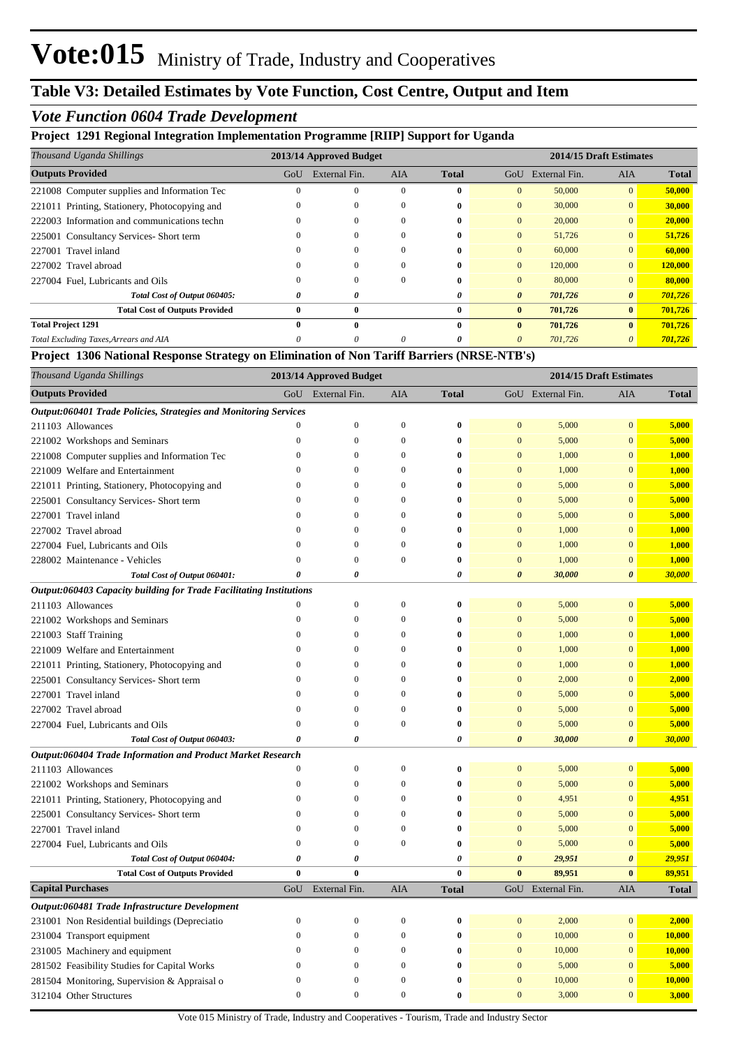# **Table V3: Detailed Estimates by Vote Function, Cost Centre, Output and Item**

### *Vote Function 0604 Trade Development*

#### **Project 1291 Regional Integration Implementation Programme [RIIP] Support for Uganda**

| Thousand Uganda Shillings                     |           | 2013/14 Approved Budget |            |              |                       | 2014/15 Draft Estimates |                       |              |  |
|-----------------------------------------------|-----------|-------------------------|------------|--------------|-----------------------|-------------------------|-----------------------|--------------|--|
| <b>Outputs Provided</b>                       | GoU       | External Fin.           | <b>AIA</b> | <b>Total</b> | GoU                   | External Fin.           | <b>AIA</b>            | <b>Total</b> |  |
| 221008 Computer supplies and Information Tec  |           | $\mathbf{0}$            | $\Omega$   | $\bf{0}$     | $\mathbf{0}$          | 50,000                  | $\mathbf{0}$          | 50,000       |  |
| 221011 Printing, Stationery, Photocopying and |           | $\Omega$                | $\Omega$   | $\mathbf{0}$ | $\Omega$              | 30,000                  | $\Omega$              | 30,000       |  |
| 222003 Information and communications techn   |           | $\Omega$                | $\Omega$   | $\mathbf{0}$ | $\overline{0}$        | 20,000                  | $\mathbf{0}$          | 20,000       |  |
| 225001 Consultancy Services- Short term       |           | $\theta$                | $\Omega$   | $\mathbf{0}$ | $\overline{0}$        | 51,726                  | $\mathbf{0}$          | 51,726       |  |
| 227001 Travel inland                          |           | 0                       | $\Omega$   | 0            | $\overline{0}$        | 60,000                  | $\mathbf{0}$          | 60,000       |  |
| 227002 Travel abroad                          |           | $\Omega$                | $\Omega$   | $\mathbf{0}$ | $\Omega$              | 120,000                 | $\Omega$              | 120,000      |  |
| 227004 Fuel, Lubricants and Oils              |           | $\Omega$                | $\Omega$   | $\mathbf{0}$ | $\overline{0}$        | 80,000                  | $\mathbf{0}$          | 80,000       |  |
| Total Cost of Output 060405:                  | 0         | 0                       |            | 0            | $\boldsymbol{\theta}$ | 701,726                 | $\boldsymbol{\theta}$ | 701,726      |  |
| <b>Total Cost of Outputs Provided</b>         | 0         | $\bf{0}$                |            | $\bf{0}$     | $\bf{0}$              | 701,726                 | $\bf{0}$              | 701,726      |  |
| <b>Total Project 1291</b>                     | $\bullet$ | $\mathbf{0}$            |            | $\mathbf{0}$ | $\mathbf{0}$          | 701,726                 | $\bf{0}$              | 701,726      |  |
| Total Excluding Taxes, Arrears and AIA        |           | $\theta$                | $\Omega$   | 0            | 0                     | 701,726                 |                       | 701,726      |  |

#### **Project 1306 National Response Strategy on Elimination of Non Tariff Barriers (NRSE-NTB's)**

| Thousand Uganda Shillings                                           | 2013/14 Approved Budget |                  |                  |                  |                       |                   | 2014/15 Draft Estimates |              |
|---------------------------------------------------------------------|-------------------------|------------------|------------------|------------------|-----------------------|-------------------|-------------------------|--------------|
| <b>Outputs Provided</b>                                             | GoU                     | External Fin.    | AIA              | <b>Total</b>     |                       | GoU External Fin. | AIA                     | <b>Total</b> |
| Output:060401 Trade Policies, Strategies and Monitoring Services    |                         |                  |                  |                  |                       |                   |                         |              |
| 211103 Allowances                                                   | $\overline{0}$          | $\boldsymbol{0}$ | $\boldsymbol{0}$ | $\bf{0}$         | $\mathbf{0}$          | 5,000             | $\mathbf{0}$            | 5,000        |
| 221002 Workshops and Seminars                                       | $\boldsymbol{0}$        | $\boldsymbol{0}$ | $\boldsymbol{0}$ | $\bf{0}$         | $\mathbf{0}$          | 5,000             | $\mathbf{0}$            | 5,000        |
| 221008 Computer supplies and Information Tec                        | $\boldsymbol{0}$        | $\boldsymbol{0}$ | $\boldsymbol{0}$ | $\bf{0}$         | $\mathbf{0}$          | 1,000             | $\mathbf{0}$            | 1,000        |
| 221009 Welfare and Entertainment                                    | $\boldsymbol{0}$        | $\boldsymbol{0}$ | $\boldsymbol{0}$ | $\bf{0}$         | $\mathbf{0}$          | 1,000             | $\mathbf{0}$            | 1,000        |
| 221011 Printing, Stationery, Photocopying and                       | $\boldsymbol{0}$        | $\mathbf{0}$     | $\boldsymbol{0}$ | $\bf{0}$         | $\mathbf{0}$          | 5,000             | $\overline{0}$          | 5,000        |
| 225001 Consultancy Services- Short term                             | $\mathbf{0}$            | $\mathbf{0}$     | $\mathbf{0}$     | $\bf{0}$         | $\mathbf{0}$          | 5,000             | $\mathbf{0}$            | 5,000        |
| 227001 Travel inland                                                | $\mathbf{0}$            | $\overline{0}$   | $\boldsymbol{0}$ | $\bf{0}$         | $\mathbf{0}$          | 5,000             | $\mathbf{0}$            | 5,000        |
| 227002 Travel abroad                                                | $\boldsymbol{0}$        | $\boldsymbol{0}$ | $\boldsymbol{0}$ | $\bf{0}$         | $\mathbf{0}$          | 1,000             | $\mathbf{0}$            | 1,000        |
| 227004 Fuel, Lubricants and Oils                                    | $\boldsymbol{0}$        | $\boldsymbol{0}$ | $\boldsymbol{0}$ | $\bf{0}$         | $\mathbf{0}$          | 1,000             | $\mathbf{0}$            | 1,000        |
| 228002 Maintenance - Vehicles                                       | $\boldsymbol{0}$        | $\overline{0}$   | $\boldsymbol{0}$ | $\bf{0}$         | $\mathbf{0}$          | 1,000             | $\overline{0}$          | 1,000        |
| Total Cost of Output 060401:                                        | $\theta$                | $\theta$         |                  | 0                | 0                     | 30,000            | $\boldsymbol{\theta}$   | 30,000       |
| Output:060403 Capacity building for Trade Facilitating Institutions |                         |                  |                  |                  |                       |                   |                         |              |
| 211103 Allowances                                                   | $\boldsymbol{0}$        | $\boldsymbol{0}$ | $\mathbf{0}$     | $\bf{0}$         | $\mathbf{0}$          | 5,000             | $\mathbf{0}$            | 5,000        |
| 221002 Workshops and Seminars                                       | $\boldsymbol{0}$        | $\boldsymbol{0}$ | $\boldsymbol{0}$ | $\bf{0}$         | $\boldsymbol{0}$      | 5,000             | $\mathbf{0}$            | 5,000        |
| 221003 Staff Training                                               | $\boldsymbol{0}$        | $\boldsymbol{0}$ | $\boldsymbol{0}$ | $\bf{0}$         | $\mathbf{0}$          | 1,000             | $\mathbf{0}$            | 1,000        |
| 221009 Welfare and Entertainment                                    | $\boldsymbol{0}$        | $\boldsymbol{0}$ | $\boldsymbol{0}$ | $\bf{0}$         | $\mathbf{0}$          | 1,000             | $\mathbf{0}$            | 1,000        |
| 221011 Printing, Stationery, Photocopying and                       | $\boldsymbol{0}$        | $\mathbf{0}$     | $\boldsymbol{0}$ | $\bf{0}$         | $\mathbf{0}$          | 1,000             | $\mathbf{0}$            | 1,000        |
| 225001 Consultancy Services- Short term                             | $\mathbf{0}$            | $\mathbf{0}$     | $\mathbf{0}$     | $\bf{0}$         | $\mathbf{0}$          | 2,000             | $\mathbf{0}$            | 2,000        |
| 227001 Travel inland                                                | $\boldsymbol{0}$        | $\boldsymbol{0}$ | $\boldsymbol{0}$ | $\bf{0}$         | $\mathbf{0}$          | 5,000             | $\mathbf{0}$            | 5,000        |
| 227002 Travel abroad                                                | $\boldsymbol{0}$        | $\mathbf{0}$     | $\boldsymbol{0}$ | $\bf{0}$         | $\boldsymbol{0}$      | 5,000             | $\boldsymbol{0}$        | 5,000        |
| 227004 Fuel, Lubricants and Oils                                    | $\boldsymbol{0}$        | $\boldsymbol{0}$ | $\boldsymbol{0}$ | $\bf{0}$         | $\mathbf{0}$          | 5,000             | $\mathbf{0}$            | 5,000        |
| Total Cost of Output 060403:                                        | 0                       | 0                |                  | 0                | $\boldsymbol{\theta}$ | 30,000            | $\boldsymbol{\theta}$   | 30,000       |
| Output:060404 Trade Information and Product Market Research         |                         |                  |                  |                  |                       |                   |                         |              |
| 211103 Allowances                                                   | $\boldsymbol{0}$        | $\boldsymbol{0}$ | $\boldsymbol{0}$ | $\bf{0}$         | $\boldsymbol{0}$      | 5,000             | $\boldsymbol{0}$        | 5,000        |
| 221002 Workshops and Seminars                                       | $\boldsymbol{0}$        | $\boldsymbol{0}$ | $\mathbf{0}$     | $\mathbf{0}$     | $\boldsymbol{0}$      | 5,000             | $\mathbf{0}$            | 5,000        |
| 221011 Printing, Stationery, Photocopying and                       | $\boldsymbol{0}$        | $\mathbf{0}$     | $\boldsymbol{0}$ | $\bf{0}$         | $\boldsymbol{0}$      | 4,951             | $\mathbf{0}$            | 4,951        |
| 225001 Consultancy Services- Short term                             | $\mathbf{0}$            | $\theta$         | $\mathbf{0}$     | $\bf{0}$         | $\boldsymbol{0}$      | 5,000             | $\overline{0}$          | 5,000        |
| 227001 Travel inland                                                | $\boldsymbol{0}$        | $\boldsymbol{0}$ | $\boldsymbol{0}$ | $\boldsymbol{0}$ | $\boldsymbol{0}$      | 5,000             | $\boldsymbol{0}$        | 5,000        |
| 227004 Fuel, Lubricants and Oils                                    | $\mathbf{0}$            | $\boldsymbol{0}$ | $\mathbf{0}$     | $\bf{0}$         | $\boldsymbol{0}$      | 5,000             | $\overline{0}$          | 5,000        |
| Total Cost of Output 060404:                                        | $\theta$                | $\theta$         |                  | $\theta$         | $\boldsymbol{\theta}$ | 29,951            | 0                       | 29,951       |
| <b>Total Cost of Outputs Provided</b>                               | $\bf{0}$                | $\bf{0}$         |                  | $\bf{0}$         | $\mathbf{0}$          | 89,951            | $\bf{0}$                | 89,951       |
| <b>Capital Purchases</b>                                            | GoU                     | External Fin.    | AIA              | <b>Total</b>     |                       | GoU External Fin. | AIA                     | <b>Total</b> |
| Output:060481 Trade Infrastructure Development                      |                         |                  |                  |                  |                       |                   |                         |              |
| 231001 Non Residential buildings (Depreciatio                       | $\mathbf{0}$            | $\boldsymbol{0}$ | $\boldsymbol{0}$ | $\bf{0}$         | $\mathbf{0}$          | 2,000             | $\mathbf{0}$            | 2,000        |
| 231004 Transport equipment                                          | $\mathbf{0}$            | $\boldsymbol{0}$ | $\boldsymbol{0}$ | $\bf{0}$         | $\boldsymbol{0}$      | 10,000            | $\mathbf{0}$            | 10,000       |
| 231005 Machinery and equipment                                      | $\mathbf{0}$            | $\boldsymbol{0}$ | $\mathbf{0}$     | $\bf{0}$         | $\mathbf{0}$          | 10,000            | $\mathbf{0}$            | 10,000       |
| 281502 Feasibility Studies for Capital Works                        | $\boldsymbol{0}$        | $\boldsymbol{0}$ | $\mathbf{0}$     | $\bf{0}$         | $\mathbf{0}$          | 5,000             | $\boldsymbol{0}$        | 5,000        |
| 281504 Monitoring, Supervision & Appraisal o                        | $\mathbf{0}$            | $\mathbf{0}$     | $\boldsymbol{0}$ | $\bf{0}$         | $\mathbf{0}$          | 10,000            | $\bf{0}$                | 10,000       |
| 312104 Other Structures                                             | $\mathbf{0}$            | $\overline{0}$   | $\boldsymbol{0}$ | $\bf{0}$         | $\mathbf{0}$          | 3,000             | $\mathbf{0}$            | 3,000        |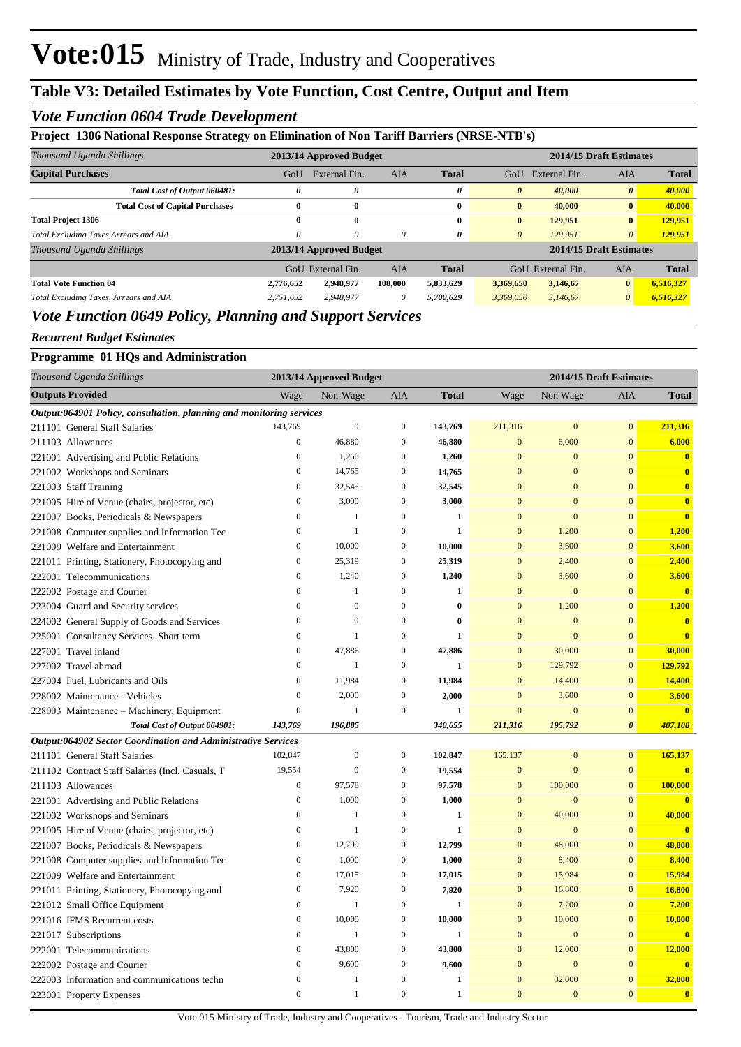# **Table V3: Detailed Estimates by Vote Function, Cost Centre, Output and Item**

### *Vote Function 0604 Trade Development*

#### **Project 1306 National Response Strategy on Elimination of Non Tariff Barriers (NRSE-NTB's)**

|           |               |               |                                                    |                       | 2014/15 Draft Estimates |                               |                         |  |
|-----------|---------------|---------------|----------------------------------------------------|-----------------------|-------------------------|-------------------------------|-------------------------|--|
| GoU       | External Fin. | <b>AIA</b>    | <b>Total</b>                                       | GoU                   | External Fin.           | <b>AIA</b>                    | <b>Total</b>            |  |
| 0         | 0             |               | 0                                                  | $\boldsymbol{\theta}$ | 40,000                  | $\boldsymbol{\theta}$         | 40,000                  |  |
| 0         | $\bf{0}$      |               | 0                                                  | $\bf{0}$              | 40,000                  | $\bf{0}$                      | 40,000                  |  |
| 0         | $\bf{0}$      |               | 0                                                  | $\bf{0}$              | 129,951                 | $\bf{0}$                      | 129,951                 |  |
| 0         | 0             | $\theta$      | 0                                                  | $\theta$              | 129,951                 | $\theta$                      | 129,951                 |  |
|           |               |               |                                                    |                       |                         |                               |                         |  |
|           |               | <b>AIA</b>    | <b>Total</b>                                       |                       | External Fin.           | <b>AIA</b>                    | <b>Total</b>            |  |
| 2.776.652 | 2,948,977     | 108,000       | 5,833,629                                          |                       | 3,146,67                | $\bf{0}$                      | 6,516,327               |  |
| 2,751,652 | 2,948,977     | 0             | 5,700,629                                          |                       | 3.146.67                | $\theta$                      | 6,516,327               |  |
|           | GoU           | External Fin. | 2013/14 Approved Budget<br>2013/14 Approved Budget |                       |                         | GoU<br>3,369,650<br>3.369.650 | 2014/15 Draft Estimates |  |

## *Vote Function 0649 Policy, Planning and Support Services*

#### *Recurrent Budget Estimates*

#### **Programme 01 HQs and Administration**

| Thousand Uganda Shillings                                            |                  | 2013/14 Approved Budget |                  |              | 2014/15 Draft Estimates |                  |                       |                         |  |
|----------------------------------------------------------------------|------------------|-------------------------|------------------|--------------|-------------------------|------------------|-----------------------|-------------------------|--|
| <b>Outputs Provided</b>                                              | Wage             | Non-Wage                | <b>AIA</b>       | <b>Total</b> | Wage                    | Non Wage         | AIA                   | <b>Total</b>            |  |
| Output:064901 Policy, consultation, planning and monitoring services |                  |                         |                  |              |                         |                  |                       |                         |  |
| 211101 General Staff Salaries                                        | 143,769          | $\mathbf{0}$            | $\boldsymbol{0}$ | 143,769      | 211,316                 | $\boldsymbol{0}$ | $\mathbf{0}$          | 211,316                 |  |
| 211103 Allowances                                                    | $\boldsymbol{0}$ | 46,880                  | $\boldsymbol{0}$ | 46,880       | $\mathbf{0}$            | 6,000            | $\mathbf{0}$          | 6,000                   |  |
| 221001 Advertising and Public Relations                              | $\mathbf{0}$     | 1,260                   | $\boldsymbol{0}$ | 1,260        | $\mathbf{0}$            | $\mathbf{0}$     | $\overline{0}$        | $\mathbf{0}$            |  |
| 221002 Workshops and Seminars                                        | $\overline{0}$   | 14,765                  | $\mathbf{0}$     | 14,765       | $\overline{0}$          | $\overline{0}$   | $\overline{0}$        | $\bf{0}$                |  |
| 221003 Staff Training                                                | $\boldsymbol{0}$ | 32,545                  | $\boldsymbol{0}$ | 32,545       | $\mathbf{0}$            | $\mathbf{0}$     | $\boldsymbol{0}$      | $\bf{0}$                |  |
| 221005 Hire of Venue (chairs, projector, etc)                        | $\mathbf{0}$     | 3,000                   | $\mathbf{0}$     | 3,000        | $\mathbf{0}$            | $\mathbf{0}$     | $\mathbf{0}$          | $\bf{0}$                |  |
| 221007 Books, Periodicals & Newspapers                               | $\mathbf{0}$     | $\mathbf{1}$            | $\mathbf{0}$     | 1            | $\mathbf{0}$            | $\overline{0}$   | $\overline{0}$        | $\bf{0}$                |  |
| 221008 Computer supplies and Information Tec                         | $\overline{0}$   | $\mathbf{1}$            | $\overline{0}$   | $\mathbf{1}$ | $\overline{0}$          | 1,200            | $\overline{0}$        | 1,200                   |  |
| 221009 Welfare and Entertainment                                     | $\boldsymbol{0}$ | 10,000                  | $\boldsymbol{0}$ | 10,000       | $\boldsymbol{0}$        | 3,600            | $\boldsymbol{0}$      | 3,600                   |  |
| 221011 Printing, Stationery, Photocopying and                        | $\boldsymbol{0}$ | 25,319                  | $\boldsymbol{0}$ | 25,319       | $\mathbf{0}$            | 2,400            | $\overline{0}$        | 2,400                   |  |
| 222001 Telecommunications                                            | $\overline{0}$   | 1,240                   | $\mathbf{0}$     | 1,240        | $\mathbf{0}$            | 3,600            | $\overline{0}$        | 3,600                   |  |
| 222002 Postage and Courier                                           | $\overline{0}$   | $\mathbf{1}$            | $\mathbf{0}$     | 1            | $\overline{0}$          | $\overline{0}$   | $\overline{0}$        | $\bf{0}$                |  |
| 223004 Guard and Security services                                   | $\mathbf{0}$     | $\mathbf{0}$            | $\boldsymbol{0}$ | $\bf{0}$     | $\mathbf{0}$            | 1,200            | $\mathbf{0}$          | 1,200                   |  |
| 224002 General Supply of Goods and Services                          | $\mathbf{0}$     | $\mathbf{0}$            | $\boldsymbol{0}$ | $\bf{0}$     | $\mathbf{0}$            | $\mathbf{0}$     | $\overline{0}$        | $\bf{0}$                |  |
| 225001 Consultancy Services- Short term                              | $\overline{0}$   | $\mathbf{1}$            | $\mathbf{0}$     | $\mathbf{1}$ | $\overline{0}$          | $\overline{0}$   | $\overline{0}$        | $\overline{\mathbf{0}}$ |  |
| 227001 Travel inland                                                 | $\overline{0}$   | 47,886                  | $\overline{0}$   | 47,886       | $\overline{0}$          | 30,000           | $\boldsymbol{0}$      | 30,000                  |  |
| 227002 Travel abroad                                                 | $\mathbf{0}$     | $\mathbf{1}$            | $\boldsymbol{0}$ | $\mathbf{1}$ | $\mathbf{0}$            | 129,792          | $\mathbf{0}$          | 129,792                 |  |
| 227004 Fuel, Lubricants and Oils                                     | $\mathbf{0}$     | 11,984                  | $\boldsymbol{0}$ | 11,984       | $\mathbf{0}$            | 14,400           | $\mathbf{0}$          | 14,400                  |  |
| 228002 Maintenance - Vehicles                                        | $\mathbf{0}$     | 2,000                   | $\boldsymbol{0}$ | 2,000        | $\mathbf{0}$            | 3,600            | $\mathbf{0}$          | 3,600                   |  |
| 228003 Maintenance – Machinery, Equipment                            | $\boldsymbol{0}$ | $\mathbf{1}$            | $\mathbf{0}$     | $\mathbf{1}$ | $\boldsymbol{0}$        | $\boldsymbol{0}$ | $\boldsymbol{0}$      | $\overline{\mathbf{0}}$ |  |
| Total Cost of Output 064901:                                         | 143,769          | 196,885                 |                  | 340,655      | 211,316                 | 195,792          | $\boldsymbol{\theta}$ | 407,108                 |  |
| Output:064902 Sector Coordination and Administrative Services        |                  |                         |                  |              |                         |                  |                       |                         |  |
| 211101 General Staff Salaries                                        | 102,847          | $\boldsymbol{0}$        | $\mathbf{0}$     | 102,847      | 165,137                 | $\boldsymbol{0}$ | $\overline{0}$        | 165,137                 |  |
| 211102 Contract Staff Salaries (Incl. Casuals, T                     | 19,554           | $\mathbf{0}$            | $\boldsymbol{0}$ | 19,554       | $\boldsymbol{0}$        | $\boldsymbol{0}$ | $\boldsymbol{0}$      | $\bf{0}$                |  |
| 211103 Allowances                                                    | $\mathbf{0}$     | 97,578                  | $\boldsymbol{0}$ | 97,578       | $\mathbf{0}$            | 100,000          | $\overline{0}$        | 100,000                 |  |
| 221001 Advertising and Public Relations                              | $\mathbf{0}$     | 1,000                   | $\boldsymbol{0}$ | 1,000        | $\mathbf{0}$            | $\mathbf{0}$     | $\overline{0}$        | $\bf{0}$                |  |
| 221002 Workshops and Seminars                                        | $\overline{0}$   | $\mathbf{1}$            | $\overline{0}$   | 1            | $\overline{0}$          | 40,000           | $\overline{0}$        | 40,000                  |  |
| 221005 Hire of Venue (chairs, projector, etc)                        | $\boldsymbol{0}$ | $\mathbf{1}$            | $\boldsymbol{0}$ | $\mathbf{1}$ | $\mathbf{0}$            | $\boldsymbol{0}$ | $\mathbf{0}$          | $\bf{0}$                |  |
| 221007 Books, Periodicals & Newspapers                               | $\boldsymbol{0}$ | 12,799                  | $\boldsymbol{0}$ | 12,799       | $\mathbf{0}$            | 48,000           | $\overline{0}$        | 48,000                  |  |
| 221008 Computer supplies and Information Tec                         | $\mathbf{0}$     | 1,000                   | $\mathbf{0}$     | 1,000        | $\overline{0}$          | 8,400            | $\overline{0}$        | 8,400                   |  |
| 221009 Welfare and Entertainment                                     | $\overline{0}$   | 17,015                  | $\mathbf{0}$     | 17,015       | $\overline{0}$          | 15,984           | $\overline{0}$        | 15,984                  |  |
| 221011 Printing, Stationery, Photocopying and                        | $\boldsymbol{0}$ | 7,920                   | $\boldsymbol{0}$ | 7,920        | $\mathbf{0}$            | 16,800           | $\mathbf{0}$          | 16,800                  |  |
| 221012 Small Office Equipment                                        | $\mathbf{0}$     | $\mathbf{1}$            | $\boldsymbol{0}$ | $\mathbf{1}$ | $\mathbf{0}$            | 7,200            | $\mathbf{0}$          | 7,200                   |  |
| 221016 IFMS Recurrent costs                                          | $\overline{0}$   | 10,000                  | $\mathbf{0}$     | 10,000       | $\mathbf{0}$            | 10,000           | $\overline{0}$        | 10,000                  |  |
| 221017 Subscriptions                                                 | $\overline{0}$   | $\mathbf{1}$            | $\mathbf{0}$     | 1            | $\overline{0}$          | $\boldsymbol{0}$ | $\boldsymbol{0}$      | $\bf{0}$                |  |
| 222001 Telecommunications                                            | $\mathbf{0}$     | 43,800                  | $\boldsymbol{0}$ | 43,800       | $\mathbf{0}$            | 12,000           | $\mathbf{0}$          | 12,000                  |  |
| 222002 Postage and Courier                                           | $\mathbf{0}$     | 9,600                   | $\boldsymbol{0}$ | 9,600        | $\mathbf{0}$            | $\mathbf{0}$     | $\mathbf{0}$          | $\mathbf{0}$            |  |
| 222003 Information and communications techn                          | $\overline{0}$   | $\mathbf{1}$            | $\overline{0}$   | $\mathbf{1}$ | $\mathbf{0}$            | 32,000           | $\mathbf{0}$          | 32,000                  |  |
| 223001 Property Expenses                                             | $\overline{0}$   | $\mathbf{1}$            | $\mathbf{0}$     | $\mathbf{1}$ | $\overline{0}$          | $\mathbf{0}$     | $\boldsymbol{0}$      | $\mathbf{0}$            |  |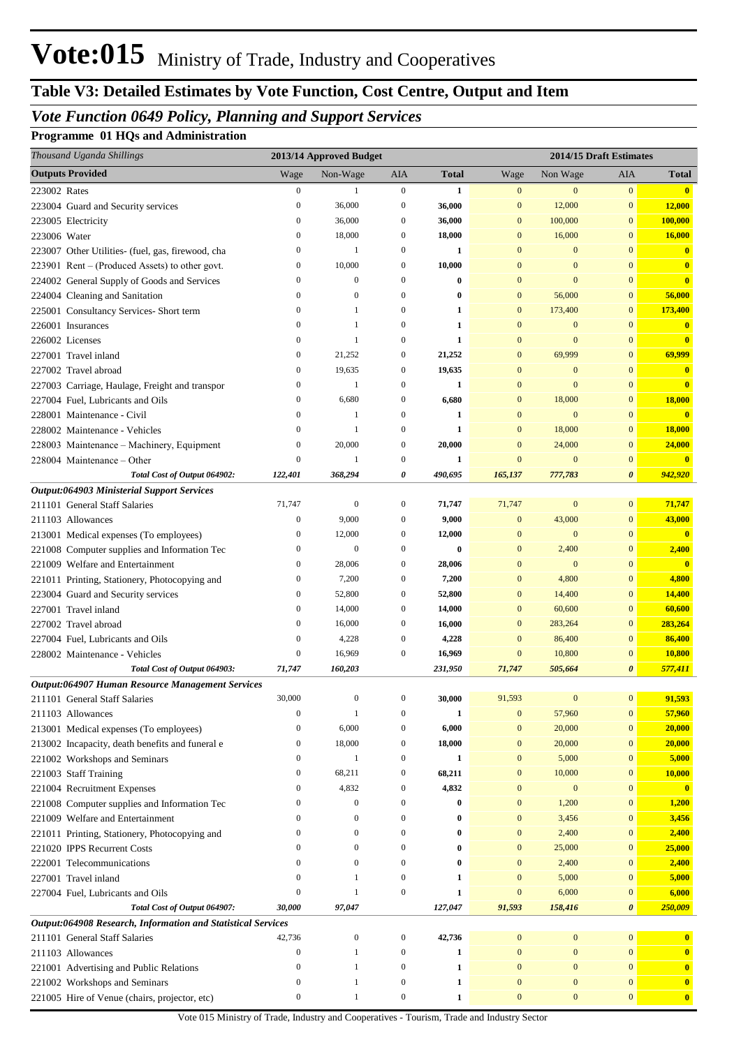# **Table V3: Detailed Estimates by Vote Function, Cost Centre, Output and Item**

## *Vote Function 0649 Policy, Planning and Support Services*

**Programme 01 HQs and Administration**

| Thousand Uganda Shillings                                    | 2013/14 Approved Budget |                  |                  |              | 2014/15 Draft Estimates |                  |                       |                         |
|--------------------------------------------------------------|-------------------------|------------------|------------------|--------------|-------------------------|------------------|-----------------------|-------------------------|
| <b>Outputs Provided</b>                                      | Wage                    | Non-Wage         | AIA              | <b>Total</b> | Wage                    | Non Wage         | AIA                   | <b>Total</b>            |
| 223002 Rates                                                 | $\boldsymbol{0}$        | 1                | $\boldsymbol{0}$ | $\mathbf{1}$ | $\mathbf{0}$            | $\mathbf{0}$     | $\bf{0}$              | $\overline{\mathbf{0}}$ |
| 223004 Guard and Security services                           | $\boldsymbol{0}$        | 36,000           | $\boldsymbol{0}$ | 36,000       | $\boldsymbol{0}$        | 12,000           | $\boldsymbol{0}$      | 12,000                  |
| 223005 Electricity                                           | $\boldsymbol{0}$        | 36,000           | $\boldsymbol{0}$ | 36,000       | $\mathbf{0}$            | 100,000          | $\bf{0}$              | 100,000                 |
| 223006 Water                                                 | $\boldsymbol{0}$        | 18,000           | $\boldsymbol{0}$ | 18,000       | $\mathbf{0}$            | 16,000           | $\mathbf{0}$          | 16,000                  |
| 223007 Other Utilities- (fuel, gas, firewood, cha            | $\boldsymbol{0}$        | 1                | $\boldsymbol{0}$ | 1            | $\mathbf{0}$            | $\boldsymbol{0}$ | $\mathbf{0}$          | $\mathbf{0}$            |
| 223901 Rent – (Produced Assets) to other govt.               | $\boldsymbol{0}$        | 10,000           | $\boldsymbol{0}$ | 10,000       | $\mathbf{0}$            | $\boldsymbol{0}$ | $\mathbf{0}$          | $\mathbf{0}$            |
| 224002 General Supply of Goods and Services                  | $\boldsymbol{0}$        | $\mathbf{0}$     | $\boldsymbol{0}$ | $\bf{0}$     | $\mathbf{0}$            | $\boldsymbol{0}$ | $\mathbf{0}$          | $\bf{0}$                |
| 224004 Cleaning and Sanitation                               | $\mathbf{0}$            | $\mathbf{0}$     | $\boldsymbol{0}$ | $\bf{0}$     | $\mathbf{0}$            | 56,000           | $\mathbf{0}$          | 56,000                  |
| 225001 Consultancy Services- Short term                      | $\boldsymbol{0}$        | 1                | $\boldsymbol{0}$ | 1            | $\mathbf{0}$            | 173,400          | $\mathbf{0}$          | 173,400                 |
| 226001 Insurances                                            | $\boldsymbol{0}$        | $\mathbf{1}$     | $\mathbf{0}$     | 1            | $\mathbf{0}$            | $\boldsymbol{0}$ | $\mathbf{0}$          | $\mathbf{0}$            |
| 226002 Licenses                                              | $\boldsymbol{0}$        | $\mathbf{1}$     | $\mathbf{0}$     | $\mathbf{1}$ | $\mathbf{0}$            | $\boldsymbol{0}$ | $\mathbf{0}$          | $\mathbf{0}$            |
| 227001 Travel inland                                         | $\boldsymbol{0}$        | 21,252           | $\boldsymbol{0}$ | 21,252       | $\mathbf{0}$            | 69,999           | $\bf{0}$              | 69,999                  |
| 227002 Travel abroad                                         | $\boldsymbol{0}$        | 19,635           | $\boldsymbol{0}$ | 19,635       | $\mathbf{0}$            | $\boldsymbol{0}$ | $\mathbf{0}$          | $\mathbf{0}$            |
| 227003 Carriage, Haulage, Freight and transpor               | $\boldsymbol{0}$        | $\mathbf{1}$     | $\boldsymbol{0}$ | $\mathbf{1}$ | $\mathbf{0}$            | $\boldsymbol{0}$ | $\mathbf{0}$          | $\bf{0}$                |
| 227004 Fuel, Lubricants and Oils                             | $\boldsymbol{0}$        | 6,680            | $\boldsymbol{0}$ | 6,680        | $\mathbf{0}$            | 18,000           | $\bf{0}$              | 18,000                  |
| 228001 Maintenance - Civil                                   | $\boldsymbol{0}$        | 1                | $\boldsymbol{0}$ | $\mathbf{1}$ | $\mathbf{0}$            | $\boldsymbol{0}$ | $\mathbf{0}$          | $\mathbf{0}$            |
| 228002 Maintenance - Vehicles                                | $\boldsymbol{0}$        | 1                | $\boldsymbol{0}$ | $\mathbf{1}$ | $\mathbf{0}$            | 18,000           | $\mathbf{0}$          | <b>18,000</b>           |
| 228003 Maintenance - Machinery, Equipment                    | $\boldsymbol{0}$        | 20,000           | $\boldsymbol{0}$ | 20,000       | $\mathbf{0}$            | 24,000           | $\mathbf{0}$          | 24,000                  |
| 228004 Maintenance – Other                                   | $\boldsymbol{0}$        | $\mathbf{1}$     | $\boldsymbol{0}$ | $\mathbf{1}$ | $\mathbf{0}$            | $\boldsymbol{0}$ | $\boldsymbol{0}$      | $\mathbf{0}$            |
| Total Cost of Output 064902:                                 | 122,401                 | 368,294          | 0                | 490,695      | 165,137                 | 777,783          | $\boldsymbol{\theta}$ | 942,920                 |
| Output:064903 Ministerial Support Services                   |                         |                  |                  |              |                         |                  |                       |                         |
| 211101 General Staff Salaries                                | 71,747                  | $\boldsymbol{0}$ | $\boldsymbol{0}$ | 71,747       | 71,747                  | $\boldsymbol{0}$ | $\boldsymbol{0}$      | 71,747                  |
| 211103 Allowances                                            | $\boldsymbol{0}$        | 9,000            | $\boldsymbol{0}$ | 9,000        | $\boldsymbol{0}$        | 43,000           | $\boldsymbol{0}$      | 43,000                  |
| 213001 Medical expenses (To employees)                       | $\boldsymbol{0}$        | 12,000           | $\boldsymbol{0}$ | 12,000       | $\mathbf{0}$            | $\boldsymbol{0}$ | $\mathbf{0}$          | $\mathbf{0}$            |
| 221008 Computer supplies and Information Tec                 | $\boldsymbol{0}$        | $\boldsymbol{0}$ | $\boldsymbol{0}$ | $\bf{0}$     | $\mathbf{0}$            | 2,400            | $\mathbf{0}$          | 2,400                   |
| 221009 Welfare and Entertainment                             | $\boldsymbol{0}$        | 28,006           | $\boldsymbol{0}$ | 28,006       | $\mathbf{0}$            | $\boldsymbol{0}$ | $\mathbf{0}$          | $\overline{\mathbf{0}}$ |
| 221011 Printing, Stationery, Photocopying and                | $\boldsymbol{0}$        | 7,200            | $\boldsymbol{0}$ | 7,200        | $\mathbf{0}$            | 4,800            | $\mathbf{0}$          | 4,800                   |
| 223004 Guard and Security services                           | $\boldsymbol{0}$        | 52,800           | $\boldsymbol{0}$ | 52,800       | $\mathbf{0}$            | 14,400           | $\mathbf{0}$          | 14,400                  |
| 227001 Travel inland                                         | $\boldsymbol{0}$        | 14,000           | $\boldsymbol{0}$ | 14,000       | $\mathbf{0}$            | 60,600           | $\mathbf{0}$          | 60,600                  |
| 227002 Travel abroad                                         | $\boldsymbol{0}$        | 16,000           | $\boldsymbol{0}$ | 16,000       | $\mathbf{0}$            | 283,264          | $\mathbf{0}$          | 283,264                 |
| 227004 Fuel, Lubricants and Oils                             | $\boldsymbol{0}$        | 4,228            | $\boldsymbol{0}$ | 4,228        | $\mathbf{0}$            | 86,400           | $\mathbf{0}$          | 86,400                  |
| 228002 Maintenance - Vehicles                                | $\boldsymbol{0}$        | 16,969           | $\boldsymbol{0}$ | 16,969       | $\mathbf{0}$            | 10,800           | $\mathbf{0}$          | 10,800                  |
| Total Cost of Output 064903:                                 | 71,747                  | 160,203          |                  | 231,950      | 71,747                  | 505,664          | 0                     | 577,411                 |
| Output:064907 Human Resource Management Services             |                         |                  |                  |              |                         |                  |                       |                         |
| 211101 General Staff Salaries                                | 30,000                  | $\mathbf{0}$     | $\mathbf{0}$     | 30,000       | 91,593                  | $\bf{0}$         | $\overline{0}$        | 91,593                  |
| 211103 Allowances                                            | $\boldsymbol{0}$        | 1                | $\boldsymbol{0}$ | 1            | $\mathbf{0}$            | 57,960           | $\bf{0}$              | 57,960                  |
| 213001 Medical expenses (To employees)                       | $\boldsymbol{0}$        | 6,000            | 0                | 6,000        | $\mathbf{0}$            | 20,000           | $\mathbf{0}$          | 20,000                  |
| 213002 Incapacity, death benefits and funeral e              | $\boldsymbol{0}$        | 18,000           | 0                | 18,000       | $\mathbf{0}$            | 20,000           | $\mathbf{0}$          | 20,000                  |
| 221002 Workshops and Seminars                                | $\boldsymbol{0}$        | $\mathbf{1}$     | 0                | 1            | $\boldsymbol{0}$        | 5,000            | $\mathbf{0}$          | 5,000                   |
| 221003 Staff Training                                        | $\boldsymbol{0}$        | 68,211           | 0                | 68,211       | $\boldsymbol{0}$        | 10,000           | $\mathbf{0}$          | <b>10,000</b>           |
| 221004 Recruitment Expenses                                  | $\boldsymbol{0}$        | 4,832            | 0                | 4,832        | $\mathbf{0}$            | $\bf{0}$         | $\mathbf{0}$          | $\mathbf{0}$            |
| 221008 Computer supplies and Information Tec                 | $\boldsymbol{0}$        | $\mathbf{0}$     | 0                | $\bf{0}$     | $\boldsymbol{0}$        | 1,200            | $\mathbf{0}$          | 1,200                   |
| 221009 Welfare and Entertainment                             | $\boldsymbol{0}$        | $\boldsymbol{0}$ | 0                | 0            | $\mathbf{0}$            | 3,456            | $\mathbf{0}$          | 3,456                   |
| 221011 Printing, Stationery, Photocopying and                | $\boldsymbol{0}$        | $\boldsymbol{0}$ | 0                | $\bf{0}$     | $\mathbf{0}$            | 2,400            | $\mathbf{0}$          | 2,400                   |
| 221020 IPPS Recurrent Costs                                  | $\mathbf{0}$            | $\mathbf{0}$     | $\mathbf{0}$     | $\bf{0}$     | $\mathbf{0}$            | 25,000           | $\mathbf{0}$          | 25,000                  |
| 222001 Telecommunications                                    | $\mathbf{0}$            | $\mathbf{0}$     | $\mathbf{0}$     | $\bf{0}$     | $\mathbf{0}$            | 2,400            | $\mathbf{0}$          | 2,400                   |
| 227001 Travel inland                                         | $\boldsymbol{0}$        | $\mathbf{1}$     | 0                | 1            | $\mathbf{0}$            | 5,000            | $\mathbf{0}$          | 5,000                   |
| 227004 Fuel, Lubricants and Oils                             | $\boldsymbol{0}$        | $\mathbf{1}$     | $\boldsymbol{0}$ | $\mathbf{1}$ | $\boldsymbol{0}$        | 6,000            | $\mathbf{0}$          | 6,000                   |
| Total Cost of Output 064907:                                 | 30,000                  | 97,047           |                  | 127,047      | 91,593                  | 158,416          | 0                     | 250,009                 |
| Output:064908 Research, Information and Statistical Services |                         |                  |                  |              |                         |                  |                       |                         |
| 211101 General Staff Salaries                                | 42,736                  | $\boldsymbol{0}$ | $\boldsymbol{0}$ | 42,736       | $\boldsymbol{0}$        | $\bf{0}$         | $\bf{0}$              | $\mathbf{0}$            |
| 211103 Allowances                                            | $\boldsymbol{0}$        | 1                | 0                | 1            | $\boldsymbol{0}$        | $\bf{0}$         | $\mathbf{0}$          | $\mathbf{0}$            |
| 221001 Advertising and Public Relations                      | $\boldsymbol{0}$        | 1                | 0                | 1            | $\mathbf{0}$            | $\mathbf{0}$     | $\mathbf{0}$          | $\overline{\mathbf{0}}$ |
| 221002 Workshops and Seminars                                | $\boldsymbol{0}$        | 1                | 0                | 1            | $\boldsymbol{0}$        | $\bf{0}$         | $\mathbf{0}$          | $\mathbf{0}$            |
| 221005 Hire of Venue (chairs, projector, etc)                | $\boldsymbol{0}$        | $\mathbf{1}$     | $\boldsymbol{0}$ | $\mathbf{1}$ | $\bf{0}$                | $\bf{0}$         | $\mathbf{0}$          | $\mathbf{0}$            |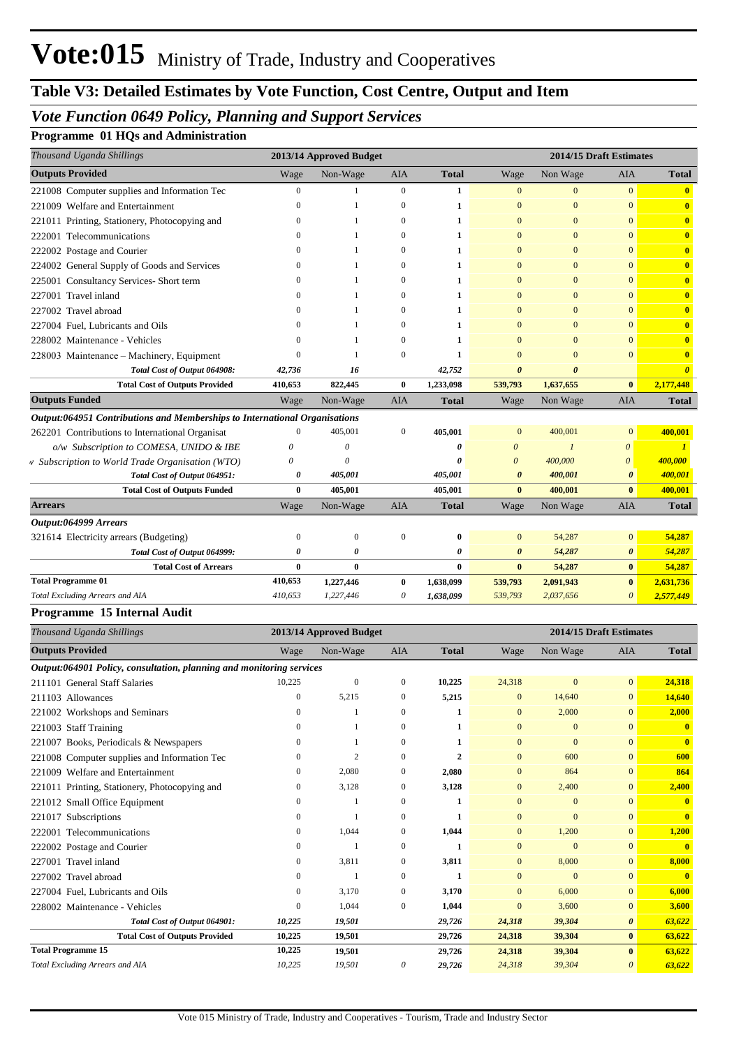### **Table V3: Detailed Estimates by Vote Function, Cost Centre, Output and Item**

### *Vote Function 0649 Policy, Planning and Support Services*

#### **Programme 01 HQs and Administration**

| Thousand Uganda Shillings                                                  |              | 2013/14 Approved Budget |                  |              | 2014/15 Draft Estimates |                |                       |                         |  |
|----------------------------------------------------------------------------|--------------|-------------------------|------------------|--------------|-------------------------|----------------|-----------------------|-------------------------|--|
| <b>Outputs Provided</b>                                                    | Wage         | Non-Wage                | <b>AIA</b>       | <b>Total</b> | Wage                    | Non Wage       | <b>AIA</b>            | <b>Total</b>            |  |
| 221008 Computer supplies and Information Tec                               | $\mathbf{0}$ | 1                       | $\mathbf{0}$     | 1            | $\overline{0}$          | $\overline{0}$ | $\overline{0}$        | $\overline{\mathbf{0}}$ |  |
| 221009 Welfare and Entertainment                                           |              | $\mathbf{1}$            | $\mathbf{0}$     | 1            | $\overline{0}$          | $\overline{0}$ | $\overline{0}$        | $\bf{0}$                |  |
| 221011 Printing, Stationery, Photocopying and                              | $\Omega$     | 1                       | $\mathbf{0}$     | 1            | $\mathbf{0}$            | $\overline{0}$ | $\overline{0}$        | $\overline{\mathbf{0}}$ |  |
| 222001 Telecommunications                                                  | 0            | 1                       | $\mathbf{0}$     | 1            | $\mathbf{0}$            | $\overline{0}$ | $\mathbf{0}$          | $\bf{0}$                |  |
| 222002 Postage and Courier                                                 |              | 1                       | $\mathbf{0}$     | 1            | $\overline{0}$          | $\overline{0}$ | $\mathbf{0}$          | $\overline{\mathbf{0}}$ |  |
| 224002 General Supply of Goods and Services                                |              | 1                       | $\mathbf{0}$     | 1            | $\mathbf{0}$            | $\mathbf{0}$   | $\mathbf{0}$          | $\overline{\mathbf{0}}$ |  |
| 225001 Consultancy Services- Short term                                    |              | 1                       | $\Omega$         | 1            | $\Omega$                | $\Omega$       | $\mathbf{0}$          | $\mathbf{0}$            |  |
| 227001 Travel inland                                                       |              | 1                       | $\mathbf{0}$     | 1            | $\mathbf{0}$            | $\overline{0}$ | $\overline{0}$        | $\bf{0}$                |  |
| 227002 Travel abroad                                                       |              | 1                       | $\Omega$         | 1            | $\mathbf{0}$            | $\mathbf{0}$   | $\Omega$              | $\mathbf{0}$            |  |
| 227004 Fuel. Lubricants and Oils                                           |              | 1                       | $\mathbf{0}$     | 1            | $\overline{0}$          | $\Omega$       | $\overline{0}$        | $\mathbf{0}$            |  |
| 228002 Maintenance - Vehicles                                              |              | 1                       | $\mathbf{0}$     | 1            | $\mathbf{0}$            | $\Omega$       | $\Omega$              | $\bf{0}$                |  |
| 228003 Maintenance - Machinery, Equipment                                  | $\Omega$     | 1                       | $\mathbf{0}$     | $\mathbf{1}$ | $\overline{0}$          | $\theta$       | $\overline{0}$        | $\bf{0}$                |  |
| Total Cost of Output 064908:                                               | 42,736       | 16                      |                  | 42,752       | $\boldsymbol{\theta}$   | $\theta$       |                       | $\boldsymbol{\theta}$   |  |
| <b>Total Cost of Outputs Provided</b>                                      | 410,653      | 822,445                 | $\bf{0}$         | 1,233,098    | 539,793                 | 1,637,655      | $\bf{0}$              | 2,177,448               |  |
| <b>Outputs Funded</b>                                                      | Wage         | Non-Wage                | <b>AIA</b>       | <b>Total</b> | Wage                    | Non Wage       | <b>AIA</b>            | <b>Total</b>            |  |
| Output:064951 Contributions and Memberships to International Organisations |              |                         |                  |              |                         |                |                       |                         |  |
| 262201 Contributions to International Organisat                            | $\Omega$     | 405,001                 | $\boldsymbol{0}$ | 405,001      | $\mathbf{0}$            | 400,001        | $\mathbf{0}$          | 400,001                 |  |
| o/w Subscription to COMESA, UNIDO & IBE                                    | 0            | 0                       |                  | 0            | $\theta$                | $\mathcal{I}$  | $\boldsymbol{\theta}$ | $\mathbf{I}$            |  |
| v Subscription to World Trade Organisation (WTO)                           | $\theta$     | $\theta$                |                  | 0            | $\boldsymbol{\theta}$   | 400,000        | $\boldsymbol{\theta}$ | 400,000                 |  |
| Total Cost of Output 064951:                                               | 0            | 405,001                 |                  | 405,001      | $\boldsymbol{\theta}$   | 400,001        | $\boldsymbol{\theta}$ | 400,001                 |  |
| <b>Total Cost of Outputs Funded</b>                                        | $\bf{0}$     | 405,001                 |                  | 405,001      | $\bf{0}$                | 400,001        | $\bf{0}$              | 400,001                 |  |
| <b>Arrears</b>                                                             | Wage         | Non-Wage                | <b>AIA</b>       | <b>Total</b> | Wage                    | Non Wage       | AIA                   | <b>Total</b>            |  |
| Output:064999 Arrears                                                      |              |                         |                  |              |                         |                |                       |                         |  |
| 321614 Electricity arrears (Budgeting)                                     | $\Omega$     | $\boldsymbol{0}$        | $\boldsymbol{0}$ | $\bf{0}$     | $\mathbf{0}$            | 54,287         | $\mathbf{0}$          | 54,287                  |  |
| Total Cost of Output 064999:                                               | 0            | 0                       |                  | 0            | $\boldsymbol{\theta}$   | 54,287         | $\boldsymbol{\theta}$ | 54,287                  |  |
| <b>Total Cost of Arrears</b>                                               | $\bf{0}$     | $\bf{0}$                |                  | $\bf{0}$     | $\bf{0}$                | 54,287         | $\bf{0}$              | 54,287                  |  |
| <b>Total Programme 01</b>                                                  | 410,653      | 1,227,446               | $\bf{0}$         | 1,638,099    | 539,793                 | 2,091,943      | $\bf{0}$              | 2,631,736               |  |
| Total Excluding Arrears and AIA                                            | 410,653      | 1,227,446               | 0                | 1,638,099    | 539,793                 | 2,037,656      | $\boldsymbol{\theta}$ | 2,577,449               |  |

#### *Thousand Uganda Shillings* **2013/14 Approved Budget 2014/15 Draft Estimates Outputs Provided** Wage Non-Wage AIA **Total** Wage Non Wage AIA **Total** *Output:064901 Policy, consultation, planning and monitoring services* 211101 General Staff Salaries 10,225 0 0 **10,225** 24,318 0 0 **24,318** 211103 Allowances 0 5,215 0 **5,215** 0 14,640 0 **14,640** 221002 Workshops and Seminars 0 1 0 **1** 0 2,000 0 **2,000** 221003 Staff Training 0 1 0 **1** 0 0 0 **0** 221007 Books, Periodicals & Newspapers 0 1 0 **1** 0 0 0 **0** 221008 Computer supplies and Information Tec 0 2 0 2 0 600 0 600 **600** 221009 Welfare and Entertainment 0 2,080 0 **2,080** 0 864 0 **864** 221011 Printing, Stationery, Photocopying and 0 3,128 0 **3,128** 0 2,400 0 **2,400** 221012 Small Office Equipment 0 1 0 **1** 0 0 0 **0** 221017 Subscriptions 0 1 0 **1** 0 0 0 **0** 222001 Telecommunications 0 1,044 0 **1,044** 0 1,200 0 **1,200** 222002 Postage and Courier 0 1 0 **1** 0 0 0 **0** 227001 Travel inland 0 3,811 0 **3,811** 0 8,000 0 **8,000** 227002 Travel abroad 0 1 0 **1** 0 0 0 **0** 227004 Fuel, Lubricants and Oils 0 3,170 0 **3,170** 0 6,000 0 **6,000** 228002 Maintenance - Vehicles 0 1,044 0 **1,044** 0 3,600 0 **3,600** *Total Cost of Output 064901: 10,225 19,501 29,726 24,318 39,304 0 63,622* **Total Cost of Outputs Provided 10,225 19,501 29,726 24,318 39,304 0 63,622 10,225 19,501 29,726 24,318 39,304 63,622** *Total Excluding Arrears and AIA 10,225 19,501 0 29,726 24,318 39,304 63,622* **0** *0* **Total Programme 15**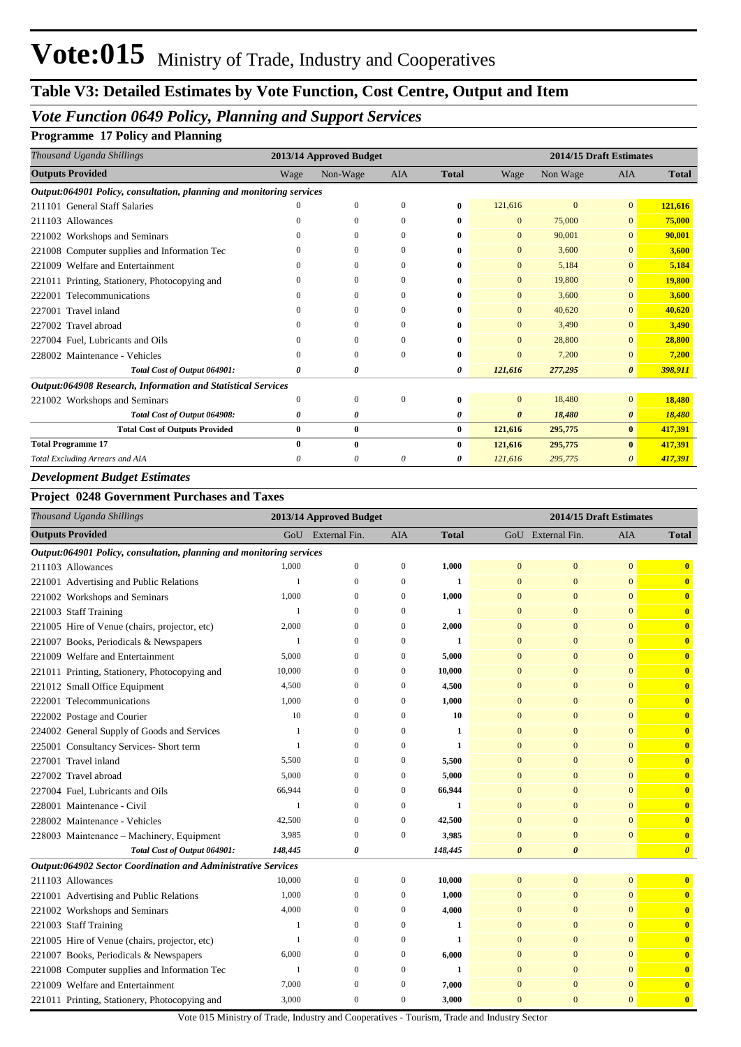## **Table V3: Detailed Estimates by Vote Function, Cost Centre, Output and Item**

## *Vote Function 0649 Policy, Planning and Support Services*

#### **Programme 17 Policy and Planning**

| Thousand Uganda Shillings                                            |              | 2013/14 Approved Budget |              |              | 2014/15 Draft Estimates |                |                |              |  |
|----------------------------------------------------------------------|--------------|-------------------------|--------------|--------------|-------------------------|----------------|----------------|--------------|--|
| <b>Outputs Provided</b>                                              | Wage         | Non-Wage                | <b>AIA</b>   | <b>Total</b> | Wage                    | Non Wage       | <b>AIA</b>     | <b>Total</b> |  |
| Output:064901 Policy, consultation, planning and monitoring services |              |                         |              |              |                         |                |                |              |  |
| 211101 General Staff Salaries                                        |              | $\mathbf{0}$            | $\Omega$     | 0            | 121,616                 | $\overline{0}$ | $\overline{0}$ | 121,616      |  |
| 211103 Allowances                                                    | 0            | 0                       | $\mathbf{0}$ | 0            | $\mathbf{0}$            | 75,000         | $\overline{0}$ | 75,000       |  |
| 221002 Workshops and Seminars                                        | 0            | $\Omega$                | $\left($     | 0            | $\mathbf{0}$            | 90,001         | $\overline{0}$ | 90,001       |  |
| 221008 Computer supplies and Information Tec                         | 0            | 0                       | 0            | 0            | $\mathbf{0}$            | 3,600          | $\overline{0}$ | 3,600        |  |
| 221009 Welfare and Entertainment                                     | 0            | 0                       | $\Omega$     | 0            | $\mathbf{0}$            | 5,184          | $\overline{0}$ | 5,184        |  |
| 221011 Printing, Stationery, Photocopying and                        | 0            | $\Omega$                | $\Omega$     | 0            | $\mathbf{0}$            | 19,800         | $\overline{0}$ | 19,800       |  |
| Telecommunications<br>222001                                         | 0            | 0                       | 0            | 0            | $\mathbf{0}$            | 3,600          | $\overline{0}$ | 3,600        |  |
| Travel inland<br>227001                                              | 0            | $\Omega$                | $\Omega$     | 0            | $\mathbf{0}$            | 40,620         | $\overline{0}$ | 40,620       |  |
| 227002 Travel abroad                                                 |              | $\Omega$                | $\theta$     | 0            | $\Omega$                | 3,490          | $\overline{0}$ | 3,490        |  |
| 227004 Fuel, Lubricants and Oils                                     | 0            | $\Omega$                | 0            | 0            | $\Omega$                | 28,800         | $\overline{0}$ | 28,800       |  |
| 228002 Maintenance - Vehicles                                        | 0            | $\Omega$                | $\Omega$     | 0            | $\Omega$                | 7,200          | $\overline{0}$ | 7,200        |  |
| Total Cost of Output 064901:                                         | 0            | 0                       |              | 0            | 121,616                 | 277,295        | $\theta$       | 398,911      |  |
| Output:064908 Research, Information and Statistical Services         |              |                         |              |              |                         |                |                |              |  |
| 221002 Workshops and Seminars                                        | $\mathbf{0}$ | $\mathbf{0}$            | $\Omega$     | 0            | $\overline{0}$          | 18,480         | $\overline{0}$ | 18,480       |  |
| Total Cost of Output 064908:                                         | 0            | 0                       |              | 0            | $\boldsymbol{\theta}$   | 18,480         | 0              | 18,480       |  |
| <b>Total Cost of Outputs Provided</b>                                | 0            | $\bf{0}$                |              | $\bf{0}$     | 121,616                 | 295,775        | $\bf{0}$       | 417,391      |  |
| <b>Total Programme 17</b>                                            | 0            | $\bf{0}$                |              | 0            | 121,616                 | 295,775        | $\bf{0}$       | 417,391      |  |
| Total Excluding Arrears and AIA                                      | 0            | 0                       | $\theta$     | 0            | 121,616                 | 295,775        | $\theta$       | 417,391      |  |
| <b>Development Budget Estimates</b>                                  |              |                         |              |              |                         |                |                |              |  |

#### **Project 0248 Government Purchases and Taxes**

| Thousand Uganda Shillings               |                                                                      | 2013/14 Approved Budget<br>2014/15 Draft Estimates |                   |                  |              |                       |                       |                |                         |
|-----------------------------------------|----------------------------------------------------------------------|----------------------------------------------------|-------------------|------------------|--------------|-----------------------|-----------------------|----------------|-------------------------|
| <b>Outputs Provided</b>                 |                                                                      |                                                    | GoU External Fin. | <b>AIA</b>       | <b>Total</b> |                       | GoU External Fin.     | AIA            | <b>Total</b>            |
|                                         | Output:064901 Policy, consultation, planning and monitoring services |                                                    |                   |                  |              |                       |                       |                |                         |
| 211103 Allowances                       |                                                                      | 1,000                                              | $\boldsymbol{0}$  | $\boldsymbol{0}$ | 1,000        | $\mathbf{0}$          | $\mathbf{0}$          | $\overline{0}$ | $\bf{0}$                |
| 221001 Advertising and Public Relations |                                                                      | 1                                                  | $\mathbf{0}$      | $\mathbf{0}$     | $\mathbf{1}$ | $\mathbf{0}$          | $\overline{0}$        | $\mathbf{0}$   | $\mathbf{0}$            |
| 221002 Workshops and Seminars           |                                                                      | 1,000                                              | 0                 | $\mathbf{0}$     | 1,000        | $\mathbf{0}$          | $\mathbf{0}$          | $\Omega$       | $\mathbf{0}$            |
| 221003 Staff Training                   |                                                                      | 1                                                  | $\Omega$          | $\mathbf{0}$     | 1            | $\mathbf{0}$          | $\mathbf{0}$          | $\Omega$       | $\mathbf{0}$            |
|                                         | 221005 Hire of Venue (chairs, projector, etc)                        | 2,000                                              | 0                 | $\mathbf{0}$     | 2,000        | $\mathbf{0}$          | $\mathbf{0}$          | $\mathbf{0}$   | $\overline{\mathbf{0}}$ |
| 221007 Books, Periodicals & Newspapers  |                                                                      | 1                                                  | 0                 | $\mathbf{0}$     | 1            | $\mathbf{0}$          | $\overline{0}$        | $\mathbf{0}$   | $\bf{0}$                |
| 221009 Welfare and Entertainment        |                                                                      | 5,000                                              | 0                 | $\mathbf{0}$     | 5,000        | $\mathbf{0}$          | $\overline{0}$        | $\Omega$       | $\bf{0}$                |
|                                         | 221011 Printing, Stationery, Photocopying and                        | 10,000                                             | $\mathbf{0}$      | $\mathbf{0}$     | 10,000       | $\mathbf{0}$          | $\mathbf{0}$          | $\mathbf{0}$   | $\mathbf{0}$            |
| 221012 Small Office Equipment           |                                                                      | 4,500                                              | 0                 | $\mathbf{0}$     | 4,500        | $\mathbf{0}$          | $\overline{0}$        | $\mathbf{0}$   | $\bf{0}$                |
| 222001 Telecommunications               |                                                                      | 1,000                                              | 0                 | $\boldsymbol{0}$ | 1,000        | $\mathbf{0}$          | $\mathbf{0}$          | $\mathbf{0}$   | $\mathbf{0}$            |
| 222002 Postage and Courier              |                                                                      | 10                                                 | $\Omega$          | $\Omega$         | 10           | $\mathbf{0}$          | $\overline{0}$        | $\Omega$       | $\bf{0}$                |
|                                         | 224002 General Supply of Goods and Services                          | $\mathbf{1}$                                       | $\overline{0}$    | $\mathbf{0}$     | 1            | $\mathbf{0}$          | $\overline{0}$        | $\Omega$       | $\overline{\mathbf{0}}$ |
| 225001 Consultancy Services- Short term |                                                                      | 1                                                  | $\mathbf{0}$      | $\mathbf{0}$     | 1            | $\mathbf{0}$          | $\mathbf{0}$          | $\Omega$       | $\mathbf{0}$            |
| 227001 Travel inland                    |                                                                      | 5,500                                              | 0                 | $\mathbf{0}$     | 5,500        | $\mathbf{0}$          | $\overline{0}$        | $\mathbf{0}$   | $\mathbf{0}$            |
| 227002 Travel abroad                    |                                                                      | 5,000                                              | $\Omega$          | $\mathbf{0}$     | 5,000        | $\mathbf{0}$          | $\mathbf{0}$          | $\Omega$       | $\mathbf{0}$            |
| 227004 Fuel, Lubricants and Oils        |                                                                      | 66,944                                             | 0                 | $\mathbf{0}$     | 66,944       | $\mathbf{0}$          | $\overline{0}$        | $\mathbf{0}$   | $\overline{\mathbf{0}}$ |
| 228001 Maintenance - Civil              |                                                                      | $\mathbf{1}$                                       | $\mathbf{0}$      | $\mathbf{0}$     | $\mathbf{1}$ | $\mathbf{0}$          | $\overline{0}$        | $\mathbf{0}$   | $\mathbf{0}$            |
| 228002 Maintenance - Vehicles           |                                                                      | 42,500                                             | $\mathbf{0}$      | $\boldsymbol{0}$ | 42,500       | $\mathbf{0}$          | $\mathbf{0}$          | $\Omega$       | $\mathbf{0}$            |
|                                         | 228003 Maintenance – Machinery, Equipment                            | 3,985                                              | $\mathbf{0}$      | $\mathbf{0}$     | 3,985        | $\mathbf{0}$          | $\overline{0}$        | $\mathbf{0}$   | $\mathbf{0}$            |
|                                         | Total Cost of Output 064901:                                         | 148,445                                            | 0                 |                  | 148,445      | $\boldsymbol{\theta}$ | $\boldsymbol{\theta}$ |                | $\boldsymbol{\theta}$   |
|                                         | Output:064902 Sector Coordination and Administrative Services        |                                                    |                   |                  |              |                       |                       |                |                         |
| 211103 Allowances                       |                                                                      | 10,000                                             | $\boldsymbol{0}$  | $\boldsymbol{0}$ | 10,000       | $\mathbf{0}$          | $\mathbf{0}$          | $\mathbf{0}$   | $\mathbf{0}$            |
| 221001 Advertising and Public Relations |                                                                      | 1,000                                              | $\mathbf{0}$      | $\boldsymbol{0}$ | 1,000        | $\mathbf{0}$          | $\mathbf{0}$          | $\mathbf{0}$   | $\mathbf{0}$            |
| 221002 Workshops and Seminars           |                                                                      | 4,000                                              | $\Omega$          | $\mathbf{0}$     | 4,000        | $\mathbf{0}$          | $\Omega$              | $\Omega$       | $\mathbf{0}$            |
| 221003 Staff Training                   |                                                                      | $\mathbf{1}$                                       | $\overline{0}$    | $\mathbf{0}$     | 1            | $\mathbf{0}$          | $\overline{0}$        | $\mathbf{0}$   | $\bf{0}$                |
|                                         | 221005 Hire of Venue (chairs, projector, etc)                        | $\mathbf{1}$                                       | $\overline{0}$    | $\mathbf{0}$     | 1            | $\mathbf{0}$          | $\mathbf{0}$          | $\mathbf{0}$   | $\overline{\mathbf{0}}$ |
| 221007 Books, Periodicals & Newspapers  |                                                                      | 6,000                                              | 0                 | $\boldsymbol{0}$ | 6,000        | $\mathbf{0}$          | $\mathbf{0}$          | $\mathbf{0}$   | $\overline{\mathbf{0}}$ |
|                                         | 221008 Computer supplies and Information Tec                         | 1                                                  | $\Omega$          | $\mathbf{0}$     | 1            | $\mathbf{0}$          | $\Omega$              | $\Omega$       | $\bf{0}$                |
| 221009 Welfare and Entertainment        |                                                                      | 7,000                                              | $\Omega$          | $\mathbf{0}$     | 7,000        | $\mathbf{0}$          | $\mathbf{0}$          | $\Omega$       | $\overline{\mathbf{0}}$ |
|                                         | 221011 Printing, Stationery, Photocopying and                        | 3,000                                              | $\overline{0}$    | $\mathbf{0}$     | 3,000        | $\mathbf{0}$          | $\overline{0}$        | $\mathbf{0}$   | $\mathbf{0}$            |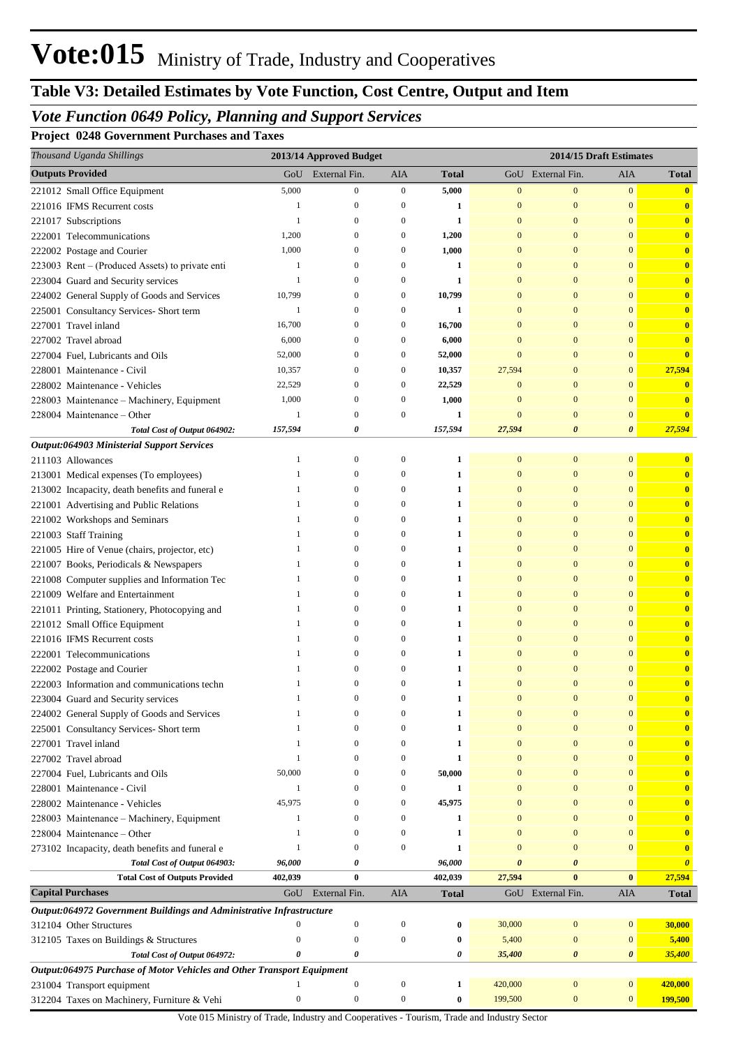# **Table V3: Detailed Estimates by Vote Function, Cost Centre, Output and Item**

## *Vote Function 0649 Policy, Planning and Support Services*

**Project 0248 Government Purchases and Taxes**

| Thousand Uganda Shillings                                                 |                                                                        | 2013/14 Approved Budget      |                              |              |                              | 2014/15 Draft Estimates      |                              |                              |
|---------------------------------------------------------------------------|------------------------------------------------------------------------|------------------------------|------------------------------|--------------|------------------------------|------------------------------|------------------------------|------------------------------|
| <b>Outputs Provided</b>                                                   | GoU                                                                    | External Fin.                | AIA                          | <b>Total</b> |                              | GoU External Fin.            | AIA                          | <b>Total</b>                 |
| 221012 Small Office Equipment                                             | 5,000                                                                  | $\boldsymbol{0}$             | $\boldsymbol{0}$             | 5,000        | $\mathbf{0}$                 | $\bf{0}$                     | $\mathbf{0}$                 | $\mathbf{0}$                 |
| 221016 IFMS Recurrent costs                                               | -1                                                                     | $\boldsymbol{0}$             | $\mathbf{0}$                 | 1            | $\mathbf{0}$                 | $\mathbf{0}$                 | $\mathbf{0}$                 | $\bf{0}$                     |
| 221017 Subscriptions                                                      | -1                                                                     | $\mathbf{0}$                 | $\mathbf{0}$                 | 1            | $\mathbf{0}$                 | $\mathbf{0}$                 | $\mathbf{0}$                 | $\mathbf{0}$                 |
| 222001 Telecommunications                                                 | 1,200                                                                  | $\mathbf{0}$                 | $\boldsymbol{0}$             | 1,200        | $\mathbf{0}$                 | $\mathbf{0}$                 | $\mathbf{0}$                 | $\mathbf{0}$                 |
| 222002 Postage and Courier                                                | 1,000                                                                  | $\mathbf{0}$                 | $\mathbf{0}$                 | 1,000        | $\mathbf{0}$                 | $\mathbf{0}$                 | $\mathbf{0}$                 | $\mathbf{0}$                 |
| 223003 Rent – (Produced Assets) to private enti                           | -1                                                                     | $\mathbf{0}$                 | $\mathbf{0}$                 | 1            | $\mathbf{0}$                 | $\mathbf{0}$                 | $\mathbf{0}$                 | $\mathbf{0}$                 |
| 223004 Guard and Security services                                        | 1                                                                      | $\Omega$                     | $\mathbf{0}$                 | 1            | $\mathbf{0}$                 | $\mathbf{0}$                 | $\mathbf{0}$                 | $\mathbf{0}$                 |
| 224002 General Supply of Goods and Services                               | 10,799                                                                 | $\mathbf{0}$                 | 0                            | 10,799       | $\mathbf{0}$                 | $\mathbf{0}$                 | $\mathbf{0}$                 | $\mathbf{0}$                 |
| 225001 Consultancy Services- Short term                                   | -1                                                                     | $\mathbf{0}$                 | $\mathbf{0}$                 | 1            | $\mathbf{0}$                 | $\mathbf{0}$                 | $\mathbf{0}$                 | $\mathbf{0}$                 |
| 227001 Travel inland                                                      | 16,700                                                                 | $\mathbf{0}$                 | $\mathbf{0}$                 | 16,700       | $\mathbf{0}$                 | $\mathbf{0}$                 | $\mathbf{0}$                 | $\mathbf{0}$                 |
| 227002 Travel abroad                                                      | 6,000                                                                  | $\mathbf{0}$                 | $\mathbf{0}$                 | 6,000        | $\mathbf{0}$                 | $\mathbf{0}$                 | $\mathbf{0}$                 | $\mathbf{0}$                 |
| 227004 Fuel, Lubricants and Oils                                          | 52,000                                                                 | $\mathbf{0}$                 | $\mathbf{0}$                 | 52,000       | $\mathbf{0}$                 | $\mathbf{0}$                 | $\mathbf{0}$                 | $\bf{0}$                     |
| 228001 Maintenance - Civil                                                | 10,357                                                                 | $\mathbf{0}$                 | $\mathbf{0}$                 | 10,357       | 27,594                       | $\mathbf{0}$                 | $\mathbf{0}$                 | 27,594                       |
| 228002 Maintenance - Vehicles                                             | 22,529                                                                 | $\mathbf{0}$                 | $\mathbf{0}$                 | 22,529       | $\mathbf{0}$                 | $\mathbf{0}$                 | $\mathbf{0}$                 | $\mathbf{0}$                 |
| 228003 Maintenance - Machinery, Equipment                                 | 1,000                                                                  | $\mathbf{0}$                 | $\mathbf{0}$                 | 1,000        | $\mathbf{0}$                 | $\mathbf{0}$                 | $\mathbf{0}$                 | $\mathbf{0}$                 |
| 228004 Maintenance – Other                                                | 1                                                                      | $\mathbf{0}$                 | $\mathbf{0}$                 | 1            | $\mathbf{0}$                 | $\mathbf{0}$                 | $\mathbf{0}$                 | $\bf{0}$                     |
| Total Cost of Output 064902:                                              | 157,594                                                                | 0                            |                              | 157,594      | 27,594                       | $\boldsymbol{\theta}$        | $\boldsymbol{\theta}$        | 27,594                       |
| Output:064903 Ministerial Support Services                                |                                                                        |                              |                              |              |                              |                              |                              |                              |
| 211103 Allowances                                                         | -1                                                                     | $\boldsymbol{0}$             | 0                            | 1            | $\mathbf{0}$                 | $\mathbf{0}$                 | $\mathbf{0}$                 | $\mathbf{0}$                 |
| 213001 Medical expenses (To employees)                                    | -1                                                                     | $\mathbf{0}$                 | $\mathbf{0}$                 | 1            | $\mathbf{0}$                 | $\mathbf{0}$                 | $\mathbf{0}$                 | $\mathbf{0}$                 |
| 213002 Incapacity, death benefits and funeral e                           | -1                                                                     | $\mathbf{0}$                 | $\mathbf{0}$                 | 1            | $\mathbf{0}$                 | $\mathbf{0}$                 | $\mathbf{0}$                 | $\mathbf{0}$                 |
| 221001 Advertising and Public Relations                                   | -1                                                                     | $\Omega$                     | $\mathbf{0}$                 | 1            | $\mathbf{0}$                 | $\mathbf{0}$                 | $\mathbf{0}$                 | $\mathbf{0}$                 |
| 221002 Workshops and Seminars                                             | -1                                                                     | $\Omega$                     | $\mathbf{0}$                 | 1            | $\mathbf{0}$                 | $\mathbf{0}$                 | $\mathbf{0}$                 | $\mathbf{0}$                 |
| 221003 Staff Training                                                     | -1                                                                     | $\mathbf{0}$                 | $\mathbf{0}$                 | 1            | $\mathbf{0}$                 | $\mathbf{0}$                 | $\mathbf{0}$                 | $\mathbf{0}$                 |
| 221005 Hire of Venue (chairs, projector, etc)                             |                                                                        | $\mathbf{0}$                 | $\mathbf{0}$                 | 1            | $\mathbf{0}$                 | $\mathbf{0}$                 | $\mathbf{0}$                 | $\mathbf{0}$                 |
| 221007 Books, Periodicals & Newspapers                                    | -1                                                                     | $\mathbf{0}$                 | $\mathbf{0}$                 | 1            | $\mathbf{0}$                 | $\mathbf{0}$                 | $\mathbf{0}$                 | $\mathbf{0}$                 |
| 221008 Computer supplies and Information Tec                              | -1                                                                     | $\mathbf{0}$                 | $\mathbf{0}$                 | 1            | $\mathbf{0}$                 | $\mathbf{0}$                 | $\mathbf{0}$                 | $\mathbf{0}$                 |
| 221009 Welfare and Entertainment                                          | -1<br>-1                                                               | $\mathbf{0}$<br>$\mathbf{0}$ | $\mathbf{0}$<br>$\mathbf{0}$ | 1            | $\mathbf{0}$<br>$\mathbf{0}$ | $\mathbf{0}$<br>$\mathbf{0}$ | $\mathbf{0}$<br>$\mathbf{0}$ | $\mathbf{0}$                 |
| 221011 Printing, Stationery, Photocopying and                             | -1                                                                     | $\Omega$                     | $\mathbf{0}$                 | 1            | $\mathbf{0}$                 | $\mathbf{0}$                 | $\mathbf{0}$                 | $\mathbf{0}$                 |
| 221012 Small Office Equipment                                             | -1                                                                     | $\Omega$                     | $\mathbf{0}$                 | 1<br>1       | $\mathbf{0}$                 | $\mathbf{0}$                 | $\mathbf{0}$                 | $\mathbf{0}$<br>$\mathbf{0}$ |
| 221016 IFMS Recurrent costs                                               |                                                                        | $\Omega$                     | $\Omega$                     | 1            | $\mathbf{0}$                 | $\mathbf{0}$                 | $\mathbf{0}$                 | $\mathbf{0}$                 |
| 222001 Telecommunications                                                 |                                                                        | $\Omega$                     | $\mathbf{0}$                 | 1            | $\mathbf{0}$                 | $\mathbf{0}$                 | $\mathbf{0}$                 | $\mathbf{0}$                 |
| 222002 Postage and Courier<br>222003 Information and communications techn | -1                                                                     | $\mathbf{0}$                 | $\mathbf{0}$                 | 1            | $\overline{0}$               | $\mathbf{0}$                 | $\mathbf{0}$                 | $\mathbf{0}$                 |
| 223004 Guard and Security services                                        |                                                                        | $\mathbf{0}$                 | $\Omega$                     | 1            | $\overline{0}$               | $\mathbf{0}$                 | $\overline{0}$               | $\overline{\mathbf{0}}$      |
| 224002 General Supply of Goods and Services                               | -1                                                                     | $\boldsymbol{0}$             | $\boldsymbol{0}$             | 1            | $\mathbf{0}$                 | $\mathbf{0}$                 | $\mathbf{0}$                 | $\mathbf{0}$                 |
| 225001 Consultancy Services- Short term                                   | 1                                                                      | $\mathbf{0}$                 | $\mathbf{0}$                 | 1            | $\mathbf{0}$                 | $\mathbf{0}$                 | $\overline{0}$               | $\mathbf{0}$                 |
| 227001 Travel inland                                                      | -1                                                                     | $\mathbf{0}$                 | 0                            | 1            | $\mathbf{0}$                 | $\mathbf{0}$                 | $\mathbf{0}$                 | $\mathbf{0}$                 |
| 227002 Travel abroad                                                      | 1                                                                      | $\mathbf{0}$                 | 0                            | $\mathbf{1}$ | $\mathbf{0}$                 | $\mathbf{0}$                 | $\mathbf{0}$                 | $\overline{\mathbf{0}}$      |
| 227004 Fuel, Lubricants and Oils                                          | 50,000                                                                 | 0                            | 0                            | 50,000       | $\mathbf{0}$                 | $\mathbf{0}$                 | $\mathbf{0}$                 | $\overline{\mathbf{0}}$      |
| 228001 Maintenance - Civil                                                | 1                                                                      | $\Omega$                     | $\boldsymbol{0}$             | 1            | $\mathbf{0}$                 | $\mathbf{0}$                 | $\mathbf{0}$                 | $\mathbf{0}$                 |
| 228002 Maintenance - Vehicles                                             | 45,975                                                                 | $\Omega$                     | 0                            | 45,975       | $\mathbf{0}$                 | $\mathbf{0}$                 | $\mathbf{0}$                 | $\bf{0}$                     |
| 228003 Maintenance – Machinery, Equipment                                 | 1                                                                      | 0                            | 0                            | 1            | $\mathbf{0}$                 | $\mathbf{0}$                 | $\overline{0}$               | $\mathbf{0}$                 |
| 228004 Maintenance - Other                                                | -1                                                                     | $\mathbf{0}$                 | 0                            | 1            | $\mathbf{0}$                 | $\mathbf{0}$                 | $\overline{0}$               | $\overline{\mathbf{0}}$      |
| 273102 Incapacity, death benefits and funeral e                           | 1                                                                      | $\mathbf{0}$                 | $\mathbf{0}$                 | $\mathbf{1}$ | $\mathbf{0}$                 | $\mathbf{0}$                 | $\overline{0}$               | $\bf{0}$                     |
| Total Cost of Output 064903:                                              | 96,000                                                                 | 0                            |                              | 96,000       | $\boldsymbol{\theta}$        | $\boldsymbol{\theta}$        |                              | $\boldsymbol{\theta}$        |
| <b>Total Cost of Outputs Provided</b>                                     | 402,039                                                                | $\bf{0}$                     |                              | 402,039      | 27,594                       | $\bf{0}$                     | $\bf{0}$                     | 27,594                       |
| <b>Capital Purchases</b>                                                  | GoU                                                                    | External Fin.                | AIA                          | <b>Total</b> |                              | GoU External Fin.            | AIA                          | <b>Total</b>                 |
| Output:064972 Government Buildings and Administrative Infrastructure      |                                                                        |                              |                              |              |                              |                              |                              |                              |
| 312104 Other Structures                                                   | $\boldsymbol{0}$                                                       | $\boldsymbol{0}$             | $\boldsymbol{0}$             | $\bf{0}$     | 30,000                       | $\bf{0}$                     | $\mathbf{0}$                 | 30,000                       |
| 312105 Taxes on Buildings & Structures                                    | $\boldsymbol{0}$                                                       | $\boldsymbol{0}$             | $\boldsymbol{0}$             | $\bf{0}$     | 5,400                        | $\bf{0}$                     | $\mathbf{0}$                 | 5,400                        |
| Total Cost of Output 064972:                                              | $\boldsymbol{\theta}$                                                  | 0                            |                              | 0            | 35,400                       | $\boldsymbol{\theta}$        | $\boldsymbol{\theta}$        | 35,400                       |
|                                                                           | Output:064975 Purchase of Motor Vehicles and Other Transport Equipment |                              |                              |              |                              |                              |                              |                              |
| 231004 Transport equipment                                                | $\mathbf{1}$                                                           | $\boldsymbol{0}$             | $\boldsymbol{0}$             | $\mathbf{1}$ | 420,000                      | $\bf{0}$                     | $\overline{0}$               | 420,000                      |
| 312204 Taxes on Machinery, Furniture & Vehi                               | $\boldsymbol{0}$                                                       | $\boldsymbol{0}$             | $\boldsymbol{0}$             | $\bf{0}$     | 199,500                      | $\boldsymbol{0}$             | $\mathbf{0}$                 | 199,500                      |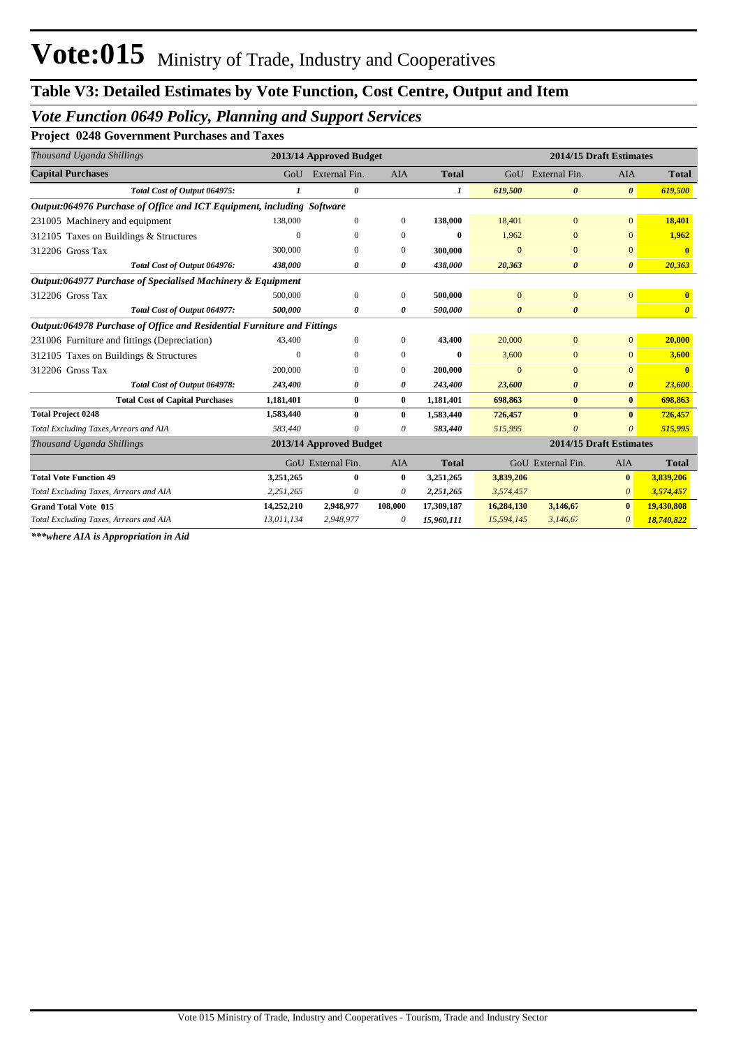## *Vote Function 0649 Policy, Planning and Support Services*

**Project 0248 Government Purchases and Taxes**

| Thousand Uganda Shillings                                               |            | 2013/14 Approved Budget |              |              |                       | 2014/15 Draft Estimates |                       |                       |
|-------------------------------------------------------------------------|------------|-------------------------|--------------|--------------|-----------------------|-------------------------|-----------------------|-----------------------|
| <b>Capital Purchases</b>                                                | GoU        | External Fin.           | AIA          | <b>Total</b> |                       | GoU External Fin.       | <b>AIA</b>            | <b>Total</b>          |
| Total Cost of Output 064975:                                            |            | $\boldsymbol{\theta}$   |              | 1            | 619,500               | $\boldsymbol{\theta}$   | $\boldsymbol{\theta}$ | 619,500               |
| Output:064976 Purchase of Office and ICT Equipment, including Software  |            |                         |              |              |                       |                         |                       |                       |
| 231005 Machinery and equipment                                          | 138,000    | $\mathbf{0}$            | $\mathbf{0}$ | 138,000      | 18,401                | $\overline{0}$          | $\mathbf{0}$          | 18,401                |
| 312105 Taxes on Buildings & Structures                                  | $\Omega$   | $\mathbf{0}$            | $\mathbf{0}$ | $\bf{0}$     | 1,962                 | $\overline{0}$          | $\mathbf{0}$          | 1,962                 |
| 312206 Gross Tax                                                        | 300,000    | $\Omega$                | $\mathbf{0}$ | 300,000      | $\Omega$              | $\Omega$                | $\mathbf{0}$          | $\mathbf{0}$          |
| Total Cost of Output 064976:                                            | 438,000    | 0                       | 0            | 438,000      | 20,363                | 0                       | $\boldsymbol{\theta}$ | 20,363                |
| Output:064977 Purchase of Specialised Machinery & Equipment             |            |                         |              |              |                       |                         |                       |                       |
| 312206 Gross Tax                                                        | 500,000    | $\mathbf{0}$            | $\mathbf{0}$ | 500,000      | $\Omega$              | $\overline{0}$          | $\mathbf{0}$          | $\mathbf{0}$          |
| Total Cost of Output 064977:                                            | 500,000    | 0                       | 0            | 500,000      | $\boldsymbol{\theta}$ | $\boldsymbol{\theta}$   |                       | $\boldsymbol{\theta}$ |
| Output:064978 Purchase of Office and Residential Furniture and Fittings |            |                         |              |              |                       |                         |                       |                       |
| 231006 Furniture and fittings (Depreciation)                            | 43,400     | $\mathbf{0}$            | $\mathbf{0}$ | 43,400       | 20,000                | $\mathbf{0}$            | $\overline{0}$        | 20,000                |
| 312105 Taxes on Buildings & Structures                                  | $\Omega$   | $\mathbf{0}$            | $\mathbf{0}$ | $\bf{0}$     | 3,600                 | $\bf{0}$                | $\mathbf{0}$          | 3,600                 |
| 312206 Gross Tax                                                        | 200,000    | $\mathbf{0}$            | $\Omega$     | 200,000      | $\Omega$              | $\overline{0}$          | $\mathbf{0}$          | $\mathbf{0}$          |
| Total Cost of Output 064978:                                            | 243,400    | O                       | 0            | 243,400      | 23,600                | 0                       | $\boldsymbol{\theta}$ | 23,600                |
| <b>Total Cost of Capital Purchases</b>                                  | 1,181,401  | $\bf{0}$                | $\bf{0}$     | 1,181,401    | 698,863               | $\bf{0}$                | $\bf{0}$              | 698,863               |
| <b>Total Project 0248</b>                                               | 1,583,440  | $\mathbf{0}$            | $\mathbf{0}$ | 1,583,440    | 726,457               | $\bf{0}$                | $\mathbf{0}$          | 726,457               |
| Total Excluding Taxes, Arrears and AIA                                  | 583,440    | 0                       | 0            | 583,440      | 515,995               | $\theta$                | $\theta$              | 515,995               |
| Thousand Uganda Shillings                                               |            | 2013/14 Approved Budget |              |              |                       | 2014/15 Draft Estimates |                       |                       |
|                                                                         |            | GoU External Fin.       | <b>AIA</b>   | <b>Total</b> |                       | GoU External Fin.       | <b>AIA</b>            | <b>Total</b>          |
| <b>Total Vote Function 49</b>                                           | 3,251,265  | $\bf{0}$                | $\bf{0}$     | 3,251,265    | 3,839,206             |                         | $\mathbf{0}$          | 3,839,206             |
| Total Excluding Taxes, Arrears and AIA                                  | 2,251,265  | 0                       | 0            | 2,251,265    | 3,574,457             |                         | $\theta$              | 3,574,457             |
| <b>Grand Total Vote 015</b>                                             | 14,252,210 | 2,948,977               | 108,000      | 17,309,187   | 16,284,130            | 3,146,67                | $\bf{0}$              | 19,430,808            |
| Total Excluding Taxes, Arrears and AIA                                  | 13,011,134 | 2,948,977               | 0            | 15,960,111   | 15,594,145            | 3,146,67                | 0                     | 18,740,822            |

*\*\*\*where AIA is Appropriation in Aid*